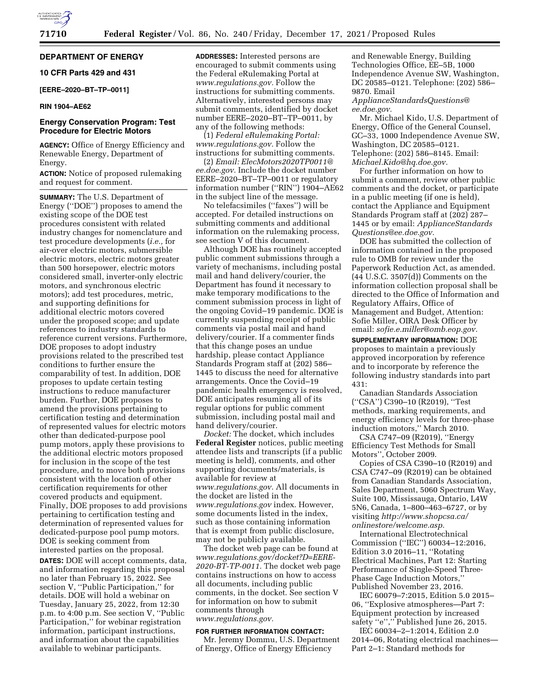## **DEPARTMENT OF ENERGY**

## **10 CFR Parts 429 and 431**

## **[EERE–2020–BT–TP–0011]**

## **RIN 1904–AE62**

## **Energy Conservation Program: Test Procedure for Electric Motors**

**AGENCY:** Office of Energy Efficiency and Renewable Energy, Department of Energy.

**ACTION:** Notice of proposed rulemaking and request for comment.

**SUMMARY:** The U.S. Department of Energy (''DOE'') proposes to amend the existing scope of the DOE test procedures consistent with related industry changes for nomenclature and test procedure developments (*i.e.,* for air-over electric motors, submersible electric motors, electric motors greater than 500 horsepower, electric motors considered small, inverter-only electric motors, and synchronous electric motors); add test procedures, metric, and supporting definitions for additional electric motors covered under the proposed scope; and update references to industry standards to reference current versions. Furthermore, DOE proposes to adopt industry provisions related to the prescribed test conditions to further ensure the comparability of test. In addition, DOE proposes to update certain testing instructions to reduce manufacturer burden. Further, DOE proposes to amend the provisions pertaining to certification testing and determination of represented values for electric motors other than dedicated-purpose pool pump motors, apply these provisions to the additional electric motors proposed for inclusion in the scope of the test procedure, and to move both provisions consistent with the location of other certification requirements for other covered products and equipment. Finally, DOE proposes to add provisions pertaining to certification testing and determination of represented values for dedicated-purpose pool pump motors. DOE is seeking comment from interested parties on the proposal.

**DATES:** DOE will accept comments, data, and information regarding this proposal no later than February 15, 2022. See section V, ''Public Participation,'' for details. DOE will hold a webinar on Tuesday, January 25, 2022, from 12:30 p.m. to 4:00 p.m. See section V, ''Public Participation,'' for webinar registration information, participant instructions, and information about the capabilities available to webinar participants.

**ADDRESSES:** Interested persons are encouraged to submit comments using the Federal eRulemaking Portal at *[www.regulations.gov.](http://www.regulations.gov)* Follow the instructions for submitting comments. Alternatively, interested persons may submit comments, identified by docket number EERE–2020–BT–TP–0011, by any of the following methods:

(1) *Federal eRulemaking Portal: [www.regulations.gov.](http://www.regulations.gov)* Follow the instructions for submitting comments.

(2) *Email: [ElecMotors2020TP0011@](mailto:ElecMotors2020TP0011@ee.doe.gov) [ee.doe.gov.](mailto:ElecMotors2020TP0011@ee.doe.gov)* Include the docket number EERE–2020–BT–TP–0011 or regulatory information number (''RIN'') 1904–AE62 in the subject line of the message.

No telefacsimiles (''faxes'') will be accepted. For detailed instructions on submitting comments and additional information on the rulemaking process, see section V of this document.

Although DOE has routinely accepted public comment submissions through a variety of mechanisms, including postal mail and hand delivery/courier, the Department has found it necessary to make temporary modifications to the comment submission process in light of the ongoing Covid–19 pandemic. DOE is currently suspending receipt of public comments via postal mail and hand delivery/courier. If a commenter finds that this change poses an undue hardship, please contact Appliance Standards Program staff at (202) 586– 1445 to discuss the need for alternative arrangements. Once the Covid–19 pandemic health emergency is resolved, DOE anticipates resuming all of its regular options for public comment submission, including postal mail and hand delivery/courier.

*Docket:* The docket, which includes **Federal Register** notices, public meeting attendee lists and transcripts (if a public meeting is held), comments, and other supporting documents/materials, is available for review at *[www.regulations.gov.](http://www.regulations.gov)* All documents in the docket are listed in the *[www.regulations.gov](http://www.regulations.gov)* index. However, some documents listed in the index, such as those containing information that is exempt from public disclosure, may not be publicly available.

The docket web page can be found at *[www.regulations.gov/docket?D=EERE-](http://www.regulations.gov/docket?D=EERE-2020-BT-TP-0011)[2020-BT-TP-0011.](http://www.regulations.gov/docket?D=EERE-2020-BT-TP-0011)* The docket web page contains instructions on how to access all documents, including public comments, in the docket. See section V for information on how to submit comments through *[www.regulations.gov.](http://www.regulations.gov)* 

## **FOR FURTHER INFORMATION CONTACT:**

Mr. Jeremy Dommu, U.S. Department of Energy, Office of Energy Efficiency

and Renewable Energy, Building Technologies Office, EE–5B, 1000 Independence Avenue SW, Washington, DC 20585–0121. Telephone: (202) 586– 9870. Email

*[ApplianceStandardsQuestions@](mailto:ApplianceStandardsQuestions@ee.doe.gov) [ee.doe.gov.](mailto:ApplianceStandardsQuestions@ee.doe.gov)* 

Mr. Michael Kido, U.S. Department of Energy, Office of the General Counsel, GC–33, 1000 Independence Avenue SW, Washington, DC 20585–0121. Telephone: (202) 586–8145. Email: *[Michael.Kido@hq.doe.gov.](mailto:Michael.Kido@hq.doe.gov)* 

For further information on how to submit a comment, review other public comments and the docket, or participate in a public meeting (if one is held), contact the Appliance and Equipment Standards Program staff at (202) 287– 1445 or by email: *[ApplianceStandards](mailto:ApplianceStandardsQuestions@ee.doe.gov) [Questions@ee.doe.gov.](mailto:ApplianceStandardsQuestions@ee.doe.gov)* 

DOE has submitted the collection of information contained in the proposed rule to OMB for review under the Paperwork Reduction Act, as amended. (44 U.S.C. 3507(d)) Comments on the information collection proposal shall be directed to the Office of Information and Regulatory Affairs, Office of Management and Budget, Attention: Sofie Miller, OIRA Desk Officer by email: *[sofie.e.miller@omb.eop.gov.](mailto:sofie.e.miller@omb.eop.gov)* 

**SUPPLEMENTARY INFORMATION:** DOE proposes to maintain a previously approved incorporation by reference and to incorporate by reference the following industry standards into part 431:

Canadian Standards Association (''CSA'') C390–10 (R2019), ''Test methods, marking requirements, and energy efficiency levels for three-phase induction motors,'' March 2010.

CSA C747–09 (R2019), ''Energy Efficiency Test Methods for Small Motors'', October 2009.

Copies of CSA C390–10 (R2019) and CSA C747–09 (R2019) can be obtained from Canadian Standards Association, Sales Department, 5060 Spectrum Way, Suite 100, Mississauga, Ontario, L4W 5N6, Canada, 1–800–463–6727, or by visiting *[http://www.shopcsa.ca/](http://www.shopcsa.ca/onlinestore/welcome.asp)  [onlinestore/welcome.asp.](http://www.shopcsa.ca/onlinestore/welcome.asp)* 

International Electrotechnical Commission (''IEC'') 60034–12:2016, Edition 3.0 2016–11, ''Rotating Electrical Machines, Part 12: Starting Performance of Single-Speed Three-Phase Cage Induction Motors,'' Published November 23, 2016.

IEC 60079–7:2015, Edition 5.0 2015– 06, ''Explosive atmospheres—Part 7: Equipment protection by increased safety "e"," Published June 26, 2015.

IEC 60034–2–1:2014, Edition 2.0 2014–06, Rotating electrical machines— Part 2–1: Standard methods for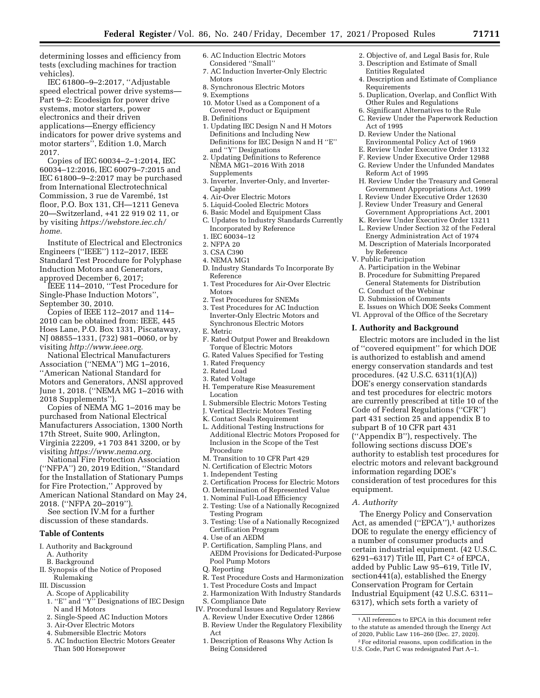determining losses and efficiency from tests (excluding machines for traction vehicles).

IEC 61800–9–2:2017, ''Adjustable speed electrical power drive systems— Part 9–2: Ecodesign for power drive systems, motor starters, power electronics and their driven applications—Energy efficiency indicators for power drive systems and motor starters'', Edition 1.0, March 2017.

Copies of IEC 60034–2–1:2014, IEC 60034–12:2016, IEC 60079–7:2015 and IEC 61800–9–2:2017 may be purchased from International Electrotechnical Commission, 3 rue de Varembé, 1st floor, P.O. Box 131, CH—1211 Geneva 20—Switzerland, +41 22 919 02 11, or by visiting *[https://webstore.iec.ch/](https://webstore.iec.ch/home) [home.](https://webstore.iec.ch/home)* 

Institute of Electrical and Electronics Engineers (''IEEE'') 112–2017, IEEE Standard Test Procedure for Polyphase Induction Motors and Generators, approved December 6, 2017;

IEEE 114–2010, ''Test Procedure for Single-Phase Induction Motors'', September 30, 2010.

Copies of IEEE 112–2017 and 114– 2010 can be obtained from: IEEE, 445 Hoes Lane, P.O. Box 1331, Piscataway, NJ 08855–1331, (732) 981–0060, or by visiting *[http://www.ieee.org.](http://www.ieee.org)* 

National Electrical Manufacturers Association (''NEMA'') MG 1–2016, ''American National Standard for Motors and Generators, ANSI approved June 1, 2018. (''NEMA MG 1–2016 with 2018 Supplements'').

Copies of NEMA MG 1–2016 may be purchased from National Electrical Manufacturers Association, 1300 North 17th Street, Suite 900, Arlington, Virginia 22209, +1 703 841 3200, or by visiting *[https://www.nema.org.](https://www.nema.org)* 

National Fire Protection Association (''NFPA'') 20, 2019 Edition, ''Standard for the Installation of Stationary Pumps for Fire Protection,'' Approved by American National Standard on May 24, 2018. (''NFPA 20–2019'').

See section IV.M for a further discussion of these standards.

#### **Table of Contents**

- I. Authority and Background
	- A. Authority
	- B. Background
- II. Synopsis of the Notice of Proposed Rulemaking
- III. Discussion
- A. Scope of Applicability
- 1. ''E'' and ''Y'' Designations of IEC Design N and H Motors
- 2. Single-Speed AC Induction Motors
- 3. Air-Over Electric Motors
- 4. Submersible Electric Motors
- 5. AC Induction Electric Motors Greater Than 500 Horsepower
- 6. AC Induction Electric Motors Considered ''Small''
- 7. AC Induction Inverter-Only Electric Motors
- 8. Synchronous Electric Motors
- 9. Exemptions
- 10. Motor Used as a Component of a Covered Product or Equipment
- B. Definitions
- 1. Updating IEC Design N and H Motors Definitions and Including New Definitions for IEC Design N and H ''E'' and ''Y'' Designations
- 2. Updating Definitions to Reference NEMA MG1–2016 With 2018 Supplements
- 3. Inverter, Inverter-Only, and Inverter-Capable
- 4. Air-Over Electric Motors
- 5. Liquid-Cooled Electric Motors
- 6. Basic Model and Equipment Class
- C. Updates to Industry Standards Currently Incorporated by Reference
- 1. IEC 60034–12
- 2. NFPA 20
- 3. CSA C390
- 4. NEMA MG1
- D. Industry Standards To Incorporate By Reference
- 1. Test Procedures for Air-Over Electric Motors
- 2. Test Procedures for SNEMs
- 3. Test Procedures for AC Induction Inverter-Only Electric Motors and Synchronous Electric Motors
- E. Metric
- F. Rated Output Power and Breakdown Torque of Electric Motors
- G. Rated Values Specified for Testing
- 1. Rated Frequency
- 2. Rated Load
- 3. Rated Voltage
- H. Temperature Rise Measurement Location
- I. Submersible Electric Motors Testing
- J. Vertical Electric Motors Testing
- K. Contact Seals Requirement
- L. Additional Testing Instructions for Additional Electric Motors Proposed for Inclusion in the Scope of the Test Procedure
- M. Transition to 10 CFR Part 429
- N. Certification of Electric Motors
- 1. Independent Testing
- 2. Certification Process for Electric Motors
- O. Determination of Represented Value
- 1. Nominal Full-Load Efficiency
- 2. Testing: Use of a Nationally Recognized Testing Program
- 3. Testing: Use of a Nationally Recognized Certification Program
- 4. Use of an AEDM
- P. Certification, Sampling Plans, and AEDM Provisions for Dedicated-Purpose Pool Pump Motors
- Q. Reporting
- R. Test Procedure Costs and Harmonization
- 1. Test Procedure Costs and Impact
- 2. Harmonization With Industry Standards S. Compliance Date
- IV. Procedural Issues and Regulatory Review
	- A. Review Under Executive Order 12866 B. Review Under the Regulatory Flexibility
	- Act 1. Description of Reasons Why Action Is
	- Being Considered
- 2. Objective of, and Legal Basis for, Rule
- 3. Description and Estimate of Small Entities Regulated
- 4. Description and Estimate of Compliance Requirements
- 5. Duplication, Overlap, and Conflict With Other Rules and Regulations
- 6. Significant Alternatives to the Rule
- C. Review Under the Paperwork Reduction Act of 1995
- D. Review Under the National Environmental Policy Act of 1969
- E. Review Under Executive Order 13132
- F. Review Under Executive Order 12988
- G. Review Under the Unfunded Mandates Reform Act of 1995
- H. Review Under the Treasury and General Government Appropriations Act, 1999
- I. Review Under Executive Order 12630 J. Review Under Treasury and General
- Government Appropriations Act, 2001
- K. Review Under Executive Order 13211 L. Review Under Section 32 of the Federal
- Energy Administration Act of 1974
- M. Description of Materials Incorporated by Reference
- V. Public Participation
	- A. Participation in the Webinar
	- B. Procedure for Submitting Prepared General Statements for Distribution
	- C. Conduct of the Webinar
	- D. Submission of Comments
- E. Issues on Which DOE Seeks Comment
- VI. Approval of the Office of the Secretary

### **I. Authority and Background**

Electric motors are included in the list of ''covered equipment'' for which DOE is authorized to establish and amend energy conservation standards and test procedures. (42 U.S.C. 6311(1)(A)) DOE's energy conservation standards and test procedures for electric motors are currently prescribed at title 10 of the Code of Federal Regulations (''CFR'') part 431 section 25 and appendix B to subpart B of 10 CFR part 431 (''Appendix B''), respectively. The following sections discuss DOE's authority to establish test procedures for electric motors and relevant background information regarding DOE's consideration of test procedures for this equipment.

## *A. Authority*

The Energy Policy and Conservation Act, as amended ("EPCA"),<sup>1</sup> authorizes DOE to regulate the energy efficiency of a number of consumer products and certain industrial equipment. (42 U.S.C. 6291–6317) Title III, Part C<sup>2</sup> of EPCA, added by Public Law 95–619, Title IV, section441(a), established the Energy Conservation Program for Certain Industrial Equipment (42 U.S.C. 6311– 6317), which sets forth a variety of

1All references to EPCA in this document refer to the statute as amended through the Energy Act of 2020, Public Law 116–260 (Dec. 27, 2020). 2For editorial reasons, upon codification in the U.S. Code, Part C was redesignated Part A–1.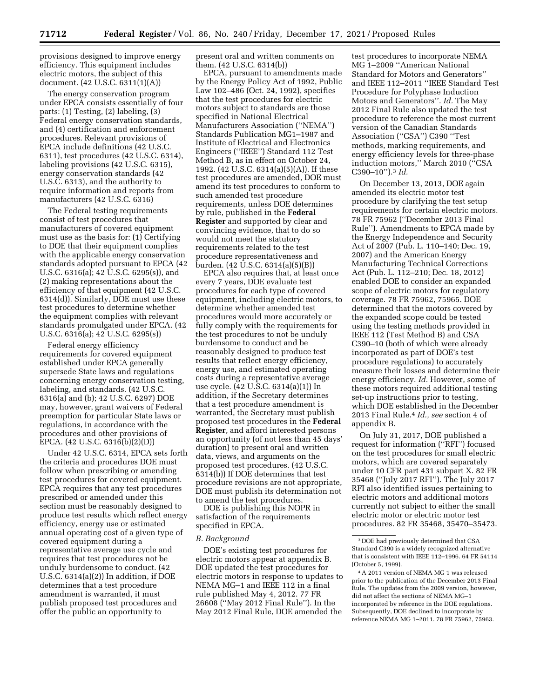provisions designed to improve energy efficiency. This equipment includes electric motors, the subject of this document. (42 U.S.C. 6311(1)(A))

The energy conservation program under EPCA consists essentially of four parts: (1) Testing, (2) labeling, (3) Federal energy conservation standards, and (4) certification and enforcement procedures. Relevant provisions of EPCA include definitions (42 U.S.C. 6311), test procedures (42 U.S.C. 6314), labeling provisions (42 U.S.C. 6315), energy conservation standards (42 U.S.C. 6313), and the authority to require information and reports from manufacturers (42 U.S.C. 6316)

The Federal testing requirements consist of test procedures that manufacturers of covered equipment must use as the basis for: (1) Certifying to DOE that their equipment complies with the applicable energy conservation standards adopted pursuant to EPCA (42 U.S.C. 6316(a); 42 U.S.C. 6295(s)), and (2) making representations about the efficiency of that equipment (42 U.S.C. 6314(d)). Similarly, DOE must use these test procedures to determine whether the equipment complies with relevant standards promulgated under EPCA. (42 U.S.C. 6316(a); 42 U.S.C. 6295(s))

Federal energy efficiency requirements for covered equipment established under EPCA generally supersede State laws and regulations concerning energy conservation testing, labeling, and standards. (42 U.S.C. 6316(a) and (b); 42 U.S.C. 6297) DOE may, however, grant waivers of Federal preemption for particular State laws or regulations, in accordance with the procedures and other provisions of EPCA. (42 U.S.C. 6316(b)(2)(D))

Under 42 U.S.C. 6314, EPCA sets forth the criteria and procedures DOE must follow when prescribing or amending test procedures for covered equipment. EPCA requires that any test procedures prescribed or amended under this section must be reasonably designed to produce test results which reflect energy efficiency, energy use or estimated annual operating cost of a given type of covered equipment during a representative average use cycle and requires that test procedures not be unduly burdensome to conduct. (42 U.S.C. 6314(a)(2)) In addition, if DOE determines that a test procedure amendment is warranted, it must publish proposed test procedures and offer the public an opportunity to

present oral and written comments on them. (42 U.S.C. 6314(b))

EPCA, pursuant to amendments made by the Energy Policy Act of 1992, Public Law 102–486 (Oct. 24, 1992), specifies that the test procedures for electric motors subject to standards are those specified in National Electrical Manufacturers Association (''NEMA'') Standards Publication MG1–1987 and Institute of Electrical and Electronics Engineers (''IEEE'') Standard 112 Test Method B, as in effect on October 24, 1992. (42 U.S.C. 6314(a)(5)(A)). If these test procedures are amended, DOE must amend its test procedures to conform to such amended test procedure requirements, unless DOE determines by rule, published in the **Federal Register** and supported by clear and convincing evidence, that to do so would not meet the statutory requirements related to the test procedure representativeness and burden. (42 U.S.C. 6314(a)(5)(B))

EPCA also requires that, at least once every 7 years, DOE evaluate test procedures for each type of covered equipment, including electric motors, to determine whether amended test procedures would more accurately or fully comply with the requirements for the test procedures to not be unduly burdensome to conduct and be reasonably designed to produce test results that reflect energy efficiency, energy use, and estimated operating costs during a representative average use cycle. (42 U.S.C. 6314(a)(1)) In addition, if the Secretary determines that a test procedure amendment is warranted, the Secretary must publish proposed test procedures in the **Federal Register***,* and afford interested persons an opportunity (of not less than 45 days' duration) to present oral and written data, views, and arguments on the proposed test procedures. (42 U.S.C. 6314(b)) If DOE determines that test procedure revisions are not appropriate, DOE must publish its determination not to amend the test procedures.

DOE is publishing this NOPR in satisfaction of the requirements specified in EPCA.

#### *B. Background*

DOE's existing test procedures for electric motors appear at appendix B. DOE updated the test procedures for electric motors in response to updates to NEMA MG–1 and IEEE 112 in a final rule published May 4, 2012. 77 FR 26608 (''May 2012 Final Rule''). In the May 2012 Final Rule, DOE amended the

test procedures to incorporate NEMA MG 1–2009 ''American National Standard for Motors and Generators'' and IEEE 112–2011 ''IEEE Standard Test Procedure for Polyphase Induction Motors and Generators''. *Id.* The May 2012 Final Rule also updated the test procedure to reference the most current version of the Canadian Standards Association (''CSA'') C390 ''Test methods, marking requirements, and energy efficiency levels for three-phase induction motors,'' March 2010 (''CSA C390–10'').3 *Id.* 

On December 13, 2013, DOE again amended its electric motor test procedure by clarifying the test setup requirements for certain electric motors. 78 FR 75962 (''December 2013 Final Rule''). Amendments to EPCA made by the Energy Independence and Security Act of 2007 (Pub. L. 110–140; Dec. 19, 2007) and the American Energy Manufacturing Technical Corrections Act (Pub. L. 112–210; Dec. 18, 2012) enabled DOE to consider an expanded scope of electric motors for regulatory coverage. 78 FR 75962, 75965. DOE determined that the motors covered by the expanded scope could be tested using the testing methods provided in IEEE 112 (Test Method B) and CSA C390–10 (both of which were already incorporated as part of DOE's test procedure regulations) to accurately measure their losses and determine their energy efficiency. *Id.* However, some of these motors required additional testing set-up instructions prior to testing, which DOE established in the December 2013 Final Rule.4 *Id., see* section 4 of appendix B.

On July 31, 2017, DOE published a request for information (''RFI'') focused on the test procedures for small electric motors, which are covered separately under 10 CFR part 431 subpart X. 82 FR 35468 (''July 2017 RFI''). The July 2017 RFI also identified issues pertaining to electric motors and additional motors currently not subject to either the small electric motor or electric motor test procedures. 82 FR 35468, 35470–35473.

<sup>3</sup> DOE had previously determined that CSA Standard C390 is a widely recognized alternative that is consistent with IEEE 112–1996. 64 FR 54114 (October 5, 1999).

<sup>4</sup>A 2011 version of NEMA MG 1 was released prior to the publication of the December 2013 Final Rule. The updates from the 2009 version, however, did not affect the sections of NEMA MG–1 incorporated by reference in the DOE regulations. Subsequently, DOE declined to incorporate by reference NEMA MG 1–2011. 78 FR 75962, 75963.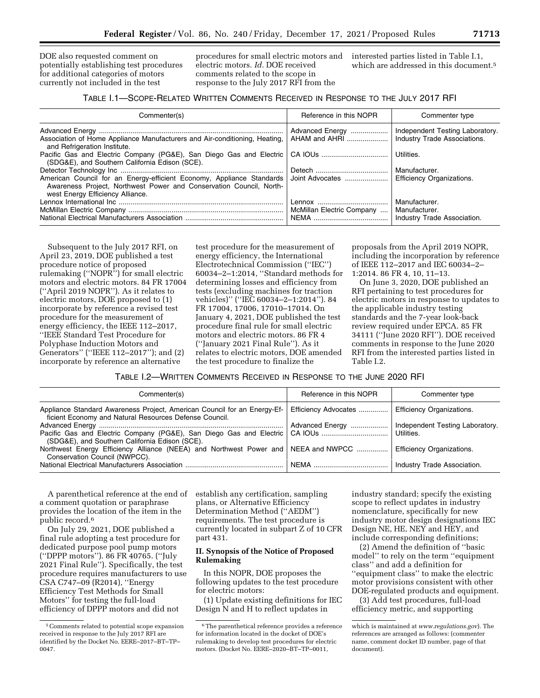DOE also requested comment on potentially establishing test procedures for additional categories of motors currently not included in the test

procedures for small electric motors and electric motors. *Id.* DOE received comments related to the scope in response to the July 2017 RFI from the

interested parties listed in Table I.1, which are addressed in this document.<sup>5</sup>

# TABLE I.1—SCOPE-RELATED WRITTEN COMMENTS RECEIVED IN RESPONSE TO THE JULY 2017 RFI

| Commenter(s)                                                                                                                                                                     | Reference in this NOPR    | Commenter type                   |
|----------------------------------------------------------------------------------------------------------------------------------------------------------------------------------|---------------------------|----------------------------------|
|                                                                                                                                                                                  | Advanced Energy           | Independent Testing Laboratory.  |
| Association of Home Appliance Manufacturers and Air-conditioning, Heating,<br>and Refrigeration Institute.                                                                       | AHAM and AHRI             | Industry Trade Associations.     |
| Pacific Gas and Electric Company (PG&E), San Diego Gas and Electric<br>(SDG&E), and Southern California Edison (SCE).                                                            | CA IOUs                   | Utilities.                       |
|                                                                                                                                                                                  |                           | Manufacturer.                    |
| American Council for an Energy-efficient Economy, Appliance Standards<br>Awareness Project, Northwest Power and Conservation Council, North-<br>west Energy Efficiency Alliance. | Joint Advocates           | <b>Efficiency Organizations.</b> |
|                                                                                                                                                                                  |                           | Manufacturer.                    |
|                                                                                                                                                                                  | McMillan Electric Company | Manufacturer.                    |
|                                                                                                                                                                                  |                           | Industry Trade Association.      |

Subsequent to the July 2017 RFI, on April 23, 2019, DOE published a test procedure notice of proposed rulemaking (''NOPR'') for small electric motors and electric motors. 84 FR 17004 (''April 2019 NOPR''). As it relates to electric motors, DOE proposed to (1) incorporate by reference a revised test procedure for the measurement of energy efficiency, the IEEE 112–2017, ''IEEE Standard Test Procedure for Polyphase Induction Motors and Generators'' (''IEEE 112–2017''); and (2) incorporate by reference an alternative

test procedure for the measurement of energy efficiency, the International Electrotechnical Commission (''IEC'') 60034–2–1:2014, ''Standard methods for determining losses and efficiency from tests (excluding machines for traction vehicles)'' (''IEC 60034–2–1:2014''). 84 FR 17004, 17006, 17010–17014. On January 4, 2021, DOE published the test procedure final rule for small electric motors and electric motors. 86 FR 4 (''January 2021 Final Rule''). As it relates to electric motors, DOE amended the test procedure to finalize the

proposals from the April 2019 NOPR, including the incorporation by reference of IEEE 112–2017 and IEC 60034–2– 1:2014. 86 FR 4, 10, 11–13.

On June 3, 2020, DOE published an RFI pertaining to test procedures for electric motors in response to updates to the applicable industry testing standards and the 7-year look-back review required under EPCA. 85 FR 34111 (''June 2020 RFI''). DOE received comments in response to the June 2020 RFI from the interested parties listed in Table I.2.

TABLE I.2—WRITTEN COMMENTS RECEIVED IN RESPONSE TO THE JUNE 2020 RFI

| Commenter(s)                                                                                                                       | Reference in this NOPR | Commenter type                   |
|------------------------------------------------------------------------------------------------------------------------------------|------------------------|----------------------------------|
| Appliance Standard Awareness Project, American Council for an Energy-Ef-<br>ficient Economy and Natural Resources Defense Council. | Efficiency Advocates   | <b>Efficiency Organizations.</b> |
|                                                                                                                                    | Advanced Energy        | Independent Testing Laboratory.  |
| Pacific Gas and Electric Company (PG&E), San Diego Gas and Electric   CA IOUs<br>(SDG&E), and Southern California Edison (SCE).    |                        | Utilities.                       |
| Northwest Energy Efficiency Alliance (NEEA) and Northwest Power and NEEA and NWPCC<br>Conservation Council (NWPCC).                |                        | <b>Efficiency Organizations.</b> |
|                                                                                                                                    |                        | Industry Trade Association.      |

A parenthetical reference at the end of a comment quotation or paraphrase provides the location of the item in the public record.6

On July 29, 2021, DOE published a final rule adopting a test procedure for dedicated purpose pool pump motors (''DPPP motors''). 86 FR 40765. (''July 2021 Final Rule''). Specifically, the test procedure requires manufacturers to use CSA C747–09 (R2014), ''Energy Efficiency Test Methods for Small Motors'' for testing the full-load efficiency of DPPP motors and did not

establish any certification, sampling plans, or Alternative Efficiency Determination Method (''AEDM'') requirements. The test procedure is currently located in subpart Z of 10 CFR part 431.

## **II. Synopsis of the Notice of Proposed Rulemaking**

In this NOPR, DOE proposes the following updates to the test procedure for electric motors:

(1) Update existing definitions for IEC Design N and H to reflect updates in

industry standard; specify the existing scope to reflect updates in industry nomenclature, specifically for new industry motor design designations IEC Design NE, HE, NEY and HEY, and include corresponding definitions;

(2) Amend the definition of ''basic model'' to rely on the term ''equipment class'' and add a definition for ''equipment class'' to make the electric motor provisions consistent with other DOE-regulated products and equipment.

(3) Add test procedures, full-load efficiency metric, and supporting

<sup>5</sup>Comments related to potential scope expansion received in response to the July 2017 RFI are identified by the Docket No. EERE–2017–BT–TP– 0047.

<sup>&</sup>lt;sup>6</sup>The parenthetical reference provides a reference for information located in the docket of DOE's rulemaking to develop test procedures for electric motors. (Docket No. EERE–2020–BT–TP–0011,

which is maintained at *[www.regulations.gov](http://www.regulations.gov)*). The references are arranged as follows: (commenter name, comment docket ID number, page of that document).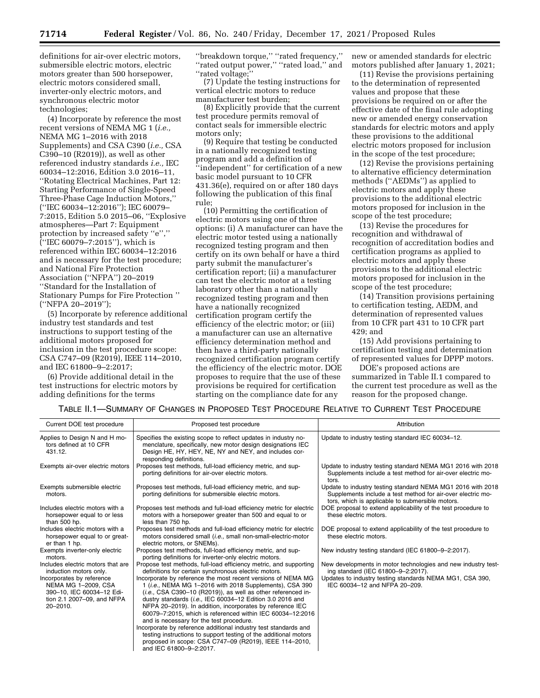definitions for air-over electric motors, submersible electric motors, electric motors greater than 500 horsepower, electric motors considered small, inverter-only electric motors, and synchronous electric motor technologies;

(4) Incorporate by reference the most recent versions of NEMA MG 1 (*i.e.,*  NEMA MG 1–2016 with 2018 Supplements) and CSA C390 (*i.e.,* CSA C390–10 (R2019)), as well as other referenced industry standards *i.e.,* IEC 60034–12:2016, Edition 3.0 2016–11, ''Rotating Electrical Machines, Part 12: Starting Performance of Single-Speed Three-Phase Cage Induction Motors,'' (''IEC 60034–12:2016''); IEC 60079– 7:2015, Edition 5.0 2015–06, ''Explosive atmospheres—Part 7: Equipment protection by increased safety ''e'','' (''IEC 60079–7:2015''), which is referenced within IEC 60034–12:2016 and is necessary for the test procedure; and National Fire Protection Association (''NFPA'') 20–2019 ''Standard for the Installation of Stationary Pumps for Fire Protection '' (''NFPA 20–2019'');

(5) Incorporate by reference additional industry test standards and test instructions to support testing of the additional motors proposed for inclusion in the test procedure scope: CSA C747–09 (R2019), IEEE 114–2010, and IEC 61800–9–2:2017;

(6) Provide additional detail in the test instructions for electric motors by adding definitions for the terms

''breakdown torque,'' ''rated frequency,'' ''rated output power,'' ''rated load,'' and ''rated voltage;''

(7) Update the testing instructions for vertical electric motors to reduce manufacturer test burden;

(8) Explicitly provide that the current test procedure permits removal of contact seals for immersible electric motors only;

(9) Require that testing be conducted in a nationally recognized testing program and add a definition of 'independent'' for certification of a new basic model pursuant to 10 CFR 431.36(e), required on or after 180 days following the publication of this final rule;

(10) Permitting the certification of electric motors using one of three options: (i) A manufacturer can have the electric motor tested using a nationally recognized testing program and then certify on its own behalf or have a third party submit the manufacturer's certification report; (ii) a manufacturer can test the electric motor at a testing laboratory other than a nationally recognized testing program and then have a nationally recognized certification program certify the efficiency of the electric motor; or (iii) a manufacturer can use an alternative efficiency determination method and then have a third-party nationally recognized certification program certify the efficiency of the electric motor. DOE proposes to require that the use of these provisions be required for certification starting on the compliance date for any

new or amended standards for electric motors published after January 1, 2021;

(11) Revise the provisions pertaining to the determination of represented values and propose that these provisions be required on or after the effective date of the final rule adopting new or amended energy conservation standards for electric motors and apply these provisions to the additional electric motors proposed for inclusion in the scope of the test procedure;

(12) Revise the provisions pertaining to alternative efficiency determination methods (''AEDMs'') as applied to electric motors and apply these provisions to the additional electric motors proposed for inclusion in the scope of the test procedure;

(13) Revise the procedures for recognition and withdrawal of recognition of accreditation bodies and certification programs as applied to electric motors and apply these provisions to the additional electric motors proposed for inclusion in the scope of the test procedure;

(14) Transition provisions pertaining to certification testing, AEDM, and determination of represented values from 10 CFR part 431 to 10 CFR part 429; and

(15) Add provisions pertaining to certification testing and determination of represented values for DPPP motors.

DOE's proposed actions are summarized in Table II.1 compared to the current test procedure as well as the reason for the proposed change.

## TABLE II.1—SUMMARY OF CHANGES IN PROPOSED TEST PROCEDURE RELATIVE TO CURRENT TEST PROCEDURE

| Current DOE test procedure                                                                                                                                                             | Proposed test procedure                                                                                                                                                                                                                                                                                                                                                                                                                                                                                                                                                                                                                                                                                                                                                                | Attribution                                                                                                                                                                                      |
|----------------------------------------------------------------------------------------------------------------------------------------------------------------------------------------|----------------------------------------------------------------------------------------------------------------------------------------------------------------------------------------------------------------------------------------------------------------------------------------------------------------------------------------------------------------------------------------------------------------------------------------------------------------------------------------------------------------------------------------------------------------------------------------------------------------------------------------------------------------------------------------------------------------------------------------------------------------------------------------|--------------------------------------------------------------------------------------------------------------------------------------------------------------------------------------------------|
| Applies to Design N and H mo-<br>tors defined at 10 CFR<br>431.12.                                                                                                                     | Specifies the existing scope to reflect updates in industry no-<br>menclature, specifically, new motor design designations IEC<br>Design HE, HY, HEY, NE, NY and NEY, and includes cor-<br>responding definitions.                                                                                                                                                                                                                                                                                                                                                                                                                                                                                                                                                                     | Update to industry testing standard IEC 60034-12.                                                                                                                                                |
| Exempts air-over electric motors                                                                                                                                                       | Proposes test methods, full-load efficiency metric, and sup-<br>porting definitions for air-over electric motors.                                                                                                                                                                                                                                                                                                                                                                                                                                                                                                                                                                                                                                                                      | Update to industry testing standard NEMA MG1 2016 with 2018<br>Supplements include a test method for air-over electric mo-<br>tors.                                                              |
| Exempts submersible electric<br>motors.                                                                                                                                                | Proposes test methods, full-load efficiency metric, and sup-<br>porting definitions for submersible electric motors.                                                                                                                                                                                                                                                                                                                                                                                                                                                                                                                                                                                                                                                                   | Update to industry testing standard NEMA MG1 2016 with 2018<br>Supplements include a test method for air-over electric mo-<br>tors, which is applicable to submersible motors.                   |
| Includes electric motors with a<br>horsepower equal to or less<br>than 500 hp.                                                                                                         | Proposes test methods and full-load efficiency metric for electric<br>motors with a horsepower greater than 500 and equal to or<br>less than 750 hp.                                                                                                                                                                                                                                                                                                                                                                                                                                                                                                                                                                                                                                   | DOE proposal to extend applicability of the test procedure to<br>these electric motors.                                                                                                          |
| Includes electric motors with a<br>horsepower equal to or great-<br>er than 1 hp.                                                                                                      | Proposes test methods and full-load efficiency metric for electric<br>motors considered small ( <i>i.e.</i> , small non-small-electric-motor<br>electric motors, or SNEMs).                                                                                                                                                                                                                                                                                                                                                                                                                                                                                                                                                                                                            | DOE proposal to extend applicability of the test procedure to<br>these electric motors.                                                                                                          |
| Exempts inverter-only electric<br>motors.                                                                                                                                              | Proposes test methods, full-load efficiency metric, and sup-<br>porting definitions for inverter-only electric motors.                                                                                                                                                                                                                                                                                                                                                                                                                                                                                                                                                                                                                                                                 | New industry testing standard (IEC 61800-9-2:2017).                                                                                                                                              |
| Includes electric motors that are<br>induction motors only.<br>Incorporates by reference<br>NEMA MG 1-2009, CSA<br>390-10. IEC 60034-12 Edi-<br>tion 2.1 2007-09, and NFPA<br>20-2010. | Propose test methods, full-load efficiency metric, and supporting<br>definitions for certain synchronous electric motors.<br>Incorporate by reference the most recent versions of NEMA MG<br>1 (i.e., NEMA MG 1-2016 with 2018 Supplements), CSA 390<br>$(i.e.,$ CSA C390-10 (R2019)), as well as other referenced in-<br>dustry standards (i.e., IEC 60034-12 Edition 3.0 2016 and<br>NFPA 20-2019). In addition, incorporates by reference IEC<br>60079-7:2015, which is referenced within IEC 60034-12:2016<br>and is necessary for the test procedure.<br>Incorporate by reference additional industry test standards and<br>testing instructions to support testing of the additional motors<br>proposed in scope: CSA C747-09 (R2019), IEEE 114-2010,<br>and IEC 61800-9-2:2017. | New developments in motor technologies and new industry test-<br>ing standard (IEC 61800-9-2:2017).<br>Updates to industry testing standards NEMA MG1, CSA 390,<br>IEC 60034-12 and NFPA 20-209. |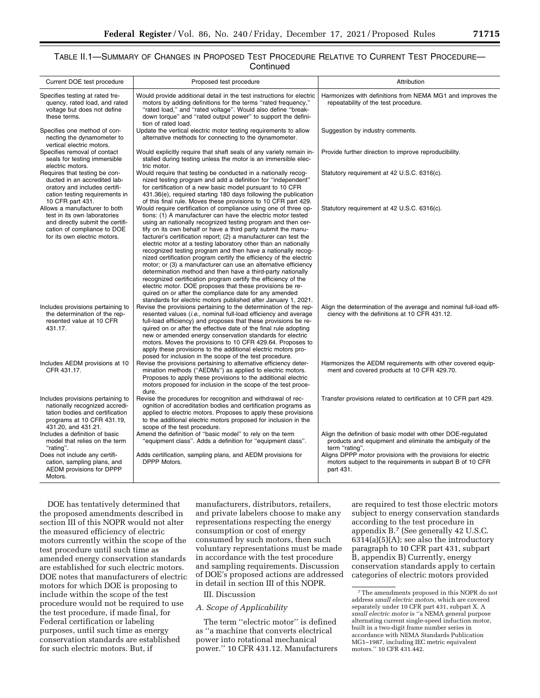# TABLE II.1—SUMMARY OF CHANGES IN PROPOSED TEST PROCEDURE RELATIVE TO CURRENT TEST PROCEDURE— **Continued**

| Current DOE test procedure                                                                                                                                       | Proposed test procedure                                                                                                                                                                                                                                                                                                                                                                                                                                                                                                                                                                                                                                                                                                                                                                                                                                                                                                                    | Attribution                                                                                                                                 |
|------------------------------------------------------------------------------------------------------------------------------------------------------------------|--------------------------------------------------------------------------------------------------------------------------------------------------------------------------------------------------------------------------------------------------------------------------------------------------------------------------------------------------------------------------------------------------------------------------------------------------------------------------------------------------------------------------------------------------------------------------------------------------------------------------------------------------------------------------------------------------------------------------------------------------------------------------------------------------------------------------------------------------------------------------------------------------------------------------------------------|---------------------------------------------------------------------------------------------------------------------------------------------|
| Specifies testing at rated fre-<br>quency, rated load, and rated<br>voltage but does not define<br>these terms.                                                  | Would provide additional detail in the test instructions for electric<br>motors by adding definitions for the terms "rated frequency,"<br>"rated load," and "rated voltage". Would also define "break-<br>down torque" and "rated output power" to support the defini-<br>tion of rated load.                                                                                                                                                                                                                                                                                                                                                                                                                                                                                                                                                                                                                                              | Harmonizes with definitions from NEMA MG1 and improves the<br>repeatability of the test procedure.                                          |
| Specifies one method of con-<br>necting the dynamometer to<br>vertical electric motors.                                                                          | Update the vertical electric motor testing requirements to allow<br>alternative methods for connecting to the dynamometer.                                                                                                                                                                                                                                                                                                                                                                                                                                                                                                                                                                                                                                                                                                                                                                                                                 | Suggestion by industry comments.                                                                                                            |
| Specifies removal of contact<br>seals for testing immersible<br>electric motors.                                                                                 | Would explicitly require that shaft seals of any variety remain in-<br>stalled during testing unless the motor is an immersible elec-<br>tric motor.                                                                                                                                                                                                                                                                                                                                                                                                                                                                                                                                                                                                                                                                                                                                                                                       | Provide further direction to improve reproducibility.                                                                                       |
| Requires that testing be con-<br>ducted in an accredited lab-<br>oratory and includes certifi-<br>cation testing requirements in<br>10 CFR part 431.             | Would require that testing be conducted in a nationally recog-<br>nized testing program and add a definition for "independent"<br>for certification of a new basic model pursuant to 10 CFR<br>431.36(e), required starting 180 days following the publication<br>of this final rule. Moves these provisions to 10 CFR part 429.                                                                                                                                                                                                                                                                                                                                                                                                                                                                                                                                                                                                           | Statutory requirement at 42 U.S.C. 6316(c).                                                                                                 |
| Allows a manufacturer to both<br>test in its own laboratories<br>and directly submit the certifi-<br>cation of compliance to DOE<br>for its own electric motors. | Would require certification of compliance using one of three op-<br>tions: (1) A manufacturer can have the electric motor tested<br>using an nationally recognized testing program and then cer-<br>tify on its own behalf or have a third party submit the manu-<br>facturer's certification report; (2) a manufacturer can test the<br>electric motor at a testing laboratory other than an nationally<br>recognized testing program and then have a nationally recog-<br>nized certification program certify the efficiency of the electric<br>motor; or (3) a manufacturer can use an alternative efficiency<br>determination method and then have a third-party nationally<br>recognized certification program certify the efficiency of the<br>electric motor. DOE proposes that these provisions be re-<br>quired on or after the compliance date for any amended<br>standards for electric motors published after January 1, 2021. | Statutory requirement at 42 U.S.C. 6316(c).                                                                                                 |
| Includes provisions pertaining to<br>the determination of the rep-<br>resented value at 10 CFR<br>431.17.                                                        | Revise the provisions pertaining to the determination of the rep-<br>resented values (i.e., nominal full-load efficiency and average<br>full-load efficiency) and proposes that these provisions be re-<br>quired on or after the effective date of the final rule adopting<br>new or amended energy conservation standards for electric<br>motors. Moves the provisions to 10 CFR 429.64. Proposes to<br>apply these provisions to the additional electric motors pro-<br>posed for inclusion in the scope of the test procedure.                                                                                                                                                                                                                                                                                                                                                                                                         | Align the determination of the average and nominal full-load effi-<br>ciency with the definitions at 10 CFR 431.12.                         |
| Includes AEDM provisions at 10<br>CFR 431.17.                                                                                                                    | Revise the provisions pertaining to alternative efficiency deter-<br>mination methods ("AEDMs") as applied to electric motors.<br>Proposes to apply these provisions to the additional electric<br>motors proposed for inclusion in the scope of the test proce-<br>dure.                                                                                                                                                                                                                                                                                                                                                                                                                                                                                                                                                                                                                                                                  | Harmonizes the AEDM requirements with other covered equip-<br>ment and covered products at 10 CFR 429.70.                                   |
| Includes provisions pertaining to<br>nationally recognized accredi-<br>tation bodies and certification<br>programs at 10 CFR 431.19,<br>431.20, and 431.21.      | Revise the procedures for recognition and withdrawal of rec-<br>ognition of accreditation bodies and certification programs as<br>applied to electric motors. Proposes to apply these provisions<br>to the additional electric motors proposed for inclusion in the<br>scope of the test procedure.                                                                                                                                                                                                                                                                                                                                                                                                                                                                                                                                                                                                                                        | Transfer provisions related to certification at 10 CFR part 429.                                                                            |
| Includes a definition of basic<br>model that relies on the term<br>"rating".                                                                                     | Amend the definition of "basic model" to rely on the term<br>"equipment class". Adds a definition for "equipment class".                                                                                                                                                                                                                                                                                                                                                                                                                                                                                                                                                                                                                                                                                                                                                                                                                   | Align the definition of basic model with other DOE-regulated<br>products and equipment and eliminate the ambiguity of the<br>term "rating". |
| Does not include any certifi-<br>cation, sampling plans, and<br>AEDM provisions for DPPP<br>Motors.                                                              | Adds certification, sampling plans, and AEDM provisions for<br><b>DPPP Motors.</b>                                                                                                                                                                                                                                                                                                                                                                                                                                                                                                                                                                                                                                                                                                                                                                                                                                                         | Aligns DPPP motor provisions with the provisions for electric<br>motors subject to the requirements in subpart B of 10 CFR<br>part 431.     |

DOE has tentatively determined that the proposed amendments described in section III of this NOPR would not alter the measured efficiency of electric motors currently within the scope of the test procedure until such time as amended energy conservation standards are established for such electric motors. DOE notes that manufacturers of electric motors for which DOE is proposing to include within the scope of the test procedure would not be required to use the test procedure, if made final, for Federal certification or labeling purposes, until such time as energy conservation standards are established for such electric motors. But, if

manufacturers, distributors, retailers, and private labelers choose to make any representations respecting the energy consumption or cost of energy consumed by such motors, then such voluntary representations must be made in accordance with the test procedure and sampling requirements. Discussion of DOE's proposed actions are addressed in detail in section III of this NOPR.

III. Discussion

# *A. Scope of Applicability*

The term ''electric motor'' is defined as ''a machine that converts electrical power into rotational mechanical power.'' 10 CFR 431.12. Manufacturers

are required to test those electric motors subject to energy conservation standards according to the test procedure in appendix B.7 (See generally 42 U.S.C.  $6314(a)(5)(A)$ ; see also the introductory paragraph to 10 CFR part 431, subpart B, appendix B) Currently, energy conservation standards apply to certain categories of electric motors provided

<sup>7</sup>The amendments proposed in this NOPR do not address *small electric motors,* which are covered separately under 10 CFR part 431, subpart X. A *small electric motor* is ''a NEMA general purpose alternating current single-speed induction motor, built in a two-digit frame number series in accordance with NEMA Standards Publication MG1–1987, including IEC metric equivalent motors.'' 10 CFR 431.442.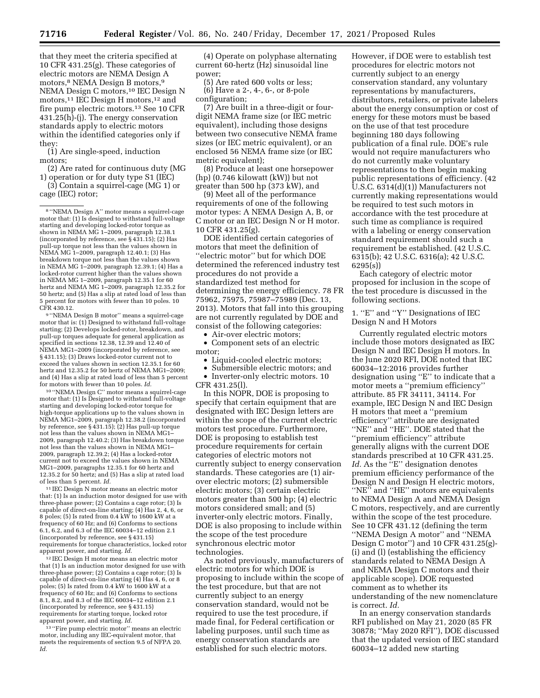that they meet the criteria specified at 10 CFR 431.25(g). These categories of electric motors are NEMA Design A motors,8 NEMA Design B motors,9 NEMA Design C motors,<sup>10</sup> IEC Design N motors,<sup>11</sup> IEC Design H motors,<sup>12</sup> and fire pump electric motors.13 See 10 CFR 431.25(h)-(j). The energy conservation standards apply to electric motors within the identified categories only if they:

(1) Are single-speed, induction motors;

(2) Are rated for continuous duty (MG 1) operation or for duty type S1 (IEC)

(3) Contain a squirrel-cage (MG 1) or cage (IEC) rotor;

9 ''NEMA Design B motor'' means a squirrel-cage motor that is: (1) Designed to withstand full-voltage starting; (2) Develops locked-rotor, breakdown, and pull-up torques adequate for general application as specified in sections 12.38, 12.39 and 12.40 of NEMA MG1–2009 (incorporated by reference, see § 431.15); (3) Draws locked-rotor current not to exceed the values shown in section 12.35.1 for 60 hertz and 12.35.2 for 50 hertz of NEMA MG1–2009; and (4) Has a slip at rated load of less than 5 percent for motors with fewer than 10 poles. *Id.* 

10 ''NEMA Design C'' motor means a squirrel-cage motor that: (1) Is Designed to withstand full-voltage starting and developing locked-rotor torque for high-torque applications up to the values shown in NEMA MG1–2009, paragraph 12.38.2 (incorporated by reference, see § 431.15); (2) Has pull-up torque not less than the values shown in NEMA MG1– 2009, paragraph 12.40.2; (3) Has breakdown torque not less than the values shown in NEMA MG1– 2009, paragraph 12.39.2; (4) Has a locked-rotor current not to exceed the values shown in NEMA MG1–2009, paragraphs 12.35.1 for 60 hertz and 12.35.2 for 50 hertz; and (5) Has a slip at rated load of less than 5 percent. *Id.* 

11 IEC Design N motor means an electric motor that: (1) Is an induction motor designed for use with three-phase power; (2) Contains a cage rotor; (3) Is capable of direct-on-line starting; (4) Has 2, 4, 6, or 8 poles; (5) Is rated from 0.4 kW to 1600 kW at a frequency of 60 Hz; and (6) Conforms to sections 6.1, 6.2, and 6.3 of the IEC 60034–12 edition 2.1 (incorporated by reference, see § 431.15) requirements for torque characteristics, locked rotor apparent power, and starting. *Id.* 

12 IEC Design H motor means an electric motor that (1) Is an induction motor designed for use with three-phase power; (2) Contains a cage rotor; (3) Is capable of direct-on-line starting (4) Has 4, 6, or 8 poles; (5) Is rated from 0.4 kW to 1600 kW at a frequency of 60 Hz; and (6) Conforms to sections 8.1, 8.2, and 8.3 of the IEC 60034–12 edition 2.1 (incorporated by reference, see § 431.15) requirements for starting torque, locked rotor apparent power, and starting. *Id.* 

<sup>13</sup> "Fire pump electric motor" means an electric motor, including any IEC-equivalent motor, that meets the requirements of section 9.5 of NFPA 20. *Id.* 

(4) Operate on polyphase alternating current 60-hertz (Hz) sinusoidal line power;

(5) Are rated 600 volts or less; (6) Have a 2-, 4-, 6-, or 8-pole configuration;

(7) Are built in a three-digit or fourdigit NEMA frame size (or IEC metric equivalent), including those designs between two consecutive NEMA frame sizes (or IEC metric equivalent), or an enclosed 56 NEMA frame size (or IEC metric equivalent);

(8) Produce at least one horsepower (hp) (0.746 kilowatt (kW)) but not greater than 500 hp (373 kW), and

(9) Meet all of the performance requirements of one of the following motor types: A NEMA Design A, B, or C motor or an IEC Design N or H motor. 10 CFR 431.25(g).

DOE identified certain categories of motors that meet the definition of ''electric motor'' but for which DOE determined the referenced industry test procedures do not provide a standardized test method for determining the energy efficiency. 78 FR 75962, 75975, 75987–75989 (Dec. 13, 2013). Motors that fall into this grouping are not currently regulated by DOE and consist of the following categories:

• Air-over electric motors;

• Component sets of an electric motor;

• Liquid-cooled electric motors;

• Submersible electric motors; and<br>• Inverter-only electric motors 10

• Inverter-only electric motors. 10 CFR 431.25(l).

In this NOPR, DOE is proposing to specify that certain equipment that are designated with IEC Design letters are within the scope of the current electric motors test procedure. Furthermore, DOE is proposing to establish test procedure requirements for certain categories of electric motors not currently subject to energy conservation standards. These categories are (1) airover electric motors; (2) submersible electric motors; (3) certain electric motors greater than 500 hp; (4) electric motors considered small; and (5) inverter-only electric motors. Finally, DOE is also proposing to include within the scope of the test procedure synchronous electric motor technologies.

As noted previously, manufacturers of electric motors for which DOE is proposing to include within the scope of the test procedure, but that are not currently subject to an energy conservation standard, would not be required to use the test procedure, if made final, for Federal certification or labeling purposes, until such time as energy conservation standards are established for such electric motors.

However, if DOE were to establish test procedures for electric motors not currently subject to an energy conservation standard, any voluntary representations by manufacturers, distributors, retailers, or private labelers about the energy consumption or cost of energy for these motors must be based on the use of that test procedure beginning 180 days following publication of a final rule. DOE's rule would not require manufacturers who do not currently make voluntary representations to then begin making public representations of efficiency. (42 U.S.C. 6314(d)(1)) Manufacturers not currently making representations would be required to test such motors in accordance with the test procedure at such time as compliance is required with a labeling or energy conservation standard requirement should such a requirement be established. (42 U.S.C. 6315(b); 42 U.S.C. 6316(a); 42 U.S.C. 6295(s))

Each category of electric motor proposed for inclusion in the scope of the test procedure is discussed in the following sections.

1. ''E'' and ''Y'' Designations of IEC Design N and H Motors

Currently regulated electric motors include those motors designated as IEC Design N and IEC Design H motors. In the June 2020 RFI, DOE noted that IEC 60034–12:2016 provides further designation using ''E'' to indicate that a motor meets a ''premium efficiency'' attribute. 85 FR 34111, 34114. For example, IEC Design N and IEC Design H motors that meet a ''premium efficiency'' attribute are designated ''NE'' and ''HE''. DOE stated that the ''premium efficiency'' attribute generally aligns with the current DOE standards prescribed at 10 CFR 431.25. Id. As the "E" designation denotes premium efficiency performance of the Design N and Design H electric motors, ''NE'' and ''HE'' motors are equivalents to NEMA Design A and NEMA Design C motors, respectively, and are currently within the scope of the test procedure. See 10 CFR 431.12 (defining the term ''NEMA Design A motor'' and ''NEMA Design C motor'') and 10 CFR 431.25(g)- (i) and (l) (establishing the efficiency standards related to NEMA Design A and NEMA Design C motors and their applicable scope). DOE requested comment as to whether its understanding of the new nomenclature is correct. *Id.* 

In an energy conservation standards RFI published on May 21, 2020 (85 FR 30878; ''May 2020 RFI''), DOE discussed that the updated version of IEC standard 60034–12 added new starting

<sup>8</sup> ''NEMA Design A'' motor means a squirrel-cage motor that: (1) Is designed to withstand full-voltage starting and developing locked-rotor torque as shown in NEMA MG 1–2009, paragraph 12.38.1 (incorporated by reference, see § 431.15); (2) Has pull-up torque not less than the values shown in NEMA MG 1–2009, paragraph 12.40.1; (3) Has breakdown torque not less than the values shown in NEMA MG 1–2009, paragraph 12.39.1; (4) Has a locked-rotor current higher than the values shown in NEMA MG 1–2009, paragraph 12.35.1 for 60 hertz and NEMA MG 1–2009, paragraph 12.35.2 for 50 hertz; and (5) Has a slip at rated load of less than 5 percent for motors with fewer than 10 poles. 10 CFR 430.12.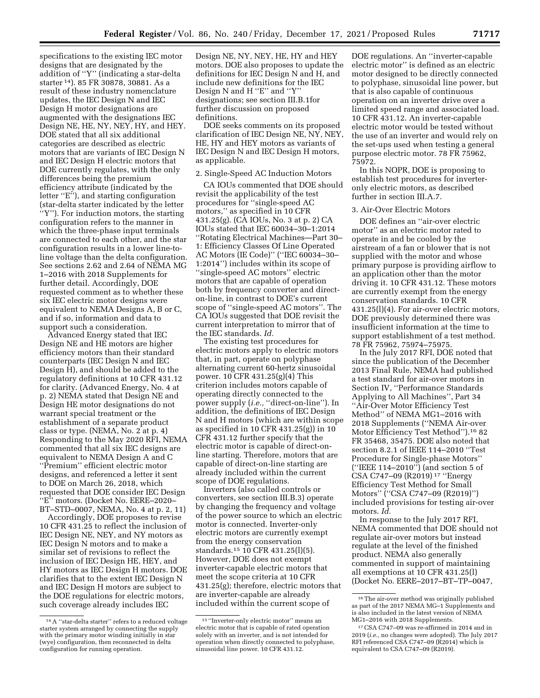specifications to the existing IEC motor designs that are designated by the addition of ''Y'' (indicating a star-delta starter 14). 85 FR 30878, 30881. As a result of these industry nomenclature updates, the IEC Design N and IEC Design H motor designations are augmented with the designations IEC Design NE, HE, NY, NEY, HY, and HEY. DOE stated that all six additional categories are described as electric motors that are variants of IEC Design N and IEC Design H electric motors that DOE currently regulates, with the only differences being the premium efficiency attribute (indicated by the letter ''E''), and starting configuration (star-delta starter indicated by the letter ''Y''). For induction motors, the starting configuration refers to the manner in which the three-phase input terminals are connected to each other, and the star configuration results in a lower line-toline voltage than the delta configuration. See sections 2.62 and 2.64 of NEMA MG 1–2016 with 2018 Supplements for further detail. Accordingly, DOE requested comment as to whether these six IEC electric motor designs were equivalent to NEMA Designs A, B or C, and if so, information and data to support such a consideration.

Advanced Energy stated that IEC Design NE and HE motors are higher efficiency motors than their standard counterparts (IEC Design N and IEC Design H), and should be added to the regulatory definitions at 10 CFR 431.12 for clarity. (Advanced Energy, No. 4 at p. 2) NEMA stated that Design NE and Design HE motor designations do not warrant special treatment or the establishment of a separate product class or type. (NEMA, No. 2 at p. 4) Responding to the May 2020 RFI, NEMA commented that all six IEC designs are equivalent to NEMA Design A and C ''Premium'' efficient electric motor designs, and referenced a letter it sent to DOE on March 26, 2018, which requested that DOE consider IEC Design ''E'' motors. (Docket No. EERE–2020– BT–STD–0007, NEMA, No. 4 at p. 2, 11)

Accordingly, DOE proposes to revise 10 CFR 431.25 to reflect the inclusion of IEC Design NE, NEY, and NY motors as IEC Design N motors and to make a similar set of revisions to reflect the inclusion of IEC Design HE, HEY, and HY motors as IEC Design H motors. DOE clarifies that to the extent IEC Design N and IEC Design H motors are subject to the DOE regulations for electric motors, such coverage already includes IEC

Design NE, NY, NEY, HE, HY and HEY motors. DOE also proposes to update the definitions for IEC Design N and H, and include new definitions for the IEC Design N and H ''E'' and ''Y'' designations; see section III.B.1for further discussion on proposed definitions.

DOE seeks comments on its proposed clarification of IEC Design NE, NY, NEY, HE, HY and HEY motors as variants of IEC Design N and IEC Design H motors, as applicable.

### 2. Single-Speed AC Induction Motors

CA IOUs commented that DOE should revisit the applicability of the test procedures for ''single-speed AC motors,'' as specified in 10 CFR 431.25(g). (CA IOUs, No. 3 at p. 2) CA IOUs stated that IEC 60034–30–1:2014 ''Rotating Electrical Machines—Part 30– 1: Efficiency Classes Of Line Operated AC Motors (IE Code)'' (''IEC 60034–30– 1:2014'') includes within its scope of ''single-speed AC motors'' electric motors that are capable of operation both by frequency converter and directon-line, in contrast to DOE's current scope of ''single-speed AC motors''. The CA IOUs suggested that DOE revisit the current interpretation to mirror that of the IEC standards. *Id.* 

The existing test procedures for electric motors apply to electric motors that, in part, operate on polyphase alternating current 60-hertz sinusoidal power. 10 CFR 431.25(g)(4) This criterion includes motors capable of operating directly connected to the power supply (*i.e.*, "direct-on-line"). In addition, the definitions of IEC Design N and H motors (which are within scope as specified in 10 CFR 431.25(g)) in 10 CFR 431.12 further specify that the electric motor is capable of direct-online starting. Therefore, motors that are capable of direct-on-line starting are already included within the current scope of DOE regulations.

Inverters (also called controls or converters, see section III.B.3) operate by changing the frequency and voltage of the power source to which an electric motor is connected. Inverter-only electric motors are currently exempt from the energy conservation standards.15 10 CFR 431.25(l)(5). However, DOE does not exempt inverter-capable electric motors that meet the scope criteria at 10 CFR 431.25(g); therefore, electric motors that are inverter-capable are already included within the current scope of

DOE regulations. An ''inverter-capable electric motor'' is defined as an electric motor designed to be directly connected to polyphase, sinusoidal line power, but that is also capable of continuous operation on an inverter drive over a limited speed range and associated load. 10 CFR 431.12. An inverter-capable electric motor would be tested without the use of an inverter and would rely on the set-ups used when testing a general purpose electric motor. 78 FR 75962, 75972.

In this NOPR, DOE is proposing to establish test procedures for inverteronly electric motors, as described further in section III.A.7.

## 3. Air-Over Electric Motors

DOE defines an ''air-over electric motor'' as an electric motor rated to operate in and be cooled by the airstream of a fan or blower that is not supplied with the motor and whose primary purpose is providing airflow to an application other than the motor driving it. 10 CFR 431.12. These motors are currently exempt from the energy conservation standards. 10 CFR 431.25(l)(4). For air-over electric motors, DOE previously determined there was insufficient information at the time to support establishment of a test method. 78 FR 75962, 75974–75975.

In the July 2017 RFI, DOE noted that since the publication of the December 2013 Final Rule, NEMA had published a test standard for air-over motors in Section IV, ''Performance Standards Applying to All Machines'', Part 34 ''Air-Over Motor Efficiency Test Method'' of NEMA MG1–2016 with 2018 Supplements (''NEMA Air-over Motor Efficiency Test Method'').16 82 FR 35468, 35475. DOE also noted that section 8.2.1 of IEEE 114–2010 ''Test Procedure for Single-phase Motors'' (''IEEE 114–2010'') (and section 5 of CSA C747–09 (R2019) 17 ''Energy Efficiency Test Method for Small Motors'' (''CSA C747–09 (R2019)'') included provisions for testing air-over motors. *Id.* 

In response to the July 2017 RFI, NEMA commented that DOE should not regulate air-over motors but instead regulate at the level of the finished product. NEMA also generally commented in support of maintaining all exemptions at 10 CFR 431.25(l) (Docket No. EERE–2017–BT–TP–0047,

<sup>14</sup>A ''star-delta starter'' refers to a reduced voltage starter system arranged by connecting the supply with the primary motor winding initially in star (wye) configuration, then reconnected in delta configuration for running operation.

<sup>15</sup> ''Inverter-only electric motor'' means an electric motor that is capable of rated operation solely with an inverter, and is not intended for operation when directly connected to polyphase, sinusoidal line power. 10 CFR 431.12.

<sup>16</sup>The air-over method was originally published as part of the 2017 NEMA MG–1 Supplements and is also included in the latest version of NEMA MG1–2016 with 2018 Supplements.

<sup>17</sup>CSA C747–09 was re-affirmed in 2014 and in 2019 (*i.e.,* no changes were adopted). The July 2017 RFI referenced CSA C747–09 (R2014) which is equivalent to CSA C747–09 (R2019).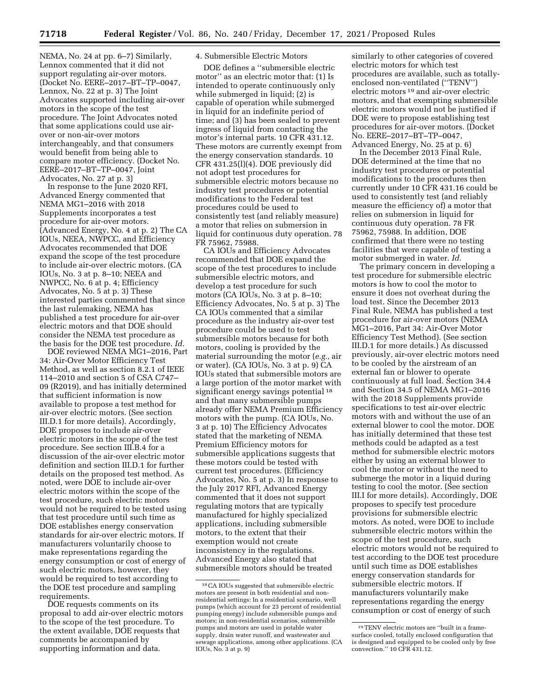NEMA, No. 24 at pp. 6–7) Similarly, Lennox commented that it did not support regulating air-over motors. (Docket No. EERE–2017–BT–TP–0047, Lennox, No. 22 at p. 3) The Joint Advocates supported including air-over motors in the scope of the test procedure. The Joint Advocates noted that some applications could use airover or non-air-over motors interchangeably, and that consumers would benefit from being able to compare motor efficiency. (Docket No. EERE–2017–BT–TP–0047, Joint Advocates, No. 27 at p. 3)

In response to the June 2020 RFI, Advanced Energy commented that NEMA MG1–2016 with 2018 Supplements incorporates a test procedure for air-over motors. (Advanced Energy, No. 4 at p. 2) The CA IOUs, NEEA, NWPCC, and Efficiency Advocates recommended that DOE expand the scope of the test procedure to include air-over electric motors. (CA IOUs, No. 3 at p. 8–10; NEEA and NWPCC, No. 6 at p. 4; Efficiency Advocates, No. 5 at p. 3) These interested parties commented that since the last rulemaking, NEMA has published a test procedure for air-over electric motors and that DOE should consider the NEMA test procedure as the basis for the DOE test procedure. *Id.* 

DOE reviewed NEMA MG1–2016, Part 34: Air-Over Motor Efficiency Test Method, as well as section 8.2.1 of IEEE 114–2010 and section 5 of CSA C747– 09 (R2019), and has initially determined that sufficient information is now available to propose a test method for air-over electric motors. (See section III.D.1 for more details). Accordingly, DOE proposes to include air-over electric motors in the scope of the test procedure. See section III.B.4 for a discussion of the air-over electric motor definition and section III.D.1 for further details on the proposed test method. As noted, were DOE to include air-over electric motors within the scope of the test procedure, such electric motors would not be required to be tested using that test procedure until such time as DOE establishes energy conservation standards for air-over electric motors. If manufacturers voluntarily choose to make representations regarding the energy consumption or cost of energy of such electric motors, however, they would be required to test according to the DOE test procedure and sampling requirements.

DOE requests comments on its proposal to add air-over electric motors to the scope of the test procedure. To the extent available, DOE requests that comments be accompanied by supporting information and data.

## 4. Submersible Electric Motors

DOE defines a ''submersible electric motor'' as an electric motor that: (1) Is intended to operate continuously only while submerged in liquid; (2) is capable of operation while submerged in liquid for an indefinite period of time; and (3) has been sealed to prevent ingress of liquid from contacting the motor's internal parts. 10 CFR 431.12. These motors are currently exempt from the energy conservation standards. 10 CFR 431.25(l)(4). DOE previously did not adopt test procedures for submersible electric motors because no industry test procedures or potential modifications to the Federal test procedures could be used to consistently test (and reliably measure) a motor that relies on submersion in liquid for continuous duty operation. 78 FR 75962, 75988.

CA IOUs and Efficiency Advocates recommended that DOE expand the scope of the test procedures to include submersible electric motors, and develop a test procedure for such motors (CA IOUs, No. 3 at p. 8–10; Efficiency Advocates, No. 5 at p. 3) The CA IOUs commented that a similar procedure as the industry air-over test procedure could be used to test submersible motors because for both motors, cooling is provided by the material surrounding the motor (*e.g.,* air or water). (CA IOUs, No. 3 at p. 9) CA IOUs stated that submersible motors are a large portion of the motor market with significant energy savings potential <sup>18</sup> and that many submersible pumps already offer NEMA Premium Efficiency motors with the pump. (CA IOUs, No. 3 at p. 10) The Efficiency Advocates stated that the marketing of NEMA Premium Efficiency motors for submersible applications suggests that these motors could be tested with current test procedures. (Efficiency Advocates, No. 5 at p. 3) In response to the July 2017 RFI, Advanced Energy commented that it does not support regulating motors that are typically manufactured for highly specialized applications, including submersible motors, to the extent that their exemption would not create inconsistency in the regulations. Advanced Energy also stated that submersible motors should be treated

similarly to other categories of covered electric motors for which test procedures are available, such as totallyenclosed non-ventilated (''TENV'') electric motors 19 and air-over electric motors, and that exempting submersible electric motors would not be justified if DOE were to propose establishing test procedures for air-over motors. (Docket No. EERE–2017–BT–TP–0047, Advanced Energy, No. 25 at p. 6)

In the December 2013 Final Rule, DOE determined at the time that no industry test procedures or potential modifications to the procedures then currently under 10 CFR 431.16 could be used to consistently test (and reliably measure the efficiency of) a motor that relies on submersion in liquid for continuous duty operation. 78 FR 75962, 75988. In addition, DOE confirmed that there were no testing facilities that were capable of testing a motor submerged in water. *Id.* 

The primary concern in developing a test procedure for submersible electric motors is how to cool the motor to ensure it does not overheat during the load test. Since the December 2013 Final Rule, NEMA has published a test procedure for air-over motors (NEMA MG1–2016, Part 34: Air-Over Motor Efficiency Test Method). (See section III.D.1 for more details.) As discussed previously, air-over electric motors need to be cooled by the airstream of an external fan or blower to operate continuously at full load. Section 34.4 and Section 34.5 of NEMA MG1–2016 with the 2018 Supplements provide specifications to test air-over electric motors with and without the use of an external blower to cool the motor. DOE has initially determined that these test methods could be adapted as a test method for submersible electric motors either by using an external blower to cool the motor or without the need to submerge the motor in a liquid during testing to cool the motor. (See section III.I for more details). Accordingly, DOE proposes to specify test procedure provisions for submersible electric motors. As noted, were DOE to include submersible electric motors within the scope of the test procedure, such electric motors would not be required to test according to the DOE test procedure until such time as DOE establishes energy conservation standards for submersible electric motors. If manufacturers voluntarily make representations regarding the energy consumption or cost of energy of such

<sup>18</sup>CA IOUs suggested that submersible electric motors are present in both residential and nonresidential settings: In a residential scenario, well pumps (which account for 23 percent of residential pumping energy) include submersible pumps and motors; in non-residential scenarios, submersible pumps and motors are used in potable water supply, drain water runoff, and wastewater and sewage applications, among other applications. (CA IOUs, No. 3 at p. 9)

<sup>19</sup>TENV electric motors are ''built in a framesurface cooled, totally enclosed configuration that is designed and equipped to be cooled only by free convection.'' 10 CFR 431.12.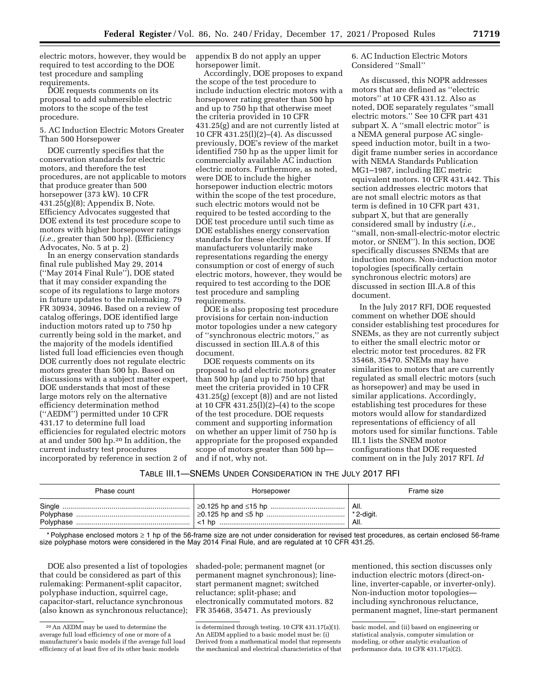electric motors, however, they would be required to test according to the DOE test procedure and sampling requirements.

DOE requests comments on its proposal to add submersible electric motors to the scope of the test procedure.

5. AC Induction Electric Motors Greater Than 500 Horsepower

DOE currently specifies that the conservation standards for electric motors, and therefore the test procedures, are not applicable to motors that produce greater than 500 horsepower (373 kW). 10 CFR 431.25(g)(8); Appendix B, Note. Efficiency Advocates suggested that DOE extend its test procedure scope to motors with higher horsepower ratings (*i.e.,* greater than 500 hp). (Efficiency Advocates, No. 5 at p. 2)

In an energy conservation standards final rule published May 29, 2014 (''May 2014 Final Rule''), DOE stated that it may consider expanding the scope of its regulations to large motors in future updates to the rulemaking. 79 FR 30934, 30946. Based on a review of catalog offerings, DOE identified large induction motors rated up to 750 hp currently being sold in the market, and the majority of the models identified listed full load efficiencies even though DOE currently does not regulate electric motors greater than 500 hp. Based on discussions with a subject matter expert, DOE understands that most of these large motors rely on the alternative efficiency determination method (''AEDM'') permitted under 10 CFR 431.17 to determine full load efficiencies for regulated electric motors at and under 500 hp.20 In addition, the current industry test procedures incorporated by reference in section 2 of

appendix B do not apply an upper horsepower limit.

Accordingly, DOE proposes to expand the scope of the test procedure to include induction electric motors with a horsepower rating greater than 500 hp and up to 750 hp that otherwise meet the criteria provided in 10 CFR 431.25(g) and are not currently listed at 10 CFR 431.25(l)(2)–(4). As discussed previously, DOE's review of the market identified 750 hp as the upper limit for commercially available AC induction electric motors. Furthermore, as noted, were DOE to include the higher horsepower induction electric motors within the scope of the test procedure, such electric motors would not be required to be tested according to the DOE test procedure until such time as DOE establishes energy conservation standards for these electric motors. If manufacturers voluntarily make representations regarding the energy consumption or cost of energy of such electric motors, however, they would be required to test according to the DOE test procedure and sampling requirements.

DOE is also proposing test procedure provisions for certain non-induction motor topologies under a new category of ''synchronous electric motors,'' as discussed in section III.A.8 of this document.

DOE requests comments on its proposal to add electric motors greater than 500 hp (and up to 750 hp) that meet the criteria provided in 10 CFR 431.25(g) (except (8)) and are not listed at 10 CFR 431.25(l)(2)–(4) to the scope of the test procedure. DOE requests comment and supporting information on whether an upper limit of 750 hp is appropriate for the proposed expanded scope of motors greater than 500 hp and if not, why not.

6. AC Induction Electric Motors Considered ''Small''

As discussed, this NOPR addresses motors that are defined as ''electric motors'' at 10 CFR 431.12. Also as noted, DOE separately regulates ''small electric motors.'' See 10 CFR part 431 subpart X. A ''small electric motor'' is a NEMA general purpose AC singlespeed induction motor, built in a twodigit frame number series in accordance with NEMA Standards Publication MG1–1987, including IEC metric equivalent motors. 10 CFR 431.442. This section addresses electric motors that are not small electric motors as that term is defined in 10 CFR part 431, subpart X, but that are generally considered small by industry (*i.e.,*  ''small, non-small-electric-motor electric motor, or SNEM''). In this section, DOE specifically discusses SNEMs that are induction motors. Non-induction motor topologies (specifically certain synchronous electric motors) are discussed in section III.A.8 of this document.

In the July 2017 RFI, DOE requested comment on whether DOE should consider establishing test procedures for SNEMs, as they are not currently subject to either the small electric motor or electric motor test procedures. 82 FR 35468, 35470. SNEMs may have similarities to motors that are currently regulated as small electric motors (such as horsepower) and may be used in similar applications. Accordingly, establishing test procedures for these motors would allow for standardized representations of efficiency of all motors used for similar functions. Table III.1 lists the SNEM motor configurations that DOE requested comment on in the July 2017 RFI. *Id* 

| Table III.1—SNEMs Under Consideration in the July 2017 RFI |  |
|------------------------------------------------------------|--|
|------------------------------------------------------------|--|

| Phase count | Horsepower | Frame size |
|-------------|------------|------------|
|             |            | All.       |
|             |            | * 2-digit. |
|             |            | All.       |

\* Polyphase enclosed motors ≥ 1 hp of the 56-frame size are not under consideration for revised test procedures, as certain enclosed 56-frame size polyphase motors were considered in the May 2014 Final Rule, and are regulated at 10 CFR 431.25.

DOE also presented a list of topologies that could be considered as part of this rulemaking: Permanent-split capacitor, polyphase induction, squirrel cage, capacitor-start, reluctance synchronous (also known as synchronous reluctance);

shaded-pole; permanent magnet (or permanent magnet synchronous); linestart permanent magnet; switched reluctance; split-phase; and electronically commutated motors. 82 FR 35468, 35471. As previously

mentioned, this section discusses only induction electric motors (direct-online, inverter-capable, or inverter-only). Non-induction motor topologies including synchronous reluctance, permanent magnet, line-start permanent

basic model, and (ii) based on engineering or statistical analysis, computer simulation or modeling, or other analytic evaluation of performance data. 10 CFR 431.17(a)(2).

<sup>20</sup>An AEDM may be used to determine the average full load efficiency of one or more of a manufacturer's basic models if the average full load efficiency of at least five of its other basic models

is determined through testing. 10 CFR 431.17(a)(1). An AEDM applied to a basic model must be: (i) Derived from a mathematical model that represents the mechanical and electrical characteristics of that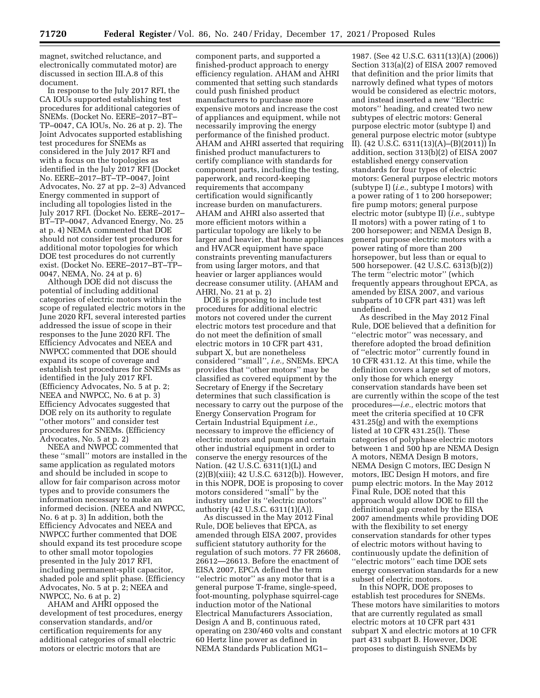magnet, switched reluctance, and electronically commutated motor) are discussed in section III.A.8 of this document.

In response to the July 2017 RFI, the CA IOUs supported establishing test procedures for additional categories of SNEMs. (Docket No. EERE–2017–BT– TP–0047, CA IOUs, No. 26 at p. 2). The Joint Advocates supported establishing test procedures for SNEMs as considered in the July 2017 RFI and with a focus on the topologies as identified in the July 2017 RFI (Docket No. EERE–2017–BT–TP–0047, Joint Advocates, No. 27 at pp. 2–3) Advanced Energy commented in support of including all topologies listed in the July 2017 RFI. (Docket No. EERE–2017– BT–TP–0047, Advanced Energy, No. 25 at p. 4) NEMA commented that DOE should not consider test procedures for additional motor topologies for which DOE test procedures do not currently exist. (Docket No. EERE–2017–BT–TP– 0047, NEMA, No. 24 at p. 6)

Although DOE did not discuss the potential of including additional categories of electric motors within the scope of regulated electric motors in the June 2020 RFI, several interested parties addressed the issue of scope in their responses to the June 2020 RFI. The Efficiency Advocates and NEEA and NWPCC commented that DOE should expand its scope of coverage and establish test procedures for SNEMs as identified in the July 2017 RFI. (Efficiency Advocates, No. 5 at p. 2; NEEA and NWPCC, No. 6 at p. 3) Efficiency Advocates suggested that DOE rely on its authority to regulate ''other motors'' and consider test procedures for SNEMs. (Efficiency Advocates, No. 5 at p. 2)

NEEA and NWPCC commented that these ''small'' motors are installed in the same application as regulated motors and should be included in scope to allow for fair comparison across motor types and to provide consumers the information necessary to make an informed decision. (NEEA and NWPCC, No. 6 at p. 3) In addition, both the Efficiency Advocates and NEEA and NWPCC further commented that DOE should expand its test procedure scope to other small motor topologies presented in the July 2017 RFI, including permanent-split capacitor, shaded pole and split phase. (Efficiency Advocates, No. 5 at p. 2; NEEA and NWPCC, No. 6 at p. 2)

AHAM and AHRI opposed the development of test procedures, energy conservation standards, and/or certification requirements for any additional categories of small electric motors or electric motors that are

component parts, and supported a finished-product approach to energy efficiency regulation. AHAM and AHRI commented that setting such standards could push finished product manufacturers to purchase more expensive motors and increase the cost of appliances and equipment, while not necessarily improving the energy performance of the finished product. AHAM and AHRI asserted that requiring finished product manufacturers to certify compliance with standards for component parts, including the testing, paperwork, and record-keeping requirements that accompany certification would significantly increase burden on manufacturers. AHAM and AHRI also asserted that more efficient motors within a particular topology are likely to be larger and heavier, that home appliances and HVACR equipment have space constraints preventing manufacturers from using larger motors, and that heavier or larger appliances would decrease consumer utility. (AHAM and AHRI, No. 21 at p. 2)

DOE is proposing to include test procedures for additional electric motors not covered under the current electric motors test procedure and that do not meet the definition of small electric motors in 10 CFR part 431, subpart X, but are nonetheless considered ''small'', *i.e.,* SNEMs. EPCA provides that ''other motors'' may be classified as covered equipment by the Secretary of Energy if the Secretary determines that such classification is necessary to carry out the purpose of the Energy Conservation Program for Certain Industrial Equipment *i.e.,*  necessary to improve the efficiency of electric motors and pumps and certain other industrial equipment in order to conserve the energy resources of the Nation. (42 U.S.C. 6311(1)(L) and  $(2)(B)(xiii); 42 U.S.C. 6312(b)).$  However, in this NOPR, DOE is proposing to cover motors considered ''small'' by the industry under its ''electric motors'' authority (42 U.S.C. 6311(1)(A)).

As discussed in the May 2012 Final Rule, DOE believes that EPCA, as amended through EISA 2007, provides sufficient statutory authority for the regulation of such motors. 77 FR 26608, 26612—26613. Before the enactment of EISA 2007, EPCA defined the term ''electric motor'' as any motor that is a general purpose T-frame, single-speed, foot-mounting, polyphase squirrel-cage induction motor of the National Electrical Manufacturers Association, Design A and B, continuous rated, operating on 230/460 volts and constant 60 Hertz line power as defined in NEMA Standards Publication MG1–

1987. (See 42 U.S.C. 6311(13)(A) (2006)) Section 313(a)(2) of EISA 2007 removed that definition and the prior limits that narrowly defined what types of motors would be considered as electric motors, and instead inserted a new ''Electric motors'' heading, and created two new subtypes of electric motors: General purpose electric motor (subtype I) and general purpose electric motor (subtype II). (42 U.S.C. 6311(13)(A)–(B)(2011)) In addition, section 313(b)(2) of EISA 2007 established energy conservation standards for four types of electric motors: General purpose electric motors (subtype I) (*i.e.,* subtype I motors) with a power rating of 1 to 200 horsepower; fire pump motors; general purpose electric motor (subtype II) (*i.e.,* subtype II motors) with a power rating of 1 to 200 horsepower; and NEMA Design B, general purpose electric motors with a power rating of more than 200 horsepower, but less than or equal to 500 horsepower. (42 U.S.C. 6313(b)(2)) The term ''electric motor'' (which frequently appears throughout EPCA, as amended by EISA 2007, and various subparts of 10 CFR part 431) was left undefined.

As described in the May 2012 Final Rule, DOE believed that a definition for ''electric motor'' was necessary, and therefore adopted the broad definition of ''electric motor'' currently found in 10 CFR 431.12. At this time, while the definition covers a large set of motors, only those for which energy conservation standards have been set are currently within the scope of the test procedures—*i.e.,* electric motors that meet the criteria specified at 10 CFR 431.25(g) and with the exemptions listed at 10 CFR 431.25(l). These categories of polyphase electric motors between 1 and 500 hp are NEMA Design A motors, NEMA Design B motors, NEMA Design C motors, IEC Design N motors, IEC Design H motors, and fire pump electric motors. In the May 2012 Final Rule, DOE noted that this approach would allow DOE to fill the definitional gap created by the EISA 2007 amendments while providing DOE with the flexibility to set energy conservation standards for other types of electric motors without having to continuously update the definition of ''electric motors'' each time DOE sets energy conservation standards for a new subset of electric motors.

In this NOPR, DOE proposes to establish test procedures for SNEMs. These motors have similarities to motors that are currently regulated as small electric motors at 10 CFR part 431 subpart X and electric motors at 10 CFR part 431 subpart B. However, DOE proposes to distinguish SNEMs by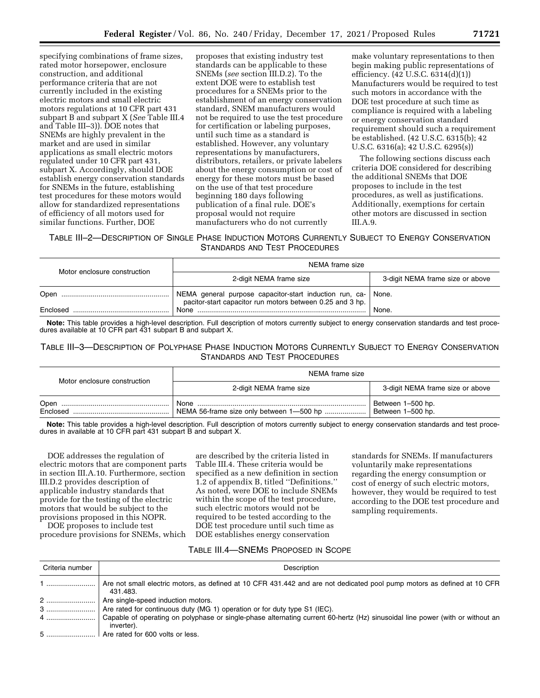specifying combinations of frame sizes, rated motor horsepower, enclosure construction, and additional performance criteria that are not currently included in the existing electric motors and small electric motors regulations at 10 CFR part 431 subpart B and subpart X (*See* Table III.4 and Table III–3)). DOE notes that SNEMs are highly prevalent in the market and are used in similar applications as small electric motors regulated under 10 CFR part 431, subpart X. Accordingly, should DOE establish energy conservation standards for SNEMs in the future, establishing test procedures for these motors would allow for standardized representations of efficiency of all motors used for similar functions. Further, DOE

proposes that existing industry test standards can be applicable to these SNEMs (*see* section III.D.2). To the extent DOE were to establish test procedures for a SNEMs prior to the establishment of an energy conservation standard, SNEM manufacturers would not be required to use the test procedure for certification or labeling purposes, until such time as a standard is established. However, any voluntary representations by manufacturers, distributors, retailers, or private labelers about the energy consumption or cost of energy for these motors must be based on the use of that test procedure beginning 180 days following publication of a final rule. DOE's proposal would not require manufacturers who do not currently

make voluntary representations to then begin making public representations of efficiency. (42 U.S.C. 6314(d)(1)) Manufacturers would be required to test such motors in accordance with the DOE test procedure at such time as compliance is required with a labeling or energy conservation standard requirement should such a requirement be established. (42 U.S.C. 6315(b); 42 U.S.C. 6316(a); 42 U.S.C. 6295(s))

The following sections discuss each criteria DOE considered for describing the additional SNEMs that DOE proposes to include in the test procedures, as well as justifications. Additionally, exemptions for certain other motors are discussed in section III.A.9.

# TABLE III–2—DESCRIPTION OF SINGLE PHASE INDUCTION MOTORS CURRENTLY SUBJECT TO ENERGY CONSERVATION STANDARDS AND TEST PROCEDURES

| Motor enclosure construction | NEMA frame size                                                                                                            |                                  |
|------------------------------|----------------------------------------------------------------------------------------------------------------------------|----------------------------------|
|                              | 2-digit NEMA frame size                                                                                                    | 3-digit NEMA frame size or above |
|                              | NEMA general purpose capacitor-start induction run, ca- None.<br>pacitor-start capacitor run motors between 0.25 and 3 hp. |                                  |
| Enclosed                     |                                                                                                                            | None.                            |

**Note:** This table provides a high-level description. Full description of motors currently subject to energy conservation standards and test procedures available at 10 CFR part 431 subpart B and subpart X.

TABLE III–3—DESCRIPTION OF POLYPHASE PHASE INDUCTION MOTORS CURRENTLY SUBJECT TO ENERGY CONSERVATION STANDARDS AND TEST PROCEDURES

| Motor enclosure construction | NEMA frame size                          |                                        |
|------------------------------|------------------------------------------|----------------------------------------|
|                              | 2-digit NEMA frame size                  | 3-digit NEMA frame size or above       |
| Enclosed                     | NEMA 56-frame size only between 1-500 hp | Between 1-500 hp.<br>Between 1-500 hp. |

**Note:** This table provides a high-level description. Full description of motors currently subject to energy conservation standards and test procedures in available at 10 CFR part 431 subpart B and subpart X.

DOE addresses the regulation of electric motors that are component parts in section III.A.10. Furthermore, section III.D.2 provides description of applicable industry standards that provide for the testing of the electric motors that would be subject to the provisions proposed in this NOPR.

DOE proposes to include test procedure provisions for SNEMs, which

are described by the criteria listed in Table III.4. These criteria would be specified as a new definition in section 1.2 of appendix B, titled ''Definitions.'' As noted, were DOE to include SNEMs within the scope of the test procedure, such electric motors would not be required to be tested according to the DOE test procedure until such time as DOE establishes energy conservation

standards for SNEMs. If manufacturers voluntarily make representations regarding the energy consumption or cost of energy of such electric motors, however, they would be required to test according to the DOE test procedure and sampling requirements.

# TABLE III.4—SNEMS PROPOSED IN SCOPE

| Criteria number | Description                                                                                                                                 |
|-----------------|---------------------------------------------------------------------------------------------------------------------------------------------|
|                 | Are not small electric motors, as defined at 10 CFR 431.442 and are not dedicated pool pump motors as defined at 10 CFR<br>431.483.         |
| 2               | Are single-speed induction motors.                                                                                                          |
|                 |                                                                                                                                             |
| 4               | Capable of operating on polyphase or single-phase alternating current 60-hertz (Hz) sinusoidal line power (with or without an<br>inverter). |
| 5               | Are rated for 600 volts or less.                                                                                                            |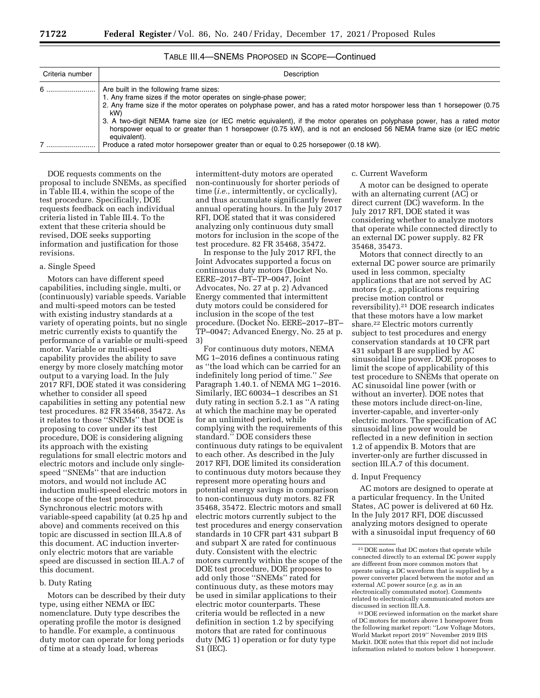| Criteria number | Description                                                                                                                                                                                                                                                   |
|-----------------|---------------------------------------------------------------------------------------------------------------------------------------------------------------------------------------------------------------------------------------------------------------|
| $6$             | Are built in the following frame sizes:<br>1. Any frame sizes if the motor operates on single-phase power;<br>2. Any frame size if the motor operates on polyphase power, and has a rated motor horspower less than 1 horsepower (0.75<br>kW)                 |
|                 | 3. A two-digit NEMA frame size (or IEC metric equivalent), if the motor operates on polyphase power, has a rated motor<br>horspower equal to or greater than 1 horsepower (0.75 kW), and is not an enclosed 56 NEMA frame size (or IEC metric<br>equivalent). |
|                 | Produce a rated motor horsepower greater than or equal to 0.25 horsepower (0.18 kW).                                                                                                                                                                          |

TABLE III.4—SNEMS PROPOSED IN SCOPE—Continued

DOE requests comments on the proposal to include SNEMs, as specified in Table III.4, within the scope of the test procedure. Specifically, DOE requests feedback on each individual criteria listed in Table III.4. To the extent that these criteria should be revised, DOE seeks supporting information and justification for those revisions.

### a. Single Speed

Motors can have different speed capabilities, including single, multi, or (continuously) variable speeds. Variable and multi-speed motors can be tested with existing industry standards at a variety of operating points, but no single metric currently exists to quantify the performance of a variable or multi-speed motor. Variable or multi-speed capability provides the ability to save energy by more closely matching motor output to a varying load. In the July 2017 RFI, DOE stated it was considering whether to consider all speed capabilities in setting any potential new test procedures. 82 FR 35468, 35472. As it relates to those ''SNEMs'' that DOE is proposing to cover under its test procedure, DOE is considering aligning its approach with the existing regulations for small electric motors and electric motors and include only singlespeed ''SNEMs'' that are induction motors, and would not include AC induction multi-speed electric motors in the scope of the test procedure. Synchronous electric motors with variable-speed capability (at 0.25 hp and above) and comments received on this topic are discussed in section III.A.8 of this document. AC induction inverteronly electric motors that are variable speed are discussed in section III.A.7 of this document.

### b. Duty Rating

Motors can be described by their duty type, using either NEMA or IEC nomenclature. Duty type describes the operating profile the motor is designed to handle. For example, a continuous duty motor can operate for long periods of time at a steady load, whereas

intermittent-duty motors are operated non-continuously for shorter periods of time (*i.e.,* intermittently, or cyclically), and thus accumulate significantly fewer annual operating hours. In the July 2017 RFI, DOE stated that it was considered analyzing only continuous duty small motors for inclusion in the scope of the test procedure. 82 FR 35468, 35472.

In response to the July 2017 RFI, the Joint Advocates supported a focus on continuous duty motors (Docket No. EERE–2017–BT–TP–0047, Joint Advocates, No. 27 at p. 2) Advanced Energy commented that intermittent duty motors could be considered for inclusion in the scope of the test procedure. (Docket No. EERE–2017–BT– TP–0047; Advanced Energy, No. 25 at p. 3)

For continuous duty motors, NEMA MG 1–2016 defines a continuous rating as ''the load which can be carried for an indefinitely long period of time.'' *See*  Paragraph 1.40.1. of NEMA MG 1–2016. Similarly, IEC 60034–1 describes an S1 duty rating in section 5.2.1 as ''A rating at which the machine may be operated for an unlimited period, while complying with the requirements of this standard.'' DOE considers these continuous duty ratings to be equivalent to each other. As described in the July 2017 RFI, DOE limited its consideration to continuous duty motors because they represent more operating hours and potential energy savings in comparison to non-continuous duty motors. 82 FR 35468, 35472. Electric motors and small electric motors currently subject to the test procedures and energy conservation standards in 10 CFR part 431 subpart B and subpart X are rated for continuous duty. Consistent with the electric motors currently within the scope of the DOE test procedure, DOE proposes to add only those ''SNEMs'' rated for continuous duty, as these motors may be used in similar applications to their electric motor counterparts. These criteria would be reflected in a new definition in section 1.2 by specifying motors that are rated for continuous duty (MG 1) operation or for duty type S1 (IEC).

#### c. Current Waveform

A motor can be designed to operate with an alternating current (AC) or direct current (DC) waveform. In the July 2017 RFI, DOE stated it was considering whether to analyze motors that operate while connected directly to an external DC power supply. 82 FR 35468, 35473.

Motors that connect directly to an external DC power source are primarily used in less common, specialty applications that are not served by AC motors (*e.g.,* applications requiring precise motion control or reversibility).21 DOE research indicates that these motors have a low market share.22 Electric motors currently subject to test procedures and energy conservation standards at 10 CFR part 431 subpart B are supplied by AC sinusoidal line power. DOE proposes to limit the scope of applicability of this test procedure to SNEMs that operate on AC sinusoidal line power (with or without an inverter). DOE notes that these motors include direct-on-line, inverter-capable, and inverter-only electric motors. The specification of AC sinusoidal line power would be reflected in a new definition in section 1.2 of appendix B. Motors that are inverter-only are further discussed in section III.A.7 of this document.

## d. Input Frequency

AC motors are designed to operate at a particular frequency. In the United States, AC power is delivered at 60 Hz. In the July 2017 RFI, DOE discussed analyzing motors designed to operate with a sinusoidal input frequency of 60

22 DOE reviewed information on the market share of DC motors for motors above 1 horsepower from the following market report: ''Low Voltage Motors, World Market report 2019'' November 2019 IHS Markit. DOE notes that this report did not include information related to motors below 1 horsepower.

<sup>21</sup> DOE notes that DC motors that operate while connected directly to an external DC power supply are different from more common motors that operate using a DC waveform that is supplied by a power converter placed between the motor and an external AC power source (*e.g.* as in an electronically commutated motor). Comments related to electronically communicated motors are discussed in section III.A.8.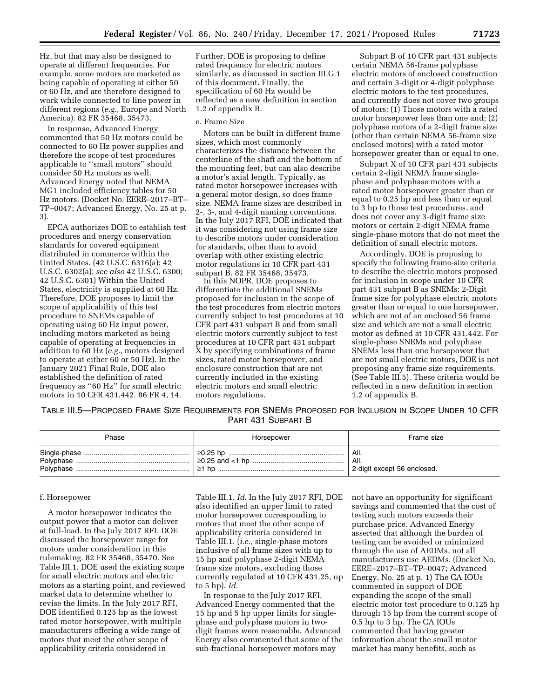Hz, but that may also be designed to operate at different frequencies. For example, some motors are marketed as being capable of operating at either 50 or 60 Hz, and are therefore designed to work while connected to line power in different regions (*e.g.,* Europe and North America). 82 FR 35468, 35473.

In response, Advanced Energy commented that 50 Hz motors could be connected to 60 Hz power supplies and therefore the scope of test procedures applicable to ''small motors'' should consider 50 Hz motors as well. Advanced Energy noted that NEMA MG1 included efficiency tables for 50 Hz motors. (Docket No. EERE–2017–BT– TP–0047; Advanced Energy, No. 25 at p. 3).

EPCA authorizes DOE to establish test procedures and energy conservation standards for covered equipment distributed in commerce within the United States. (42 U.S.C. 6316(a); 42 U.S.C. 6302(a); *see also* 42 U.S.C. 6300; 42 U.S.C. 6301) Within the United States, electricity is supplied at 60 Hz. Therefore, DOE proposes to limit the scope of applicability of this test procedure to SNEMs capable of operating using 60 Hz input power, including motors marketed as being capable of operating at frequencies in addition to 60 Hz (*e.g.,* motors designed to operate at either 60 or 50 Hz). In the January 2021 Final Rule, DOE also established the definition of rated frequency as ''60 Hz'' for small electric motors in 10 CFR 431.442. 86 FR 4, 14.

Further, DOE is proposing to define rated frequency for electric motors similarly, as discussed in section III.G.1 of this document. Finally, the specification of 60 Hz would be reflected as a new definition in section 1.2 of appendix B.

### e. Frame Size

Motors can be built in different frame sizes, which most commonly characterizes the distance between the centerline of the shaft and the bottom of the mounting feet, but can also describe a motor's axial length. Typically, as rated motor horsepower increases with a general motor design, so does frame size. NEMA frame sizes are described in 2-, 3-, and 4-digit naming conventions. In the July 2017 RFI, DOE indicated that it was considering not using frame size to describe motors under consideration for standards, other than to avoid overlap with other existing electric motor regulations in 10 CFR part 431 subpart B. 82 FR 35468, 35473.

In this NOPR, DOE proposes to differentiate the additional SNEMs proposed for inclusion in the scope of the test procedures from electric motors currently subject to test procedures at 10 CFR part 431 subpart B and from small electric motors currently subject to test procedures at 10 CFR part 431 subpart X by specifying combinations of frame sizes, rated motor horsepower, and enclosure construction that are not currently included in the existing electric motors and small electric motors regulations.

Subpart B of 10 CFR part 431 subjects certain NEMA 56-frame polyphase electric motors of enclosed construction and certain 3-digit or 4-digit polyphase electric motors to the test procedures, and currently does not cover two groups of motors: (1) Those motors with a rated motor horsepower less than one and; (2) polyphase motors of a 2-digit frame size (other than certain NEMA 56-frame size enclosed motors) with a rated motor horsepower greater than or equal to one.

Subpart X of 10 CFR part 431 subjects certain 2-digit NEMA frame singlephase and polyphase motors with a rated motor horsepower greater than or equal to 0.25 hp and less than or equal to 3 hp to those test procedures, and does not cover any 3-digit frame size motors or certain 2-digit NEMA frame single-phase motors that do not meet the definition of small electric motors.

Accordingly, DOE is proposing to specify the following frame-size criteria to describe the electric motors proposed for inclusion in scope under 10 CFR part 431 subpart B as SNEMs: 2-Digit frame size for polyphase electric motors greater than or equal to one horsepower, which are not of an enclosed 56 frame size and which are not a small electric motor as defined at 10 CFR 431.442. For single-phase SNEMs and polyphase SNEMs less than one horsepower that are not small electric motors, DOE is not proposing any frame size requirements. (See Table III.5). These criteria would be reflected in a new definition in section 1.2 of appendix B.

TABLE III.5—PROPOSED FRAME SIZE REQUIREMENTS FOR SNEMS PROPOSED FOR INCLUSION IN SCOPE UNDER 10 CFR PART 431 SUBPART B

| Phase | Horsepower | Frame size                  |
|-------|------------|-----------------------------|
|       |            | All.                        |
|       |            | All.                        |
|       |            | 2-digit except 56 enclosed. |

#### f. Horsepower

A motor horsepower indicates the output power that a motor can deliver at full-load. In the July 2017 RFI, DOE discussed the horsepower range for motors under consideration in this rulemaking. 82 FR 35468, 35470. See Table III.1. DOE used the existing scope for small electric motors and electric motors as a starting point, and reviewed market data to determine whether to revise the limits. In the July 2017 RFI, DOE identified 0.125 hp as the lowest rated motor horsepower, with multiple manufacturers offering a wide range of motors that meet the other scope of applicability criteria considered in

Table III.1. *Id.* In the July 2017 RFI, DOE also identified an upper limit to rated motor horsepower corresponding to motors that meet the other scope of applicability criteria considered in Table III.1. (*i.e.,* single-phase motors inclusive of all frame sizes with up to 15 hp and polyphase 2-digit NEMA frame size motors, excluding those currently regulated at 10 CFR 431.25, up to 5 hp). *Id.* 

In response to the July 2017 RFI, Advanced Energy commented that the 15 hp and 5 hp upper limits for singlephase and polyphase motors in twodigit frames were reasonable. Advanced Energy also commented that some of the sub-fractional horsepower motors may

not have an opportunity for significant savings and commented that the cost of testing such motors exceeds their purchase price. Advanced Energy asserted that although the burden of testing can be avoided or minimized through the use of AEDMs, not all manufacturers use AEDMs. (Docket No. EERE–2017–BT–TP–0047; Advanced Energy, No. 25 at p. 1) The CA IOUs commented in support of DOE expanding the scope of the small electric motor test procedure to 0.125 hp through 15 hp from the current scope of 0.5 hp to 3 hp. The CA IOUs commented that having greater information about the small motor market has many benefits, such as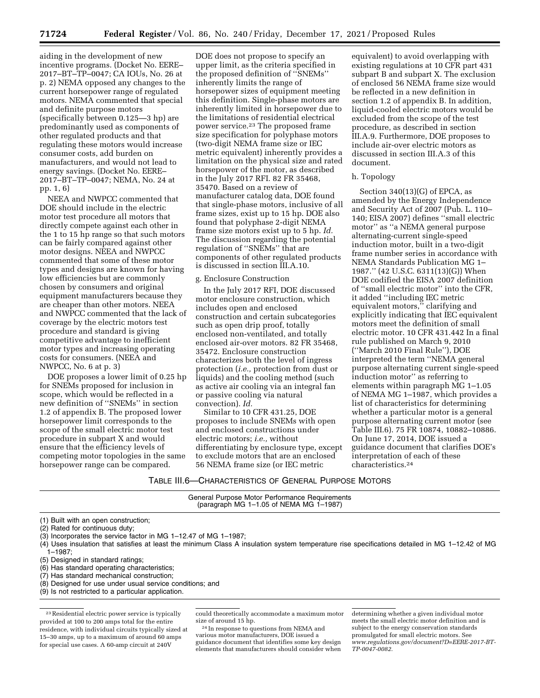aiding in the development of new incentive programs. (Docket No. EERE– 2017–BT–TP–0047; CA IOUs, No. 26 at p. 2) NEMA opposed any changes to the current horsepower range of regulated motors. NEMA commented that special and definite purpose motors (specifically between 0.125—3 hp) are predominantly used as components of other regulated products and that regulating these motors would increase consumer costs, add burden on manufacturers, and would not lead to energy savings. (Docket No. EERE– 2017–BT–TP–0047; NEMA, No. 24 at pp. 1, 6)

NEEA and NWPCC commented that DOE should include in the electric motor test procedure all motors that directly compete against each other in the 1 to 15 hp range so that such motors can be fairly compared against other motor designs. NEEA and NWPCC commented that some of these motor types and designs are known for having low efficiencies but are commonly chosen by consumers and original equipment manufacturers because they are cheaper than other motors. NEEA and NWPCC commented that the lack of coverage by the electric motors test procedure and standard is giving competitive advantage to inefficient motor types and increasing operating costs for consumers. (NEEA and NWPCC, No. 6 at p. 3)

DOE proposes a lower limit of 0.25 hp for SNEMs proposed for inclusion in scope, which would be reflected in a new definition of ''SNEMs'' in section 1.2 of appendix B. The proposed lower horsepower limit corresponds to the scope of the small electric motor test procedure in subpart X and would ensure that the efficiency levels of competing motor topologies in the same horsepower range can be compared.

DOE does not propose to specify an upper limit, as the criteria specified in the proposed definition of ''SNEMs'' inherently limits the range of horsepower sizes of equipment meeting this definition. Single-phase motors are inherently limited in horsepower due to the limitations of residential electrical power service.23 The proposed frame size specification for polyphase motors (two-digit NEMA frame size or IEC metric equivalent) inherently provides a limitation on the physical size and rated horsepower of the motor, as described in the July 2017 RFI. 82 FR 35468, 35470. Based on a review of manufacturer catalog data, DOE found that single-phase motors, inclusive of all frame sizes, exist up to 15 hp. DOE also found that polyphase 2-digit NEMA frame size motors exist up to 5 hp. *Id.*  The discussion regarding the potential regulation of ''SNEMs'' that are components of other regulated products is discussed in section III.A.10.

#### g. Enclosure Construction

In the July 2017 RFI, DOE discussed motor enclosure construction, which includes open and enclosed construction and certain subcategories such as open drip proof, totally enclosed non-ventilated, and totally enclosed air-over motors. 82 FR 35468, 35472. Enclosure construction characterizes both the level of ingress protection (*i.e.,* protection from dust or liquids) and the cooling method (such as active air cooling via an integral fan or passive cooling via natural convection). *Id.* 

Similar to 10 CFR 431.25, DOE proposes to include SNEMs with open and enclosed constructions under electric motors; *i.e.,* without differentiating by enclosure type, except to exclude motors that are an enclosed 56 NEMA frame size (or IEC metric

equivalent) to avoid overlapping with existing regulations at 10 CFR part 431 subpart B and subpart X. The exclusion of enclosed 56 NEMA frame size would be reflected in a new definition in section 1.2 of appendix B. In addition, liquid-cooled electric motors would be excluded from the scope of the test procedure, as described in section III.A.9. Furthermore, DOE proposes to include air-over electric motors as discussed in section III.A.3 of this document.

#### h. Topology

Section  $340(13)(G)$  of EPCA, as amended by the Energy Independence and Security Act of 2007 (Pub. L. 110– 140; EISA 2007) defines ''small electric motor'' as ''a NEMA general purpose alternating-current single-speed induction motor, built in a two-digit frame number series in accordance with NEMA Standards Publication MG 1– 1987.'' (42 U.S.C. 6311(13)(G)) When DOE codified the EISA 2007 definition of ''small electric motor'' into the CFR, it added ''including IEC metric equivalent motors,'' clarifying and explicitly indicating that IEC equivalent motors meet the definition of small electric motor. 10 CFR 431.442 In a final rule published on March 9, 2010 (''March 2010 Final Rule''), DOE interpreted the term ''NEMA general purpose alternating current single-speed induction motor'' as referring to elements within paragraph MG 1–1.05 of NEMA MG 1–1987, which provides a list of characteristics for determining whether a particular motor is a general purpose alternating current motor (see Table III.6). 75 FR 10874, 10882–10886. On June 17, 2014, DOE issued a guidance document that clarifies DOE's interpretation of each of these characteristics.24

TABLE III.6—CHARACTERISTICS OF GENERAL PURPOSE MOTORS

General Purpose Motor Performance Requirements (paragraph MG 1–1.05 of NEMA MG 1–1987)

(1) Built with an open construction;

(2) Rated for continuous duty;

(3) Incorporates the service factor in MG 1–12.47 of MG 1–1987;

(4) Uses insulation that satisfies at least the minimum Class A insulation system temperature rise specifications detailed in MG 1–12.42 of MG 1–1987;

(6) Has standard operating characteristics;

(7) Has standard mechanical construction;

(8) Designed for use under usual service conditions; and

(9) Is not restricted to a particular application.

23Residential electric power service is typically provided at 100 to 200 amps total for the entire residence, with individual circuits typically sized at 15–30 amps, up to a maximum of around 60 amps for special use cases. A 60-amp circuit at 240V

could theoretically accommodate a maximum motor

<sup>24</sup> In response to questions from NEMA and various motor manufacturers, DOE issued a guidance document that identifies some key design elements that manufacturers should consider when determining whether a given individual motor meets the small electric motor definition and is subject to the energy conservation standards promulgated for small electric motors. See *[www.regulations.gov/document?D=EERE-2017-BT-](http://www.regulations.gov/document?D=EERE-2017-BT-TP-0047-0082)[TP-0047-0082](http://www.regulations.gov/document?D=EERE-2017-BT-TP-0047-0082)*.

<sup>(5)</sup> Designed in standard ratings;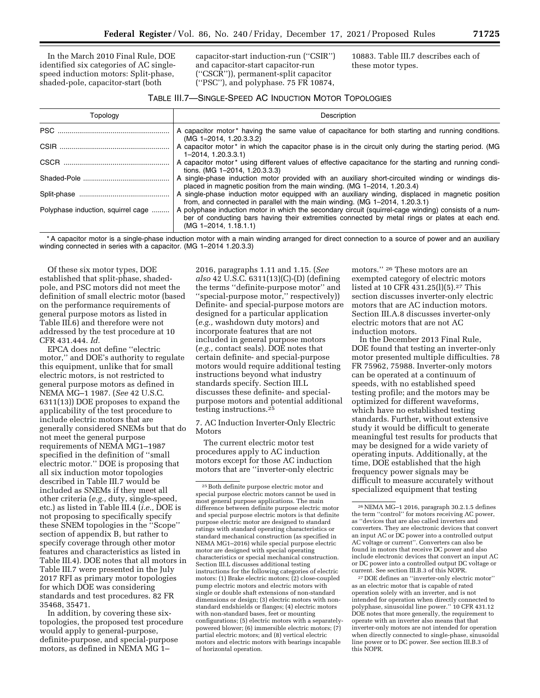In the March 2010 Final Rule, DOE identified six categories of AC singlespeed induction motors: Split-phase, shaded-pole, capacitor-start (both

capacitor-start induction-run (''CSIR'') and capacitor-start capacitor-run (''CSCR'')), permanent-split capacitor (''PSC''), and polyphase. 75 FR 10874,

10883. Table III.7 describes each of these motor types.

| Topology                           | Description                                                                                                                                                                                                                           |
|------------------------------------|---------------------------------------------------------------------------------------------------------------------------------------------------------------------------------------------------------------------------------------|
|                                    | A capacitor motor* having the same value of capacitance for both starting and running conditions.<br>(MG 1-2014, 1.20.3.3.2)                                                                                                          |
|                                    | A capacitor motor <sup>*</sup> in which the capacitor phase is in the circuit only during the starting period. (MG<br>$1 - 2014$ , $1.20.3.3.1$                                                                                       |
|                                    | A capacitor motor * using different values of effective capacitance for the starting and running condi-<br>tions. (MG 1-2014, 1.20.3.3.3)                                                                                             |
|                                    | A single-phase induction motor provided with an auxiliary short-circuited winding or windings dis-<br>placed in magnetic position from the main winding. (MG 1-2014, 1.20.3.4)                                                        |
|                                    | A single-phase induction motor equipped with an auxiliary winding, displaced in magnetic position<br>from, and connected in parallel with the main winding. (MG 1-2014, 1.20.3.1)                                                     |
| Polyphase induction, squirrel cage | A polyphase induction motor in which the secondary circuit (squirrel-cage winding) consists of a num-<br>ber of conducting bars having their extremities connected by metal rings or plates at each end.<br>$(MG 1 - 2014, 1.18.1.1)$ |

\* A capacitor motor is a single-phase induction motor with a main winding arranged for direct connection to a source of power and an auxiliary winding connected in series with a capacitor. (MG 1-2014 1.20.3.3)

Of these six motor types, DOE established that split-phase, shadedpole, and PSC motors did not meet the definition of small electric motor (based on the performance requirements of general purpose motors as listed in Table III.6) and therefore were not addressed by the test procedure at 10 CFR 431.444. *Id.* 

EPCA does not define ''electric motor,'' and DOE's authority to regulate this equipment, unlike that for small electric motors, is not restricted to general purpose motors as defined in NEMA MG–1 1987. (*See* 42 U.S.C. 6311(13)) DOE proposes to expand the applicability of the test procedure to include electric motors that are generally considered SNEMs but that do not meet the general purpose requirements of NEMA MG1–1987 specified in the definition of ''small electric motor.'' DOE is proposing that all six induction motor topologies described in Table III.7 would be included as SNEMs if they meet all other criteria (*e.g.,* duty, single-speed, etc.) as listed in Table III.4 (*i.e.,* DOE is not proposing to specifically specify these SNEM topologies in the ''Scope'' section of appendix B, but rather to specify coverage through other motor features and characteristics as listed in Table III.4). DOE notes that all motors in Table III.7 were presented in the July 2017 RFI as primary motor topologies for which DOE was considering standards and test procedures. 82 FR 35468, 35471.

In addition, by covering these sixtopologies, the proposed test procedure would apply to general-purpose, definite-purpose, and special-purpose motors, as defined in NEMA MG 1–

2016, paragraphs 1.11 and 1.15. (*See also* 42 U.S.C. 6311(13)(C)-(D) (defining the terms ''definite-purpose motor'' and ''special-purpose motor,'' respectively)) Definite- and special-purpose motors are designed for a particular application (*e.g.,* washdown duty motors) and incorporate features that are not included in general purpose motors (*e.g.,* contact seals). DOE notes that certain definite- and special-purpose motors would require additional testing instructions beyond what industry standards specify. Section III.L discusses these definite- and specialpurpose motors and potential additional testing instructions.25

7. AC Induction Inverter-Only Electric Motors

The current electric motor test procedures apply to AC induction motors except for those AC induction motors that are ''inverter-only electric

motors.'' 26 These motors are an exempted category of electric motors listed at 10 CFR 431.25(l)(5).27 This section discusses inverter-only electric motors that are AC induction motors. Section III.A.8 discusses inverter-only electric motors that are not AC induction motors.

In the December 2013 Final Rule, DOE found that testing an inverter-only motor presented multiple difficulties. 78 FR 75962, 75988. Inverter-only motors can be operated at a continuum of speeds, with no established speed testing profile; and the motors may be optimized for different waveforms, which have no established testing standards. Further, without extensive study it would be difficult to generate meaningful test results for products that may be designed for a wide variety of operating inputs. Additionally, at the time, DOE established that the high frequency power signals may be difficult to measure accurately without specialized equipment that testing

27 DOE defines an ''inverter-only electric motor'' as an electric motor that is capable of rated operation solely with an inverter, and is not intended for operation when directly connected to polyphase, sinusoidal line power.'' 10 CFR 431.12 DOE notes that more generally, the requirement to operate with an inverter also means that that inverter-only motors are not intended for operation when directly connected to single-phase, sinusoidal line power or to DC power. See section III.B.3 of this NOPR.

<sup>25</sup>Both definite purpose electric motor and special purpose electric motors cannot be used in most general purpose applications. The main difference between definite purpose electric motor and special purpose electric motors is that definite purpose electric motor are designed to standard ratings with standard operating characteristics or standard mechanical construction (as specified in NEMA MG1–2016) while special purpose electric motor are designed with special operating characteristics or special mechanical construction. Section III.L discusses additional testing instructions for the following categories of electric motors: (1) Brake electric motors; (2) close-coupled pump electric motors and electric motors with single or double shaft extensions of non-standard dimensions or design; (3) electric motors with nonstandard endshields or flanges; (4) electric motors with non-standard bases, feet or mounting configurations; (5) electric motors with a separatelypowered blower; (6) immersible electric motors; (7) partial electric motors; and (8) vertical electric motors and electric motors with bearings incapable of horizontal operation.

<sup>26</sup>NEMA MG–1 2016, paragraph 30.2.1.5 defines the term ''control'' for motors receiving AC power, as ''devices that are also called inverters and converters. They are electronic devices that convert an input AC or DC power into a controlled output AC voltage or current''. Converters can also be found in motors that receive DC power and also include electronic devices that convert an input AC or DC power into a controlled output DC voltage or current. See section III.B.3 of this NOPR.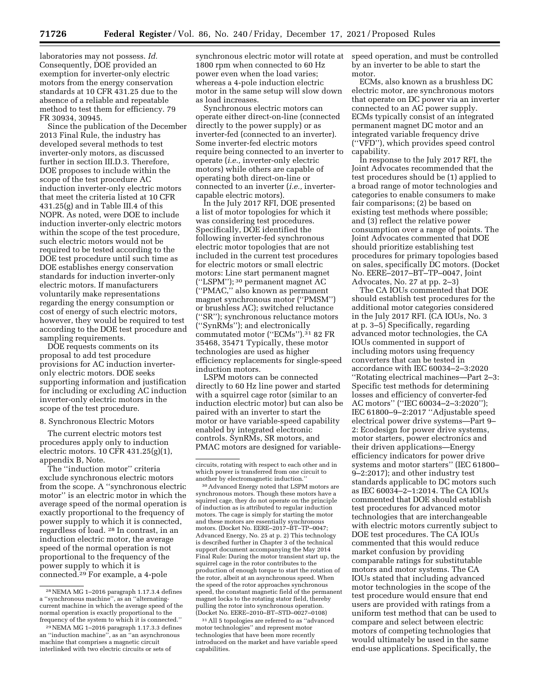laboratories may not possess. *Id.*  Consequently, DOE provided an exemption for inverter-only electric motors from the energy conservation standards at 10 CFR 431.25 due to the absence of a reliable and repeatable method to test them for efficiency. 79 FR 30934, 30945.

Since the publication of the December 2013 Final Rule, the industry has developed several methods to test inverter-only motors, as discussed further in section III.D.3. Therefore, DOE proposes to include within the scope of the test procedure AC induction inverter-only electric motors that meet the criteria listed at 10 CFR 431.25(g) and in Table III.4 of this NOPR. As noted, were DOE to include induction inverter-only electric motors within the scope of the test procedure, such electric motors would not be required to be tested according to the DOE test procedure until such time as DOE establishes energy conservation standards for induction inverter-only electric motors. If manufacturers voluntarily make representations regarding the energy consumption or cost of energy of such electric motors, however, they would be required to test according to the DOE test procedure and sampling requirements.

DOE requests comments on its proposal to add test procedure provisions for AC induction inverteronly electric motors. DOE seeks supporting information and justification for including or excluding AC induction inverter-only electric motors in the scope of the test procedure.

#### 8. Synchronous Electric Motors

The current electric motors test procedures apply only to induction electric motors. 10 CFR 431.25(g)(1), appendix B, Note.

The ''induction motor'' criteria exclude synchronous electric motors from the scope. A ''synchronous electric motor'' is an electric motor in which the average speed of the normal operation is exactly proportional to the frequency of power supply to which it is connected, regardless of load. 28 In contrast, in an induction electric motor, the average speed of the normal operation is not proportional to the frequency of the power supply to which it is connected.29 For example, a 4-pole

synchronous electric motor will rotate at 1800 rpm when connected to 60 Hz power even when the load varies; whereas a 4-pole induction electric motor in the same setup will slow down as load increases.

Synchronous electric motors can operate either direct-on-line (connected directly to the power supply) or as inverter-fed (connected to an inverter). Some inverter-fed electric motors require being connected to an inverter to operate (*i.e.,* inverter-only electric motors) while others are capable of operating both direct-on-line or connected to an inverter (*i.e.,* invertercapable electric motors).

In the July 2017 RFI, DOE presented a list of motor topologies for which it was considering test procedures. Specifically, DOE identified the following inverter-fed synchronous electric motor topologies that are not included in the current test procedures for electric motors or small electric motors: Line start permanent magnet (''LSPM''); 30 permanent magnet AC (''PMAC,'' also known as permanent magnet synchronous motor (''PMSM'') or brushless AC); switched reluctance (''SR''); synchronous reluctance motors (''SynRMs''); and electronically commutated motor (''ECMs'').31 82 FR 35468, 35471 Typically, these motor technologies are used as higher efficiency replacements for single-speed induction motors.

LSPM motors can be connected directly to 60 Hz line power and started with a squirrel cage rotor (similar to an induction electric motor) but can also be paired with an inverter to start the motor or have variable-speed capability enabled by integrated electronic controls. SynRMs, SR motors, and PMAC motors are designed for variable-

30Advanced Energy noted that LSPM motors are synchronous motors. Though these motors have a squirrel cage, they do not operate on the principle of induction as is attributed to regular induction motors. The cage is simply for starting the motor and these motors are essentially synchronous motors. (Docket No. EERE-2017-BT-TP-0047; Advanced Energy, No. 25 at p. 2) This technology is described further in Chapter 3 of the technical support document accompanying the May 2014 Final Rule: During the motor transient start up, the squirrel cage in the rotor contributes to the production of enough torque to start the rotation of the rotor, albeit at an asynchronous speed. When the speed of the rotor approaches synchronous speed, the constant magnetic field of the permanent magnet locks to the rotating stator field, thereby pulling the rotor into synchronous operation. (Docket No. EERE–2010–BT–STD–0027–0108)

31All 5 topologies are referred to as ''advanced motor technologies'' and represent motor technologies that have been more recently introduced on the market and have variable speed capabilities.

speed operation, and must be controlled by an inverter to be able to start the motor.

ECMs, also known as a brushless DC electric motor, are synchronous motors that operate on DC power via an inverter connected to an AC power supply. ECMs typically consist of an integrated permanent magnet DC motor and an integrated variable frequency drive (''VFD''), which provides speed control capability.

In response to the July 2017 RFI, the Joint Advocates recommended that the test procedures should be (1) applied to a broad range of motor technologies and categories to enable consumers to make fair comparisons; (2) be based on existing test methods where possible; and (3) reflect the relative power consumption over a range of points. The Joint Advocates commented that DOE should prioritize establishing test procedures for primary topologies based on sales, specifically DC motors. (Docket No. EERE–2017–BT–TP–0047, Joint Advocates, No. 27 at pp. 2–3)

The CA IOUs commented that DOE should establish test procedures for the additional motor categories considered in the July 2017 RFI. (CA IOUs, No. 3 at p. 3–5) Specifically, regarding advanced motor technologies, the CA IOUs commented in support of including motors using frequency converters that can be tested in accordance with IEC 60034–2–3:2020 ''Rotating electrical machines—Part 2–3: Specific test methods for determining losses and efficiency of converter-fed AC motors'' (''IEC 60034–2–3:2020''); IEC 61800–9–2:2017 ''Adjustable speed electrical power drive systems—Part 9– 2: Ecodesign for power drive systems, motor starters, power electronics and their driven applications—Energy efficiency indicators for power drive systems and motor starters'' (IEC 61800– 9–2:2017); and other industry test standards applicable to DC motors such as IEC 60034–2–1:2014. The CA IOUs commented that DOE should establish test procedures for advanced motor technologies that are interchangeable with electric motors currently subject to DOE test procedures. The CA IOUs commented that this would reduce market confusion by providing comparable ratings for substitutable motors and motor systems. The CA IOUs stated that including advanced motor technologies in the scope of the test procedure would ensure that end users are provided with ratings from a uniform test method that can be used to compare and select between electric motors of competing technologies that would ultimately be used in the same end-use applications. Specifically, the

<sup>28</sup>NEMA MG 1–2016 paragraph 1.17.3.4 defines a ''synchronous machine'', as an ''alternatingcurrent machine in which the average speed of the normal operation is exactly proportional to the frequency of the system to which it is connected.''

<sup>&</sup>lt;sup>29</sup>NEMA MG 1-2016 paragraph 1.17.3.3 defines an ''induction machine'', as an ''an asynchronous machine that comprises a magnetic circuit interlinked with two electric circuits or sets of

circuits, rotating with respect to each other and in which power is transferred from one circuit to another by electromagnetic induction.''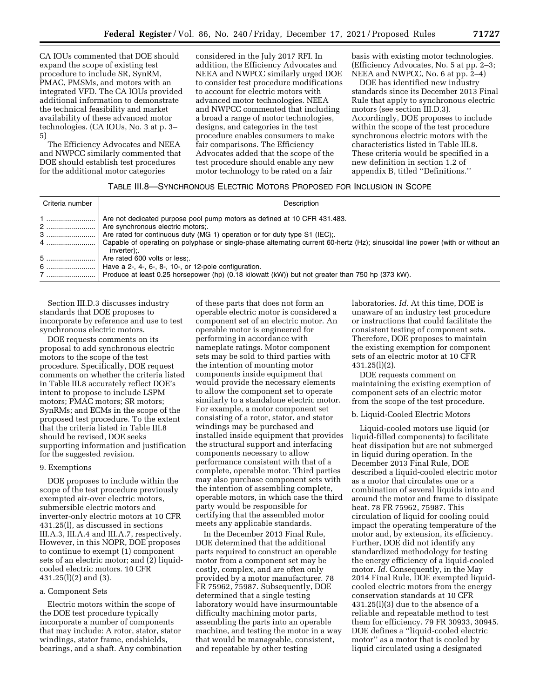CA IOUs commented that DOE should expand the scope of existing test procedure to include SR, SynRM, PMAC, PMSMs, and motors with an integrated VFD. The CA IOUs provided additional information to demonstrate the technical feasibility and market availability of these advanced motor technologies. (CA IOUs, No. 3 at p. 3– 5)

The Efficiency Advocates and NEEA and NWPCC similarly commented that DOE should establish test procedures for the additional motor categories

considered in the July 2017 RFI. In addition, the Efficiency Advocates and NEEA and NWPCC similarly urged DOE to consider test procedure modifications to account for electric motors with advanced motor technologies. NEEA and NWPCC commented that including a broad a range of motor technologies, designs, and categories in the test procedure enables consumers to make fair comparisons. The Efficiency Advocates added that the scope of the test procedure should enable any new motor technology to be rated on a fair

basis with existing motor technologies. (Efficiency Advocates, No. 5 at pp. 2–3; NEEA and NWPCC, No. 6 at pp. 2–4)

DOE has identified new industry standards since its December 2013 Final Rule that apply to synchronous electric motors (see section III.D.3). Accordingly, DOE proposes to include within the scope of the test procedure synchronous electric motors with the characteristics listed in Table III.8. These criteria would be specified in a new definition in section 1.2 of appendix B, titled ''Definitions.''

### TABLE III.8—SYNCHRONOUS ELECTRIC MOTORS PROPOSED FOR INCLUSION IN SCOPE

| Criteria number | Description                                                                                                                                                                               |
|-----------------|-------------------------------------------------------------------------------------------------------------------------------------------------------------------------------------------|
| 2<br>3          | Are not dedicated purpose pool pump motors as defined at 10 CFR 431.483.<br>Are synchronous electric motors:<br>Are rated for continuous duty (MG 1) operation or for duty type S1 (IEC). |
| 4               | Capable of operating on polyphase or single-phase alternating current 60-hertz (Hz); sinusoidal line power (with or without an<br>inverter);                                              |
| 5               | Are rated 600 volts or less:.                                                                                                                                                             |
|                 | Have a 2-, 4-, 6-, 8-, 10-, or 12-pole configuration.                                                                                                                                     |
| 7               | Produce at least 0.25 horsepower (hp) (0.18 kilowatt (kW)) but not greater than 750 hp (373 kW).                                                                                          |

Section III.D.3 discusses industry standards that DOE proposes to incorporate by reference and use to test synchronous electric motors.

DOE requests comments on its proposal to add synchronous electric motors to the scope of the test procedure. Specifically, DOE request comments on whether the criteria listed in Table III.8 accurately reflect DOE's intent to propose to include LSPM motors; PMAC motors; SR motors; SynRMs; and ECMs in the scope of the proposed test procedure. To the extent that the criteria listed in Table III.8 should be revised, DOE seeks supporting information and justification for the suggested revision.

#### 9. Exemptions

DOE proposes to include within the scope of the test procedure previously exempted air-over electric motors, submersible electric motors and inverter-only electric motors at 10 CFR 431.25(l), as discussed in sections III.A.3, III.A.4 and III.A.7, respectively. However, in this NOPR, DOE proposes to continue to exempt (1) component sets of an electric motor; and (2) liquidcooled electric motors. 10 CFR 431.25(l)(2) and (3).

### a. Component Sets

Electric motors within the scope of the DOE test procedure typically incorporate a number of components that may include: A rotor, stator, stator windings, stator frame, endshields, bearings, and a shaft. Any combination

of these parts that does not form an operable electric motor is considered a component set of an electric motor. An operable motor is engineered for performing in accordance with nameplate ratings. Motor component sets may be sold to third parties with the intention of mounting motor components inside equipment that would provide the necessary elements to allow the component set to operate similarly to a standalone electric motor. For example, a motor component set consisting of a rotor, stator, and stator windings may be purchased and installed inside equipment that provides the structural support and interfacing components necessary to allow performance consistent with that of a complete, operable motor. Third parties may also purchase component sets with the intention of assembling complete, operable motors, in which case the third party would be responsible for certifying that the assembled motor meets any applicable standards.

In the December 2013 Final Rule, DOE determined that the additional parts required to construct an operable motor from a component set may be costly, complex, and are often only provided by a motor manufacturer. 78 FR 75962, 75987. Subsequently, DOE determined that a single testing laboratory would have insurmountable difficulty machining motor parts, assembling the parts into an operable machine, and testing the motor in a way that would be manageable, consistent, and repeatable by other testing

laboratories. *Id.* At this time, DOE is unaware of an industry test procedure or instructions that could facilitate the consistent testing of component sets. Therefore, DOE proposes to maintain the existing exemption for component sets of an electric motor at 10 CFR 431.25(l)(2).

DOE requests comment on maintaining the existing exemption of component sets of an electric motor from the scope of the test procedure.

#### b. Liquid-Cooled Electric Motors

Liquid-cooled motors use liquid (or liquid-filled components) to facilitate heat dissipation but are not submerged in liquid during operation. In the December 2013 Final Rule, DOE described a liquid-cooled electric motor as a motor that circulates one or a combination of several liquids into and around the motor and frame to dissipate heat. 78 FR 75962, 75987. This circulation of liquid for cooling could impact the operating temperature of the motor and, by extension, its efficiency. Further, DOE did not identify any standardized methodology for testing the energy efficiency of a liquid-cooled motor. *Id.* Consequently, in the May 2014 Final Rule, DOE exempted liquidcooled electric motors from the energy conservation standards at 10 CFR 431.25(l)(3) due to the absence of a reliable and repeatable method to test them for efficiency. 79 FR 30933, 30945. DOE defines a ''liquid-cooled electric motor'' as a motor that is cooled by liquid circulated using a designated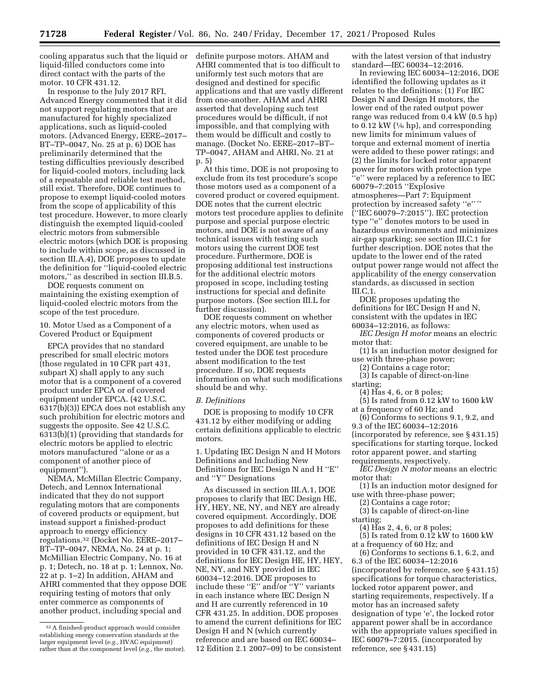cooling apparatus such that the liquid or definite purpose motors. AHAM and liquid-filled conductors come into direct contact with the parts of the motor. 10 CFR 431.12.

In response to the July 2017 RFI, Advanced Energy commented that it did not support regulating motors that are manufactured for highly specialized applications, such as liquid-cooled motors. (Advanced Energy, EERE–2017– BT–TP–0047, No. 25 at p. 6) DOE has preliminarily determined that the testing difficulties previously described for liquid-cooled motors, including lack of a repeatable and reliable test method, still exist. Therefore, DOE continues to propose to exempt liquid-cooled motors from the scope of applicability of this test procedure. However, to more clearly distinguish the exempted liquid-cooled electric motors from submersible electric motors (which DOE is proposing to include within scope, as discussed in section III.A.4), DOE proposes to update the definition for ''liquid-cooled electric motors,'' as described in section III.B.5.

DOE requests comment on maintaining the existing exemption of liquid-cooled electric motors from the scope of the test procedure.

10. Motor Used as a Component of a Covered Product or Equipment

EPCA provides that no standard prescribed for small electric motors (those regulated in 10 CFR part 431, subpart X) shall apply to any such motor that is a component of a covered product under EPCA or of covered equipment under EPCA. (42 U.S.C. 6317(b)(3)) EPCA does not establish any such prohibition for electric motors and suggests the opposite. See 42 U.S.C. 6313(b)(1) (providing that standards for electric motors be applied to electric motors manufactured ''alone or as a component of another piece of equipment'').

NEMA, McMillan Electric Company, Detech, and Lennox International indicated that they do not support regulating motors that are components of covered products or equipment, but instead support a finished-product approach to energy efficiency regulations.32 (Docket No. EERE–2017– BT–TP–0047, NEMA, No. 24 at p. 1; McMillian Electric Company, No. 16 at p. 1; Detech, no. 18 at p. 1; Lennox, No. 22 at p. 1–2) In addition, AHAM and AHRI commented that they oppose DOE requiring testing of motors that only enter commerce as components of another product, including special and

AHRI commented that is too difficult to uniformly test such motors that are designed and destined for specific applications and that are vastly different from one-another. AHAM and AHRI asserted that developing such test procedures would be difficult, if not impossible, and that complying with them would be difficult and costly to manage. (Docket No. EERE–2017–BT– TP–0047, AHAM and AHRI, No. 21 at p. 5)

At this time, DOE is not proposing to exclude from its test procedure's scope those motors used as a component of a covered product or covered equipment. DOE notes that the current electric motors test procedure applies to definite purpose and special purpose electric motors, and DOE is not aware of any technical issues with testing such motors using the current DOE test procedure. Furthermore, DOE is proposing additional test instructions for the additional electric motors proposed in scope, including testing instructions for special and definite purpose motors. (See section III.L for further discussion).

DOE requests comment on whether any electric motors, when used as components of covered products or covered equipment, are unable to be tested under the DOE test procedure absent modification to the test procedure. If so, DOE requests information on what such modifications should be and why.

#### *B. Definitions*

DOE is proposing to modify 10 CFR 431.12 by either modifying or adding certain definitions applicable to electric motors.

1. Updating IEC Design N and H Motors Definitions and Including New Definitions for IEC Design N and H ''E'' and ''Y'' Designations

As discussed in section III.A.1, DOE proposes to clarify that IEC Design HE, HY, HEY, NE, NY, and NEY are already covered equipment. Accordingly, DOE proposes to add definitions for these designs in 10 CFR 431.12 based on the definitions of IEC Design H and N provided in 10 CFR 431.12, and the definitions for IEC Design HE, HY, HEY, NE, NY, and NEY provided in IEC 60034–12:2016. DOE proposes to include these ''E'' and/or ''Y'' variants in each instance where IEC Design N and H are currently referenced in 10 CFR 431.25. In addition, DOE proposes to amend the current definitions for IEC Design H and N (which currently reference and are based on IEC 60034– 12 Edition 2.1 2007–09) to be consistent

with the latest version of that industry standard—IEC 60034–12:2016.

In reviewing IEC 60034–12:2016, DOE identified the following updates as it relates to the definitions: (1) For IEC Design N and Design H motors, the lower end of the rated output power range was reduced from 0.4 kW (0.5 hp) to 0.12 kW ( $\frac{1}{6}$  hp), and corresponding new limits for minimum values of torque and external moment of inertia were added to these power ratings; and (2) the limits for locked rotor apparent power for motors with protection type ''e'' were replaced by a reference to IEC 60079–7:2015 ''Explosive atmospheres—Part 7: Equipment protection by increased safety "e"" (''IEC 60079–7:2015''). IEC protection type ''e'' denotes motors to be used in hazardous environments and minimizes air-gap sparking; see section III.C.1 for further description. DOE notes that the update to the lower end of the rated output power range would not affect the applicability of the energy conservation standards, as discussed in section  $III.C.1$ 

DOE proposes updating the definitions for IEC Design H and N, consistent with the updates in IEC 60034–12:2016, as follows:

*IEC Design H motor* means an electric motor that:

(1) Is an induction motor designed for use with three-phase power;

(2) Contains a cage rotor;

(3) Is capable of direct-on-line

starting;

(4) Has 4, 6, or 8 poles;

(5) Is rated from  $0.12 \text{ kW}$  to 1600 kW at a frequency of 60 Hz; and

(6) Conforms to sections 9.1, 9.2, and 9.3 of the IEC 60034–12:2016 (incorporated by reference, see § 431.15) specifications for starting torque, locked rotor apparent power, and starting requirements, respectively.

- *IEC Design N motor* means an electric motor that:
- (1) Is an induction motor designed for use with three-phase power;

(2) Contains a cage rotor;

(3) Is capable of direct-on-line starting;

(4) Has 2, 4, 6, or 8 poles;

(5) Is rated from 0.12 kW to 1600 kW at a frequency of 60 Hz; and

(6) Conforms to sections 6.1, 6.2, and 6.3 of the IEC 60034–12:2016 (incorporated by reference, see § 431.15) specifications for torque characteristics, locked rotor apparent power, and starting requirements, respectively. If a motor has an increased safety designation of type 'e', the locked rotor apparent power shall be in accordance with the appropriate values specified in IEC 60079–7:2015. (incorporated by reference, see § 431.15)

<sup>32</sup>A finished-product approach would consider establishing energy conservation standards at the larger equipment level (*e.g.,* HVAC equipment) rather than at the component level (*e.g.,* the motor).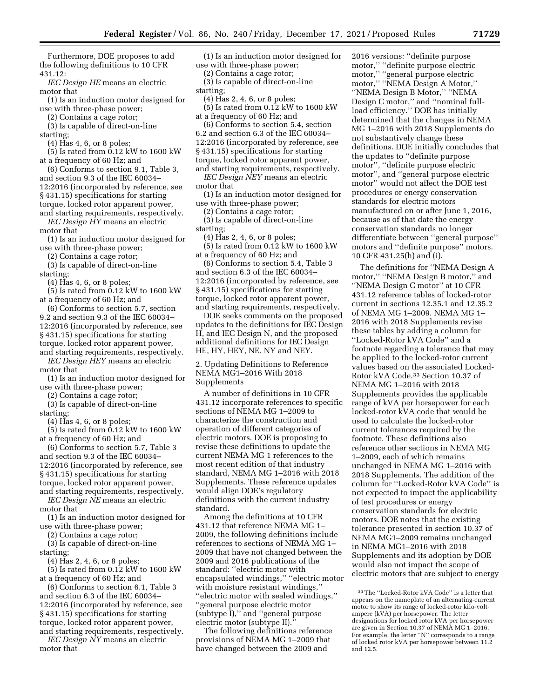Furthermore, DOE proposes to add the following definitions to 10 CFR 431.12:

*IEC Design HE* means an electric motor that

(1) Is an induction motor designed for use with three-phase power;

(2) Contains a cage rotor;

(3) Is capable of direct-on-line starting;

(4) Has 4, 6, or 8 poles;

(5) Is rated from 0.12 kW to 1600 kW at a frequency of 60 Hz; and

- (6) Conforms to section 9.1, Table 3, and section 9.3 of the IEC 60034– 12:2016 (incorporated by reference, see § 431.15) specifications for starting
- torque, locked rotor apparent power,
- and starting requirements, respectively. *IEC Design HY* means an electric
- motor that

(1) Is an induction motor designed for use with three-phase power;

(2) Contains a cage rotor;

(3) Is capable of direct-on-line starting;

(4) Has 4, 6, or 8 poles;

- (5) Is rated from 0.12 kW to 1600 kW at a frequency of 60 Hz; and
- (6) Conforms to section 5.7, section 9.2 and section 9.3 of the IEC 60034– 12:2016 (incorporated by reference, see § 431.15) specifications for starting torque, locked rotor apparent power,
- and starting requirements, respectively.
- *IEC Design HEY* means an electric motor that

(1) Is an induction motor designed for use with three-phase power;

(2) Contains a cage rotor;

(3) Is capable of direct-on-line

starting;

(4) Has 4, 6, or 8 poles;

 $(5)$  Is rated from  $0.12$  kW to 1600 kW at a frequency of 60 Hz; and

(6) Conforms to section 5.7, Table 3 and section 9.3 of the IEC 60034– 12:2016 (incorporated by reference, see § 431.15) specifications for starting torque, locked rotor apparent power, and starting requirements, respectively.

*IEC Design NE* means an electric motor that

(1) Is an induction motor designed for use with three-phase power;

(2) Contains a cage rotor;

(3) Is capable of direct-on-line starting;

(4) Has 2, 4, 6, or 8 poles;

(5) Is rated from 0.12 kW to 1600 kW at a frequency of 60 Hz; and

(6) Conforms to section 6.1, Table 3 and section 6.3 of the IEC 60034– 12:2016 (incorporated by reference, see § 431.15) specifications for starting torque, locked rotor apparent power,

and starting requirements, respectively. *IEC Design NY* means an electric motor that

(1) Is an induction motor designed for use with three-phase power;

(2) Contains a cage rotor;

- (3) Is capable of direct-on-line starting;
- (4) Has 2, 4, 6, or 8 poles;
- (5) Is rated from 0.12 kW to 1600 kW at a frequency of 60 Hz; and
- (6) Conforms to section 5.4, section 6.2 and section 6.3 of the IEC 60034– 12:2016 (incorporated by reference, see § 431.15) specifications for starting torque, locked rotor apparent power,
- and starting requirements, respectively.

*IEC Design NEY* means an electric motor that

(1) Is an induction motor designed for use with three-phase power;

(2) Contains a cage rotor;

- (3) Is capable of direct-on-line starting;
- (4) Has 2, 4, 6, or 8 poles;
- (5) Is rated from 0.12 kW to 1600 kW at a frequency of 60 Hz; and

(6) Conforms to section 5.4, Table 3 and section 6.3 of the IEC 60034– 12:2016 (incorporated by reference, see § 431.15) specifications for starting torque, locked rotor apparent power, and starting requirements, respectively.

DOE seeks comments on the proposed updates to the definitions for IEC Design H, and IEC Design N, and the proposed additional definitions for IEC Design HE, HY, HEY, NE, NY and NEY.

2. Updating Definitions to Reference NEMA MG1–2016 With 2018 Supplements

A number of definitions in 10 CFR 431.12 incorporate references to specific sections of NEMA MG 1–2009 to characterize the construction and operation of different categories of electric motors. DOE is proposing to revise these definitions to update the current NEMA MG 1 references to the most recent edition of that industry standard, NEMA MG 1–2016 with 2018 Supplements. These reference updates would align DOE's regulatory definitions with the current industry standard.

Among the definitions at 10 CFR 431.12 that reference NEMA MG 1– 2009, the following definitions include references to sections of NEMA MG 1– 2009 that have not changed between the 2009 and 2016 publications of the standard: ''electric motor with encapsulated windings,'' ''electric motor with moisture resistant windings,'' ''electric motor with sealed windings,'' ''general purpose electric motor (subtype I),'' and ''general purpose electric motor (subtype II).

The following definitions reference provisions of NEMA MG 1–2009 that have changed between the 2009 and

2016 versions: ''definite purpose motor,'' ''definite purpose electric motor,'' ''general purpose electric motor,'' ''NEMA Design A Motor,'' ''NEMA Design B Motor,'' ''NEMA Design C motor,'' and ''nominal fullload efficiency.'' DOE has initially determined that the changes in NEMA MG 1–2016 with 2018 Supplements do not substantively change these definitions. DOE initially concludes that the updates to ''definite purpose motor'', ''definite purpose electric motor'', and ''general purpose electric motor'' would not affect the DOE test procedures or energy conservation standards for electric motors manufactured on or after June 1, 2016, because as of that date the energy conservation standards no longer differentiate between ''general purpose'' motors and ''definite purpose'' motors. 10 CFR 431.25(h) and (i).

The definitions for ''NEMA Design A motor," "NEMA Design B motor," and ''NEMA Design C motor'' at 10 CFR 431.12 reference tables of locked-rotor current in sections 12.35.1 and 12.35.2 of NEMA MG 1–2009. NEMA MG 1– 2016 with 2018 Supplements revise these tables by adding a column for ''Locked-Rotor kVA Code'' and a footnote regarding a tolerance that may be applied to the locked-rotor current values based on the associated Locked-Rotor kVA Code.33 Section 10.37 of NEMA MG 1–2016 with 2018 Supplements provides the applicable range of kVA per horsepower for each locked-rotor kVA code that would be used to calculate the locked-rotor current tolerances required by the footnote. These definitions also reference other sections in NEMA MG 1–2009, each of which remains unchanged in NEMA MG 1–2016 with 2018 Supplements. The addition of the column for ''Locked-Rotor kVA Code'' is not expected to impact the applicability of test procedures or energy conservation standards for electric motors. DOE notes that the existing tolerance presented in section 10.37 of NEMA MG1–2009 remains unchanged in NEMA MG1–2016 with 2018 Supplements and its adoption by DOE would also not impact the scope of electric motors that are subject to energy

<sup>33</sup>The ''Locked-Rotor kVA Code'' is a letter that appears on the nameplate of an alternating-current motor to show its range of locked-rotor kilo-voltampere (kVA) per horsepower. The letter designations for locked rotor kVA per horsepower are given in Section 10.37 of NEMA MG 1–2016. For example, the letter ''N'' corresponds to a range of locked rotor kVA per horsepower between 11.2 and 12.5.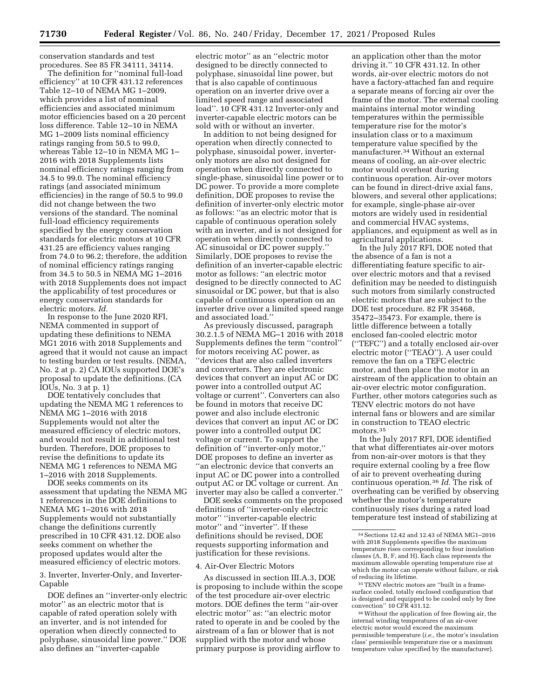conservation standards and test procedures. See 85 FR 34111, 34114.

The definition for ''nominal full-load efficiency'' at 10 CFR 431.12 references Table 12–10 of NEMA MG 1–2009, which provides a list of nominal efficiencies and associated minimum motor efficiencies based on a 20 percent loss difference. Table 12–10 in NEMA MG 1–2009 lists nominal efficiency ratings ranging from 50.5 to 99.0, whereas Table 12–10 in NEMA MG 1– 2016 with 2018 Supplements lists nominal efficiency ratings ranging from 34.5 to 99.0. The nominal efficiency ratings (and associated minimum efficiencies) in the range of 50.5 to 99.0 did not change between the two versions of the standard. The nominal full-load efficiency requirements specified by the energy conservation standards for electric motors at 10 CFR 431.25 are efficiency values ranging from 74.0 to 96.2; therefore, the addition of nominal efficiency ratings ranging from 34.5 to 50.5 in NEMA MG 1–2016 with 2018 Supplements does not impact the applicability of test procedures or energy conservation standards for electric motors. *Id.* 

In response to the June 2020 RFI, NEMA commented in support of updating these definitions to NEMA MG1 2016 with 2018 Supplements and agreed that it would not cause an impact to testing burden or test results. (NEMA, No. 2 at p. 2) CA IOUs supported DOE's proposal to update the definitions. (CA IOUs, No. 3 at p. 1)

DOE tentatively concludes that updating the NEMA MG 1 references to NEMA MG 1–2016 with 2018 Supplements would not alter the measured efficiency of electric motors, and would not result in additional test burden. Therefore, DOE proposes to revise the definitions to update its NEMA MG 1 references to NEMA MG 1–2016 with 2018 Supplements.

DOE seeks comments on its assessment that updating the NEMA MG 1 references in the DOE definitions to NEMA MG 1–2016 with 2018 Supplements would not substantially change the definitions currently prescribed in 10 CFR 431.12. DOE also seeks comment on whether the proposed updates would alter the measured efficiency of electric motors.

3. Inverter, Inverter-Only, and Inverter-Capable

DOE defines an ''inverter-only electric motor'' as an electric motor that is capable of rated operation solely with an inverter, and is not intended for operation when directly connected to polyphase, sinusoidal line power.'' DOE also defines an ''inverter-capable

electric motor'' as an ''electric motor designed to be directly connected to polyphase, sinusoidal line power, but that is also capable of continuous operation on an inverter drive over a limited speed range and associated load''. 10 CFR 431.12 Inverter-only and inverter-capable electric motors can be sold with or without an inverter.

In addition to not being designed for operation when directly connected to polyphase, sinusoidal power, inverteronly motors are also not designed for operation when directly connected to single-phase, sinusoidal line power or to DC power. To provide a more complete definition, DOE proposes to revise the definition of inverter-only electric motor as follows: ''as an electric motor that is capable of continuous operation solely with an inverter, and is not designed for operation when directly connected to AC sinusoidal or DC power supply.'' Similarly, DOE proposes to revise the definition of an inverter-capable electric motor as follows: ''an electric motor designed to be directly connected to AC sinusoidal or DC power, but that is also capable of continuous operation on an inverter drive over a limited speed range and associated load.''

As previously discussed, paragraph 30.2.1.5 of NEMA MG–1 2016 with 2018 Supplements defines the term ''control'' for motors receiving AC power, as ''devices that are also called inverters and converters. They are electronic devices that convert an input AC or DC power into a controlled output AC voltage or current''. Converters can also be found in motors that receive DC power and also include electronic devices that convert an input AC or DC power into a controlled output DC voltage or current. To support the definition of ''inverter-only motor,'' DOE proposes to define an inverter as ''an electronic device that converts an input AC or DC power into a controlled output AC or DC voltage or current. An inverter may also be called a converter.''

DOE seeks comments on the proposed definitions of ''inverter-only electric motor'' ''inverter-capable electric motor'' and ''inverter''. If these definitions should be revised, DOE requests supporting information and justification for these revisions.

#### 4. Air-Over Electric Motors

As discussed in section III.A.3, DOE is proposing to include within the scope of the test procedure air-over electric motors. DOE defines the term ''air-over electric motor'' as: ''an electric motor rated to operate in and be cooled by the airstream of a fan or blower that is not supplied with the motor and whose primary purpose is providing airflow to

an application other than the motor driving it.'' 10 CFR 431.12. In other words, air-over electric motors do not have a factory-attached fan and require a separate means of forcing air over the frame of the motor. The external cooling maintains internal motor winding temperatures within the permissible temperature rise for the motor's insulation class or to a maximum temperature value specified by the manufacturer.34 Without an external means of cooling, an air-over electric motor would overheat during continuous operation. Air-over motors can be found in direct-drive axial fans, blowers, and several other applications; for example, single-phase air-over motors are widely used in residential and commercial HVAC systems, appliances, and equipment as well as in agricultural applications.

In the July 2017 RFI, DOE noted that the absence of a fan is not a differentiating feature specific to airover electric motors and that a revised definition may be needed to distinguish such motors from similarly constructed electric motors that are subject to the DOE test procedure. 82 FR 35468, 35472–35473. For example, there is little difference between a totally enclosed fan-cooled electric motor (''TEFC'') and a totally enclosed air-over electric motor (''TEAO''). A user could remove the fan on a TEFC electric motor, and then place the motor in an airstream of the application to obtain an air-over electric motor configuration. Further, other motors categories such as TENV electric motors do not have internal fans or blowers and are similar in construction to TEAO electric motors.35

In the July 2017 RFI, DOE identified that what differentiates air-over motors from non-air-over motors is that they require external cooling by a free flow of air to prevent overheating during continuous operation.36 *Id.* The risk of overheating can be verified by observing whether the motor's temperature continuously rises during a rated load temperature test instead of stabilizing at

35TENV electric motors are ''built in a framesurface cooled, totally enclosed configuration that is designed and equipped to be cooled only by free convection'' 10 CFR 431.12.

36Without the application of free flowing air, the internal winding temperatures of an air-over electric motor would exceed the maximum permissible temperature (*i.e.,* the motor's insulation class' permissible temperature rise or a maximum temperature value specified by the manufacturer).

<sup>34</sup>Sections 12.42 and 12.43 of NEMA MG1–2016 with 2018 Supplements specifies the maximum temperature rises corresponding to four insulation classes (A, B, F, and H). Each class represents the maximum allowable operating temperature rise at which the motor can operate without failure, or risk of reducing its lifetime.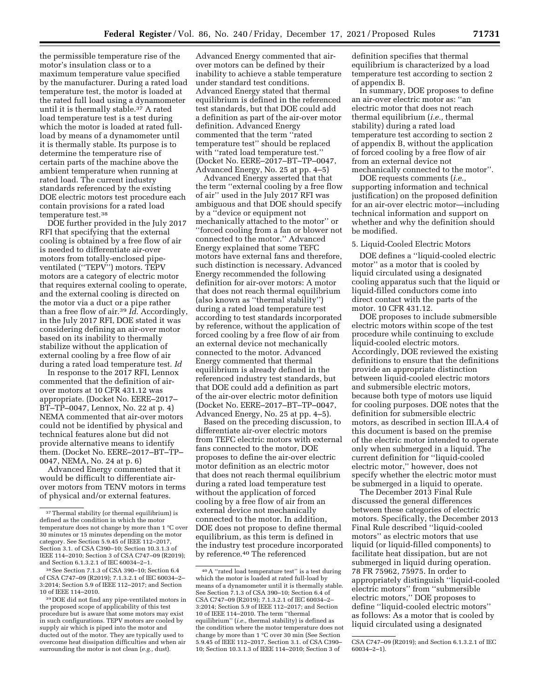the permissible temperature rise of the motor's insulation class or to a maximum temperature value specified by the manufacturer. During a rated load temperature test, the motor is loaded at the rated full load using a dynamometer until it is thermally stable.37 A rated load temperature test is a test during which the motor is loaded at rated fullload by means of a dynamometer until it is thermally stable. Its purpose is to determine the temperature rise of certain parts of the machine above the ambient temperature when running at rated load. The current industry standards referenced by the existing DOE electric motors test procedure each contain provisions for a rated load temperature test.38

DOE further provided in the July 2017 RFI that specifying that the external cooling is obtained by a free flow of air is needed to differentiate air-over motors from totally-enclosed pipeventilated (''TEPV'') motors. TEPV motors are a category of electric motor that requires external cooling to operate, and the external cooling is directed on the motor via a duct or a pipe rather than a free flow of air.39 *Id.* Accordingly, in the July 2017 RFI, DOE stated it was considering defining an air-over motor based on its inability to thermally stabilize without the application of external cooling by a free flow of air during a rated load temperature test. *Id* 

In response to the 2017 RFI, Lennox commented that the definition of airover motors at 10 CFR 431.12 was appropriate. (Docket No. EERE–2017– BT–TP–0047, Lennox, No. 22 at p. 4) NEMA commented that air-over motors could not be identified by physical and technical features alone but did not provide alternative means to identify them. (Docket No. EERE–2017–BT–TP– 0047, NEMA, No. 24 at p. 6)

Advanced Energy commented that it would be difficult to differentiate airover motors from TENV motors in terms of physical and/or external features.

38See Section 7.1.3 of CSA 390–10; Section 6.4 of CSA C747–09 (R2019); 7.1.3.2.1 of IEC 60034–2– 3:2014; Section 5.9 of IEEE 112–2017; and Section 10 of IEEE 114–2010.

Advanced Energy commented that airover motors can be defined by their inability to achieve a stable temperature under standard test conditions. Advanced Energy stated that thermal equilibrium is defined in the referenced test standards, but that DOE could add a definition as part of the air-over motor definition. Advanced Energy commented that the term ''rated temperature test'' should be replaced with ''rated load temperature test.'' (Docket No. EERE–2017–BT–TP–0047, Advanced Energy, No. 25 at pp. 4–5)

Advanced Energy asserted that that the term ''external cooling by a free flow of air'' used in the July 2017 RFI was ambiguous and that DOE should specify by a ''device or equipment not mechanically attached to the motor'' or ''forced cooling from a fan or blower not connected to the motor.'' Advanced Energy explained that some TEFC motors have external fans and therefore, such distinction is necessary. Advanced Energy recommended the following definition for air-over motors: A motor that does not reach thermal equilibrium (also known as ''thermal stability'') during a rated load temperature test according to test standards incorporated by reference, without the application of forced cooling by a free flow of air from an external device not mechanically connected to the motor. Advanced Energy commented that thermal equilibrium is already defined in the referenced industry test standards, but that DOE could add a definition as part of the air-over electric motor definition (Docket No. EERE–2017–BT–TP–0047, Advanced Energy, No. 25 at pp. 4–5).

Based on the preceding discussion, to differentiate air-over electric motors from TEFC electric motors with external fans connected to the motor, DOE proposes to define the air-over electric motor definition as an electric motor that does not reach thermal equilibrium during a rated load temperature test without the application of forced cooling by a free flow of air from an external device not mechanically connected to the motor. In addition, DOE does not propose to define thermal equilibrium, as this term is defined in the industry test procedure incorporated by reference.40 The referenced

definition specifies that thermal equilibrium is characterized by a load temperature test according to section 2 of appendix B.

In summary, DOE proposes to define an air-over electric motor as: ''an electric motor that does not reach thermal equilibrium (*i.e.,* thermal stability) during a rated load temperature test according to section 2 of appendix B, without the application of forced cooling by a free flow of air from an external device not mechanically connected to the motor''.

DOE requests comments (*i.e.,*  supporting information and technical justification) on the proposed definition for an air-over electric motor—including technical information and support on whether and why the definition should be modified.

## 5. Liquid-Cooled Electric Motors

DOE defines a ''liquid-cooled electric motor'' as a motor that is cooled by liquid circulated using a designated cooling apparatus such that the liquid or liquid-filled conductors come into direct contact with the parts of the motor. 10 CFR 431.12.

DOE proposes to include submersible electric motors within scope of the test procedure while continuing to exclude liquid-cooled electric motors. Accordingly, DOE reviewed the existing definitions to ensure that the definitions provide an appropriate distinction between liquid-cooled electric motors and submersible electric motors, because both type of motors use liquid for cooling purposes. DOE notes that the definition for submersible electric motors, as described in section III.A.4 of this document is based on the premise of the electric motor intended to operate only when submerged in a liquid. The current definition for ''liquid-cooled electric motor,'' however, does not specify whether the electric motor must be submerged in a liquid to operate.

The December 2013 Final Rule discussed the general differences between these categories of electric motors. Specifically, the December 2013 Final Rule described ''liquid-cooled motors'' as electric motors that use liquid (or liquid-filled components) to facilitate heat dissipation, but are not submerged in liquid during operation. 78 FR 75962, 75975. In order to appropriately distinguish ''liquid-cooled electric motors'' from ''submersible electric motors,'' DOE proposes to define ''liquid-cooled electric motors'' as follows: As a motor that is cooled by liquid circulated using a designated

<sup>&</sup>lt;sup>37</sup>Thermal stability (or thermal equilibrium) is defined as the condition in which the motor temperature does not change by more than 1 °C over 30 minutes or 15 minutes depending on the motor category. See Section 5.9.45 of IEEE 112–2017, Section 3.1. of CSA C390–10; Section 10.3.1.3 of IEEE 114–2010; Section 3 of CSA C747–09 (R2019); and Section 6.1.3.2.1 of IEC 60034–2–1.

<sup>39</sup> DOE did not find any pipe-ventilated motors in the proposed scope of applicability of this test procedure but is aware that some motors may exist in such configurations. TEPV motors are cooled by supply air which is piped into the motor and ducted out of the motor. They are typically used to overcome heat dissipation difficulties and when air surrounding the motor is not clean (*e.g.,* dust).

<sup>40</sup>A ''rated load temperature test'' is a test during which the motor is loaded at rated full-load by means of a dynamometer until it is thermally stable. See Section 7.1.3 of CSA 390–10; Section 6.4 of CSA C747–09 (R2019); 7.1.3.2.1 of IEC 60034–2– 3:2014; Section 5.9 of IEEE 112–2017; and Section 10 of IEEE 114–2010. The term ''thermal equilibrium'' (*i.e.,* thermal stability) is defined as the condition where the motor temperature does not change by more than 1 °C over 30 min (See Section 5.9.45 of IEEE 112–2017, Section 3.1. of CSA C390– 10; Section 10.3.1.3 of IEEE 114–2010; Section 3 of

CSA C747–09 (R2019); and Section 6.1.3.2.1 of IEC 60034–2–1).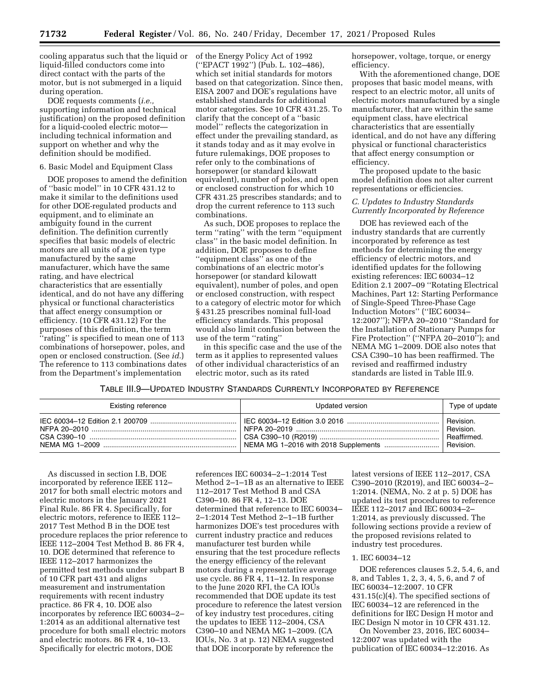cooling apparatus such that the liquid or liquid-filled conductors come into direct contact with the parts of the motor, but is not submerged in a liquid during operation.

DOE requests comments (*i.e.,*  supporting information and technical justification) on the proposed definition for a liquid-cooled electric motor including technical information and support on whether and why the definition should be modified.

#### 6. Basic Model and Equipment Class

DOE proposes to amend the definition of ''basic model'' in 10 CFR 431.12 to make it similar to the definitions used for other DOE-regulated products and equipment, and to eliminate an ambiguity found in the current definition. The definition currently specifies that basic models of electric motors are all units of a given type manufactured by the same manufacturer, which have the same rating, and have electrical characteristics that are essentially identical, and do not have any differing physical or functional characteristics that affect energy consumption or efficiency. (10 CFR 431.12) For the purposes of this definition, the term ''rating'' is specified to mean one of 113 combinations of horsepower, poles, and open or enclosed construction. (See *id.*) The reference to 113 combinations dates from the Department's implementation

of the Energy Policy Act of 1992 (''EPACT 1992'') (Pub. L. 102–486), which set initial standards for motors based on that categorization. Since then, EISA 2007 and DOE's regulations have established standards for additional motor categories. See 10 CFR 431.25. To clarify that the concept of a ''basic model'' reflects the categorization in effect under the prevailing standard, as it stands today and as it may evolve in future rulemakings, DOE proposes to refer only to the combinations of horsepower (or standard kilowatt equivalent), number of poles, and open or enclosed construction for which 10 CFR 431.25 prescribes standards; and to drop the current reference to 113 such combinations.

As such, DOE proposes to replace the term ''rating'' with the term ''equipment class'' in the basic model definition. In addition, DOE proposes to define ''equipment class'' as one of the combinations of an electric motor's horsepower (or standard kilowatt equivalent), number of poles, and open or enclosed construction, with respect to a category of electric motor for which § 431.25 prescribes nominal full-load efficiency standards. This proposal would also limit confusion between the use of the term ''rating''

in this specific case and the use of the term as it applies to represented values of other individual characteristics of an electric motor, such as its rated

horsepower, voltage, torque, or energy efficiency.

With the aforementioned change, DOE proposes that basic model means, with respect to an electric motor, all units of electric motors manufactured by a single manufacturer, that are within the same equipment class, have electrical characteristics that are essentially identical, and do not have any differing physical or functional characteristics that affect energy consumption or efficiency.

The proposed update to the basic model definition does not alter current representations or efficiencies.

## *C. Updates to Industry Standards Currently Incorporated by Reference*

DOE has reviewed each of the industry standards that are currently incorporated by reference as test methods for determining the energy efficiency of electric motors, and identified updates for the following existing references: IEC 60034–12 Edition 2.1 2007–09 ''Rotating Electrical Machines, Part 12: Starting Performance of Single-Speed Three-Phase Cage Induction Motors'' (''IEC 60034– 12:2007''); NFPA 20–2010 ''Standard for the Installation of Stationary Pumps for Fire Protection" ("NFPA 20–2010"); and NEMA MG 1–2009. DOE also notes that CSA C390–10 has been reaffirmed. The revised and reaffirmed industry standards are listed in Table III.9.

TABLE III.9—UPDATED INDUSTRY STANDARDS CURRENTLY INCORPORATED BY REFERENCE

| <b>Existing reference</b>              | Updated version | Type of update                                     |
|----------------------------------------|-----------------|----------------------------------------------------|
| NFPA 20–2010 ………………………………………………………………… |                 | Revision.<br>Revision.<br>Reaffirmed.<br>Revision. |

As discussed in section I.B, DOE incorporated by reference IEEE 112– 2017 for both small electric motors and electric motors in the January 2021 Final Rule. 86 FR 4. Specifically, for electric motors, reference to IEEE 112– 2017 Test Method B in the DOE test procedure replaces the prior reference to IEEE 112–2004 Test Method B. 86 FR 4, 10. DOE determined that reference to IEEE 112–2017 harmonizes the permitted test methods under subpart B of 10 CFR part 431 and aligns measurement and instrumentation requirements with recent industry practice. 86 FR 4, 10. DOE also incorporates by reference IEC 60034–2– 1:2014 as an additional alternative test procedure for both small electric motors and electric motors. 86 FR 4, 10–13. Specifically for electric motors, DOE

references IEC 60034–2–1:2014 Test Method 2–1–1B as an alternative to IEEE 112–2017 Test Method B and CSA C390–10. 86 FR 4, 12–13. DOE determined that reference to IEC 60034– 2–1:2014 Test Method 2–1–1B further harmonizes DOE's test procedures with current industry practice and reduces manufacturer test burden while ensuring that the test procedure reflects the energy efficiency of the relevant motors during a representative average use cycle. 86 FR 4, 11–12. In response to the June 2020 RFI, the CA IOUs recommended that DOE update its test procedure to reference the latest version of key industry test procedures, citing the updates to IEEE 112–2004, CSA C390–10 and NEMA MG 1–2009. (CA IOUs, No. 3 at p. 12) NEMA suggested that DOE incorporate by reference the

latest versions of IEEE 112–2017, CSA C390–2010 (R2019), and IEC 60034–2– 1:2014. (NEMA, No. 2 at p. 5) DOE has updated its test procedures to reference IEEE 112–2017 and IEC 60034–2– 1:2014, as previously discussed. The following sections provide a review of the proposed revisions related to industry test procedures.

### 1. IEC 60034–12

DOE references clauses 5.2, 5.4, 6, and 8, and Tables 1, 2, 3, 4, 5, 6, and 7 of IEC 60034–12:2007. 10 CFR 431.15(c)(4). The specified sections of IEC 60034–12 are referenced in the definitions for IEC Design H motor and IEC Design N motor in 10 CFR 431.12.

On November 23, 2016, IEC 60034– 12:2007 was updated with the publication of IEC 60034–12:2016. As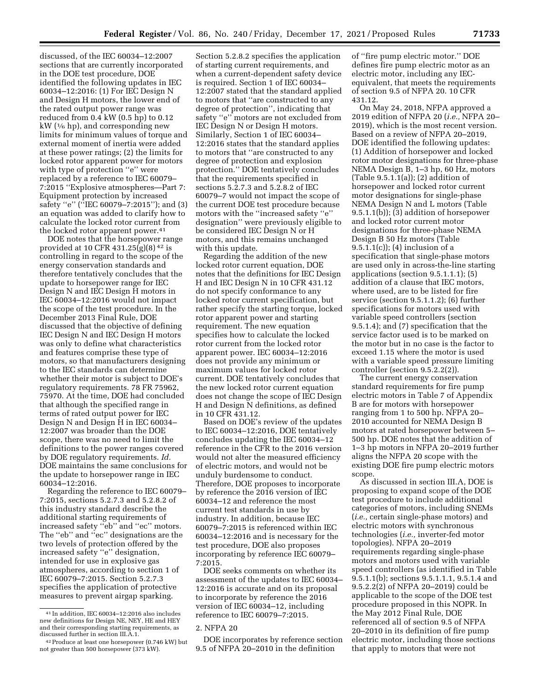discussed, of the IEC 60034–12:2007 sections that are currently incorporated in the DOE test procedure, DOE identified the following updates in IEC 60034–12:2016: (1) For IEC Design N and Design H motors, the lower end of the rated output power range was reduced from 0.4 kW (0.5 hp) to 0.12  $kW$  ( $\frac{1}{6}$  hp), and corresponding new limits for minimum values of torque and external moment of inertia were added at these power ratings; (2) the limits for locked rotor apparent power for motors with type of protection "e" were replaced by a reference to IEC 60079– 7:2015 ''Explosive atmospheres—Part 7: Equipment protection by increased safety ''e'' (''IEC 60079–7:2015''); and (3) an equation was added to clarify how to calculate the locked rotor current from the locked rotor apparent power.<sup>41</sup>

DOE notes that the horsepower range provided at 10 CFR 431.25 $(g)(8)^{42}$  is controlling in regard to the scope of the energy conservation standards and therefore tentatively concludes that the update to horsepower range for IEC Design N and IEC Design H motors in IEC 60034–12:2016 would not impact the scope of the test procedure. In the December 2013 Final Rule, DOE discussed that the objective of defining IEC Design N and IEC Design H motors was only to define what characteristics and features comprise these type of motors, so that manufacturers designing to the IEC standards can determine whether their motor is subject to DOE's regulatory requirements. 78 FR 75962, 75970. At the time, DOE had concluded that although the specified range in terms of rated output power for IEC Design N and Design H in IEC 60034– 12:2007 was broader than the DOE scope, there was no need to limit the definitions to the power ranges covered by DOE regulatory requirements. *Id.*  DOE maintains the same conclusions for the update to horsepower range in IEC 60034–12:2016.

Regarding the reference to IEC 60079– 7:2015, sections 5.2.7.3 and 5.2.8.2 of this industry standard describe the additional starting requirements of increased safety ''eb'' and ''ec'' motors. The ''eb'' and ''ec'' designations are the two levels of protection offered by the increased safety ''e'' designation, intended for use in explosive gas atmospheres, according to section 1 of IEC 60079–7:2015. Section 5.2.7.3 specifies the application of protective measures to prevent airgap sparking.

Section 5.2.8.2 specifies the application of starting current requirements, and when a current-dependent safety device is required. Section 1 of IEC 60034– 12:2007 stated that the standard applied to motors that ''are constructed to any degree of protection'', indicating that safety ''e'' motors are not excluded from IEC Design N or Design H motors. Similarly, Section 1 of IEC 60034– 12:2016 states that the standard applies to motors that ''are constructed to any degree of protection and explosion protection.'' DOE tentatively concludes that the requirements specified in sections 5.2.7.3 and 5.2.8.2 of IEC 60079–7 would not impact the scope of the current DOE test procedure because motors with the ''increased safety ''e'' designation'' were previously eligible to be considered IEC Design N or H motors, and this remains unchanged with this update.

Regarding the addition of the new locked rotor current equation, DOE notes that the definitions for IEC Design H and IEC Design N in 10 CFR 431.12 do not specify conformance to any locked rotor current specification, but rather specify the starting torque, locked rotor apparent power and starting requirement. The new equation specifies how to calculate the locked rotor current from the locked rotor apparent power. IEC 60034–12:2016 does not provide any minimum or maximum values for locked rotor current. DOE tentatively concludes that the new locked rotor current equation does not change the scope of IEC Design H and Design N definitions, as defined in 10 CFR 431.12.

Based on DOE's review of the updates to IEC 60034–12:2016, DOE tentatively concludes updating the IEC 60034–12 reference in the CFR to the 2016 version would not alter the measured efficiency of electric motors, and would not be unduly burdensome to conduct. Therefore, DOE proposes to incorporate by reference the 2016 version of IEC 60034–12 and reference the most current test standards in use by industry. In addition, because IEC 60079–7:2015 is referenced within IEC 60034–12:2016 and is necessary for the test procedure, DOE also proposes incorporating by reference IEC 60079– 7:2015.

DOE seeks comments on whether its assessment of the updates to IEC 60034– 12:2016 is accurate and on its proposal to incorporate by reference the 2016 version of IEC 60034–12, including reference to IEC 60079–7:2015.

DOE incorporates by reference section 9.5 of NFPA 20–2010 in the definition

of ''fire pump electric motor.'' DOE defines fire pump electric motor as an electric motor, including any IECequivalent, that meets the requirements of section 9.5 of NFPA 20. 10 CFR 431.12.

On May 24, 2018, NFPA approved a 2019 edition of NFPA 20 (*i.e.,* NFPA 20– 2019), which is the most recent version. Based on a review of NFPA 20–2019, DOE identified the following updates: (1) Addition of horsepower and locked rotor motor designations for three-phase NEMA Design B, 1–3 hp, 60 Hz, motors (Table 9.5.1.1(a)); (2) addition of horsepower and locked rotor current motor designations for single-phase NEMA Design N and L motors (Table 9.5.1.1(b)); (3) addition of horsepower and locked rotor current motor designations for three-phase NEMA Design B 50 Hz motors (Table 9.5.1.1(c)); (4) inclusion of a specification that single-phase motors are used only in across-the-line starting applications (section 9.5.1.1.1); (5) addition of a clause that IEC motors, where used, are to be listed for fire service (section 9.5.1.1.2); (6) further specifications for motors used with variable speed controllers (section 9.5.1.4); and (7) specification that the service factor used is to be marked on the motor but in no case is the factor to exceed 1.15 where the motor is used with a variable speed pressure limiting controller (section 9.5.2.2(2)).

The current energy conservation standard requirements for fire pump electric motors in Table 7 of Appendix B are for motors with horsepower ranging from 1 to 500 hp. NFPA 20– 2010 accounted for NEMA Design B motors at rated horsepower between 5– 500 hp. DOE notes that the addition of 1–3 hp motors in NFPA 20–2019 further aligns the NFPA 20 scope with the existing DOE fire pump electric motors scope.

As discussed in section III.A, DOE is proposing to expand scope of the DOE test procedure to include additional categories of motors, including SNEMs (*i.e.,* certain single-phase motors) and electric motors with synchronous technologies (*i.e.,* inverter-fed motor topologies). NFPA 20–2019 requirements regarding single-phase motors and motors used with variable speed controllers (as identified in Table 9.5.1.1(b); sections 9.5.1.1.1, 9.5.1.4 and 9.5.2.2(2) of NFPA 20–2019) could be applicable to the scope of the DOE test procedure proposed in this NOPR. In the May 2012 Final Rule, DOE referenced all of section 9.5 of NFPA 20–2010 in its definition of fire pump electric motor, including those sections that apply to motors that were not

<sup>41</sup> In addition, IEC 60034–12:2016 also includes new definitions for Design NE, NEY, HE and HEY and their corresponding starting requirements, as discussed further in section III.A.1.

<sup>&</sup>lt;sup>42</sup> Produce at least one horsepower (0.746 kW) but not greater than 500 horsepower (373 kW).

<sup>2.</sup> NFPA 20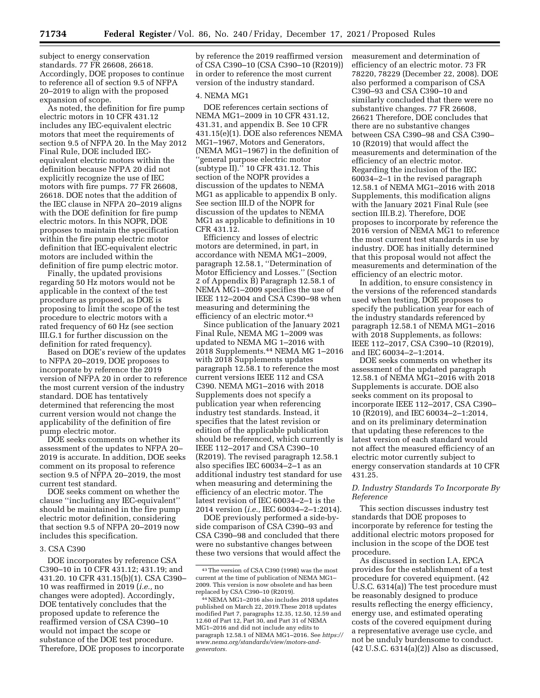subject to energy conservation standards. 77 FR 26608, 26618. Accordingly, DOE proposes to continue to reference all of section 9.5 of NFPA 20–2019 to align with the proposed expansion of scope.

As noted, the definition for fire pump electric motors in 10 CFR 431.12 includes any IEC-equivalent electric motors that meet the requirements of section 9.5 of NFPA 20. In the May 2012 Final Rule, DOE included IECequivalent electric motors within the definition because NFPA 20 did not explicitly recognize the use of IEC motors with fire pumps. 77 FR 26608, 26618. DOE notes that the addition of the IEC clause in NFPA 20–2019 aligns with the DOE definition for fire pump electric motors. In this NOPR, DOE proposes to maintain the specification within the fire pump electric motor definition that IEC-equivalent electric motors are included within the definition of fire pump electric motor.

Finally, the updated provisions regarding 50 Hz motors would not be applicable in the context of the test procedure as proposed, as DOE is proposing to limit the scope of the test procedure to electric motors with a rated frequency of 60 Hz (see section III.G.1 for further discussion on the definition for rated frequency).

Based on DOE's review of the updates to NFPA 20–2019, DOE proposes to incorporate by reference the 2019 version of NFPA 20 in order to reference the most current version of the industry standard. DOE has tentatively determined that referencing the most current version would not change the applicability of the definition of fire pump electric motor.

DOE seeks comments on whether its assessment of the updates to NFPA 20– 2019 is accurate. In addition, DOE seeks comment on its proposal to reference section 9.5 of NFPA 20–2019, the most current test standard.

DOE seeks comment on whether the clause ''including any IEC-equivalent'' should be maintained in the fire pump electric motor definition, considering that section 9.5 of NFPA 20–2019 now includes this specification.

### 3. CSA C390

DOE incorporates by reference CSA C390–10 in 10 CFR 431.12; 431.19; and 431.20. 10 CFR 431.15(b)(1). CSA C390– 10 was reaffirmed in 2019 (*i.e.,* no changes were adopted). Accordingly, DOE tentatively concludes that the proposed update to reference the reaffirmed version of CSA C390–10 would not impact the scope or substance of the DOE test procedure. Therefore, DOE proposes to incorporate

by reference the 2019 reaffirmed version of CSA C390–10 (CSA C390–10 (R2019)) in order to reference the most current version of the industry standard.

#### 4. NEMA MG1

DOE references certain sections of NEMA MG1–2009 in 10 CFR 431.12, 431.31, and appendix B. See 10 CFR 431.15(e)(1). DOE also references NEMA MG1–1967, Motors and Generators, (NEMA MG1–1967) in the definition of 'general purpose electric motor (subtype II).'' 10 CFR 431.12. This section of the NOPR provides a discussion of the updates to NEMA MG1 as applicable to appendix B only. See section III.D of the NOPR for discussion of the updates to NEMA MG1 as applicable to definitions in 10 CFR 431.12.

Efficiency and losses of electric motors are determined, in part, in accordance with NEMA MG1–2009, paragraph 12.58.1, ''Determination of Motor Efficiency and Losses.'' (Section 2 of Appendix B) Paragraph 12.58.1 of NEMA MG1–2009 specifies the use of IEEE 112–2004 and CSA C390–98 when measuring and determining the efficiency of an electric motor.43

Since publication of the January 2021 Final Rule, NEMA MG 1–2009 was updated to NEMA MG 1–2016 with 2018 Supplements.44 NEMA MG 1–2016 with 2018 Supplements updates paragraph 12.58.1 to reference the most current versions IEEE 112 and CSA C390. NEMA MG1–2016 with 2018 Supplements does not specify a publication year when referencing industry test standards. Instead, it specifies that the latest revision or edition of the applicable publication should be referenced, which currently is IEEE 112–2017 and CSA C390–10 (R2019). The revised paragraph 12.58.1 also specifies IEC 60034–2–1 as an additional industry test standard for use when measuring and determining the efficiency of an electric motor. The latest revision of IEC 60034–2–1 is the 2014 version (*i.e.,* IEC 60034–2–1:2014).

DOE previously performed a side-byside comparison of CSA C390–93 and CSA C390–98 and concluded that there were no substantive changes between these two versions that would affect the measurement and determination of efficiency of an electric motor. 73 FR 78220, 78229 (December 22, 2008). DOE also performed a comparison of CSA C390–93 and CSA C390–10 and similarly concluded that there were no substantive changes. 77 FR 26608, 26621 Therefore, DOE concludes that there are no substantive changes between CSA C390-98 and CSA C390-10 (R2019) that would affect the measurements and determination of the efficiency of an electric motor. Regarding the inclusion of the IEC 60034–2–1 in the revised paragraph 12.58.1 of NEMA MG1–2016 with 2018 Supplements, this modification aligns with the January 2021 Final Rule (see section III.B.2). Therefore, DOE proposes to incorporate by reference the 2016 version of NEMA MG1 to reference the most current test standards in use by industry. DOE has initially determined that this proposal would not affect the measurements and determination of the efficiency of an electric motor.

In addition, to ensure consistency in the versions of the referenced standards used when testing, DOE proposes to specify the publication year for each of the industry standards referenced by paragraph 12.58.1 of NEMA MG1–2016 with 2018 Supplements, as follows: IEEE 112–2017, CSA C390–10 (R2019), and IEC 60034–2–1:2014.

DOE seeks comments on whether its assessment of the updated paragraph 12.58.1 of NEMA MG1–2016 with 2018 Supplements is accurate. DOE also seeks comment on its proposal to incorporate IEEE 112–2017, CSA C390– 10 (R2019), and IEC 60034–2–1:2014, and on its preliminary determination that updating these references to the latest version of each standard would not affect the measured efficiency of an electric motor currently subject to energy conservation standards at 10 CFR 431.25.

## *D. Industry Standards To Incorporate By Reference*

This section discusses industry test standards that DOE proposes to incorporate by reference for testing the additional electric motors proposed for inclusion in the scope of the DOE test procedure.

As discussed in section I.A, EPCA provides for the establishment of a test procedure for covered equipment. (42 U.S.C. 6314(a)) The test procedure must be reasonably designed to produce results reflecting the energy efficiency, energy use, and estimated operating costs of the covered equipment during a representative average use cycle, and not be unduly burdensome to conduct. (42 U.S.C. 6314(a)(2)) Also as discussed,

<sup>43</sup>The version of CSA C390 (1998) was the most current at the time of publication of NEMA MG1– 2009. This version is now obsolete and has been replaced by CSA C390–10 (R2019).

<sup>44</sup>NEMA MG1–2016 also includes 2018 updates published on March 22, 2019.These 2018 updates modified Part 7, paragraphs 12.35, 12.50, 12.59 and 12.60 of Part 12, Part 30, and Part 31 of NEMA MG1–2016 and did not include any edits to paragraph 12.58.1 of NEMA MG1–2016. See *[https://](https://www.nema.org/standards/view/motors-and-generators)  [www.nema.org/standards/view/motors-and](https://www.nema.org/standards/view/motors-and-generators)[generators.](https://www.nema.org/standards/view/motors-and-generators)*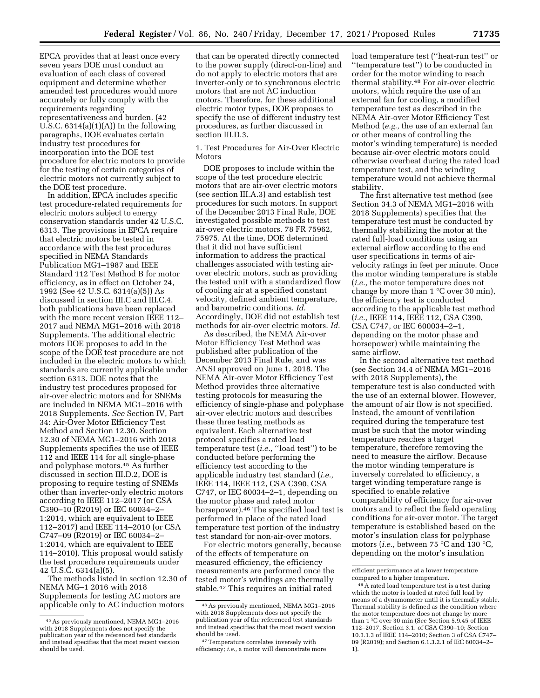EPCA provides that at least once every seven years DOE must conduct an evaluation of each class of covered equipment and determine whether amended test procedures would more accurately or fully comply with the requirements regarding representativeness and burden. (42 U.S.C.  $6314(a)(1)(A)$  In the following paragraphs, DOE evaluates certain industry test procedures for incorporation into the DOE test procedure for electric motors to provide for the testing of certain categories of electric motors not currently subject to the DOE test procedure.

In addition, EPCA includes specific test procedure-related requirements for electric motors subject to energy conservation standards under 42 U.S.C. 6313. The provisions in EPCA require that electric motors be tested in accordance with the test procedures specified in NEMA Standards Publication MG1–1987 and IEEE Standard 112 Test Method B for motor efficiency, as in effect on October 24, 1992 (See 42 U.S.C. 6314(a)(5)) As discussed in section III.C and III.C.4. both publications have been replaced with the more recent version IEEE 112– 2017 and NEMA MG1–2016 with 2018 Supplements. The additional electric motors DOE proposes to add in the scope of the DOE test procedure are not included in the electric motors to which standards are currently applicable under section 6313. DOE notes that the industry test procedures proposed for air-over electric motors and for SNEMs are included in NEMA MG1–2016 with 2018 Supplements. *See* Section IV, Part 34: Air-Over Motor Efficiency Test Method and Section 12.30. Section 12.30 of NEMA MG1–2016 with 2018 Supplements specifies the use of IEEE 112 and IEEE 114 for all single-phase and polyphase motors.45 As further discussed in section III.D.2, DOE is proposing to require testing of SNEMs other than inverter-only electric motors according to IEEE 112–2017 (or CSA C390–10 (R2019) or IEC 60034–2– 1:2014, which are equivalent to IEEE 112–2017) and IEEE 114–2010 (or CSA C747–09 (R2019) or IEC 60034–2– 1:2014, which are equivalent to IEEE 114–2010). This proposal would satisfy the test procedure requirements under 42 U.S.C. 6314(a)(5).

The methods listed in section 12.30 of NEMA MG–1 2016 with 2018 Supplements for testing AC motors are applicable only to AC induction motors

that can be operated directly connected to the power supply (direct-on-line) and do not apply to electric motors that are inverter-only or to synchronous electric motors that are not AC induction motors. Therefore, for these additional electric motor types, DOE proposes to specify the use of different industry test procedures, as further discussed in section III.D.3.

1. Test Procedures for Air-Over Electric **Motors** 

DOE proposes to include within the scope of the test procedure electric motors that are air-over electric motors (see section III.A.3) and establish test procedures for such motors. In support of the December 2013 Final Rule, DOE investigated possible methods to test air-over electric motors. 78 FR 75962, 75975. At the time, DOE determined that it did not have sufficient information to address the practical challenges associated with testing airover electric motors, such as providing the tested unit with a standardized flow of cooling air at a specified constant velocity, defined ambient temperature, and barometric conditions. *Id.*  Accordingly, DOE did not establish test methods for air-over electric motors. *Id.* 

As described, the NEMA Air-over Motor Efficiency Test Method was published after publication of the December 2013 Final Rule, and was ANSI approved on June 1, 2018. The NEMA Air-over Motor Efficiency Test Method provides three alternative testing protocols for measuring the efficiency of single-phase and polyphase air-over electric motors and describes these three testing methods as equivalent. Each alternative test protocol specifies a rated load temperature test (*i.e.,* ''load test'') to be conducted before performing the efficiency test according to the applicable industry test standard (*i.e.,*  IEEE 114, IEEE 112, CSA C390, CSA C747, or IEC 60034–2–1, depending on the motor phase and rated motor horsepower).46 The specified load test is performed in place of the rated load temperature test portion of the industry test standard for non-air-over motors.

For electric motors generally, because of the effects of temperature on measured efficiency, the efficiency measurements are performed once the tested motor's windings are thermally stable.47 This requires an initial rated

load temperature test (''heat-run test'' or ''temperature test'') to be conducted in order for the motor winding to reach thermal stability.48 For air-over electric motors, which require the use of an external fan for cooling, a modified temperature test as described in the NEMA Air-over Motor Efficiency Test Method (*e.g.,* the use of an external fan or other means of controlling the motor's winding temperature) is needed because air-over electric motors could otherwise overheat during the rated load temperature test, and the winding temperature would not achieve thermal stability.

The first alternative test method (see Section 34.3 of NEMA MG1–2016 with 2018 Supplements) specifies that the temperature test must be conducted by thermally stabilizing the motor at the rated full-load conditions using an external airflow according to the end user specifications in terms of airvelocity ratings in feet per minute. Once the motor winding temperature is stable (*i.e.,* the motor temperature does not change by more than 1 °C over 30 min), the efficiency test is conducted according to the applicable test method (*i.e.,* IEEE 114, IEEE 112, CSA C390, CSA C747, or IEC 600034–2–1, depending on the motor phase and horsepower) while maintaining the same airflow.

In the second alternative test method (see Section 34.4 of NEMA MG1–2016 with 2018 Supplements), the temperature test is also conducted with the use of an external blower. However, the amount of air flow is not specified. Instead, the amount of ventilation required during the temperature test must be such that the motor winding temperature reaches a target temperature, therefore removing the need to measure the airflow. Because the motor winding temperature is inversely correlated to efficiency, a target winding temperature range is specified to enable relative comparability of efficiency for air-over motors and to reflect the field operating conditions for air-over motor. The target temperature is established based on the motor's insulation class for polyphase motors (*i.e.,* between 75 °C and 130 °C, depending on the motor's insulation

<sup>45</sup>As previously mentioned, NEMA MG1–2016 with 2018 Supplements does not specify the publication year of the referenced test standards and instead specifies that the most recent version should be used.

<sup>46</sup>As previously mentioned, NEMA MG1–2016 with 2018 Supplements does not specify the publication year of the referenced test standards and instead specifies that the most recent version should be used.

<sup>47</sup>Temperature correlates inversely with efficiency; *i.e.,* a motor will demonstrate more

efficient performance at a lower temperature compared to a higher temperature.

<sup>48</sup>A rated load temperature test is a test during which the motor is loaded at rated full load by means of a dynamometer until it is thermally stable. Thermal stability is defined as the condition where the motor temperature does not change by more than 1 °C over 30 min (See Section 5.9.45 of IEEE 112–2017, Section 3.1. of CSA C390–10; Section 10.3.1.3 of IEEE 114–2010; Section 3 of CSA C747– 09 (R2019); and Section 6.1.3.2.1 of IEC 60034–2– 1).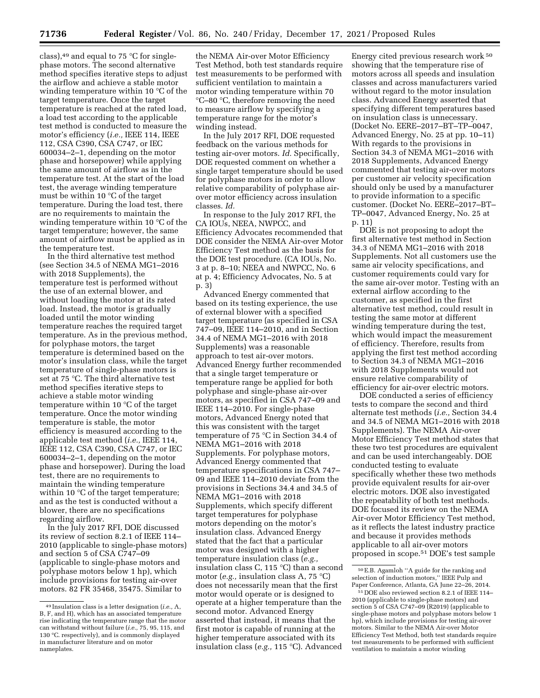class),  $49$  and equal to 75 °C for singlephase motors. The second alternative method specifies iterative steps to adjust the airflow and achieve a stable motor winding temperature within 10 °C of the target temperature. Once the target temperature is reached at the rated load, a load test according to the applicable test method is conducted to measure the motor's efficiency (*i.e.,* IEEE 114, IEEE 112, CSA C390, CSA C747, or IEC 600034–2–1, depending on the motor phase and horsepower) while applying the same amount of airflow as in the temperature test. At the start of the load test, the average winding temperature must be within 10 °C of the target temperature. During the load test, there are no requirements to maintain the winding temperature within 10 °C of the target temperature; however, the same amount of airflow must be applied as in the temperature test.

In the third alternative test method (see Section 34.5 of NEMA MG1–2016 with 2018 Supplements), the temperature test is performed without the use of an external blower, and without loading the motor at its rated load. Instead, the motor is gradually loaded until the motor winding temperature reaches the required target temperature. As in the previous method, for polyphase motors, the target temperature is determined based on the motor's insulation class, while the target temperature of single-phase motors is set at 75 °C. The third alternative test method specifies iterative steps to achieve a stable motor winding temperature within 10 °C of the target temperature. Once the motor winding temperature is stable, the motor efficiency is measured according to the applicable test method (*i.e.,* IEEE 114, IEEE 112, CSA C390, CSA C747, or IEC 600034–2–1, depending on the motor phase and horsepower). During the load test, there are no requirements to maintain the winding temperature within 10 °C of the target temperature; and as the test is conducted without a blower, there are no specifications regarding airflow.

In the July 2017 RFI, DOE discussed its review of section 8.2.1 of IEEE 114– 2010 (applicable to single-phase motors) and section 5 of CSA C747–09 (applicable to single-phase motors and polyphase motors below 1 hp), which include provisions for testing air-over motors. 82 FR 35468, 35475. Similar to

the NEMA Air-over Motor Efficiency Test Method, both test standards require test measurements to be performed with sufficient ventilation to maintain a motor winding temperature within 70 °C–80 °C, therefore removing the need to measure airflow by specifying a temperature range for the motor's winding instead.

In the July 2017 RFI, DOE requested feedback on the various methods for testing air-over motors. *Id.* Specifically, DOE requested comment on whether a single target temperature should be used for polyphase motors in order to allow relative comparability of polyphase airover motor efficiency across insulation classes. *Id.* 

In response to the July 2017 RFI, the CA IOUs, NEEA, NWPCC, and Efficiency Advocates recommended that DOE consider the NEMA Air-over Motor Efficiency Test method as the basis for the DOE test procedure. (CA IOUs, No. 3 at p. 8–10; NEEA and NWPCC, No. 6 at p. 4; Efficiency Advocates, No. 5 at p. 3)

Advanced Energy commented that based on its testing experience, the use of external blower with a specified target temperature (as specified in CSA 747–09, IEEE 114–2010, and in Section 34.4 of NEMA MG1–2016 with 2018 Supplements) was a reasonable approach to test air-over motors. Advanced Energy further recommended that a single target temperature or temperature range be applied for both polyphase and single-phase air-over motors, as specified in CSA 747–09 and IEEE 114–2010. For single-phase motors, Advanced Energy noted that this was consistent with the target temperature of 75 °C in Section 34.4 of NEMA MG1–2016 with 2018 Supplements. For polyphase motors, Advanced Energy commented that temperature specifications in CSA 747– 09 and IEEE 114–2010 deviate from the provisions in Sections 34.4 and 34.5 of NEMA MG1–2016 with 2018 Supplements, which specify different target temperatures for polyphase motors depending on the motor's insulation class. Advanced Energy stated that the fact that a particular motor was designed with a higher temperature insulation class (*e.g.,*  insulation class C, 115 °C) than a second motor (*e.g.,* insulation class A, 75 °C) does not necessarily mean that the first motor would operate or is designed to operate at a higher temperature than the second motor. Advanced Energy asserted that instead, it means that the first motor is capable of running at the higher temperature associated with its insulation class (*e.g.,* 115 °C). Advanced

Energy cited previous research work 50 showing that the temperature rise of motors across all speeds and insulation classes and across manufacturers varied without regard to the motor insulation class. Advanced Energy asserted that specifying different temperatures based on insulation class is unnecessary. (Docket No. EERE–2017–BT–TP–0047, Advanced Energy, No. 25 at pp. 10–11) With regards to the provisions in Section 34.3 of NEMA MG1–2016 with 2018 Supplements, Advanced Energy commented that testing air-over motors per customer air velocity specification should only be used by a manufacturer to provide information to a specific customer. (Docket No. EERE–2017–BT– TP–0047, Advanced Energy, No. 25 at p. 11)

DOE is not proposing to adopt the first alternative test method in Section 34.3 of NEMA MG1–2016 with 2018 Supplements. Not all customers use the same air velocity specifications, and customer requirements could vary for the same air-over motor. Testing with an external airflow according to the customer, as specified in the first alternative test method, could result in testing the same motor at different winding temperature during the test, which would impact the measurement of efficiency. Therefore, results from applying the first test method according to Section 34.3 of NEMA MG1–2016 with 2018 Supplements would not ensure relative comparability of efficiency for air-over electric motors.

DOE conducted a series of efficiency tests to compare the second and third alternate test methods (*i.e.,* Section 34.4 and 34.5 of NEMA MG1–2016 with 2018 Supplements). The NEMA Air-over Motor Efficiency Test method states that these two test procedures are equivalent and can be used interchangeably. DOE conducted testing to evaluate specifically whether these two methods provide equivalent results for air-over electric motors. DOE also investigated the repeatability of both test methods. DOE focused its review on the NEMA Air-over Motor Efficiency Test method, as it reflects the latest industry practice and because it provides methods applicable to all air-over motors proposed in scope.51 DOE's test sample

<sup>49</sup> Insulation class is a letter designation (*i.e.,* A, B, F, and H), which has an associated temperature rise indicating the temperature range that the motor can withstand without failure (*i.e.,* 75, 95, 115, and 130 °C. respectively), and is commonly displayed in manufacturer literature and on motor nameplates.

<sup>50</sup>E.B. Agamloh ''A guide for the ranking and selection of induction motors,'' IEEE Pulp and Paper Conference, Atlanta, GA June 22–26, 2014.

<sup>51</sup> DOE also reviewed section 8.2.1 of IEEE 114– 2010 (applicable to single-phase motors) and section 5 of CSA C747–09 (R2019) (applicable to single-phase motors and polyphase motors below 1 hp), which include provisions for testing air-over motors. Similar to the NEMA Air-over Motor Efficiency Test Method, both test standards require test measurements to be performed with sufficient ventilation to maintain a motor winding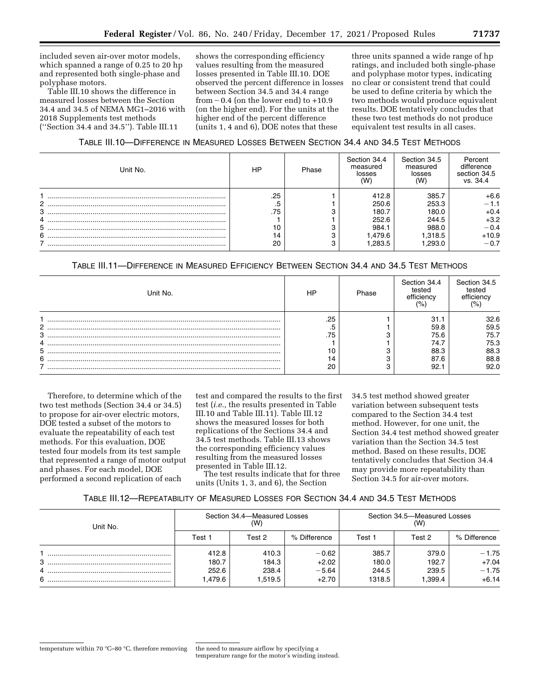included seven air-over motor models, which spanned a range of 0.25 to 20 hp and represented both single-phase and polyphase motors.

Table III.10 shows the difference in measured losses between the Section 34.4 and 34.5 of NEMA MG1–2016 with 2018 Supplements test methods (''Section 34.4 and 34.5''). Table III.11

shows the corresponding efficiency values resulting from the measured losses presented in Table III.10. DOE observed the percent difference in losses between Section 34.5 and 34.4 range from  $-0.4$  (on the lower end) to  $+10.9$ (on the higher end). For the units at the higher end of the percent difference (units 1, 4 and 6), DOE notes that these

three units spanned a wide range of hp ratings, and included both single-phase and polyphase motor types, indicating no clear or consistent trend that could be used to define criteria by which the two methods would produce equivalent results. DOE tentatively concludes that these two test methods do not produce equivalent test results in all cases.

## TABLE III.10—DIFFERENCE IN MEASURED LOSSES BETWEEN SECTION 34.4 AND 34.5 TEST METHODS

| Unit No.         | HP                                 | Phase | Section 34.4<br>measured<br>losses<br>(W                       | Section 34.5<br>measured<br>losses<br>(W)                     | Percent<br>difference<br>section 34.5<br>vs. 34.4                   |
|------------------|------------------------------------|-------|----------------------------------------------------------------|---------------------------------------------------------------|---------------------------------------------------------------------|
| 2<br>3<br>5<br>6 | .25<br>.5<br>.75<br>10<br>14<br>20 |       | 412.8<br>250.6<br>180.7<br>252.6<br>984.1<br>l.479.6<br>.283.5 | 385.7<br>253.3<br>180.0<br>244.5<br>988.0<br>.318.5<br>.293.0 | $+6.6$<br>$-1.1$<br>$+0.4$<br>$+3.2$<br>$-0.4$<br>$+10.9$<br>$-0.7$ |

# TABLE III.11—DIFFERENCE IN MEASURED EFFICIENCY BETWEEN SECTION 34.4 AND 34.5 TEST METHODS

| Unit No. | HP  | Phase | Section 34.4<br>tested<br>efficiency<br>$\frac{10}{6}$ | Section 34.5<br>tested<br>efficiency |
|----------|-----|-------|--------------------------------------------------------|--------------------------------------|
|          | .25 |       | 31.1                                                   | 32.6                                 |
| 2        |     |       | 59.8                                                   | 59.5                                 |
| 3        | .75 |       | 75.6                                                   | 75.7                                 |
|          |     |       | 74.7                                                   | 75.3                                 |
| 5        |     |       | 88.3                                                   | 88.3                                 |
| 6        |     |       | 87.6                                                   | 88.8                                 |
|          | 20  |       | 92.1                                                   | 92.0                                 |

Therefore, to determine which of the two test methods (Section 34.4 or 34.5) to propose for air-over electric motors, DOE tested a subset of the motors to evaluate the repeatability of each test methods. For this evaluation, DOE tested four models from its test sample that represented a range of motor output and phases. For each model, DOE performed a second replication of each

test and compared the results to the first test (*i.e.,* the results presented in Table III.10 and Table III.11). Table III.12 shows the measured losses for both replications of the Sections 34.4 and 34.5 test methods. Table III.13 shows the corresponding efficiency values resulting from the measured losses presented in Table III.12.

The test results indicate that for three units (Units 1, 3, and 6), the Section

34.5 test method showed greater variation between subsequent tests compared to the Section 34.4 test method. However, for one unit, the Section 34.4 test method showed greater variation than the Section 34.5 test method. Based on these results, DOE tentatively concludes that Section 34.4 may provide more repeatability than Section 34.5 for air-over motors.

# TABLE III.12—REPEATABILITY OF MEASURED LOSSES FOR SECTION 34.4 AND 34.5 TEST METHODS

| Unit No. | Section 34.4–Measured Losses<br>(W) |         |              | Section 34.5-Measured Losses<br>(W) |        |              |
|----------|-------------------------------------|---------|--------------|-------------------------------------|--------|--------------|
|          | Test 1                              | Test 2  | % Difference | Test 1                              | Test 2 | % Difference |
|          | 412.8                               | 410.3   | $-0.62$      | 385.7                               | 379.0  | $-1.75$      |
| 3        | 180.7                               | 184.3   | $+2.02$      | 180.0                               | 192.7  | $+7.04$      |
|          | 252.6                               | 238.4   | $-5.64$      | 244.5                               | 239.5  | $-1.75$      |
| 6        | 1.479.6                             | 1.519.5 | $+2.70$      | 1318.5                              | .399.4 | $+6.14$      |

temperature range for the motor's winding instead.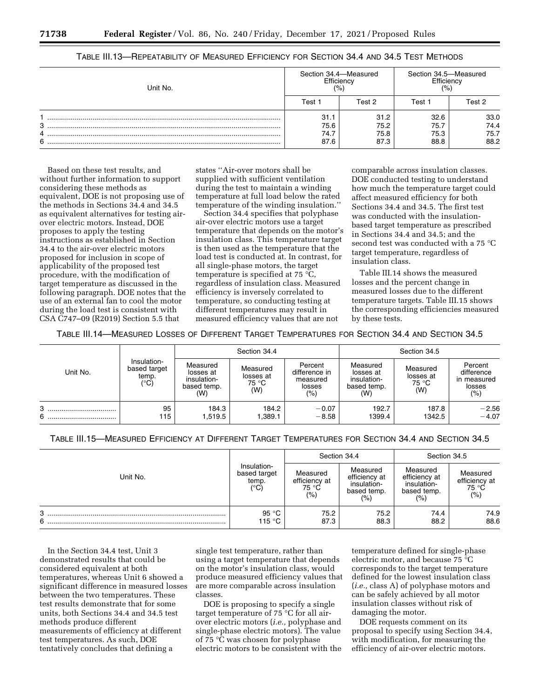| Unit No. | Section 34.4-Measured<br>Efficiency<br>$\frac{10}{6}$ |                              |                              | Section 34.5-Measured<br>Efficiency<br>′% |  |
|----------|-------------------------------------------------------|------------------------------|------------------------------|-------------------------------------------|--|
|          | Test 1                                                | Test 2                       | Test 1                       | Test 2                                    |  |
| 3<br>6   | 31.1<br>75.6<br>74.7<br>87.6                          | 31.2<br>75.2<br>75.8<br>87.3 | 32.6<br>75.7<br>75.3<br>88.8 | 33.0<br>74.4<br>75.7<br>88.2              |  |

## TABLE III.13—REPEATABILITY OF MEASURED EFFICIENCY FOR SECTION 34.4 AND 34.5 TEST METHODS

Based on these test results, and without further information to support considering these methods as equivalent, DOE is not proposing use of the methods in Sections 34.4 and 34.5 as equivalent alternatives for testing airover electric motors. Instead, DOE proposes to apply the testing instructions as established in Section 34.4 to the air-over electric motors proposed for inclusion in scope of applicability of the proposed test procedure, with the modification of target temperature as discussed in the following paragraph. DOE notes that the use of an external fan to cool the motor during the load test is consistent with CSA C747–09 (R2019) Section 5.5 that

states ''Air-over motors shall be supplied with sufficient ventilation during the test to maintain a winding temperature at full load below the rated temperature of the winding insulation.''

Section 34.4 specifies that polyphase air-over electric motors use a target temperature that depends on the motor's insulation class. This temperature target is then used as the temperature that the load test is conducted at. In contrast, for all single-phase motors, the target temperature is specified at 75 °C, regardless of insulation class. Measured efficiency is inversely correlated to temperature, so conducting testing at different temperatures may result in measured efficiency values that are not

comparable across insulation classes. DOE conducted testing to understand how much the temperature target could affect measured efficiency for both Sections 34.4 and 34.5. The first test was conducted with the insulationbased target temperature as prescribed in Sections 34.4 and 34.5; and the second test was conducted with a 75 °C target temperature, regardless of insulation class.

Table III.14 shows the measured losses and the percent change in measured losses due to the different temperature targets. Table III.15 shows the corresponding efficiencies measured by these tests.

TABLE III.14—MEASURED LOSSES OF DIFFERENT TARGET TEMPERATURES FOR SECTION 34.4 AND SECTION 34.5

|            |                                              | Section 34.4                                               |                                       |                                                          | Section 34.5                                               |                                       |                                                        |
|------------|----------------------------------------------|------------------------------------------------------------|---------------------------------------|----------------------------------------------------------|------------------------------------------------------------|---------------------------------------|--------------------------------------------------------|
| Unit No.   | Insulation-<br>based target<br>temp.<br>(°C) | Measured<br>losses at<br>insulation-<br>based temp.<br>(W) | Measured<br>losses at<br>75 °C<br>(W) | Percent<br>difference in<br>measured<br>losses<br>$(\%)$ | Measured<br>losses at<br>insulation-<br>based temp.<br>(W) | Measured<br>losses at<br>75 °C<br>(W) | Percent<br>difference<br>in measured<br>losses<br>(% ) |
| 3<br>6<br> | 95<br>115                                    | 184.3<br>1,519.5                                           | 184.2<br>1,389.1                      | $-0.07$<br>$-8.58$                                       | 192.7<br>1399.4                                            | 187.8<br>1342.5                       | $-2.56$<br>$-4.07$                                     |

TABLE III.15—MEASURED EFFICIENCY AT DIFFERENT TARGET TEMPERATURES FOR SECTION 34.4 AND SECTION 34.5

|          |                                                       | Section 34.4                              |                                                                          | Section 34.5                                                   |                                            |
|----------|-------------------------------------------------------|-------------------------------------------|--------------------------------------------------------------------------|----------------------------------------------------------------|--------------------------------------------|
| Unit No. | Insulation-<br>based target<br>temp.<br>$(^{\circ}C)$ | Measured<br>efficiency at<br>75 °C<br>(%) | Measured<br>efficiency at<br>insulation-<br>based temp.<br>$\frac{1}{2}$ | Measured<br>efficiency at<br>insulation-<br>based temp.<br>(%) | Measured<br>efficiency at<br>75 °C<br>(% ) |
| 3<br>6   | 95 °C<br>115 °C                                       | 75.2<br>87.3                              | 75.2<br>88.3                                                             | 74.4<br>88.2                                                   | 74.9<br>88.6                               |

In the Section 34.4 test, Unit 3 demonstrated results that could be considered equivalent at both temperatures, whereas Unit 6 showed a significant difference in measured losses between the two temperatures. These test results demonstrate that for some units, both Sections 34.4 and 34.5 test methods produce different measurements of efficiency at different test temperatures. As such, DOE tentatively concludes that defining a

single test temperature, rather than using a target temperature that depends on the motor's insulation class, would produce measured efficiency values that are more comparable across insulation classes.

DOE is proposing to specify a single target temperature of 75 °C for all airover electric motors (*i.e.,* polyphase and single-phase electric motors). The value of 75 °C was chosen for polyphase electric motors to be consistent with the

temperature defined for single-phase electric motor, and because 75 °C corresponds to the target temperature defined for the lowest insulation class (*i.e.,* class A) of polyphase motors and can be safely achieved by all motor insulation classes without risk of damaging the motor.

DOE requests comment on its proposal to specify using Section 34.4, with modification, for measuring the efficiency of air-over electric motors.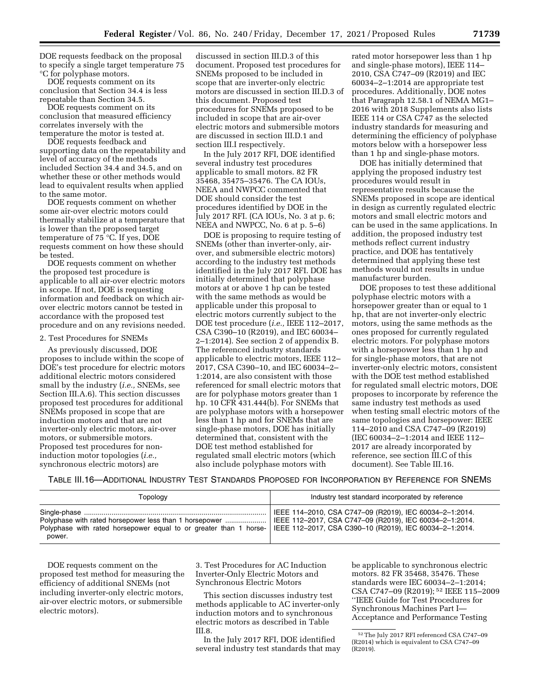DOE requests feedback on the proposal to specify a single target temperature 75 °C for polyphase motors.

DOE requests comment on its conclusion that Section 34.4 is less repeatable than Section 34.5.

DOE requests comment on its conclusion that measured efficiency correlates inversely with the temperature the motor is tested at.

DOE requests feedback and supporting data on the repeatability and level of accuracy of the methods included Section 34.4 and 34.5, and on whether these or other methods would lead to equivalent results when applied to the same motor.

DOE requests comment on whether some air-over electric motors could thermally stabilize at a temperature that is lower than the proposed target temperature of 75 °C. If yes, DOE requests comment on how these should be tested.

DOE requests comment on whether the proposed test procedure is applicable to all air-over electric motors in scope. If not, DOE is requesting information and feedback on which airover electric motors cannot be tested in accordance with the proposed test procedure and on any revisions needed.

## 2. Test Procedures for SNEMs

As previously discussed, DOE proposes to include within the scope of DOE's test procedure for electric motors additional electric motors considered small by the industry (*i.e.,* SNEMs, see Section III.A.6). This section discusses proposed test procedures for additional SNEMs proposed in scope that are induction motors and that are not inverter-only electric motors, air-over motors, or submersible motors. Proposed test procedures for noninduction motor topologies (*i.e.,*  synchronous electric motors) are

discussed in section III.D.3 of this document. Proposed test procedures for SNEMs proposed to be included in scope that are inverter-only electric motors are discussed in section III.D.3 of this document. Proposed test procedures for SNEMs proposed to be included in scope that are air-over electric motors and submersible motors are discussed in section III.D.1 and section III.I respectively.

In the July 2017 RFI, DOE identified several industry test procedures applicable to small motors. 82 FR 35468, 35475–35476. The CA IOUs, NEEA and NWPCC commented that DOE should consider the test procedures identified by DOE in the July 2017 RFI. (CA IOUs, No. 3 at p. 6; NEEA and NWPCC, No. 6 at p. 5–6)

DOE is proposing to require testing of SNEMs (other than inverter-only, airover, and submersible electric motors) according to the industry test methods identified in the July 2017 RFI. DOE has initially determined that polyphase motors at or above 1 hp can be tested with the same methods as would be applicable under this proposal to electric motors currently subject to the DOE test procedure (*i.e.,* IEEE 112–2017, CSA C390–10 (R2019), and IEC 60034– 2–1:2014). See section 2 of appendix B. The referenced industry standards applicable to electric motors, IEEE 112– 2017, CSA C390–10, and IEC 60034–2– 1:2014, are also consistent with those referenced for small electric motors that are for polyphase motors greater than 1 hp. 10 CFR 431.444(b). For SNEMs that are polyphase motors with a horsepower less than 1 hp and for SNEMs that are single-phase motors, DOE has initially determined that, consistent with the DOE test method established for regulated small electric motors (which also include polyphase motors with

rated motor horsepower less than 1 hp and single-phase motors), IEEE 114– 2010, CSA C747–09 (R2019) and IEC 60034–2–1:2014 are appropriate test procedures. Additionally, DOE notes that Paragraph 12.58.1 of NEMA MG1– 2016 with 2018 Supplements also lists IEEE 114 or CSA C747 as the selected industry standards for measuring and determining the efficiency of polyphase motors below with a horsepower less than 1 hp and single-phase motors.

DOE has initially determined that applying the proposed industry test procedures would result in representative results because the SNEMs proposed in scope are identical in design as currently regulated electric motors and small electric motors and can be used in the same applications. In addition, the proposed industry test methods reflect current industry practice, and DOE has tentatively determined that applying these test methods would not results in undue manufacturer burden.

DOE proposes to test these additional polyphase electric motors with a horsepower greater than or equal to 1 hp, that are not inverter-only electric motors, using the same methods as the ones proposed for currently regulated electric motors. For polyphase motors with a horsepower less than 1 hp and for single-phase motors, that are not inverter-only electric motors, consistent with the DOE test method established for regulated small electric motors, DOE proposes to incorporate by reference the same industry test methods as used when testing small electric motors of the same topologies and horsepower: IEEE 114–2010 and CSA C747–09 (R2019) (IEC 60034–2–1:2014 and IEEE 112– 2017 are already incorporated by reference, see section III.C of this document). See Table III.16.

TABLE III.16—ADDITIONAL INDUSTRY TEST STANDARDS PROPOSED FOR INCORPORATION BY REFERENCE FOR SNEMS

| Topology                                                                                                                                                                                                                                                 | Industry test standard incorporated by reference        |
|----------------------------------------------------------------------------------------------------------------------------------------------------------------------------------------------------------------------------------------------------------|---------------------------------------------------------|
| Polyphase with rated horsepower less than 1 horsepower    IEEE 112-2017, CSA C747-09 (R2019), IEC 60034-2-1:2014.<br>Polyphase with rated horsepower equal to or greater than 1 horse- IEEE 112-2017, CSA C390-10 (R2019), IEC 60034-2-1:2014.<br>power. | IEEE 114-2010, CSA C747-09 (R2019), IEC 60034-2-1:2014. |

DOE requests comment on the proposed test method for measuring the efficiency of additional SNEMs (not including inverter-only electric motors, air-over electric motors, or submersible electric motors).

3. Test Procedures for AC Induction Inverter-Only Electric Motors and Synchronous Electric Motors

This section discusses industry test methods applicable to AC inverter-only induction motors and to synchronous electric motors as described in Table III.8.

In the July 2017 RFI, DOE identified several industry test standards that may be applicable to synchronous electric motors. 82 FR 35468, 35476. These standards were IEC 60034–2–1:2014; CSA C747–09 (R2019); 52 IEEE 115–2009 ''IEEE Guide for Test Procedures for Synchronous Machines Part I— Acceptance and Performance Testing

<sup>52</sup>The July 2017 RFI referenced CSA C747–09 (R2014) which is equivalent to CSA C747–09 (R2019).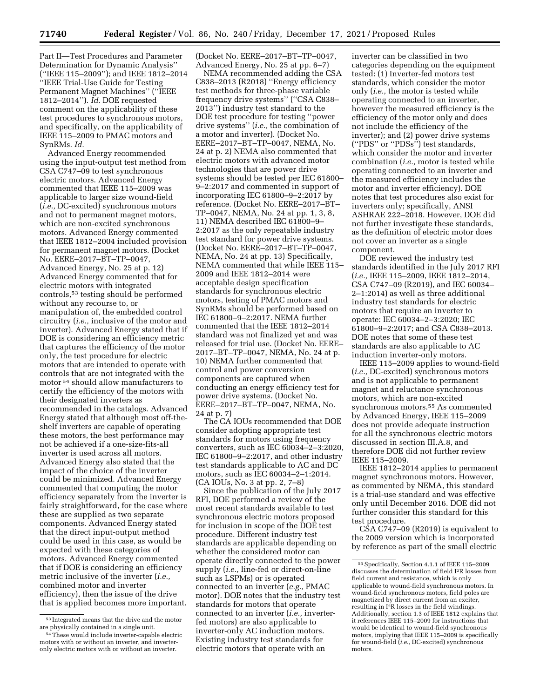Part II—Test Procedures and Parameter Determination for Dynamic Analysis'' (''IEEE 115–2009''); and IEEE 1812–2014 ''IEEE Trial-Use Guide for Testing Permanent Magnet Machines'' (''IEEE 1812–2014''). *Id.* DOE requested comment on the applicability of these test procedures to synchronous motors, and specifically, on the applicability of IEEE 115–2009 to PMAC motors and SynRMs. *Id.* 

Advanced Energy recommended using the input-output test method from CSA C747–09 to test synchronous electric motors. Advanced Energy commented that IEEE 115–2009 was applicable to larger size wound-field (*i.e.,* DC-excited) synchronous motors and not to permanent magnet motors, which are non-excited synchronous motors. Advanced Energy commented that IEEE 1812–2004 included provision for permanent magnet motors. (Docket No. EERE–2017–BT–TP–0047, Advanced Energy, No. 25 at p. 12) Advanced Energy commented that for electric motors with integrated controls,53 testing should be performed without any recourse to, or manipulation of, the embedded control circuitry (*i.e.,* inclusive of the motor and inverter). Advanced Energy stated that if DOE is considering an efficiency metric that captures the efficiency of the motor only, the test procedure for electric motors that are intended to operate with controls that are not integrated with the motor 54 should allow manufacturers to certify the efficiency of the motors with their designated inverters as recommended in the catalogs. Advanced Energy stated that although most off-theshelf inverters are capable of operating these motors, the best performance may not be achieved if a one-size-fits-all inverter is used across all motors. Advanced Energy also stated that the impact of the choice of the inverter could be minimized. Advanced Energy commented that computing the motor efficiency separately from the inverter is fairly straightforward, for the case where these are supplied as two separate components. Advanced Energy stated that the direct input-output method could be used in this case, as would be expected with these categories of motors. Advanced Energy commented that if DOE is considering an efficiency metric inclusive of the inverter (*i.e.,*  combined motor and inverter efficiency), then the issue of the drive that is applied becomes more important.

(Docket No. EERE–2017–BT–TP–0047, Advanced Energy, No. 25 at pp. 6–7)

NEMA recommended adding the CSA C838–2013 (R2018) ''Energy efficiency test methods for three-phase variable frequency drive systems'' (''CSA C838– 2013'') industry test standard to the DOE test procedure for testing ''power drive systems'' (*i.e.,* the combination of a motor and inverter). (Docket No. EERE–2017–BT–TP–0047, NEMA, No. 24 at p. 2) NEMA also commented that electric motors with advanced motor technologies that are power drive systems should be tested per IEC 61800– 9–2:2017 and commented in support of incorporating IEC 61800–9–2:2017 by reference. (Docket No. EERE–2017–BT– TP–0047, NEMA, No. 24 at pp. 1, 3, 8, 11) NEMA described IEC 61800–9– 2:2017 as the only repeatable industry test standard for power drive systems. (Docket No. EERE–2017–BT–TP–0047, NEMA, No. 24 at pp. 13) Specifically, NEMA commented that while IEEE 115– 2009 and IEEE 1812–2014 were acceptable design specification standards for synchronous electric motors, testing of PMAC motors and SynRMs should be performed based on IEC 61800–9–2:2017. NEMA further commented that the IEEE 1812–2014 standard was not finalized yet and was released for trial use. (Docket No. EERE– 2017–BT–TP–0047, NEMA, No. 24 at p. 10) NEMA further commented that control and power conversion components are captured when conducting an energy efficiency test for power drive systems. (Docket No. EERE–2017–BT–TP–0047, NEMA, No. 24 at p. 7)

The CA IOUs recommended that DOE consider adopting appropriate test standards for motors using frequency converters, such as IEC 60034–2–3:2020, IEC 61800–9–2:2017, and other industry test standards applicable to AC and DC motors, such as IEC 60034–2–1:2014. (CA IOUs, No. 3 at pp. 2, 7–8)

Since the publication of the July 2017 RFI, DOE performed a review of the most recent standards available to test synchronous electric motors proposed for inclusion in scope of the DOE test procedure. Different industry test standards are applicable depending on whether the considered motor can operate directly connected to the power supply (*i.e.,* line-fed or direct-on-line such as LSPMs) or is operated connected to an inverter (*e.g.,* PMAC motor). DOE notes that the industry test standards for motors that operate connected to an inverter (*i.e.,* inverterfed motors) are also applicable to inverter-only AC induction motors. Existing industry test standards for electric motors that operate with an

inverter can be classified in two categories depending on the equipment tested: (1) Inverter-fed motors test standards, which consider the motor only (*i.e.,* the motor is tested while operating connected to an inverter, however the measured efficiency is the efficiency of the motor only and does not include the efficiency of the inverter); and (2) power drive systems (''PDS'' or ''PDSs'') test standards, which consider the motor and inverter combination (*i.e.,* motor is tested while operating connected to an inverter and the measured efficiency includes the motor and inverter efficiency). DOE notes that test procedures also exist for inverters only; specifically, ANSI ASHRAE 222–2018. However, DOE did not further investigate these standards, as the definition of electric motor does not cover an inverter as a single component.

DOE reviewed the industry test standards identified in the July 2017 RFI (*i.e.,* IEEE 115–2009, IEEE 1812–2014, CSA C747–09 (R2019), and IEC 60034– 2–1:2014) as well as three additional industry test standards for electric motors that require an inverter to operate: IEC 60034–2–3:2020; IEC 61800–9–2:2017; and CSA C838–2013. DOE notes that some of these test standards are also applicable to AC induction inverter-only motors.

IEEE 115–2009 applies to wound-field (*i.e.,* DC-excited) synchronous motors and is not applicable to permanent magnet and reluctance synchronous motors, which are non-excited synchronous motors.55 As commented by Advanced Energy, IEEE 115–2009 does not provide adequate instruction for all the synchronous electric motors discussed in section III.A.8, and therefore DOE did not further review IEEE 115–2009.

IEEE 1812–2014 applies to permanent magnet synchronous motors. However, as commented by NEMA, this standard is a trial-use standard and was effective only until December 2016. DOE did not further consider this standard for this test procedure.

CSA C747–09 (R2019) is equivalent to the 2009 version which is incorporated by reference as part of the small electric

<sup>53</sup> Integrated means that the drive and the motor are physically contained in a single unit.

<sup>54</sup>These would include inverter-capable electric motors with or without an inverter, and inverteronly electric motors with or without an inverter.

<sup>55</sup>Specifically, Section 4.1.1 of IEEE 115–2009 discusses the determination of field I2R losses from field current and resistance, which is only applicable to wound-field synchronous motors. In wound-field synchronous motors, field poles are magnetized by direct current from an exciter, resulting in I2R losses in the field windings. Additionally, section 1.3 of IEEE 1812 explains that it references IEEE 115–2009 for instructions that would be identical to wound-field synchronous motors, implying that IEEE 115–2009 is specifically for wound-field (*i.e.,* DC-excited) synchronous motors.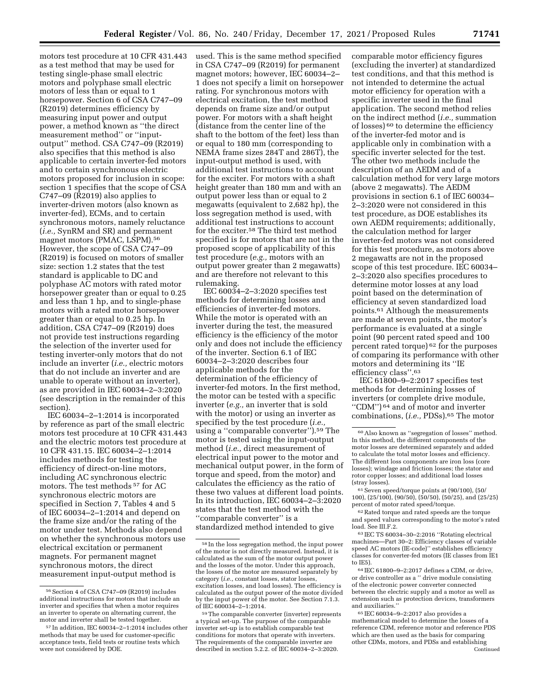motors test procedure at 10 CFR 431.443 as a test method that may be used for testing single-phase small electric motors and polyphase small electric motors of less than or equal to 1 horsepower. Section 6 of CSA C747–09 (R2019) determines efficiency by measuring input power and output power, a method known as ''the direct measurement method'' or ''inputoutput'' method. CSA C747–09 (R2019) also specifies that this method is also applicable to certain inverter-fed motors and to certain synchronous electric motors proposed for inclusion in scope: section 1 specifies that the scope of CSA C747–09 (R2019) also applies to inverter-driven motors (also known as inverter-fed), ECMs, and to certain synchronous motors, namely reluctance (*i.e.,* SynRM and SR) and permanent magnet motors (PMAC, LSPM).56 However, the scope of CSA C747–09 (R2019) is focused on motors of smaller size: section 1.2 states that the test standard is applicable to DC and polyphase AC motors with rated motor horsepower greater than or equal to 0.25 and less than 1 hp, and to single-phase motors with a rated motor horsepower greater than or equal to 0.25 hp. In addition, CSA C747–09 (R2019) does not provide test instructions regarding the selection of the inverter used for testing inverter-only motors that do not include an inverter (*i.e.,* electric motors that do not include an inverter and are unable to operate without an inverter), as are provided in IEC 60034–2–3:2020 (see description in the remainder of this section).

IEC 60034–2–1:2014 is incorporated by reference as part of the small electric motors test procedure at 10 CFR 431.443 and the electric motors test procedure at 10 CFR 431.15. IEC 60034–2–1:2014 includes methods for testing the efficiency of direct-on-line motors, including AC synchronous electric motors. The test methods 57 for AC synchronous electric motors are specified in Section 7, Tables 4 and 5 of IEC 60034–2–1:2014 and depend on the frame size and/or the rating of the motor under test. Methods also depend on whether the synchronous motors use electrical excitation or permanent magnets. For permanent magnet synchronous motors, the direct measurement input-output method is

used. This is the same method specified in CSA C747–09 (R2019) for permanent magnet motors; however, IEC 60034–2– 1 does not specify a limit on horsepower rating. For synchronous motors with electrical excitation, the test method depends on frame size and/or output power. For motors with a shaft height (distance from the center line of the shaft to the bottom of the feet) less than or equal to 180 mm (corresponding to NEMA frame sizes 284T and 286T), the input-output method is used, with additional test instructions to account for the exciter. For motors with a shaft height greater than 180 mm and with an output power less than or equal to 2 megawatts (equivalent to 2,682 hp), the loss segregation method is used, with additional test instructions to account for the exciter.58 The third test method specified is for motors that are not in the proposed scope of applicability of this test procedure (*e.g.,* motors with an output power greater than 2 megawatts) and are therefore not relevant to this rulemaking.

IEC 60034–2–3:2020 specifies test methods for determining losses and efficiencies of inverter-fed motors. While the motor is operated with an inverter during the test, the measured efficiency is the efficiency of the motor only and does not include the efficiency of the inverter. Section 6.1 of IEC 60034–2–3:2020 describes four applicable methods for the determination of the efficiency of inverter-fed motors. In the first method, the motor can be tested with a specific inverter (*e.g.,* an inverter that is sold with the motor) or using an inverter as specified by the test procedure (*i.e.,*  using a ''comparable converter'').59 The motor is tested using the input-output method (*i.e.,* direct measurement of electrical input power to the motor and mechanical output power, in the form of torque and speed, from the motor) and calculates the efficiency as the ratio of these two values at different load points. In its introduction, IEC 60034–2–3:2020 states that the test method with the ''comparable converter'' is a standardized method intended to give

comparable motor efficiency figures (excluding the inverter) at standardized test conditions, and that this method is not intended to determine the actual motor efficiency for operation with a specific inverter used in the final application. The second method relies on the indirect method (*i.e.,* summation of losses) 60 to determine the efficiency of the inverter-fed motor and is applicable only in combination with a specific inverter selected for the test. The other two methods include the description of an AEDM and of a calculation method for very large motors (above 2 megawatts). The AEDM provisions in section 6.1 of IEC 60034– 2–3:2020 were not considered in this test procedure, as DOE establishes its own AEDM requirements; additionally, the calculation method for larger inverter-fed motors was not considered for this test procedure, as motors above 2 megawatts are not in the proposed scope of this test procedure. IEC 60034– 2–3:2020 also specifies procedures to determine motor losses at any load point based on the determination of efficiency at seven standardized load points.61 Although the measurements are made at seven points, the motor's performance is evaluated at a single point (90 percent rated speed and 100 percent rated torque) 62 for the purposes of comparing its performance with other motors and determining its ''IE efficiency class''.63

IEC 61800–9–2:2017 specifies test methods for determining losses of inverters (or complete drive module, ''CDM'') 64 and of motor and inverter combinations, (*i.e.,* PDSs).65 The motor

61Seven speed/torque points at (90/100), (50/ 100), (25/100), (90/50), (50/50), (50/25), and (25/25) percent of motor rated speed/torque.

62Rated torque and rated speeds are the torque and speed values corresponding to the motor's rated load. See III.F.2.

64 IEC 61800–9–2:2017 defines a CDM, or drive, or drive controller as a '' drive module consisting of the electronic power converter connected between the electric supply and a motor as well as extension such as protection devices, transformers and auxiliaries.''

<sup>56</sup>Section 4 of CSA C747–09 (R2019) includes additional instructions for motors that include an inverter and specifies that when a motor requires an inverter to operate on alternating current, the motor and inverter shall be tested together.

<sup>57</sup> In addition, IEC 60034–2–1:2014 includes other methods that may be used for customer-specific acceptance tests, field tests or routine tests which were not considered by DOE.

<sup>58</sup> In the loss segregation method, the input power of the motor is not directly measured. Instead, it is calculated as the sum of the motor output power and the losses of the motor. Under this approach, the losses of the motor are measured separately by category (*i.e.,* constant losses, stator losses, excitation losses, and load losses). The efficiency is calculated as the output power of the motor divided by the input power of the motor. See Section 7.1.3. of IEC 600034–2–1:2014.

<sup>59</sup>The comparable converter (inverter) represents a typical set-up. The purpose of the comparable inverter set-up is to establish comparable test conditions for motors that operate with inverters. The requirements of the comparable inverter are described in section 5.2.2. of IEC 60034–2–3:2020.

<sup>60</sup>Also known as ''segregation of losses'' method. In this method, the different components of the motor losses are determined separately and added to calculate the total motor losses and efficiency. The different loss components are iron loss (core losses); windage and friction losses; the stator and rotor copper losses; and additional load losses (stray losses).

<sup>63</sup> IEC TS 60034–30–2:2016 ''Rotating electrical machines—Part 30–2: Efficiency classes of variable speed AC motors (IE-code)'' establishes efficiency classes for converter-fed motors (IE classes from IE1 to IE5).

<sup>65</sup> IEC 60034–9–2:2017 also provides a mathematical model to determine the losses of a reference CDM, reference motor and reference PDS which are then used as the basis for comparing other CDMs, motors, and PDSs and establishing Continued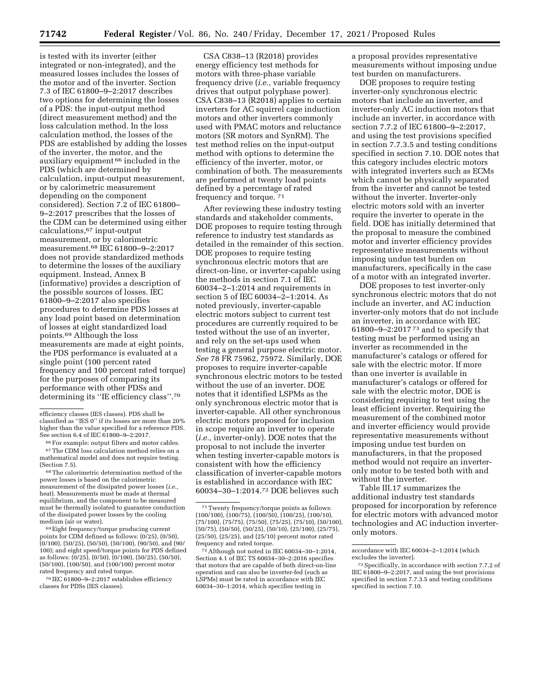is tested with its inverter (either integrated or non-integrated), and the measured losses includes the losses of the motor and of the inverter. Section 7.3 of IEC 61800–9–2:2017 describes two options for determining the losses of a PDS: the input-output method (direct measurement method) and the loss calculation method. In the loss calculation method, the losses of the PDS are established by adding the losses of the inverter, the motor, and the auxiliary equipment 66 included in the PDS (which are determined by calculation, input-output measurement, or by calorimetric measurement depending on the component considered). Section 7.2 of IEC 61800– 9–2:2017 prescribes that the losses of the CDM can be determined using either calculations,67 input-output measurement, or by calorimetric measurement.68 IEC 61800–9–2:2017 does not provide standardized methods to determine the losses of the auxiliary equipment. Instead, Annex B (informative) provides a description of the possible sources of losses. IEC 61800–9–2:2017 also specifies procedures to determine PDS losses at any load point based on determination of losses at eight standardized load points.69 Although the loss measurements are made at eight points, the PDS performance is evaluated at a single point (100 percent rated frequency and 100 percent rated torque) for the purposes of comparing its performance with other PDSs and determining its ''IE efficiency class''.70

69Eight frequency/torque producing current points for CDM defined as follows: (0/25), (0/50), (0/100), (50/25), (50/50), (50/100), (90/50), and (90/ 100); and eight speed/torque points for PDS defined as follows: (0/25), (0/50), (0/100), (50/25), (50/50), (50/100), (100/50), and (100/100) percent motor rated frequency and rated torque.

70 IEC 61800–9–2:2017 establishes efficiency classes for PDSs (IES classes).

CSA C838–13 (R2018) provides energy efficiency test methods for motors with three-phase variable frequency drive (*i.e.,* variable frequency drives that output polyphase power). CSA C838–13 (R2018) applies to certain inverters for AC squirrel cage induction motors and other inverters commonly used with PMAC motors and reluctance motors (SR motors and SynRM). The test method relies on the input-output method with options to determine the efficiency of the inverter, motor, or combination of both. The measurements are performed at twenty load points defined by a percentage of rated frequency and torque. 71

After reviewing these industry testing standards and stakeholder comments, DOE proposes to require testing through reference to industry test standards as detailed in the remainder of this section. DOE proposes to require testing synchronous electric motors that are direct-on-line, or inverter-capable using the methods in section 7.1 of IEC 60034–2–1:2014 and requirements in section 5 of IEC 60034–2–1:2014. As noted previously, inverter-capable electric motors subject to current test procedures are currently required to be tested without the use of an inverter, and rely on the set-ups used when testing a general purpose electric motor. *See* 78 FR 75962, 75972. Similarly, DOE proposes to require inverter-capable synchronous electric motors to be tested without the use of an inverter. DOE notes that it identified LSPMs as the only synchronous electric motor that is inverter-capable. All other synchronous electric motors proposed for inclusion in scope require an inverter to operate (*i.e.,* inverter-only). DOE notes that the proposal to not include the inverter when testing inverter-capable motors is consistent with how the efficiency classification of inverter-capable motors is established in accordance with IEC 60034–30–1:2014.72 DOE believes such

72Although not noted in IEC 60034–30–1:2014, Section 4.1 of IEC TS 60034–30–2:2016 specifies that motors that are capable of both direct-on-line operation and can also be inverter-fed (such as LSPMs) must be rated in accordance with IEC 60034–30–1:2014, which specifies testing in

a proposal provides representative measurements without imposing undue test burden on manufacturers.

DOE proposes to require testing inverter-only synchronous electric motors that include an inverter, and inverter-only AC induction motors that include an inverter, in accordance with section 7.7.2 of IEC 61800–9–2:2017, and using the test provisions specified in section 7.7.3.5 and testing conditions specified in section 7.10. DOE notes that this category includes electric motors with integrated inverters such as ECMs which cannot be physically separated from the inverter and cannot be tested without the inverter. Inverter-only electric motors sold with an inverter require the inverter to operate in the field. DOE has initially determined that the proposal to measure the combined motor and inverter efficiency provides representative measurements without imposing undue test burden on manufacturers, specifically in the case of a motor with an integrated inverter.

DOE proposes to test inverter-only synchronous electric motors that do not include an inverter, and AC induction inverter-only motors that do not include an inverter, in accordance with IEC 61800–9–2:2017 73 and to specify that testing must be performed using an inverter as recommended in the manufacturer's catalogs or offered for sale with the electric motor. If more than one inverter is available in manufacturer's catalogs or offered for sale with the electric motor, DOE is considering requiring to test using the least efficient inverter. Requiring the measurement of the combined motor and inverter efficiency would provide representative measurements without imposing undue test burden on manufacturers, in that the proposed method would not require an inverteronly motor to be tested both with and without the inverter.

Table III.17 summarizes the additional industry test standards proposed for incorporation by reference for electric motors with advanced motor technologies and AC induction inverteronly motors.

efficiency classes (IES classes). PDS shall be classified as ''IES 0'' if its losses are more than 20% higher than the value specified for a reference PDS. See section 6.4 of IEC 61800–9–2:2017.

<sup>66</sup>For example: output filters and motor cables. 67The CDM loss calculation method relies on a mathematical model and does not require testing. (Section 7.5).

<sup>68</sup>The calorimetric determination method of the power losses is based on the calorimetric measurement of the dissipated power losses (*i.e.,*  heat). Measurements must be made at thermal equilibrium, and the component to be measured must be thermally isolated to guarantee conduction of the dissipated power losses by the cooling medium (air or water).

 $\mathrm{^{71}T}$  wenty frequency/torque points as follows: (100/100), (100/75), (100/50), (100/25), (100/10), (75/100), (75/75), (75/50), (75/25), (75/10), (50/100), (50/75), (50/50), (50/25), (50/10), (25/100), (25/75), (25/50), (25/25), and (25/10) percent motor rated frequency and rated torque.

accordance with IEC 60034–2–1:2014 (which excludes the inverter).

<sup>73</sup>Specifically, in accordance with section 7.7.2 of IEC 61800–9–2:2017, and using the test provisions specified in section 7.7.3.5 and testing conditions specified in section 7.10.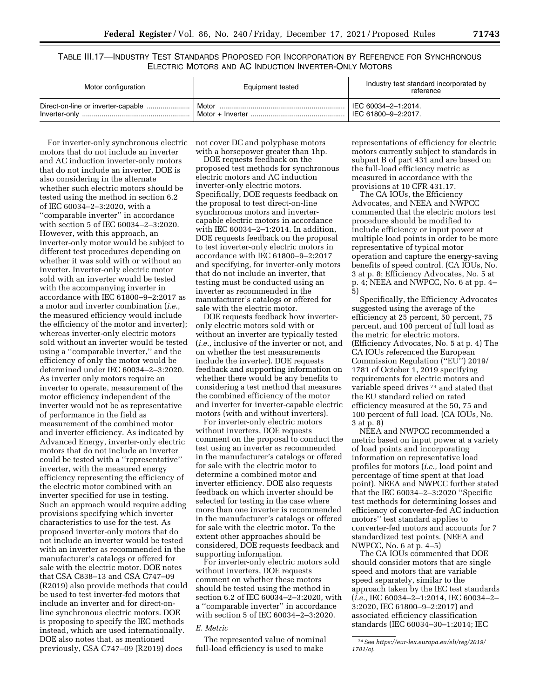TABLE III.17—INDUSTRY TEST STANDARDS PROPOSED FOR INCORPORATION BY REFERENCE FOR SYNCHRONOUS ELECTRIC MOTORS AND AC INDUCTION INVERTER-ONLY MOTORS

| Motor configuration | Equipment tested | Industry test standard incorporated by<br>reference           |
|---------------------|------------------|---------------------------------------------------------------|
|                     |                  | $\parallel$ IEC 60034-2-1:2014.<br>$\mid$ IEC 61800-9-2:2017. |

For inverter-only synchronous electric not cover DC and polyphase motors motors that do not include an inverter and AC induction inverter-only motors that do not include an inverter, DOE is also considering in the alternate whether such electric motors should be tested using the method in section 6.2 of IEC 60034–2–3:2020, with a ''comparable inverter'' in accordance with section 5 of IEC 60034–2–3:2020. However, with this approach, an inverter-only motor would be subject to different test procedures depending on whether it was sold with or without an inverter. Inverter-only electric motor sold with an inverter would be tested with the accompanying inverter in accordance with IEC 61800–9–2:2017 as a motor and inverter combination (*i.e.,*  the measured efficiency would include the efficiency of the motor and inverter); whereas inverter-only electric motors sold without an inverter would be tested using a ''comparable inverter,'' and the efficiency of only the motor would be determined under IEC 60034–2–3:2020. As inverter only motors require an inverter to operate, measurement of the motor efficiency independent of the inverter would not be as representative of performance in the field as measurement of the combined motor and inverter efficiency. As indicated by Advanced Energy, inverter-only electric motors that do not include an inverter could be tested with a ''representative'' inverter, with the measured energy efficiency representing the efficiency of the electric motor combined with an inverter specified for use in testing. Such an approach would require adding provisions specifying which inverter characteristics to use for the test. As proposed inverter-only motors that do not include an inverter would be tested with an inverter as recommended in the manufacturer's catalogs or offered for sale with the electric motor. DOE notes that CSA C838–13 and CSA C747–09 (R2019) also provide methods that could be used to test inverter-fed motors that include an inverter and for direct-online synchronous electric motors. DOE is proposing to specify the IEC methods instead, which are used internationally. DOE also notes that, as mentioned previously, CSA C747–09 (R2019) does

with a horsepower greater than 1hp.

DOE requests feedback on the proposed test methods for synchronous electric motors and AC induction inverter-only electric motors. Specifically, DOE requests feedback on the proposal to test direct-on-line synchronous motors and invertercapable electric motors in accordance with IEC 60034–2–1:2014. In addition, DOE requests feedback on the proposal to test inverter-only electric motors in accordance with IEC 61800–9–2:2017 and specifying, for inverter-only motors that do not include an inverter, that testing must be conducted using an inverter as recommended in the manufacturer's catalogs or offered for sale with the electric motor.

DOE requests feedback how inverteronly electric motors sold with or without an inverter are typically tested (*i.e.,* inclusive of the inverter or not, and on whether the test measurements include the inverter). DOE requests feedback and supporting information on whether there would be any benefits to considering a test method that measures the combined efficiency of the motor and inverter for inverter-capable electric motors (with and without inverters).

For inverter-only electric motors without inverters, DOE requests comment on the proposal to conduct the test using an inverter as recommended in the manufacturer's catalogs or offered for sale with the electric motor to determine a combined motor and inverter efficiency. DOE also requests feedback on which inverter should be selected for testing in the case where more than one inverter is recommended in the manufacturer's catalogs or offered for sale with the electric motor. To the extent other approaches should be considered, DOE requests feedback and supporting information.

For inverter-only electric motors sold without inverters, DOE requests comment on whether these motors should be tested using the method in section 6.2 of IEC 60034–2–3:2020, with a ''comparable inverter'' in accordance with section 5 of IEC 60034–2–3:2020.

## *E. Metric*

The represented value of nominal full-load efficiency is used to make

representations of efficiency for electric motors currently subject to standards in subpart B of part 431 and are based on the full-load efficiency metric as measured in accordance with the provisions at 10 CFR 431.17.

The CA IOUs, the Efficiency Advocates, and NEEA and NWPCC commented that the electric motors test procedure should be modified to include efficiency or input power at multiple load points in order to be more representative of typical motor operation and capture the energy-saving benefits of speed control. (CA IOUs, No. 3 at p. 8; Efficiency Advocates, No. 5 at p. 4; NEEA and NWPCC, No. 6 at pp. 4– 5)

Specifically, the Efficiency Advocates suggested using the average of the efficiency at 25 percent, 50 percent, 75 percent, and 100 percent of full load as the metric for electric motors. (Efficiency Advocates, No. 5 at p. 4) The CA IOUs referenced the European Commission Regulation (''EU'') 2019/ 1781 of October 1, 2019 specifying requirements for electric motors and variable speed drives 74 and stated that the EU standard relied on rated efficiency measured at the 50, 75 and 100 percent of full load. (CA IOUs, No. 3 at p. 8)

NEEA and NWPCC recommended a metric based on input power at a variety of load points and incorporating information on representative load profiles for motors (*i.e.,* load point and percentage of time spent at that load point). NEEA and NWPCC further stated that the IEC 60034–2–3:2020 ''Specific test methods for determining losses and efficiency of converter-fed AC induction motors'' test standard applies to converter-fed motors and accounts for 7 standardized test points. (NEEA and NWPCC, No. 6 at p. 4–5)

The CA IOUs commented that DOE should consider motors that are single speed and motors that are variable speed separately, similar to the approach taken by the IEC test standards (*i.e.,* IEC 60034–2–1:2014, IEC 60034–2– 3:2020, IEC 61800–9–2:2017) and associated efficiency classification standards (IEC 60034–30–1:2014; IEC

<sup>74</sup>See *[https://eur-lex.europa.eu/eli/reg/2019/](https://eur-lex.europa.eu/eli/reg/2019/1781/oj)  [1781/oj.](https://eur-lex.europa.eu/eli/reg/2019/1781/oj)*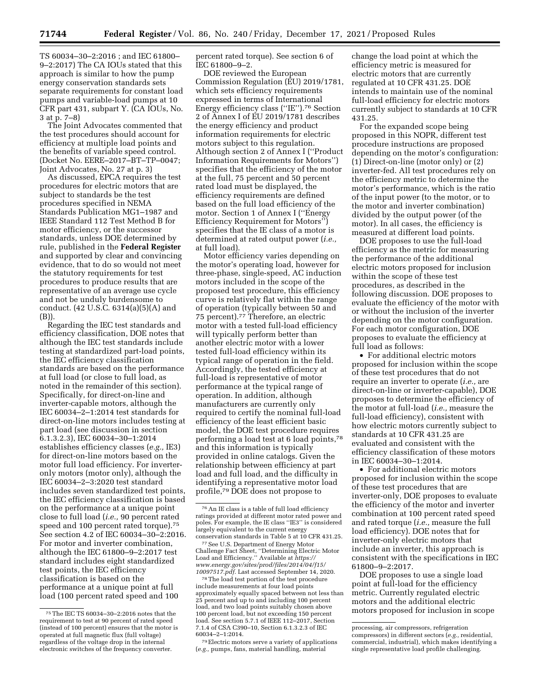TS 60034–30–2:2016 ; and IEC 61800– 9–2:2017) The CA IOUs stated that this approach is similar to how the pump energy conservation standards sets separate requirements for constant load pumps and variable-load pumps at 10 CFR part 431, subpart Y. (CA IOUs, No. 3 at p. 7–8)

The Joint Advocates commented that the test procedures should account for efficiency at multiple load points and the benefits of variable speed control. (Docket No. EERE–2017–BT–TP–0047; Joint Advocates, No. 27 at p. 3)

As discussed, EPCA requires the test procedures for electric motors that are subject to standards be the test procedures specified in NEMA Standards Publication MG1–1987 and IEEE Standard 112 Test Method B for motor efficiency, or the successor standards, unless DOE determined by rule, published in the **Federal Register**  and supported by clear and convincing evidence, that to do so would not meet the statutory requirements for test procedures to produce results that are representative of an average use cycle and not be unduly burdensome to conduct. (42 U.S.C. 6314(a)(5)(A) and (B)).

Regarding the IEC test standards and efficiency classification, DOE notes that although the IEC test standards include testing at standardized part-load points, the IEC efficiency classification standards are based on the performance at full load (or close to full load, as noted in the remainder of this section). Specifically, for direct-on-line and inverter-capable motors, although the IEC 60034–2–1:2014 test standards for direct-on-line motors includes testing at part load (see discussion in section 6.1.3.2.3), IEC 60034–30–1:2014 establishes efficiency classes (*e.g.,* IE3) for direct-on-line motors based on the motor full load efficiency. For inverteronly motors (motor only), although the IEC 60034–2–3:2020 test standard includes seven standardized test points, the IEC efficiency classification is based on the performance at a unique point close to full load (*i.e.,* 90 percent rated speed and 100 percent rated torque).<sup>75</sup> See section 4.2 of IEC 60034–30–2:2016. For motor and inverter combination, although the IEC 61800–9–2:2017 test standard includes eight standardized test points, the IEC efficiency classification is based on the performance at a unique point at full load (100 percent rated speed and 100

percent rated torque). See section 6 of IEC 61800–9–2.

DOE reviewed the European Commission Regulation (EU) 2019/1781, which sets efficiency requirements expressed in terms of International Energy efficiency class (''IE'').76 Section 2 of Annex I of EU 2019/1781 describes the energy efficiency and product information requirements for electric motors subject to this regulation. Although section 2 of Annex I (''Product Information Requirements for Motors'') specifies that the efficiency of the motor at the full, 75 percent and 50 percent rated load must be displayed, the efficiency requirements are defined based on the full load efficiency of the motor. Section 1 of Annex I (''Energy Efficiency Requirement for Motors'') specifies that the IE class of a motor is determined at rated output power (*i.e.,*  at full load).

Motor efficiency varies depending on the motor's operating load, however for three-phase, single-speed, AC induction motors included in the scope of the proposed test procedure, this efficiency curve is relatively flat within the range of operation (typically between 50 and 75 percent).77 Therefore, an electric motor with a tested full-load efficiency will typically perform better than another electric motor with a lower tested full-load efficiency within its typical range of operation in the field. Accordingly, the tested efficiency at full-load is representative of motor performance at the typical range of operation. In addition, although manufacturers are currently only required to certify the nominal full-load efficiency of the least efficient basic model, the DOE test procedure requires performing a load test at 6 load points,78 and this information is typically provided in online catalogs. Given the relationship between efficiency at part load and full load, and the difficulty in identifying a representative motor load profile,79 DOE does not propose to

<sup>77</sup> See U.S. Department of Energy Motor Challenge Fact Sheet, ''Determining Electric Motor Load and Efficiency.'' Available at *[https://](https://www.energy.gov/sites/prod/files/2014/04/f15/10097517.pdf) [www.energy.gov/sites/prod/files/2014/04/f15/](https://www.energy.gov/sites/prod/files/2014/04/f15/10097517.pdf)* 

<sup>78</sup>The load test portion of the test procedure include measurements at four load points approximately equally spaced between not less than 25 percent and up to and including 100 percent load, and two load points suitably chosen above 100 percent load, but not exceeding 150 percent load. See section 5.7.1 of IEEE 112–2017, Section 7.1.4 of CSA C390–10, Section 6.1.3.2.3 of IEC 60034–2–1:2014.

79Electric motors serve a variety of applications (*e.g.,* pumps, fans, material handling, material

change the load point at which the efficiency metric is measured for electric motors that are currently regulated at 10 CFR 431.25. DOE intends to maintain use of the nominal full-load efficiency for electric motors currently subject to standards at 10 CFR 431.25.

For the expanded scope being proposed in this NOPR, different test procedure instructions are proposed depending on the motor's configuration: (1) Direct-on-line (motor only) or (2) inverter-fed. All test procedures rely on the efficiency metric to determine the motor's performance, which is the ratio of the input power (to the motor, or to the motor and inverter combination) divided by the output power (of the motor). In all cases, the efficiency is measured at different load points.

DOE proposes to use the full-load efficiency as the metric for measuring the performance of the additional electric motors proposed for inclusion within the scope of these test procedures, as described in the following discussion. DOE proposes to evaluate the efficiency of the motor with or without the inclusion of the inverter depending on the motor configuration. For each motor configuration, DOE proposes to evaluate the efficiency at full load as follows:

• For additional electric motors proposed for inclusion within the scope of these test procedures that do not require an inverter to operate (*i.e.,* are direct-on-line or inverter-capable), DOE proposes to determine the efficiency of the motor at full-load (*i.e.,* measure the full-load efficiency), consistent with how electric motors currently subject to standards at 10 CFR 431.25 are evaluated and consistent with the efficiency classification of these motors in IEC 60034–30–1:2014.

• For additional electric motors proposed for inclusion within the scope of these test procedures that are inverter-only, DOE proposes to evaluate the efficiency of the motor and inverter combination at 100 percent rated speed and rated torque (*i.e.,* measure the full load efficiency). DOE notes that for inverter-only electric motors that include an inverter, this approach is consistent with the specifications in IEC 61800–9–2:2017.

DOE proposes to use a single load point at full-load for the efficiency metric. Currently regulated electric motors and the additional electric motors proposed for inclusion in scope

<sup>75</sup>The IEC TS 60034–30–2:2016 notes that the requirement to test at 90 percent of rated speed (instead of 100 percent) ensures that the motor is operated at full magnetic flux (full voltage) regardless of the voltage drop in the internal electronic switches of the frequency converter.

<sup>76</sup>An IE class is a table of full load efficiency ratings provided at different motor rated power and poles. For example, the IE class ''IE3'' is considered largely equivalent to the current energy<br>conservation standards in Table 5 at 10 CFR 431.25.

processing, air compressors, refrigeration compressors) in different sectors (*e.g.,* residential, commercial, industrial), which makes identifying a single representative load profile challenging.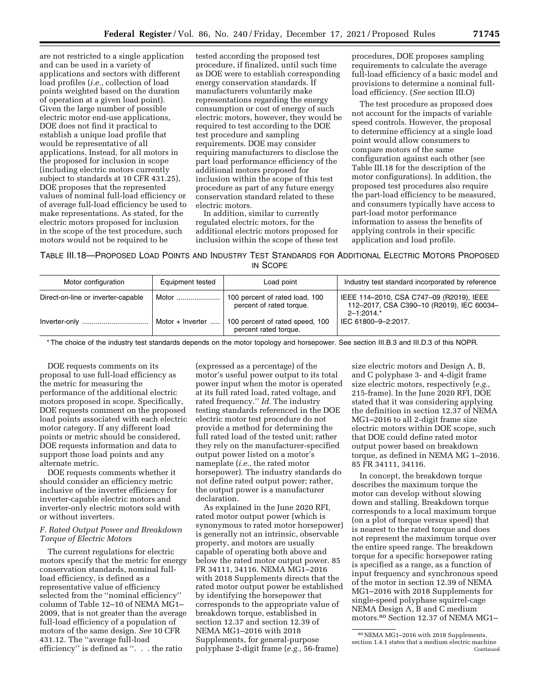are not restricted to a single application and can be used in a variety of applications and sectors with different load profiles (*i.e.,* collection of load points weighted based on the duration of operation at a given load point). Given the large number of possible electric motor end-use applications, DOE does not find it practical to establish a unique load profile that would be representative of all applications. Instead, for all motors in the proposed for inclusion in scope (including electric motors currently subject to standards at 10 CFR 431.25), DOE proposes that the represented values of nominal full-load efficiency or of average full-load efficiency be used to make representations. As stated, for the electric motors proposed for inclusion in the scope of the test procedure, such motors would not be required to be

tested according the proposed test procedure, if finalized, until such time as DOE were to establish corresponding energy conservation standards. If manufacturers voluntarily make representations regarding the energy consumption or cost of energy of such electric motors, however, they would be required to test according to the DOE test procedure and sampling requirements. DOE may consider requiring manufacturers to disclose the part load performance efficiency of the additional motors proposed for inclusion within the scope of this test procedure as part of any future energy conservation standard related to these electric motors.

In addition, similar to currently regulated electric motors, for the additional electric motors proposed for inclusion within the scope of these test

procedures, DOE proposes sampling requirements to calculate the average full-load efficiency of a basic model and provisions to determine a nominal fullload efficiency. (*See* section III.O)

The test procedure as proposed does not account for the impacts of variable speed controls. However, the proposal to determine efficiency at a single load point would allow consumers to compare motors of the same configuration against each other (see Table III.18 for the description of the motor configurations). In addition, the proposed test procedures also require the part-load efficiency to be measured, and consumers typically have access to part-load motor performance information to assess the benefits of applying controls in their specific application and load profile.

TABLE III.18—PROPOSED LOAD POINTS AND INDUSTRY TEST STANDARDS FOR ADDITIONAL ELECTRIC MOTORS PROPOSED IN SCOPE

| Motor configuration                | Equipment tested          | Load point                                                 | Industry test standard incorporated by reference                                                      |
|------------------------------------|---------------------------|------------------------------------------------------------|-------------------------------------------------------------------------------------------------------|
| Direct-on-line or inverter-capable |                           | 100 percent of rated load, 100<br>percent of rated torque. | IEEE 114-2010, CSA C747-09 (R2019), IEEE<br>112-2017, CSA C390-10 (R2019), IEC 60034-<br>$2 - 1:2014$ |
|                                    | Motor + Inverter $\ldots$ | 100 percent of rated speed, 100<br>percent rated torque.   | IEC 61800-9-2:2017.                                                                                   |

\* The choice of the industry test standards depends on the motor topology and horsepower. See section III.B.3 and III.D.3 of this NOPR.

DOE requests comments on its proposal to use full-load efficiency as the metric for measuring the performance of the additional electric motors proposed in scope. Specifically, DOE requests comment on the proposed load points associated with each electric motor category. If any different load points or metric should be considered, DOE requests information and data to support those load points and any alternate metric.

DOE requests comments whether it should consider an efficiency metric inclusive of the inverter efficiency for inverter-capable electric motors and inverter-only electric motors sold with or without inverters.

## *F. Rated Output Power and Breakdown Torque of Electric Motors*

The current regulations for electric motors specify that the metric for energy conservation standards, nominal fullload efficiency, is defined as a representative value of efficiency selected from the ''nominal efficiency'' column of Table 12–10 of NEMA MG1– 2009, that is not greater than the average full-load efficiency of a population of motors of the same design. *See* 10 CFR 431.12. The ''average full-load efficiency'' is defined as ''. . . the ratio

(expressed as a percentage) of the motor's useful power output to its total power input when the motor is operated at its full rated load, rated voltage, and rated frequency.'' *Id.* The industry testing standards referenced in the DOE electric motor test procedure do not provide a method for determining the full rated load of the tested unit; rather they rely on the manufacturer-specified output power listed on a motor's nameplate (*i.e.,* the rated motor horsepower). The industry standards do not define rated output power; rather, the output power is a manufacturer declaration.

As explained in the June 2020 RFI, rated motor output power (which is synonymous to rated motor horsepower) is generally not an intrinsic, observable property, and motors are usually capable of operating both above and below the rated motor output power. 85 FR 34111, 34116. NEMA MG1–2016 with 2018 Supplements directs that the rated motor output power be established by identifying the horsepower that corresponds to the appropriate value of breakdown torque, established in section 12.37 and section 12.39 of NEMA MG1–2016 with 2018 Supplements, for general-purpose polyphase 2-digit frame (*e.g.,* 56-frame)

size electric motors and Design A, B, and C polyphase 3- and 4-digit frame size electric motors, respectively (*e.g.,*  215-frame). In the June 2020 RFI, DOE stated that it was considering applying the definition in section 12.37 of NEMA MG1–2016 to all 2-digit frame size electric motors within DOE scope, such that DOE could define rated motor output power based on breakdown torque, as defined in NEMA MG 1–2016. 85 FR 34111, 34116.

In concept, the breakdown torque describes the maximum torque the motor can develop without slowing down and stalling. Breakdown torque corresponds to a local maximum torque (on a plot of torque versus speed) that is nearest to the rated torque and does not represent the maximum torque over the entire speed range. The breakdown torque for a specific horsepower rating is specified as a range, as a function of input frequency and synchronous speed of the motor in section 12.39 of NEMA MG1–2016 with 2018 Supplements for single-speed polyphase squirrel-cage NEMA Design A, B and C medium motors.80 Section 12.37 of NEMA MG1–

<sup>80</sup>NEMA MG1–2016 with 2018 Supplements, section 1.4.1 states that a medium electric machine Continued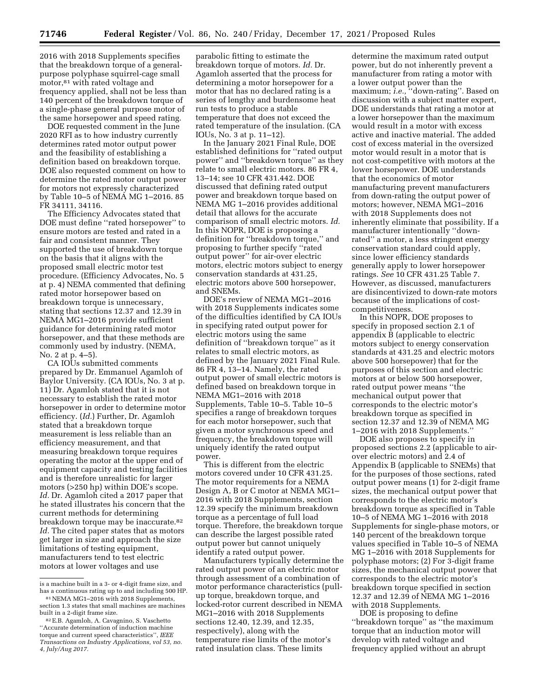2016 with 2018 Supplements specifies that the breakdown torque of a generalpurpose polyphase squirrel-cage small motor,<sup>81</sup> with rated voltage and frequency applied, shall not be less than 140 percent of the breakdown torque of a single-phase general purpose motor of the same horsepower and speed rating.

DOE requested comment in the June 2020 RFI as to how industry currently determines rated motor output power and the feasibility of establishing a definition based on breakdown torque. DOE also requested comment on how to determine the rated motor output power for motors not expressly characterized by Table 10–5 of NEMA MG 1–2016. 85 FR 34111, 34116.

The Efficiency Advocates stated that DOE must define ''rated horsepower'' to ensure motors are tested and rated in a fair and consistent manner. They supported the use of breakdown torque on the basis that it aligns with the proposed small electric motor test procedure. (Efficiency Advocates, No. 5 at p. 4) NEMA commented that defining rated motor horsepower based on breakdown torque is unnecessary, stating that sections 12.37 and 12.39 in NEMA MG1–2016 provide sufficient guidance for determining rated motor horsepower, and that these methods are commonly used by industry. (NEMA, No. 2 at p. 4–5).

CA IOUs submitted comments prepared by Dr. Emmanuel Agamloh of Baylor University. (CA IOUs, No. 3 at p. 11) Dr. Agamloh stated that it is not necessary to establish the rated motor horsepower in order to determine motor efficiency. (*Id.*) Further, Dr. Agamloh stated that a breakdown torque measurement is less reliable than an efficiency measurement, and that measuring breakdown torque requires operating the motor at the upper end of equipment capacity and testing facilities and is therefore unrealistic for larger motors (>250 hp) within DOE's scope. *Id.* Dr. Agamloh cited a 2017 paper that he stated illustrates his concern that the current methods for determining breakdown torque may be inaccurate.82 *Id.* The cited paper states that as motors get larger in size and approach the size limitations of testing equipment, manufacturers tend to test electric motors at lower voltages and use

parabolic fitting to estimate the breakdown torque of motors. *Id.* Dr. Agamloh asserted that the process for determining a motor horsepower for a motor that has no declared rating is a series of lengthy and burdensome heat run tests to produce a stable temperature that does not exceed the rated temperature of the insulation. (CA IOUs, No. 3 at p. 11–12).

In the January 2021 Final Rule, DOE established definitions for ''rated output power'' and ''breakdown torque'' as they relate to small electric motors. 86 FR 4, 13–14; see 10 CFR 431.442. DOE discussed that defining rated output power and breakdown torque based on NEMA MG 1–2016 provides additional detail that allows for the accurate comparison of small electric motors. *Id.*  In this NOPR, DOE is proposing a definition for ''breakdown torque,'' and proposing to further specify ''rated output power'' for air-over electric motors, electric motors subject to energy conservation standards at 431.25, electric motors above 500 horsepower, and SNEMs.

DOE's review of NEMA MG1–2016 with 2018 Supplements indicates some of the difficulties identified by CA IOUs in specifying rated output power for electric motors using the same definition of ''breakdown torque'' as it relates to small electric motors, as defined by the January 2021 Final Rule. 86 FR 4, 13–14. Namely, the rated output power of small electric motors is defined based on breakdown torque in NEMA MG1–2016 with 2018 Supplements, Table 10–5. Table 10–5 specifies a range of breakdown torques for each motor horsepower, such that given a motor synchronous speed and frequency, the breakdown torque will uniquely identify the rated output power.

This is different from the electric motors covered under 10 CFR 431.25. The motor requirements for a NEMA Design A, B or C motor at NEMA MG1– 2016 with 2018 Supplements, section 12.39 specify the minimum breakdown torque as a percentage of full load torque. Therefore, the breakdown torque can describe the largest possible rated output power but cannot uniquely identify a rated output power.

Manufacturers typically determine the rated output power of an electric motor through assessment of a combination of motor performance characteristics (pullup torque, breakdown torque, and locked-rotor current described in NEMA MG1–2016 with 2018 Supplements sections 12.40, 12.39, and 12.35, respectively), along with the temperature rise limits of the motor's rated insulation class. These limits

determine the maximum rated output power, but do not inherently prevent a manufacturer from rating a motor with a lower output power than the maximum; *i.e.,* ''down-rating''. Based on discussion with a subject matter expert, DOE understands that rating a motor at a lower horsepower than the maximum would result in a motor with excess active and inactive material. The added cost of excess material in the oversized motor would result in a motor that is not cost-competitive with motors at the lower horsepower. DOE understands that the economics of motor manufacturing prevent manufacturers from down-rating the output power of motors; however, NEMA MG1–2016 with 2018 Supplements does not inherently eliminate that possibility. If a manufacturer intentionally ''downrated'' a motor, a less stringent energy conservation standard could apply, since lower efficiency standards generally apply to lower horsepower ratings. *See* 10 CFR 431.25 Table 7. However, as discussed, manufacturers are disincentivized to down-rate motors because of the implications of costcompetitiveness.

In this NOPR, DOE proposes to specify in proposed section 2.1 of appendix B (applicable to electric motors subject to energy conservation standards at 431.25 and electric motors above 500 horsepower) that for the purposes of this section and electric motors at or below 500 horsepower, rated output power means ''the mechanical output power that corresponds to the electric motor's breakdown torque as specified in section 12.37 and 12.39 of NEMA MG 1–2016 with 2018 Supplements.''

DOE also proposes to specify in proposed sections 2.2 (applicable to airover electric motors) and 2.4 of Appendix B (applicable to SNEMs) that for the purposes of those sections, rated output power means (1) for 2-digit frame sizes, the mechanical output power that corresponds to the electric motor's breakdown torque as specified in Table 10–5 of NEMA MG 1–2016 with 2018 Supplements for single-phase motors, or 140 percent of the breakdown torque values specified in Table 10–5 of NEMA MG 1–2016 with 2018 Supplements for polyphase motors; (2) For 3-digit frame sizes, the mechanical output power that corresponds to the electric motor's breakdown torque specified in section 12.37 and 12.39 of NEMA MG 1–2016 with 2018 Supplements.

DOE is proposing to define ''breakdown torque'' as ''the maximum torque that an induction motor will develop with rated voltage and frequency applied without an abrupt

is a machine built in a 3- or 4-digit frame size, and has a continuous rating up to and including 500 HP.

<sup>81</sup>NEMA MG1–2016 with 2018 Supplements, section 1.3 states that small machines are machines built in a 2-digit frame size.

<sup>82</sup>E.B. Agamloh, A. Cavagnino, S. Vaschetto ''Accurate determination of induction machine torque and current speed characteristics'', *IEEE Transactions on Industry Applications, vol 53, no. 4, July/Aug 2017.*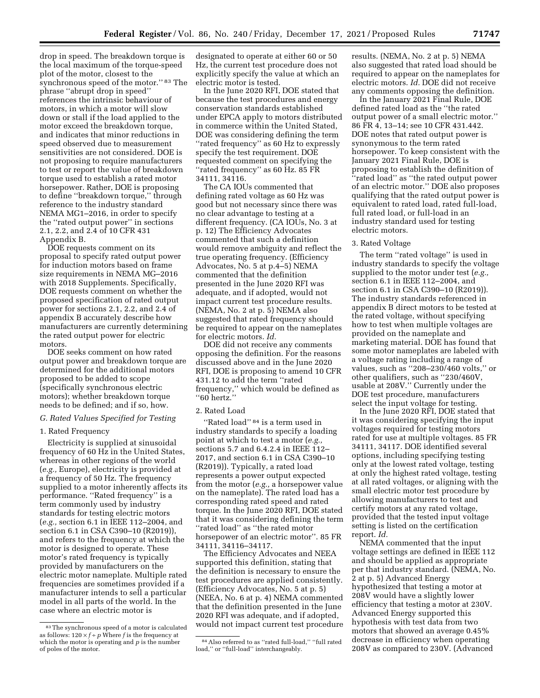drop in speed. The breakdown torque is the local maximum of the torque-speed plot of the motor, closest to the synchronous speed of the motor.'' 83 The phrase ''abrupt drop in speed'' references the intrinsic behaviour of motors, in which a motor will slow down or stall if the load applied to the motor exceed the breakdown torque, and indicates that minor reductions in speed observed due to measurement sensitivities are not considered. DOE is not proposing to require manufacturers to test or report the value of breakdown torque used to establish a rated motor horsepower. Rather, DOE is proposing to define ''breakdown torque,'' through reference to the industry standard NEMA MG1–2016, in order to specify the ''rated output power'' in sections 2.1, 2.2, and 2.4 of 10 CFR 431 Appendix B.

DOE requests comment on its proposal to specify rated output power for induction motors based on frame size requirements in NEMA MG–2016 with 2018 Supplements. Specifically, DOE requests comment on whether the proposed specification of rated output power for sections 2.1, 2.2, and 2.4 of appendix B accurately describe how manufacturers are currently determining the rated output power for electric motors.

DOE seeks comment on how rated output power and breakdown torque are determined for the additional motors proposed to be added to scope (specifically synchronous electric motors); whether breakdown torque needs to be defined; and if so, how.

#### *G. Rated Values Specified for Testing*

# 1. Rated Frequency

Electricity is supplied at sinusoidal frequency of 60 Hz in the United States, whereas in other regions of the world (*e.g.,* Europe), electricity is provided at a frequency of 50 Hz. The frequency supplied to a motor inherently affects its performance. ''Rated frequency'' is a term commonly used by industry standards for testing electric motors (*e.g.,* section 6.1 in IEEE 112–2004, and section 6.1 in CSA C390–10 (R2019)), and refers to the frequency at which the motor is designed to operate. These motor's rated frequency is typically provided by manufacturers on the electric motor nameplate. Multiple rated frequencies are sometimes provided if a manufacturer intends to sell a particular model in all parts of the world. In the case where an electric motor is

designated to operate at either 60 or 50 Hz, the current test procedure does not explicitly specify the value at which an electric motor is tested.

In the June 2020 RFI, DOE stated that because the test procedures and energy conservation standards established under EPCA apply to motors distributed in commerce within the United Stated, DOE was considering defining the term ''rated frequency'' as 60 Hz to expressly specify the test requirement. DOE requested comment on specifying the ''rated frequency'' as 60 Hz. 85 FR 34111, 34116.

The CA IOUs commented that defining rated voltage as 60 Hz was good but not necessary since there was no clear advantage to testing at a different frequency. (CA IOUs, No. 3 at p. 12) The Efficiency Advocates commented that such a definition would remove ambiguity and reflect the true operating frequency. (Efficiency Advocates, No. 5 at p.4–5) NEMA commented that the definition presented in the June 2020 RFI was adequate, and if adopted, would not impact current test procedure results. (NEMA, No. 2 at p. 5) NEMA also suggested that rated frequency should be required to appear on the nameplates for electric motors. *Id.* 

DOE did not receive any comments opposing the definition. For the reasons discussed above and in the June 2020 RFI, DOE is proposing to amend 10 CFR 431.12 to add the term ''rated frequency,'' which would be defined as ''60 hertz.''

#### 2. Rated Load

''Rated load'' 84 is a term used in industry standards to specify a loading point at which to test a motor (*e.g.,*  sections 5.7 and 6.4.2.4 in IEEE 112– 2017, and section 6.1 in CSA C390–10 (R2019)). Typically, a rated load represents a power output expected from the motor (*e.g.,* a horsepower value on the nameplate). The rated load has a corresponding rated speed and rated torque. In the June 2020 RFI, DOE stated that it was considering defining the term ''rated load'' as ''the rated motor horsepower of an electric motor''. 85 FR 34111, 34116–34117.

The Efficiency Advocates and NEEA supported this definition, stating that the definition is necessary to ensure the test procedures are applied consistently. (Efficiency Advocates, No. 5 at p. 5) (NEEA, No. 6 at p. 4) NEMA commented that the definition presented in the June 2020 RFI was adequate, and if adopted, would not impact current test procedure results. (NEMA, No. 2 at p. 5) NEMA also suggested that rated load should be required to appear on the nameplates for electric motors. *Id.* DOE did not receive any comments opposing the definition.

In the January 2021 Final Rule, DOE defined rated load as the ''the rated output power of a small electric motor.'' 86 FR 4, 13–14; see 10 CFR 431.442. DOE notes that rated output power is synonymous to the term rated horsepower. To keep consistent with the January 2021 Final Rule, DOE is proposing to establish the definition of ''rated load'' as ''the rated output power of an electric motor.'' DOE also proposes qualifying that the rated output power is equivalent to rated load, rated full-load, full rated load, or full-load in an industry standard used for testing electric motors.

#### 3. Rated Voltage

The term ''rated voltage'' is used in industry standards to specify the voltage supplied to the motor under test (*e.g.,*  section 6.1 in IEEE 112–2004, and section 6.1 in CSA C390–10 (R2019)). The industry standards referenced in appendix B direct motors to be tested at the rated voltage, without specifying how to test when multiple voltages are provided on the nameplate and marketing material. DOE has found that some motor nameplates are labeled with a voltage rating including a range of values, such as ''208–230/460 volts,'' or other qualifiers, such as ''230/460V, usable at 208V.'' Currently under the DOE test procedure, manufacturers select the input voltage for testing.

In the June 2020 RFI, DOE stated that it was considering specifying the input voltages required for testing motors rated for use at multiple voltages. 85 FR 34111, 34117. DOE identified several options, including specifying testing only at the lowest rated voltage, testing at only the highest rated voltage, testing at all rated voltages, or aligning with the small electric motor test procedure by allowing manufacturers to test and certify motors at any rated voltage, provided that the tested input voltage setting is listed on the certification report. *Id.* 

NEMA commented that the input voltage settings are defined in IEEE 112 and should be applied as appropriate per that industry standard. (NEMA, No. 2 at p. 5) Advanced Energy hypothesized that testing a motor at 208V would have a slightly lower efficiency that testing a motor at 230V. Advanced Energy supported this hypothesis with test data from two motors that showed an average 0.45% decrease in efficiency when operating 208V as compared to 230V. (Advanced

<sup>83</sup>The synchronous speed of a motor is calculated as follows:  $120 \times f \div p$  Where *f* is the frequency at which the motor is operating and *p* is the number of poles of the motor.

<sup>84</sup>Also referred to as ''rated full-load,'' ''full rated load,'' or ''full-load'' interchangeably.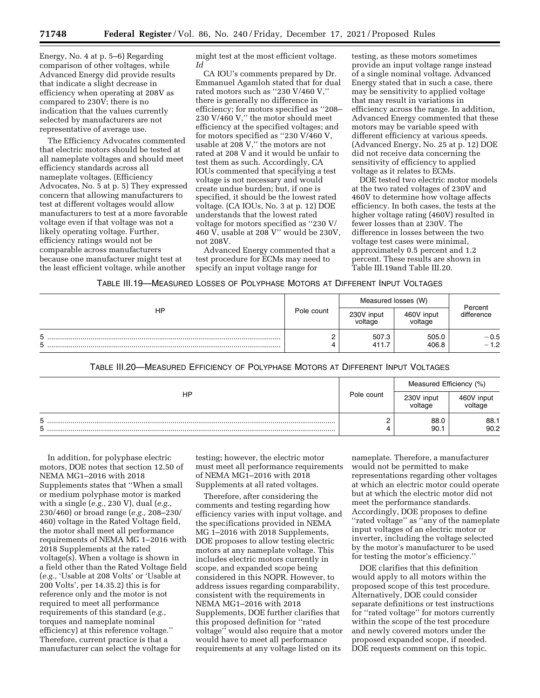Energy, No. 4 at p. 5–6) Regarding comparison of other voltages, while Advanced Energy did provide results that indicate a slight decrease in efficiency when operating at 208V as compared to 230V; there is no indication that the values currently selected by manufacturers are not representative of average use.

The Efficiency Advocates commented that electric motors should be tested at all nameplate voltages and should meet efficiency standards across all nameplate voltages. (Efficiency Advocates, No. 5 at p. 5) They expressed concern that allowing manufacturers to test at different voltages would allow manufacturers to test at a more favorable voltage even if that voltage was not a likely operating voltage. Further, efficiency ratings would not be comparable across manufacturers because one manufacturer might test at the least efficient voltage, while another

might test at the most efficient voltage. *Id* 

CA IOU's comments prepared by Dr. Emmanuel Agamloh stated that for dual rated motors such as ''230 V/460 V,'' there is generally no difference in efficiency; for motors specified as ''208– 230 V/460 V,'' the motor should meet efficiency at the specified voltages; and for motors specified as ''230 V/460 V, usable at 208 V,'' the motors are not rated at 208 V and it would be unfair to test them as such. Accordingly, CA IOUs commented that specifying a test voltage is not necessary and would create undue burden; but, if one is specified, it should be the lowest rated voltage. (CA IOUs, No. 3 at p. 12) DOE understands that the lowest rated voltage for motors specified as ''230 V/ 460 V, usable at 208 V" would be 230V, not 208V.

Advanced Energy commented that a test procedure for ECMs may need to specify an input voltage range for

testing, as these motors sometimes provide an input voltage range instead of a single nominal voltage. Advanced Energy stated that in such a case, there may be sensitivity to applied voltage that may result in variations in efficiency across the range. In addition, Advanced Energy commented that these motors may be variable speed with different efficiency at various speeds. (Advanced Energy, No. 25 at p. 12) DOE did not receive data concerning the sensitivity of efficiency to applied voltage as it relates to ECMs.

DOE tested two electric motor models at the two rated voltages of 230V and 460V to determine how voltage affects efficiency. In both cases, the tests at the higher voltage rating (460V) resulted in fewer losses than at 230V. The difference in losses between the two voltage test cases were minimal, approximately 0.5 percent and 1.2 percent. These results are shown in Table III.19and Table III.20.

| HP     |            | Measured losses (W)   |                       | Percent          |
|--------|------------|-----------------------|-----------------------|------------------|
|        | Pole count | 230V input<br>voltage | 460V input<br>voltage | difference       |
| 5<br>5 |            | 507.3<br>411.7        | 505.0<br>406.8        | $-0.5$<br>$-1.2$ |

TABLE III.20—MEASURED EFFICIENCY OF POLYPHASE MOTORS AT DIFFERENT INPUT VOLTAGES

| ΗP     |            | Measured Efficiency (%)<br>230V input<br>460V input<br>voltage<br>voltage |              |
|--------|------------|---------------------------------------------------------------------------|--------------|
|        | Pole count |                                                                           |              |
| 5<br>5 |            | 88.0<br>90.1                                                              | 88.1<br>90.2 |

In addition, for polyphase electric motors, DOE notes that section 12.50 of NEMA MG1–2016 with 2018 Supplements states that ''When a small or medium polyphase motor is marked with a single (*e.g.,* 230 V), dual (*e.g.,*  230/460) or broad range (*e.g.,* 208–230/ 460) voltage in the Rated Voltage field, the motor shall meet all performance requirements of NEMA MG 1–2016 with 2018 Supplements at the rated voltage(s). When a voltage is shown in a field other than the Rated Voltage field (*e.g.,* 'Usable at 208 Volts' or 'Usable at 200 Volts', per 14.35.2) this is for reference only and the motor is not required to meet all performance requirements of this standard (*e.g.,*  torques and nameplate nominal efficiency) at this reference voltage.'' Therefore, current practice is that a manufacturer can select the voltage for

testing; however, the electric motor must meet all performance requirements of NEMA MG1–2016 with 2018 Supplements at all rated voltages.

Therefore, after considering the comments and testing regarding how efficiency varies with input voltage, and the specifications provided in NEMA MG 1–2016 with 2018 Supplements, DOE proposes to allow testing electric motors at any nameplate voltage. This includes electric motors currently in scope, and expanded scope being considered in this NOPR. However, to address issues regarding comparability, consistent with the requirements in NEMA MG1–2016 with 2018 Supplements, DOE further clarifies that this proposed definition for ''rated voltage'' would also require that a motor would have to meet all performance requirements at any voltage listed on its

nameplate. Therefore, a manufacturer would not be permitted to make representations regarding other voltages at which an electric motor could operate but at which the electric motor did not meet the performance standards. Accordingly, DOE proposes to define ''rated voltage'' as ''any of the nameplate input voltages of an electric motor or inverter, including the voltage selected by the motor's manufacturer to be used for testing the motor's efficiency.''

DOE clarifies that this definition would apply to all motors within the proposed scope of this test procedure. Alternatively, DOE could consider separate definitions or test instructions for ''rated voltage'' for motors currently within the scope of the test procedure and newly covered motors under the proposed expanded scope, if needed. DOE requests comment on this topic.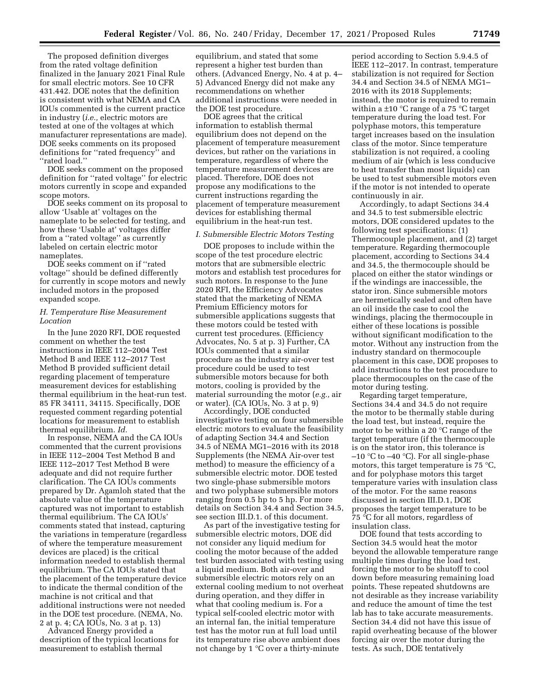The proposed definition diverges from the rated voltage definition finalized in the January 2021 Final Rule for small electric motors. See 10 CFR 431.442. DOE notes that the definition is consistent with what NEMA and CA IOUs commented is the current practice in industry (*i.e.,* electric motors are tested at one of the voltages at which manufacturer representations are made). DOE seeks comments on its proposed definitions for ''rated frequency'' and ''rated load.''

DOE seeks comment on the proposed definition for ''rated voltage'' for electric motors currently in scope and expanded scope motors.

DOE seeks comment on its proposal to allow 'Usable at' voltages on the nameplate to be selected for testing, and how these 'Usable at' voltages differ from a ''rated voltage'' as currently labeled on certain electric motor nameplates.

DOE seeks comment on if ''rated voltage'' should be defined differently for currently in scope motors and newly included motors in the proposed expanded scope.

### *H. Temperature Rise Measurement Location*

In the June 2020 RFI, DOE requested comment on whether the test instructions in IEEE 112–2004 Test Method B and IEEE 112–2017 Test Method B provided sufficient detail regarding placement of temperature measurement devices for establishing thermal equilibrium in the heat-run test. 85 FR 34111, 34115. Specifically, DOE requested comment regarding potential locations for measurement to establish thermal equilibrium. *Id.* 

In response, NEMA and the CA IOUs commented that the current provisions in IEEE 112–2004 Test Method B and IEEE 112–2017 Test Method B were adequate and did not require further clarification. The CA IOUs comments prepared by Dr. Agamloh stated that the absolute value of the temperature captured was not important to establish thermal equilibrium. The CA IOUs' comments stated that instead, capturing the variations in temperature (regardless of where the temperature measurement devices are placed) is the critical information needed to establish thermal equilibrium. The CA IOUs stated that the placement of the temperature device to indicate the thermal condition of the machine is not critical and that additional instructions were not needed in the DOE test procedure. (NEMA, No. 2 at p. 4; CA IOUs, No. 3 at p. 13)

Advanced Energy provided a description of the typical locations for measurement to establish thermal

equilibrium, and stated that some represent a higher test burden than others. (Advanced Energy, No. 4 at p. 4– 5) Advanced Energy did not make any recommendations on whether additional instructions were needed in the DOE test procedure.

DOE agrees that the critical information to establish thermal equilibrium does not depend on the placement of temperature measurement devices, but rather on the variations in temperature, regardless of where the temperature measurement devices are placed. Therefore, DOE does not propose any modifications to the current instructions regarding the placement of temperature measurement devices for establishing thermal equilibrium in the heat-run test.

### *I. Submersible Electric Motors Testing*

DOE proposes to include within the scope of the test procedure electric motors that are submersible electric motors and establish test procedures for such motors. In response to the June 2020 RFI, the Efficiency Advocates stated that the marketing of NEMA Premium Efficiency motors for submersible applications suggests that these motors could be tested with current test procedures. (Efficiency Advocates, No. 5 at p. 3) Further, CA IOUs commented that a similar procedure as the industry air-over test procedure could be used to test submersible motors because for both motors, cooling is provided by the material surrounding the motor (*e.g.,* air or water). (CA IOUs, No. 3 at p. 9)

Accordingly, DOE conducted investigative testing on four submersible electric motors to evaluate the feasibility of adapting Section 34.4 and Section 34.5 of NEMA MG1–2016 with its 2018 Supplements (the NEMA Air-over test method) to measure the efficiency of a submersible electric motor. DOE tested two single-phase submersible motors and two polyphase submersible motors ranging from 0.5 hp to 5 hp. For more details on Section 34.4 and Section 34.5, see section III.D.1. of this document.

As part of the investigative testing for submersible electric motors, DOE did not consider any liquid medium for cooling the motor because of the added test burden associated with testing using a liquid medium. Both air-over and submersible electric motors rely on an external cooling medium to not overheat during operation, and they differ in what that cooling medium is. For a typical self-cooled electric motor with an internal fan, the initial temperature test has the motor run at full load until its temperature rise above ambient does not change by 1 °C over a thirty-minute

period according to Section 5.9.4.5 of IEEE 112–2017. In contrast, temperature stabilization is not required for Section 34.4 and Section 34.5 of NEMA MG1– 2016 with its 2018 Supplements; instead, the motor is required to remain within a  $\pm 10$  °C range of a 75 °C target temperature during the load test. For polyphase motors, this temperature target increases based on the insulation class of the motor. Since temperature stabilization is not required, a cooling medium of air (which is less conducive to heat transfer than most liquids) can be used to test submersible motors even if the motor is not intended to operate continuously in air.

Accordingly, to adapt Sections 34.4 and 34.5 to test submersible electric motors, DOE considered updates to the following test specifications: (1) Thermocouple placement, and (2) target temperature. Regarding thermocouple placement, according to Sections 34.4 and 34.5, the thermocouple should be placed on either the stator windings or if the windings are inaccessible, the stator iron. Since submersible motors are hermetically sealed and often have an oil inside the case to cool the windings, placing the thermocouple in either of these locations is possible without significant modification to the motor. Without any instruction from the industry standard on thermocouple placement in this case, DOE proposes to add instructions to the test procedure to place thermocouples on the case of the motor during testing.

Regarding target temperature, Sections 34.4 and 34.5 do not require the motor to be thermally stable during the load test, but instead, require the motor to be within a 20 °C range of the target temperature (if the thermocouple is on the stator iron, this tolerance is  $-10$  °C to  $-40$  °C). For all single-phase motors, this target temperature is 75 °C, and for polyphase motors this target temperature varies with insulation class of the motor. For the same reasons discussed in section III.D.1, DOE proposes the target temperature to be 75 °C for all motors, regardless of insulation class.

DOE found that tests according to Section 34.5 would heat the motor beyond the allowable temperature range multiple times during the load test, forcing the motor to be shutoff to cool down before measuring remaining load points. These repeated shutdowns are not desirable as they increase variability and reduce the amount of time the test lab has to take accurate measurements. Section 34.4 did not have this issue of rapid overheating because of the blower forcing air over the motor during the tests. As such, DOE tentatively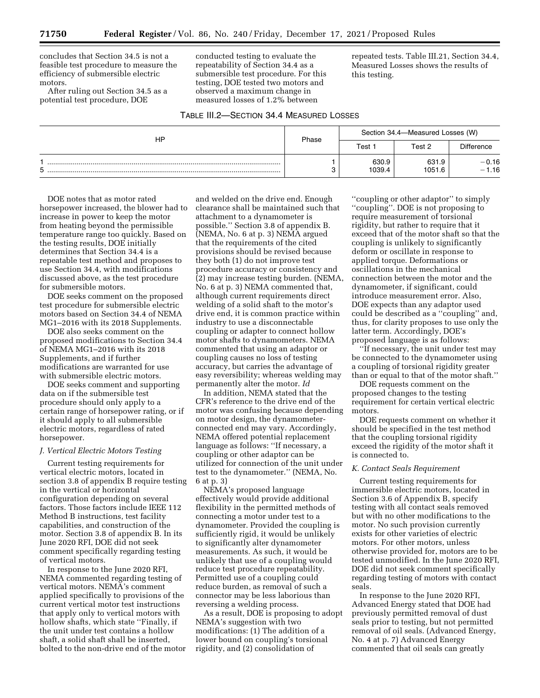concludes that Section 34.5 is not a feasible test procedure to measure the efficiency of submersible electric motors.

After ruling out Section 34.5 as a potential test procedure, DOE

conducted testing to evaluate the repeatability of Section 34.4 as a submersible test procedure. For this testing, DOE tested two motors and observed a maximum change in measured losses of 1.2% between

TABLE III.2—SECTION 34.4 MEASURED LOSSES

repeated tests. Table III.21, Section 34.4, Measured Losses shows the results of this testing.

| ΗP | Phase |                                     | Section 34.4-Measured Losses (W) |                    |
|----|-------|-------------------------------------|----------------------------------|--------------------|
|    |       | <b>Difference</b><br>Test<br>Test 2 |                                  |                    |
| г. |       | 630.9<br>1039.4                     | 631.9<br>1051.6                  | $-0.16$<br>$-1.16$ |

DOE notes that as motor rated horsepower increased, the blower had to increase in power to keep the motor from heating beyond the permissible temperature range too quickly. Based on the testing results, DOE initially determines that Section 34.4 is a repeatable test method and proposes to use Section 34.4, with modifications discussed above, as the test procedure for submersible motors.

DOE seeks comment on the proposed test procedure for submersible electric motors based on Section 34.4 of NEMA MG1–2016 with its 2018 Supplements.

DOE also seeks comment on the proposed modifications to Section 34.4 of NEMA MG1–2016 with its 2018 Supplements, and if further modifications are warranted for use with submersible electric motors.

DOE seeks comment and supporting data on if the submersible test procedure should only apply to a certain range of horsepower rating, or if it should apply to all submersible electric motors, regardless of rated horsepower.

#### *J. Vertical Electric Motors Testing*

Current testing requirements for vertical electric motors, located in section 3.8 of appendix B require testing in the vertical or horizontal configuration depending on several factors. Those factors include IEEE 112 Method B instructions, test facility capabilities, and construction of the motor. Section 3.8 of appendix B. In its June 2020 RFI, DOE did not seek comment specifically regarding testing of vertical motors.

In response to the June 2020 RFI, NEMA commented regarding testing of vertical motors. NEMA's comment applied specifically to provisions of the current vertical motor test instructions that apply only to vertical motors with hollow shafts, which state ''Finally, if the unit under test contains a hollow shaft, a solid shaft shall be inserted, bolted to the non-drive end of the motor

and welded on the drive end. Enough clearance shall be maintained such that attachment to a dynamometer is possible.'' Section 3.8 of appendix B. (NEMA, No. 6 at p. 3) NEMA argued that the requirements of the cited provisions should be revised because they both (1) do not improve test procedure accuracy or consistency and (2) may increase testing burden. (NEMA, No. 6 at p. 3) NEMA commented that, although current requirements direct welding of a solid shaft to the motor's drive end, it is common practice within industry to use a disconnectable coupling or adapter to connect hollow motor shafts to dynamometers. NEMA commented that using an adaptor or coupling causes no loss of testing accuracy, but carries the advantage of easy reversibility; whereas welding may permanently alter the motor. *Id* 

In addition, NEMA stated that the CFR's reference to the drive end of the motor was confusing because depending on motor design, the dynamometerconnected end may vary. Accordingly, NEMA offered potential replacement language as follows: ''If necessary, a coupling or other adaptor can be utilized for connection of the unit under test to the dynamometer.'' (NEMA, No. 6 at p. 3)

NEMA's proposed language effectively would provide additional flexibility in the permitted methods of connecting a motor under test to a dynamometer. Provided the coupling is sufficiently rigid, it would be unlikely to significantly alter dynamometer measurements. As such, it would be unlikely that use of a coupling would reduce test procedure repeatability. Permitted use of a coupling could reduce burden, as removal of such a connector may be less laborious than reversing a welding process.

As a result, DOE is proposing to adopt NEMA's suggestion with two modifications: (1) The addition of a lower bound on coupling's torsional rigidity, and (2) consolidation of

''coupling or other adaptor'' to simply ''coupling''. DOE is not proposing to require measurement of torsional rigidity, but rather to require that it exceed that of the motor shaft so that the coupling is unlikely to significantly deform or oscillate in response to applied torque. Deformations or oscillations in the mechanical connection between the motor and the dynamometer, if significant, could introduce measurement error. Also, DOE expects than any adaptor used could be described as a ''coupling'' and, thus, for clarity proposes to use only the latter term. Accordingly, DOE's proposed language is as follows:

''If necessary, the unit under test may be connected to the dynamometer using a coupling of torsional rigidity greater than or equal to that of the motor shaft.''

DOE requests comment on the proposed changes to the testing requirement for certain vertical electric motors.

DOE requests comment on whether it should be specified in the test method that the coupling torsional rigidity exceed the rigidity of the motor shaft it is connected to.

### *K. Contact Seals Requirement*

Current testing requirements for immersible electric motors, located in Section 3.6 of Appendix B, specify testing with all contact seals removed but with no other modifications to the motor. No such provision currently exists for other varieties of electric motors. For other motors, unless otherwise provided for, motors are to be tested unmodified. In the June 2020 RFI, DOE did not seek comment specifically regarding testing of motors with contact seals.

In response to the June 2020 RFI, Advanced Energy stated that DOE had previously permitted removal of dust seals prior to testing, but not permitted removal of oil seals. (Advanced Energy, No. 4 at p. 7) Advanced Energy commented that oil seals can greatly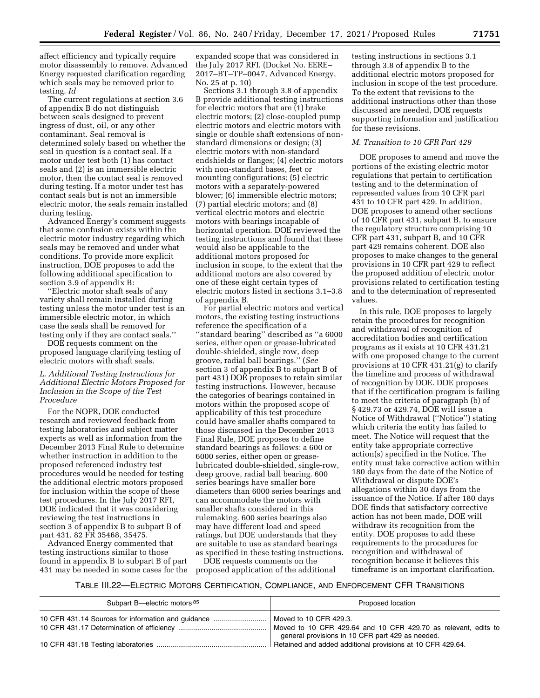affect efficiency and typically require motor disassembly to remove. Advanced Energy requested clarification regarding which seals may be removed prior to testing. *Id* 

The current regulations at section 3.6 of appendix B do not distinguish between seals designed to prevent ingress of dust, oil, or any other contaminant. Seal removal is determined solely based on whether the seal in question is a contact seal. If a motor under test both (1) has contact seals and (2) is an immersible electric motor, then the contact seal is removed during testing. If a motor under test has contact seals but is not an immersible electric motor, the seals remain installed during testing.

Advanced Energy's comment suggests that some confusion exists within the electric motor industry regarding which seals may be removed and under what conditions. To provide more explicit instruction, DOE proposes to add the following additional specification to section 3.9 of appendix B:

''Electric motor shaft seals of any variety shall remain installed during testing unless the motor under test is an immersible electric motor, in which case the seals shall be removed for testing only if they are contact seals.''

DOE requests comment on the proposed language clarifying testing of electric motors with shaft seals.

# *L. Additional Testing Instructions for Additional Electric Motors Proposed for Inclusion in the Scope of the Test Procedure*

For the NOPR, DOE conducted research and reviewed feedback from testing laboratories and subject matter experts as well as information from the December 2013 Final Rule to determine whether instruction in addition to the proposed referenced industry test procedures would be needed for testing the additional electric motors proposed for inclusion within the scope of these test procedures. In the July 2017 RFI, DOE indicated that it was considering reviewing the test instructions in section 3 of appendix B to subpart B of part 431. 82 FR 35468, 35475.

Advanced Energy commented that testing instructions similar to those found in appendix B to subpart B of part 431 may be needed in some cases for the

expanded scope that was considered in the July 2017 RFI. (Docket No. EERE– 2017–BT–TP–0047, Advanced Energy, No. 25 at p. 10)

Sections 3.1 through 3.8 of appendix B provide additional testing instructions for electric motors that are (1) brake electric motors; (2) close-coupled pump electric motors and electric motors with single or double shaft extensions of nonstandard dimensions or design; (3) electric motors with non-standard endshields or flanges; (4) electric motors with non-standard bases, feet or mounting configurations; (5) electric motors with a separately-powered blower; (6) immersible electric motors; (7) partial electric motors; and (8) vertical electric motors and electric motors with bearings incapable of horizontal operation. DOE reviewed the testing instructions and found that these would also be applicable to the additional motors proposed for inclusion in scope, to the extent that the additional motors are also covered by one of these eight certain types of electric motors listed in sections 3.1–3.8 of appendix B.

For partial electric motors and vertical motors, the existing testing instructions reference the specification of a ''standard bearing'' described as ''a 6000 series, either open or grease-lubricated double-shielded, single row, deep groove, radial ball bearings.'' (*See*  section 3 of appendix B to subpart B of part 431) DOE proposes to retain similar testing instructions. However, because the categories of bearings contained in motors within the proposed scope of applicability of this test procedure could have smaller shafts compared to those discussed in the December 2013 Final Rule, DOE proposes to define standard bearings as follows: a 600 or 6000 series, either open or greaselubricated double-shielded, single-row, deep groove, radial ball bearing. 600 series bearings have smaller bore diameters than 6000 series bearings and can accommodate the motors with smaller shafts considered in this rulemaking. 600 series bearings also may have different load and speed ratings, but DOE understands that they are suitable to use as standard bearings as specified in these testing instructions.

DOE requests comments on the proposed application of the additional

testing instructions in sections 3.1 through 3.8 of appendix B to the additional electric motors proposed for inclusion in scope of the test procedure. To the extent that revisions to the additional instructions other than those discussed are needed, DOE requests supporting information and justification for these revisions.

### *M. Transition to 10 CFR Part 429*

DOE proposes to amend and move the portions of the existing electric motor regulations that pertain to certification testing and to the determination of represented values from 10 CFR part 431 to 10 CFR part 429. In addition, DOE proposes to amend other sections of 10 CFR part 431, subpart B, to ensure the regulatory structure comprising 10 CFR part 431, subpart B, and 10 CFR part 429 remains coherent. DOE also proposes to make changes to the general provisions in 10 CFR part 429 to reflect the proposed addition of electric motor provisions related to certification testing and to the determination of represented values.

In this rule, DOE proposes to largely retain the procedures for recognition and withdrawal of recognition of accreditation bodies and certification programs as it exists at 10 CFR 431.21 with one proposed change to the current provisions at 10 CFR 431.21(g) to clarify the timeline and process of withdrawal of recognition by DOE. DOE proposes that if the certification program is failing to meet the criteria of paragraph (b) of § 429.73 or 429.74, DOE will issue a Notice of Withdrawal (''Notice'') stating which criteria the entity has failed to meet. The Notice will request that the entity take appropriate corrective action(s) specified in the Notice. The entity must take corrective action within 180 days from the date of the Notice of Withdrawal or dispute DOE's allegations within 30 days from the issuance of the Notice. If after 180 days DOE finds that satisfactory corrective action has not been made, DOE will withdraw its recognition from the entity. DOE proposes to add these requirements to the procedures for recognition and withdrawal of recognition because it believes this timeframe is an important clarification.

TABLE III.22—ELECTRIC MOTORS CERTIFICATION, COMPLIANCE, AND ENFORCEMENT CFR TRANSITIONS

| Subpart B—electric motors <sup>85</sup>            | Proposed location                                                                                                                            |
|----------------------------------------------------|----------------------------------------------------------------------------------------------------------------------------------------------|
| 10 CFR 431.14 Sources for information and guidance | Moved to 10 CFR 429.3.<br>Moved to 10 CFR 429.64 and 10 CFR 429.70 as relevant, edits to<br>general provisions in 10 CFR part 429 as needed. |
|                                                    | Retained and added additional provisions at 10 CFR 429.64.                                                                                   |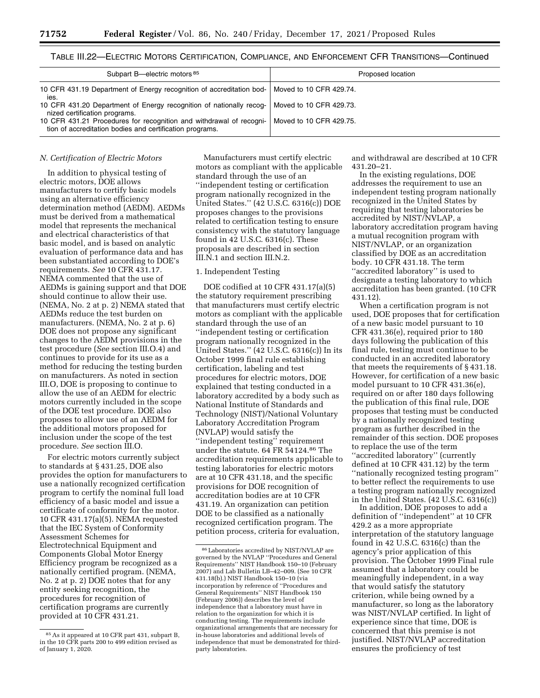# TABLE III.22—ELECTRIC MOTORS CERTIFICATION, COMPLIANCE, AND ENFORCEMENT CFR TRANSITIONS—Continued

| Subpart B-electric motors <sup>85</sup>                                                                                         | Proposed location       |
|---------------------------------------------------------------------------------------------------------------------------------|-------------------------|
| 10 CFR 431.19 Department of Energy recognition of accreditation bod-   Moved to 10 CFR 429.74.<br>ies.                          |                         |
| 10 CFR 431.20 Department of Energy recognition of nationally recog-<br>nized certification programs.                            | Moved to 10 CFR 429.73. |
| 10 CFR 431.21 Procedures for recognition and withdrawal of recogni-<br>tion of accreditation bodies and certification programs. | Moved to 10 CFR 429.75. |

### *N. Certification of Electric Motors*

In addition to physical testing of electric motors, DOE allows manufacturers to certify basic models using an alternative efficiency determination method (AEDM). AEDMs must be derived from a mathematical model that represents the mechanical and electrical characteristics of that basic model, and is based on analytic evaluation of performance data and has been substantiated according to DOE's requirements. *See* 10 CFR 431.17. NEMA commented that the use of AEDMs is gaining support and that DOE should continue to allow their use. (NEMA, No. 2 at p. 2) NEMA stated that AEDMs reduce the test burden on manufacturers. (NEMA, No. 2 at p. 6) DOE does not propose any significant changes to the AEDM provisions in the test procedure (*See* section III.O.4) and continues to provide for its use as a method for reducing the testing burden on manufacturers. As noted in section III.O, DOE is proposing to continue to allow the use of an AEDM for electric motors currently included in the scope of the DOE test procedure. DOE also proposes to allow use of an AEDM for the additional motors proposed for inclusion under the scope of the test procedure. *See* section III.O.

For electric motors currently subject to standards at § 431.25, DOE also provides the option for manufacturers to use a nationally recognized certification program to certify the nominal full load efficiency of a basic model and issue a certificate of conformity for the motor. 10 CFR 431.17(a)(5). NEMA requested that the IEC System of Conformity Assessment Schemes for Electrotechnical Equipment and Components Global Motor Energy Efficiency program be recognized as a nationally certified program. (NEMA, No. 2 at p. 2) DOE notes that for any entity seeking recognition, the procedures for recognition of certification programs are currently provided at 10 CFR 431.21.

Manufacturers must certify electric motors as compliant with the applicable standard through the use of an ''independent testing or certification program nationally recognized in the United States.'' (42 U.S.C. 6316(c)) DOE proposes changes to the provisions related to certification testing to ensure consistency with the statutory language found in 42 U.S.C. 6316(c). These proposals are described in section III.N.1 and section III.N.2.

# 1. Independent Testing

DOE codified at 10 CFR 431.17(a)(5) the statutory requirement prescribing that manufacturers must certify electric motors as compliant with the applicable standard through the use of an ''independent testing or certification program nationally recognized in the United States.'' (42 U.S.C. 6316(c)) In its October 1999 final rule establishing certification, labeling and test procedures for electric motors, DOE explained that testing conducted in a laboratory accredited by a body such as National Institute of Standards and Technology (NIST)/National Voluntary Laboratory Accreditation Program (NVLAP) would satisfy the ''independent testing'' requirement under the statute. 64 FR 54124.86 The accreditation requirements applicable to testing laboratories for electric motors are at 10 CFR 431.18, and the specific provisions for DOE recognition of accreditation bodies are at 10 CFR 431.19. An organization can petition DOE to be classified as a nationally recognized certification program. The petition process, criteria for evaluation,

and withdrawal are described at 10 CFR 431.20–21.

In the existing regulations, DOE addresses the requirement to use an independent testing program nationally recognized in the United States by requiring that testing laboratories be accredited by NIST/NVLAP, a laboratory accreditation program having a mutual recognition program with NIST/NVLAP, or an organization classified by DOE as an accreditation body. 10 CFR 431.18. The term ''accredited laboratory'' is used to designate a testing laboratory to which accreditation has been granted. (10 CFR 431.12).

When a certification program is not used, DOE proposes that for certification of a new basic model pursuant to 10 CFR 431.36(e), required prior to 180 days following the publication of this final rule, testing must continue to be conducted in an accredited laboratory that meets the requirements of § 431.18. However, for certification of a new basic model pursuant to 10 CFR 431.36(e), required on or after 180 days following the publication of this final rule, DOE proposes that testing must be conducted by a nationally recognized testing program as further described in the remainder of this section. DOE proposes to replace the use of the term ''accredited laboratory'' (currently defined at 10 CFR 431.12) by the term ''nationally recognized testing program'' to better reflect the requirements to use a testing program nationally recognized in the United States. (42 U.S.C. 6316(c))

In addition, DOE proposes to add a definition of ''independent'' at 10 CFR 429.2 as a more appropriate interpretation of the statutory language found in 42 U.S.C. 6316(c) than the agency's prior application of this provision. The October 1999 Final rule assumed that a laboratory could be meaningfully independent, in a way that would satisfy the statutory criterion, while being owned by a manufacturer, so long as the laboratory was NIST/NVLAP certified. In light of experience since that time, DOE is concerned that this premise is not justified. NIST/NVLAP accreditation ensures the proficiency of test

<sup>85</sup>As it appeared at 10 CFR part 431, subpart B, in the 10 CFR parts 200 to 499 edition revised as of January 1, 2020.

<sup>86</sup>Laboratories accredited by NIST/NVLAP are governed by the NVLAP ''Procedures and General Requirements'' NIST Handbook 150–10 (February 2007) and Lab Bulletin LB–42–009. (See 10 CFR 431.18(b).) NIST Handbook 150–10 (via incorporation by reference of ''Procedures and General Requirements'' NIST Handbook 150 (February 2006)) describes the level of independence that a laboratory must have in relation to the organization for which it is conducting testing. The requirements include organizational arrangements that are necessary for in-house laboratories and additional levels of independence that must be demonstrated for thirdparty laboratories.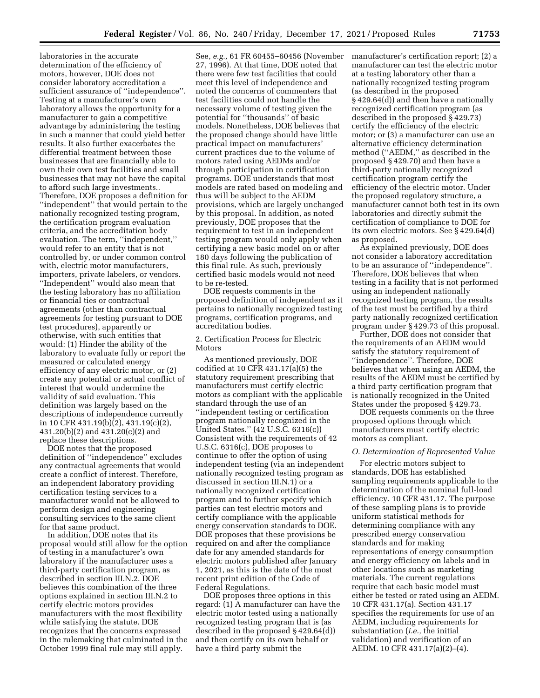laboratories in the accurate determination of the efficiency of motors, however, DOE does not consider laboratory accreditation a sufficient assurance of ''independence''. Testing at a manufacturer's own laboratory allows the opportunity for a manufacturer to gain a competitive advantage by administering the testing in such a manner that could yield better results. It also further exacerbates the differential treatment between those businesses that are financially able to own their own test facilities and small businesses that may not have the capital to afford such large investments.. Therefore, DOE proposes a definition for ''independent'' that would pertain to the nationally recognized testing program, the certification program evaluation criteria, and the accreditation body evaluation. The term, ''independent,'' would refer to an entity that is not controlled by, or under common control with, electric motor manufacturers, importers, private labelers, or vendors. ''Independent'' would also mean that the testing laboratory has no affiliation or financial ties or contractual agreements (other than contractual agreements for testing pursuant to DOE test procedures), apparently or otherwise, with such entities that would: (1) Hinder the ability of the laboratory to evaluate fully or report the measured or calculated energy efficiency of any electric motor, or (2) create any potential or actual conflict of interest that would undermine the validity of said evaluation. This definition was largely based on the descriptions of independence currently in 10 CFR 431.19(b)(2), 431.19(c)(2), 431.20(b)(2) and 431.20(c)(2) and replace these descriptions.

DOE notes that the proposed definition of ''independence'' excludes any contractual agreements that would create a conflict of interest. Therefore, an independent laboratory providing certification testing services to a manufacturer would not be allowed to perform design and engineering consulting services to the same client for that same product.

In addition, DOE notes that its proposal would still allow for the option of testing in a manufacturer's own laboratory if the manufacturer uses a third-party certification program, as described in section III.N.2. DOE believes this combination of the three options explained in section III.N.2 to certify electric motors provides manufacturers with the most flexibility while satisfying the statute. DOE recognizes that the concerns expressed in the rulemaking that culminated in the October 1999 final rule may still apply.

See, *e.g.,* 61 FR 60455–60456 (November 27, 1996). At that time, DOE noted that there were few test facilities that could meet this level of independence and noted the concerns of commenters that test facilities could not handle the necessary volume of testing given the potential for ''thousands'' of basic models. Nonetheless, DOE believes that the proposed change should have little practical impact on manufacturers' current practices due to the volume of motors rated using AEDMs and/or through participation in certification programs. DOE understands that most models are rated based on modeling and thus will be subject to the AEDM provisions, which are largely unchanged by this proposal. In addition, as noted previously, DOE proposes that the requirement to test in an independent testing program would only apply when certifying a new basic model on or after 180 days following the publication of this final rule. As such, previously certified basic models would not need to be re-tested.

DOE requests comments in the proposed definition of independent as it pertains to nationally recognized testing programs, certification programs, and accreditation bodies.

2. Certification Process for Electric Motors

As mentioned previously, DOE codified at 10 CFR 431.17(a)(5) the statutory requirement prescribing that manufacturers must certify electric motors as compliant with the applicable standard through the use of an ''independent testing or certification program nationally recognized in the United States.'' (42 U.S.C. 6316(c)) Consistent with the requirements of 42 U.S.C. 6316(c), DOE proposes to continue to offer the option of using independent testing (via an independent nationally recognized testing program as discussed in section III.N.1) or a nationally recognized certification program and to further specify which parties can test electric motors and certify compliance with the applicable energy conservation standards to DOE. DOE proposes that these provisions be required on and after the compliance date for any amended standards for electric motors published after January 1, 2021, as this is the date of the most recent print edition of the Code of Federal Regulations.

DOE proposes three options in this regard: (1) A manufacturer can have the electric motor tested using a nationally recognized testing program that is (as described in the proposed § 429.64(d)) and then certify on its own behalf or have a third party submit the

manufacturer's certification report; (2) a manufacturer can test the electric motor at a testing laboratory other than a nationally recognized testing program (as described in the proposed § 429.64(d)) and then have a nationally recognized certification program (as described in the proposed § 429.73) certify the efficiency of the electric motor; or (3) a manufacturer can use an alternative efficiency determination method (''AEDM,'' as described in the proposed § 429.70) and then have a third-party nationally recognized certification program certify the efficiency of the electric motor. Under the proposed regulatory structure, a manufacturer cannot both test in its own laboratories and directly submit the certification of compliance to DOE for its own electric motors. See § 429.64(d) as proposed.

As explained previously, DOE does not consider a laboratory accreditation to be an assurance of ''independence''. Therefore, DOE believes that when testing in a facility that is not performed using an independent nationally recognized testing program, the results of the test must be certified by a third party nationally recognized certification program under § 429.73 of this proposal.

Further, DOE does not consider that the requirements of an AEDM would satisfy the statutory requirement of ''independence''. Therefore, DOE believes that when using an AEDM, the results of the AEDM must be certified by a third party certification program that is nationally recognized in the United States under the proposed § 429.73.

DOE requests comments on the three proposed options through which manufacturers must certify electric motors as compliant.

### *O. Determination of Represented Value*

For electric motors subject to standards, DOE has established sampling requirements applicable to the determination of the nominal full-load efficiency. 10 CFR 431.17. The purpose of these sampling plans is to provide uniform statistical methods for determining compliance with any prescribed energy conservation standards and for making representations of energy consumption and energy efficiency on labels and in other locations such as marketing materials. The current regulations require that each basic model must either be tested or rated using an AEDM. 10 CFR 431.17(a). Section 431.17 specifies the requirements for use of an AEDM, including requirements for substantiation (*i.e.,* the initial validation) and verification of an AEDM. 10 CFR 431.17(a)(2)–(4).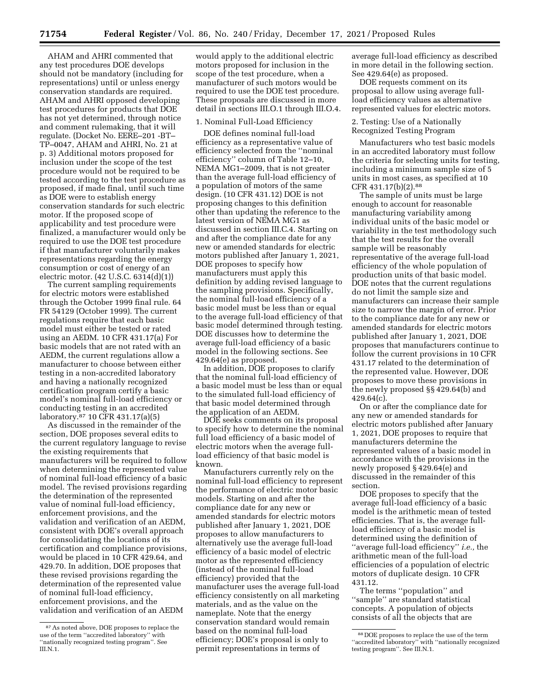AHAM and AHRI commented that any test procedures DOE develops should not be mandatory (including for representations) until or unless energy conservation standards are required. AHAM and AHRI opposed developing test procedures for products that DOE has not yet determined, through notice and comment rulemaking, that it will regulate. (Docket No. EERE–201 -BT– TP–0047, AHAM and AHRI, No. 21 at p. 3) Additional motors proposed for inclusion under the scope of the test procedure would not be required to be tested according to the test procedure as proposed, if made final, until such time as DOE were to establish energy conservation standards for such electric motor. If the proposed scope of applicability and test procedure were finalized, a manufacturer would only be required to use the DOE test procedure if that manufacturer voluntarily makes representations regarding the energy consumption or cost of energy of an electric motor. (42 U.S.C. 6314(d)(1))

The current sampling requirements for electric motors were established through the October 1999 final rule. 64 FR 54129 (October 1999). The current regulations require that each basic model must either be tested or rated using an AEDM. 10 CFR 431.17(a) For basic models that are not rated with an AEDM, the current regulations allow a manufacturer to choose between either testing in a non-accredited laboratory and having a nationally recognized certification program certify a basic model's nominal full-load efficiency or conducting testing in an accredited laboratory.87 10 CFR 431.17(a)(5)

As discussed in the remainder of the section, DOE proposes several edits to the current regulatory language to revise the existing requirements that manufacturers will be required to follow when determining the represented value of nominal full-load efficiency of a basic model. The revised provisions regarding the determination of the represented value of nominal full-load efficiency, enforcement provisions, and the validation and verification of an AEDM, consistent with DOE's overall approach for consolidating the locations of its certification and compliance provisions, would be placed in 10 CFR 429.64, and 429.70. In addition, DOE proposes that these revised provisions regarding the determination of the represented value of nominal full-load efficiency, enforcement provisions, and the validation and verification of an AEDM

would apply to the additional electric motors proposed for inclusion in the scope of the test procedure, when a manufacturer of such motors would be required to use the DOE test procedure. These proposals are discussed in more detail in sections III.O.1 through III.O.4.

### 1. Nominal Full-Load Efficiency

DOE defines nominal full-load efficiency as a representative value of efficiency selected from the ''nominal efficiency'' column of Table 12–10, NEMA MG1–2009, that is not greater than the average full-load efficiency of a population of motors of the same design. (10 CFR 431.12) DOE is not proposing changes to this definition other than updating the reference to the latest version of NEMA MG1 as discussed in section III.C.4. Starting on and after the compliance date for any new or amended standards for electric motors published after January 1, 2021, DOE proposes to specify how manufacturers must apply this definition by adding revised language to the sampling provisions. Specifically, the nominal full-load efficiency of a basic model must be less than or equal to the average full-load efficiency of that basic model determined through testing. DOE discusses how to determine the average full-load efficiency of a basic model in the following sections. See 429.64(e) as proposed.

In addition, DOE proposes to clarify that the nominal full-load efficiency of a basic model must be less than or equal to the simulated full-load efficiency of that basic model determined through the application of an AEDM.

DOE seeks comments on its proposal to specify how to determine the nominal full load efficiency of a basic model of electric motors when the average fullload efficiency of that basic model is known.

Manufacturers currently rely on the nominal full-load efficiency to represent the performance of electric motor basic models. Starting on and after the compliance date for any new or amended standards for electric motors published after January 1, 2021, DOE proposes to allow manufacturers to alternatively use the average full-load efficiency of a basic model of electric motor as the represented efficiency (instead of the nominal full-load efficiency) provided that the manufacturer uses the average full-load efficiency consistently on all marketing materials, and as the value on the nameplate. Note that the energy conservation standard would remain based on the nominal full-load efficiency; DOE's proposal is only to permit representations in terms of

average full-load efficiency as described in more detail in the following section. See 429.64(e) as proposed.

DOE requests comment on its proposal to allow using average fullload efficiency values as alternative represented values for electric motors.

#### 2. Testing: Use of a Nationally Recognized Testing Program

Manufacturers who test basic models in an accredited laboratory must follow the criteria for selecting units for testing, including a minimum sample size of 5 units in most cases, as specified at 10 CFR 431.17(b)(2).88

The sample of units must be large enough to account for reasonable manufacturing variability among individual units of the basic model or variability in the test methodology such that the test results for the overall sample will be reasonably representative of the average full-load efficiency of the whole population of production units of that basic model. DOE notes that the current regulations do not limit the sample size and manufacturers can increase their sample size to narrow the margin of error. Prior to the compliance date for any new or amended standards for electric motors published after January 1, 2021, DOE proposes that manufacturers continue to follow the current provisions in 10 CFR 431.17 related to the determination of the represented value. However, DOE proposes to move these provisions in the newly proposed §§ 429.64(b) and 429.64(c).

On or after the compliance date for any new or amended standards for electric motors published after January 1, 2021, DOE proposes to require that manufacturers determine the represented values of a basic model in accordance with the provisions in the newly proposed § 429.64(e) and discussed in the remainder of this section.

DOE proposes to specify that the average full-load efficiency of a basic model is the arithmetic mean of tested efficiencies. That is, the average fullload efficiency of a basic model is determined using the definition of ''average full-load efficiency'' *i.e.,* the arithmetic mean of the full-load efficiencies of a population of electric motors of duplicate design. 10 CFR 431.12.

The terms ''population'' and ''sample'' are standard statistical concepts. A population of objects consists of all the objects that are

<sup>87</sup>As noted above, DOE proposes to replace the use of the term ''accredited laboratory'' with 'nationally recognized testing program". See III.N.1.

<sup>88</sup> DOE proposes to replace the use of the term "accredited laboratory" with "nationally recognized testing program''. See III.N.1.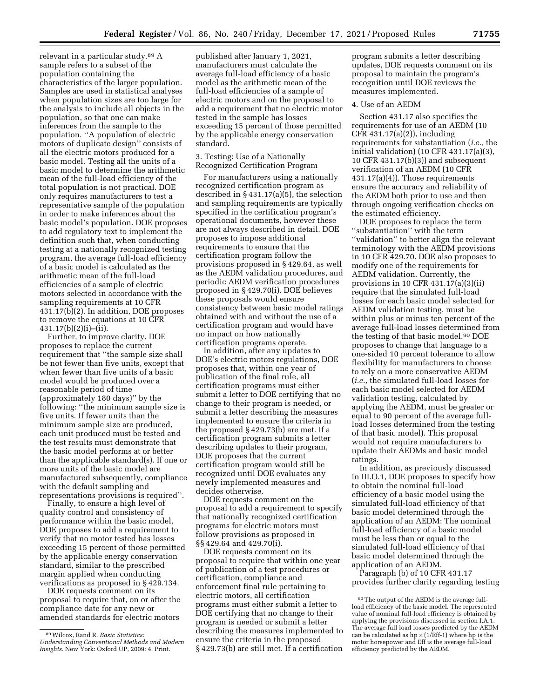relevant in a particular study.89 A sample refers to a subset of the population containing the characteristics of the larger population. Samples are used in statistical analyses when population sizes are too large for the analysis to include all objects in the population, so that one can make inferences from the sample to the population. ''A population of electric motors of duplicate design'' consists of all the electric motors produced for a basic model. Testing all the units of a basic model to determine the arithmetic mean of the full-load efficiency of the total population is not practical. DOE only requires manufacturers to test a representative sample of the population in order to make inferences about the basic model's population. DOE proposes to add regulatory text to implement the definition such that, when conducting testing at a nationally recognized testing program, the average full-load efficiency of a basic model is calculated as the arithmetic mean of the full-load efficiencies of a sample of electric motors selected in accordance with the sampling requirements at 10 CFR 431.17(b)(2). In addition, DOE proposes to remove the equations at 10 CFR 431.17(b)(2)(i)–(ii).

Further, to improve clarity, DOE proposes to replace the current requirement that ''the sample size shall be not fewer than five units, except that when fewer than five units of a basic model would be produced over a reasonable period of time (approximately 180 days)'' by the following: ''the minimum sample size is five units. If fewer units than the minimum sample size are produced, each unit produced must be tested and the test results must demonstrate that the basic model performs at or better than the applicable standard(s). If one or more units of the basic model are manufactured subsequently, compliance with the default sampling and representations provisions is required''.

Finally, to ensure a high level of quality control and consistency of performance within the basic model, DOE proposes to add a requirement to verify that no motor tested has losses exceeding 15 percent of those permitted by the applicable energy conservation standard, similar to the prescribed margin applied when conducting verifications as proposed in § 429.134.

DOE requests comment on its proposal to require that, on or after the compliance date for any new or amended standards for electric motors

published after January 1, 2021, manufacturers must calculate the average full-load efficiency of a basic model as the arithmetic mean of the full-load efficiencies of a sample of electric motors and on the proposal to add a requirement that no electric motor tested in the sample has losses exceeding 15 percent of those permitted by the applicable energy conservation standard.

# 3. Testing: Use of a Nationally Recognized Certification Program

For manufacturers using a nationally recognized certification program as described in § 431.17(a)(5), the selection and sampling requirements are typically specified in the certification program's operational documents, however these are not always described in detail. DOE proposes to impose additional requirements to ensure that the certification program follow the provisions proposed in § 429.64, as well as the AEDM validation procedures, and periodic AEDM verification procedures proposed in § 429.70(i). DOE believes these proposals would ensure consistency between basic model ratings obtained with and without the use of a certification program and would have no impact on how nationally certification programs operate.

In addition, after any updates to DOE's electric motors regulations, DOE proposes that, within one year of publication of the final rule, all certification programs must either submit a letter to DOE certifying that no change to their program is needed, or submit a letter describing the measures implemented to ensure the criteria in the proposed § 429.73(b) are met. If a certification program submits a letter describing updates to their program, DOE proposes that the current certification program would still be recognized until DOE evaluates any newly implemented measures and decides otherwise.

DOE requests comment on the proposal to add a requirement to specify that nationally recognized certification programs for electric motors must follow provisions as proposed in §§ 429.64 and 429.70(i).

DOE requests comment on its proposal to require that within one year of publication of a test procedures or certification, compliance and enforcement final rule pertaining to electric motors, all certification programs must either submit a letter to DOE certifying that no change to their program is needed or submit a letter describing the measures implemented to ensure the criteria in the proposed § 429.73(b) are still met. If a certification

program submits a letter describing updates, DOE requests comment on its proposal to maintain the program's recognition until DOE reviews the measures implemented.

# 4. Use of an AEDM

Section 431.17 also specifies the requirements for use of an AEDM (10 CFR 431.17(a)(2)), including requirements for substantiation (*i.e.,* the initial validation) (10 CFR 431.17(a)(3), 10 CFR 431.17(b)(3)) and subsequent verification of an AEDM (10 CFR 431.17(a)(4)). Those requirements ensure the accuracy and reliability of the AEDM both prior to use and then through ongoing verification checks on the estimated efficiency.

DOE proposes to replace the term ''substantiation'' with the term ''validation'' to better align the relevant terminology with the AEDM provisions in 10 CFR 429.70. DOE also proposes to modify one of the requirements for AEDM validation. Currently, the provisions in 10 CFR 431.17(a)(3)(ii) require that the simulated full-load losses for each basic model selected for AEDM validation testing, must be within plus or minus ten percent of the average full-load losses determined from the testing of that basic model.90 DOE proposes to change that language to a one-sided 10 percent tolerance to allow flexibility for manufacturers to choose to rely on a more conservative AEDM (*i.e.,* the simulated full-load losses for each basic model selected for AEDM validation testing, calculated by applying the AEDM, must be greater or equal to 90 percent of the average fullload losses determined from the testing of that basic model). This proposal would not require manufacturers to update their AEDMs and basic model ratings.

In addition, as previously discussed in III.O.1, DOE proposes to specify how to obtain the nominal full-load efficiency of a basic model using the simulated full-load efficiency of that basic model determined through the application of an AEDM: The nominal full-load efficiency of a basic model must be less than or equal to the simulated full-load efficiency of that basic model determined through the application of an AEDM.

Paragraph (b) of 10 CFR 431.17 provides further clarity regarding testing

<sup>89</sup>Wilcox, Rand R. *Basic Statistics: Understanding Conventional Methods and Modern Insights.* New York: Oxford UP, 2009: 4. Print.

 $^{90}\mathrm{The}$  output of the AEDM is the average fullload efficiency of the basic model. The represented value of nominal full-load efficiency is obtained by applying the provisions discussed in section I.A.1. The average full load losses predicted by the AEDM can be calculated as  $hp \times (1/\text{Eff-1})$  where hp is the motor horsepower and Eff is the average full-load efficiency predicted by the AEDM.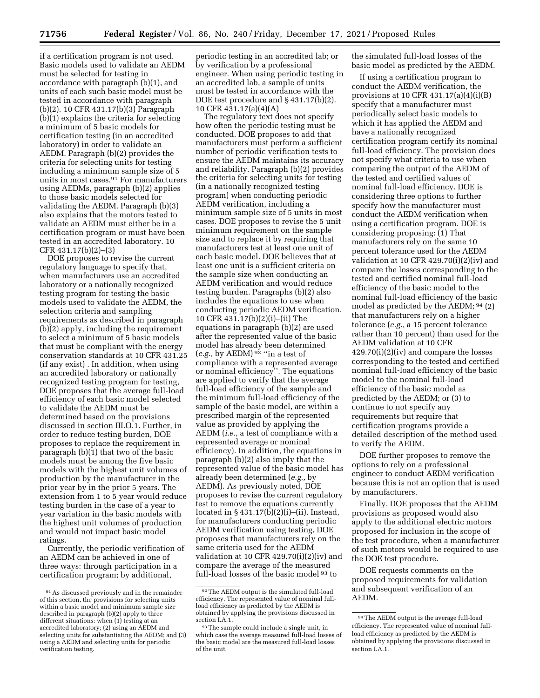if a certification program is not used. Basic models used to validate an AEDM must be selected for testing in accordance with paragraph (b)(1), and units of each such basic model must be tested in accordance with paragraph (b)(2). 10 CFR 431.17(b)(3) Paragraph (b)(1) explains the criteria for selecting a minimum of 5 basic models for certification testing (in an accredited laboratory) in order to validate an AEDM. Paragraph (b)(2) provides the criteria for selecting units for testing including a minimum sample size of 5 units in most cases.91 For manufacturers using AEDMs, paragraph (b)(2) applies to those basic models selected for validating the AEDM. Paragraph (b)(3) also explains that the motors tested to validate an AEDM must either be in a certification program or must have been tested in an accredited laboratory. 10 CFR 431.17(b)(2)–(3)

DOE proposes to revise the current regulatory language to specify that, when manufacturers use an accredited laboratory or a nationally recognized testing program for testing the basic models used to validate the AEDM, the selection criteria and sampling requirements as described in paragraph (b)(2) apply, including the requirement to select a minimum of 5 basic models that must be compliant with the energy conservation standards at 10 CFR 431.25 (if any exist) . In addition, when using an accredited laboratory or nationally recognized testing program for testing, DOE proposes that the average full-load efficiency of each basic model selected to validate the AEDM must be determined based on the provisions discussed in section III.O.1. Further, in order to reduce testing burden, DOE proposes to replace the requirement in paragraph (b)(1) that two of the basic models must be among the five basic models with the highest unit volumes of production by the manufacturer in the prior year by in the prior 5 years. The extension from 1 to 5 year would reduce testing burden in the case of a year to year variation in the basic models with the highest unit volumes of production and would not impact basic model ratings.

Currently, the periodic verification of an AEDM can be achieved in one of three ways: through participation in a certification program; by additional,

periodic testing in an accredited lab; or by verification by a professional engineer. When using periodic testing in an accredited lab, a sample of units must be tested in accordance with the DOE test procedure and § 431.17(b)(2). 10 CFR 431.17(a)(4)(A)

The regulatory text does not specify how often the periodic testing must be conducted. DOE proposes to add that manufacturers must perform a sufficient number of periodic verification tests to ensure the AEDM maintains its accuracy and reliability. Paragraph (b)(2) provides the criteria for selecting units for testing (in a nationally recognized testing program) when conducting periodic AEDM verification, including a minimum sample size of 5 units in most cases. DOE proposes to revise the 5 unit minimum requirement on the sample size and to replace it by requiring that manufacturers test at least one unit of each basic model. DOE believes that at least one unit is a sufficient criteria on the sample size when conducting an AEDM verification and would reduce testing burden. Paragraphs (b)(2) also includes the equations to use when conducting periodic AEDM verification. 10 CFR 431.17(b)(2)(i)–(ii) The equations in paragraph (b)(2) are used after the represented value of the basic model has already been determined (*e.g.,* by AEDM) 92 ''in a test of compliance with a represented average or nominal efficiency''. The equations are applied to verify that the average full-load efficiency of the sample and the minimum full-load efficiency of the sample of the basic model, are within a prescribed margin of the represented value as provided by applying the AEDM (*i.e.,* a test of compliance with a represented average or nominal efficiency). In addition, the equations in paragraph (b)(2) also imply that the represented value of the basic model has already been determined (*e.g.,* by AEDM). As previously noted, DOE proposes to revise the current regulatory test to remove the equations currently located in § 431.17(b)(2)(i)–(ii). Instead, for manufacturers conducting periodic AEDM verification using testing, DOE proposes that manufacturers rely on the same criteria used for the AEDM validation at 10 CFR 429.70(i)(2)(iv) and compare the average of the measured full-load losses of the basic model 93 to

the simulated full-load losses of the basic model as predicted by the AEDM.

If using a certification program to conduct the AEDM verification, the provisions at 10 CFR 431.17(a)(4)(i)(B) specify that a manufacturer must periodically select basic models to which it has applied the AEDM and have a nationally recognized certification program certify its nominal full-load efficiency. The provision does not specify what criteria to use when comparing the output of the AEDM of the tested and certified values of nominal full-load efficiency. DOE is considering three options to further specify how the manufacturer must conduct the AEDM verification when using a certification program. DOE is considering proposing: (1) That manufacturers rely on the same 10 percent tolerance used for the AEDM validation at 10 CFR 429.70(i)(2)(iv) and compare the losses corresponding to the tested and certified nominal full-load efficiency of the basic model to the nominal full-load efficiency of the basic model as predicted by the AEDM; 94 (2) that manufacturers rely on a higher tolerance (*e.g.,* a 15 percent tolerance rather than 10 percent) than used for the AEDM validation at 10 CFR 429.70(i)(2)(iv) and compare the losses corresponding to the tested and certified nominal full-load efficiency of the basic model to the nominal full-load efficiency of the basic model as predicted by the AEDM; or (3) to continue to not specify any requirements but require that certification programs provide a detailed description of the method used to verify the AEDM.

DOE further proposes to remove the options to rely on a professional engineer to conduct AEDM verification because this is not an option that is used by manufacturers.

Finally, DOE proposes that the AEDM provisions as proposed would also apply to the additional electric motors proposed for inclusion in the scope of the test procedure, when a manufacturer of such motors would be required to use the DOE test procedure.

DOE requests comments on the proposed requirements for validation and subsequent verification of an AEDM.

<sup>91</sup>As discussed previously and in the remainder of this section, the provisions for selecting units within a basic model and minimum sample size described in paragraph (b)(2) apply to three different situations: when (1) testing at an accredited laboratory; (2) using an AEDM and selecting units for substantiating the AEDM; and (3) using a AEDM and selecting units for periodic verification testing.

<sup>92</sup>The AEDM output is the simulated full-load efficiency. The represented value of nominal fullload efficiency as predicted by the AEDM is obtained by applying the provisions discussed in section I.A.1.

<sup>93</sup>The sample could include a single unit, in which case the average measured full-load losses of the basic model are the measured full-load losses of the unit.

<sup>94</sup>The AEDM output is the average full-load efficiency. The represented value of nominal fullload efficiency as predicted by the AEDM is obtained by applying the provisions discussed in section I.A.1.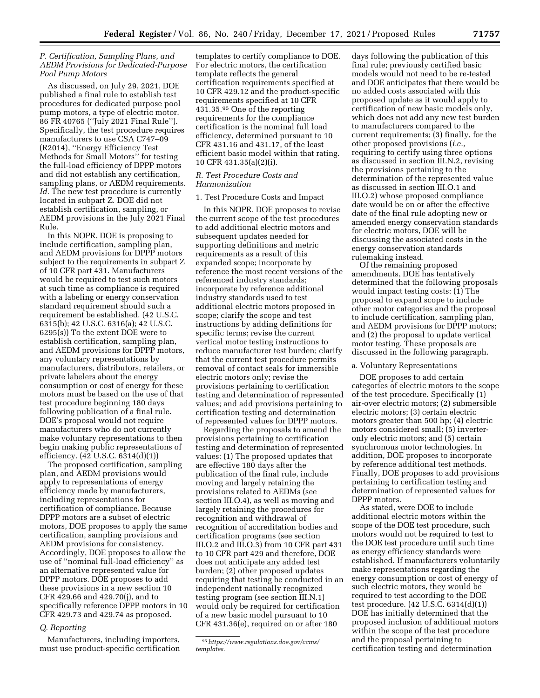# *P. Certification, Sampling Plans, and AEDM Provisions for Dedicated-Purpose Pool Pump Motors*

As discussed, on July 29, 2021, DOE published a final rule to establish test procedures for dedicated purpose pool pump motors, a type of electric motor. 86 FR 40765 (''July 2021 Final Rule''). Specifically, the test procedure requires manufacturers to use CSA C747–09 (R2014), ''Energy Efficiency Test Methods for Small Motors'' for testing the full-load efficiency of DPPP motors and did not establish any certification, sampling plans, or AEDM requirements. *Id.* The new test procedure is currently located in subpart Z. DOE did not establish certification, sampling, or AEDM provisions in the July 2021 Final Rule.

In this NOPR, DOE is proposing to include certification, sampling plan, and AEDM provisions for DPPP motors subject to the requirements in subpart Z of 10 CFR part 431. Manufacturers would be required to test such motors at such time as compliance is required with a labeling or energy conservation standard requirement should such a requirement be established. (42 U.S.C. 6315(b); 42 U.S.C. 6316(a); 42 U.S.C. 6295(s)) To the extent DOE were to establish certification, sampling plan, and AEDM provisions for DPPP motors, any voluntary representations by manufacturers, distributors, retailers, or private labelers about the energy consumption or cost of energy for these motors must be based on the use of that test procedure beginning 180 days following publication of a final rule. DOE's proposal would not require manufacturers who do not currently make voluntary representations to then begin making public representations of efficiency. (42 U.S.C. 6314(d)(1))

The proposed certification, sampling plan, and AEDM provisions would apply to representations of energy efficiency made by manufacturers, including representations for certification of compliance. Because DPPP motors are a subset of electric motors, DOE proposes to apply the same certification, sampling provisions and AEDM provisions for consistency. Accordingly, DOE proposes to allow the use of ''nominal full-load efficiency'' as an alternative represented value for DPPP motors. DOE proposes to add these provisions in a new section 10 CFR 429.66 and 429.70(j), and to specifically reference DPPP motors in 10 CFR 429.73 and 429.74 as proposed.

### *Q. Reporting*

Manufacturers, including importers, must use product-specific certification

templates to certify compliance to DOE. For electric motors, the certification template reflects the general certification requirements specified at 10 CFR 429.12 and the product-specific requirements specified at 10 CFR 431.35.95 One of the reporting requirements for the compliance certification is the nominal full load efficiency, determined pursuant to 10 CFR 431.16 and 431.17, of the least efficient basic model within that rating. 10 CFR 431.35(a)(2)(i).

# *R. Test Procedure Costs and Harmonization*

# 1. Test Procedure Costs and Impact

In this NOPR, DOE proposes to revise the current scope of the test procedures to add additional electric motors and subsequent updates needed for supporting definitions and metric requirements as a result of this expanded scope; incorporate by reference the most recent versions of the referenced industry standards; incorporate by reference additional industry standards used to test additional electric motors proposed in scope; clarify the scope and test instructions by adding definitions for specific terms; revise the current vertical motor testing instructions to reduce manufacturer test burden; clarify that the current test procedure permits removal of contact seals for immersible electric motors only; revise the provisions pertaining to certification testing and determination of represented values; and add provisions pertaining to certification testing and determination of represented values for DPPP motors.

Regarding the proposals to amend the provisions pertaining to certification testing and determination of represented values: (1) The proposed updates that are effective 180 days after the publication of the final rule, include moving and largely retaining the provisions related to AEDMs (see section III.O.4), as well as moving and largely retaining the procedures for recognition and withdrawal of recognition of accreditation bodies and certification programs (see section III.O.2 and III.O.3) from 10 CFR part 431 to 10 CFR part 429 and therefore, DOE does not anticipate any added test burden; (2) other proposed updates requiring that testing be conducted in an independent nationally recognized testing program (see section III.N.1) would only be required for certification of a new basic model pursuant to 10 CFR 431.36(e), required on or after 180

days following the publication of this final rule; previously certified basic models would not need to be re-tested and DOE anticipates that there would be no added costs associated with this proposed update as it would apply to certification of new basic models only, which does not add any new test burden to manufacturers compared to the current requirements; (3) finally, for the other proposed provisions (*i.e.,*  requiring to certify using three options as discussed in section III.N.2, revising the provisions pertaining to the determination of the represented value as discussed in section III.O.1 and III.O.2) whose proposed compliance date would be on or after the effective date of the final rule adopting new or amended energy conservation standards for electric motors, DOE will be discussing the associated costs in the energy conservation standards rulemaking instead.

Of the remaining proposed amendments, DOE has tentatively determined that the following proposals would impact testing costs: (1) The proposal to expand scope to include other motor categories and the proposal to include certification, sampling plan, and AEDM provisions for DPPP motors; and (2) the proposal to update vertical motor testing. These proposals are discussed in the following paragraph.

# a. Voluntary Representations

DOE proposes to add certain categories of electric motors to the scope of the test procedure. Specifically (1) air-over electric motors; (2) submersible electric motors; (3) certain electric motors greater than 500 hp; (4) electric motors considered small; (5) inverteronly electric motors; and (5) certain synchronous motor technologies. In addition, DOE proposes to incorporate by reference additional test methods. Finally, DOE proposes to add provisions pertaining to certification testing and determination of represented values for DPPP motors.

As stated, were DOE to include additional electric motors within the scope of the DOE test procedure, such motors would not be required to test to the DOE test procedure until such time as energy efficiency standards were established. If manufacturers voluntarily make representations regarding the energy consumption or cost of energy of such electric motors, they would be required to test according to the DOE test procedure. (42 U.S.C. 6314(d)(1)) DOE has initially determined that the proposed inclusion of additional motors within the scope of the test procedure and the proposal pertaining to certification testing and determination

<sup>95</sup>*[https://www.regulations.doe.gov/ccms/](https://www.regulations.doe.gov/ccms/templates) [templates.](https://www.regulations.doe.gov/ccms/templates)*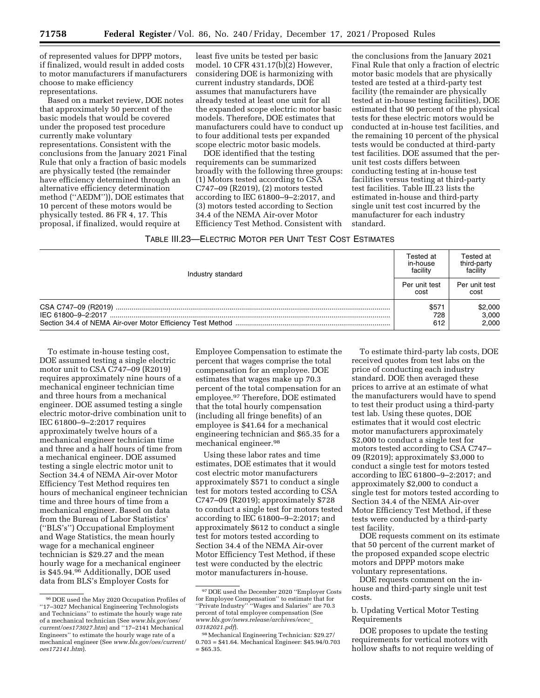of represented values for DPPP motors, if finalized, would result in added costs to motor manufacturers if manufacturers choose to make efficiency representations.

Based on a market review, DOE notes that approximately 50 percent of the basic models that would be covered under the proposed test procedure currently make voluntary representations. Consistent with the conclusions from the January 2021 Final Rule that only a fraction of basic models are physically tested (the remainder have efficiency determined through an alternative efficiency determination method (''AEDM'')), DOE estimates that 10 percent of these motors would be physically tested. 86 FR 4, 17. This proposal, if finalized, would require at

least five units be tested per basic model. 10 CFR 431.17(b)(2) However, considering DOE is harmonizing with current industry standards, DOE assumes that manufacturers have already tested at least one unit for all the expanded scope electric motor basic models. Therefore, DOE estimates that manufacturers could have to conduct up to four additional tests per expanded scope electric motor basic models.

DOE identified that the testing requirements can be summarized broadly with the following three groups: (1) Motors tested according to CSA C747–09 (R2019), (2) motors tested according to IEC 61800–9–2:2017, and (3) motors tested according to Section 34.4 of the NEMA Air-over Motor Efficiency Test Method. Consistent with

the conclusions from the January 2021 Final Rule that only a fraction of electric motor basic models that are physically tested are tested at a third-party test facility (the remainder are physically tested at in-house testing facilities), DOE estimated that 90 percent of the physical tests for these electric motors would be conducted at in-house test facilities, and the remaining 10 percent of the physical tests would be conducted at third-party test facilities. DOE assumed that the perunit test costs differs between conducting testing at in-house test facilities versus testing at third-party test facilities. Table III.23 lists the estimated in-house and third-party single unit test cost incurred by the manufacturer for each industry standard.

# TABLE III.23—ELECTRIC MOTOR PER UNIT TEST COST ESTIMATES

| Industry standard | Tested at<br>in-house<br>facility | Tested at<br>third-party<br>facility |
|-------------------|-----------------------------------|--------------------------------------|
|                   |                                   | Per unit test<br>cost                |
|                   | \$571<br>728<br>612               | \$2,000<br>3,000<br>2.000            |

To estimate in-house testing cost, DOE assumed testing a single electric motor unit to CSA C747–09 (R2019) requires approximately nine hours of a mechanical engineer technician time and three hours from a mechanical engineer. DOE assumed testing a single electric motor-drive combination unit to IEC 61800–9–2:2017 requires approximately twelve hours of a mechanical engineer technician time and three and a half hours of time from a mechanical engineer. DOE assumed testing a single electric motor unit to Section 34.4 of NEMA Air-over Motor Efficiency Test Method requires ten hours of mechanical engineer technician time and three hours of time from a mechanical engineer. Based on data from the Bureau of Labor Statistics' (''BLS's'') Occupational Employment and Wage Statistics, the mean hourly wage for a mechanical engineer technician is \$29.27 and the mean hourly wage for a mechanical engineer is \$45.94.96 Additionally, DOE used data from BLS's Employer Costs for

Employee Compensation to estimate the percent that wages comprise the total compensation for an employee. DOE estimates that wages make up 70.3 percent of the total compensation for an employee.97 Therefore, DOE estimated that the total hourly compensation (including all fringe benefits) of an employee is \$41.64 for a mechanical engineering technician and \$65.35 for a mechanical engineer.98

Using these labor rates and time estimates, DOE estimates that it would cost electric motor manufacturers approximately \$571 to conduct a single test for motors tested according to CSA C747–09 (R2019); approximately \$728 to conduct a single test for motors tested according to IEC 61800–9–2:2017; and approximately \$612 to conduct a single test for motors tested according to Section 34.4 of the NEMA Air-over Motor Efficiency Test Method, if these test were conducted by the electric motor manufacturers in-house.

To estimate third-party lab costs, DOE received quotes from test labs on the price of conducting each industry standard. DOE then averaged these prices to arrive at an estimate of what the manufacturers would have to spend to test their product using a third-party test lab. Using these quotes, DOE estimates that it would cost electric motor manufacturers approximately \$2,000 to conduct a single test for motors tested according to CSA C747– 09 (R2019); approximately \$3,000 to conduct a single test for motors tested according to IEC 61800–9–2:2017; and approximately \$2,000 to conduct a single test for motors tested according to Section 34.4 of the NEMA Air-over Motor Efficiency Test Method, if these tests were conducted by a third-party test facility.

DOE requests comment on its estimate that 50 percent of the current market of the proposed expanded scope electric motors and DPPP motors make voluntary representations.

DOE requests comment on the inhouse and third-party single unit test costs.

b. Updating Vertical Motor Testing Requirements

DOE proposes to update the testing requirements for vertical motors with hollow shafts to not require welding of

<sup>96</sup> DOE used the May 2020 Occupation Profiles of ''17–3027 Mechanical Engineering Technologists and Technicians'' to estimate the hourly wage rate of a mechanical technician (See *[www.bls.gov/oes/](http://www.bls.gov/oes/current/oes173027.htm)  [current/oes173027.htm](http://www.bls.gov/oes/current/oes173027.htm)*) and ''17–2141 Mechanical Engineers'' to estimate the hourly wage rate of a mechanical engineer (See *[www.bls.gov/oes/current/](http://www.bls.gov/oes/current/oes172141.htm)  [oes172141.htm](http://www.bls.gov/oes/current/oes172141.htm)*).

<sup>97</sup> DOE used the December 2020 ''Employer Costs for Employee Compensation'' to estimate that for ''Private Industry'' ''Wages and Salaries'' are 70.3 percent of total employee compensation (See *[www.bls.gov/news.release/archives/ecec](http://www.bls.gov/news.release/archives/ecec_03182021.pdf)*\_ *[03182021.pdf](http://www.bls.gov/news.release/archives/ecec_03182021.pdf)*).

<sup>98</sup>Mechanical Engineering Technician: \$29.27/ 0.703 = \$41.64. Mechanical Engineer: \$45.94/0.703  $=$  \$65.35.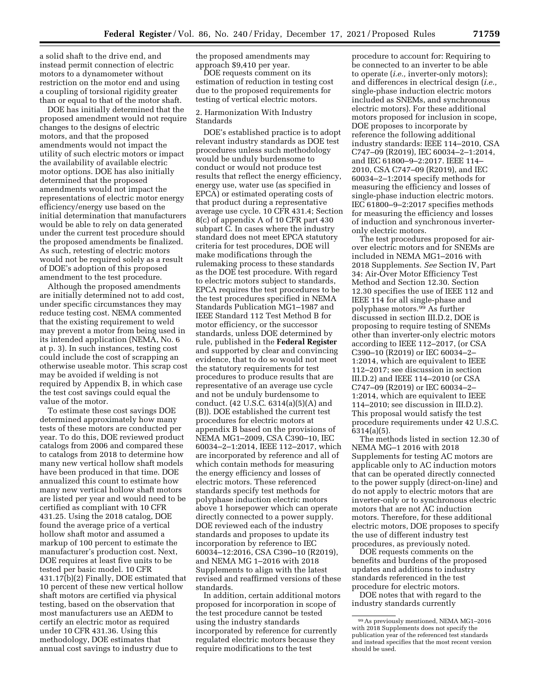a solid shaft to the drive end, and instead permit connection of electric motors to a dynamometer without restriction on the motor end and using a coupling of torsional rigidity greater than or equal to that of the motor shaft.

DOE has initially determined that the proposed amendment would not require changes to the designs of electric motors, and that the proposed amendments would not impact the utility of such electric motors or impact the availability of available electric motor options. DOE has also initially determined that the proposed amendments would not impact the representations of electric motor energy efficiency/energy use based on the initial determination that manufacturers would be able to rely on data generated under the current test procedure should the proposed amendments be finalized. As such, retesting of electric motors would not be required solely as a result of DOE's adoption of this proposed amendment to the test procedure.

Although the proposed amendments are initially determined not to add cost, under specific circumstances they may reduce testing cost. NEMA commented that the existing requirement to weld may prevent a motor from being used in its intended application (NEMA, No. 6 at p. 3). In such instances, testing cost could include the cost of scrapping an otherwise useable motor. This scrap cost may be avoided if welding is not required by Appendix B, in which case the test cost savings could equal the value of the motor.

To estimate these cost savings DOE determined approximately how many tests of these motors are conducted per year. To do this, DOE reviewed product catalogs from 2006 and compared these to catalogs from 2018 to determine how many new vertical hollow shaft models have been produced in that time. DOE annualized this count to estimate how many new vertical hollow shaft motors are listed per year and would need to be certified as compliant with 10 CFR 431.25. Using the 2018 catalog, DOE found the average price of a vertical hollow shaft motor and assumed a markup of 100 percent to estimate the manufacturer's production cost. Next, DOE requires at least five units to be tested per basic model. 10 CFR 431.17(b)(2) Finally, DOE estimated that 10 percent of these new vertical hollow shaft motors are certified via physical testing, based on the observation that most manufacturers use an AEDM to certify an electric motor as required under 10 CFR 431.36. Using this methodology, DOE estimates that annual cost savings to industry due to

the proposed amendments may approach \$9,410 per year.

DOE requests comment on its estimation of reduction in testing cost due to the proposed requirements for testing of vertical electric motors.

### 2. Harmonization With Industry Standards

DOE's established practice is to adopt relevant industry standards as DOE test procedures unless such methodology would be unduly burdensome to conduct or would not produce test results that reflect the energy efficiency, energy use, water use (as specified in EPCA) or estimated operating costs of that product during a representative average use cycle. 10 CFR 431.4; Section 8(c) of appendix A of 10 CFR part 430 subpart C. In cases where the industry standard does not meet EPCA statutory criteria for test procedures, DOE will make modifications through the rulemaking process to these standards as the DOE test procedure. With regard to electric motors subject to standards, EPCA requires the test procedures to be the test procedures specified in NEMA Standards Publication MG1–1987 and IEEE Standard 112 Test Method B for motor efficiency, or the successor standards, unless DOE determined by rule, published in the **Federal Register**  and supported by clear and convincing evidence, that to do so would not meet the statutory requirements for test procedures to produce results that are representative of an average use cycle and not be unduly burdensome to conduct. (42 U.S.C. 6314(a)(5)(A) and (B)). DOE established the current test procedures for electric motors at appendix B based on the provisions of NEMA MG1–2009, CSA C390–10, IEC 60034–2–1:2014, IEEE 112–2017, which are incorporated by reference and all of which contain methods for measuring the energy efficiency and losses of electric motors. These referenced standards specify test methods for polyphase induction electric motors above 1 horsepower which can operate directly connected to a power supply. DOE reviewed each of the industry standards and proposes to update its incorporation by reference to IEC 60034–12:2016, CSA C390–10 (R2019), and NEMA MG 1–2016 with 2018 Supplements to align with the latest revised and reaffirmed versions of these standards.

In addition, certain additional motors proposed for incorporation in scope of the test procedure cannot be tested using the industry standards incorporated by reference for currently regulated electric motors because they require modifications to the test

procedure to account for: Requiring to be connected to an inverter to be able to operate (*i.e.,* inverter-only motors); and differences in electrical design (*i.e.,*  single-phase induction electric motors included as SNEMs, and synchronous electric motors). For these additional motors proposed for inclusion in scope, DOE proposes to incorporate by reference the following additional industry standards: IEEE 114–2010, CSA C747–09 (R2019), IEC 60034–2–1:2014, and IEC 61800–9–2:2017. IEEE 114– 2010, CSA C747–09 (R2019), and IEC 60034–2–1:2014 specify methods for measuring the efficiency and losses of single-phase induction electric motors. IEC 61800–9–2:2017 specifies methods for measuring the efficiency and losses of induction and synchronous inverteronly electric motors.

The test procedures proposed for airover electric motors and for SNEMs are included in NEMA MG1–2016 with 2018 Supplements. *See* Section IV, Part 34: Air-Over Motor Efficiency Test Method and Section 12.30. Section 12.30 specifies the use of IEEE 112 and IEEE 114 for all single-phase and polyphase motors.99 As further discussed in section III.D.2, DOE is proposing to require testing of SNEMs other than inverter-only electric motors according to IEEE 112–2017, (or CSA C390–10 (R2019) or IEC 60034–2– 1:2014, which are equivalent to IEEE 112–2017; see discussion in section III.D.2) and IEEE 114–2010 (or CSA C747–09 (R2019) or IEC 60034–2– 1:2014, which are equivalent to IEEE 114–2010; see discussion in III.D.2). This proposal would satisfy the test procedure requirements under 42 U.S.C.  $6314(a)(5)$ .

The methods listed in section 12.30 of NEMA MG–1 2016 with 2018 Supplements for testing AC motors are applicable only to AC induction motors that can be operated directly connected to the power supply (direct-on-line) and do not apply to electric motors that are inverter-only or to synchronous electric motors that are not AC induction motors. Therefore, for these additional electric motors, DOE proposes to specify the use of different industry test procedures, as previously noted.

DOE requests comments on the benefits and burdens of the proposed updates and additions to industry standards referenced in the test procedure for electric motors.

DOE notes that with regard to the industry standards currently

<sup>99</sup>As previously mentioned, NEMA MG1–2016 with 2018 Supplements does not specify the publication year of the referenced test standards and instead specifies that the most recent version should be used.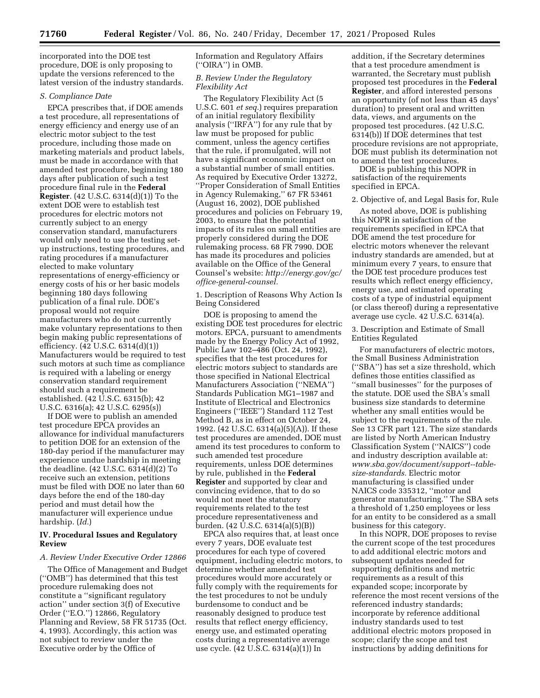incorporated into the DOE test procedure, DOE is only proposing to update the versions referenced to the latest version of the industry standards.

### *S. Compliance Date*

EPCA prescribes that, if DOE amends a test procedure, all representations of energy efficiency and energy use of an electric motor subject to the test procedure, including those made on marketing materials and product labels, must be made in accordance with that amended test procedure, beginning 180 days after publication of such a test procedure final rule in the **Federal Register**. (42 U.S.C. 6314(d)(1)) To the extent DOE were to establish test procedures for electric motors not currently subject to an energy conservation standard, manufacturers would only need to use the testing setup instructions, testing procedures, and rating procedures if a manufacturer elected to make voluntary representations of energy-efficiency or energy costs of his or her basic models beginning 180 days following publication of a final rule. DOE's proposal would not require manufacturers who do not currently make voluntary representations to then begin making public representations of efficiency. (42 U.S.C. 6314(d)(1)) Manufacturers would be required to test such motors at such time as compliance is required with a labeling or energy conservation standard requirement should such a requirement be established. (42 U.S.C. 6315(b); 42 U.S.C. 6316(a); 42 U.S.C. 6295(s))

If DOE were to publish an amended test procedure EPCA provides an allowance for individual manufacturers to petition DOE for an extension of the 180-day period if the manufacturer may experience undue hardship in meeting the deadline. (42 U.S.C. 6314(d)(2) To receive such an extension, petitions must be filed with DOE no later than 60 days before the end of the 180-day period and must detail how the manufacturer will experience undue hardship. (*Id.*)

# **IV. Procedural Issues and Regulatory Review**

# *A. Review Under Executive Order 12866*

The Office of Management and Budget (''OMB'') has determined that this test procedure rulemaking does not constitute a ''significant regulatory action'' under section 3(f) of Executive Order (''E.O.'') 12866, Regulatory Planning and Review, 58 FR 51735 (Oct. 4, 1993). Accordingly, this action was not subject to review under the Executive order by the Office of

Information and Regulatory Affairs (''OIRA'') in OMB.

### *B. Review Under the Regulatory Flexibility Act*

The Regulatory Flexibility Act (5 U.S.C. 601 *et seq.*) requires preparation of an initial regulatory flexibility analysis (''IRFA'') for any rule that by law must be proposed for public comment, unless the agency certifies that the rule, if promulgated, will not have a significant economic impact on a substantial number of small entities. As required by Executive Order 13272, ''Proper Consideration of Small Entities in Agency Rulemaking,'' 67 FR 53461 (August 16, 2002), DOE published procedures and policies on February 19, 2003, to ensure that the potential impacts of its rules on small entities are properly considered during the DOE rulemaking process. 68 FR 7990. DOE has made its procedures and policies available on the Office of the General Counsel's website: *[http://energy.gov/gc/](http://energy.gov/gc/office-general-counsel) [office-general-counsel.](http://energy.gov/gc/office-general-counsel)* 

1. Description of Reasons Why Action Is Being Considered

DOE is proposing to amend the existing DOE test procedures for electric motors. EPCA, pursuant to amendments made by the Energy Policy Act of 1992, Public Law 102–486 (Oct. 24, 1992), specifies that the test procedures for electric motors subject to standards are those specified in National Electrical Manufacturers Association (''NEMA'') Standards Publication MG1–1987 and Institute of Electrical and Electronics Engineers (''IEEE'') Standard 112 Test Method B, as in effect on October 24, 1992. (42 U.S.C. 6314(a)(5)(A)). If these test procedures are amended, DOE must amend its test procedures to conform to such amended test procedure requirements, unless DOE determines by rule, published in the **Federal Register** and supported by clear and convincing evidence, that to do so would not meet the statutory requirements related to the test procedure representativeness and burden. (42 U.S.C. 6314(a)(5)(B))

EPCA also requires that, at least once every 7 years, DOE evaluate test procedures for each type of covered equipment, including electric motors, to determine whether amended test procedures would more accurately or fully comply with the requirements for the test procedures to not be unduly burdensome to conduct and be reasonably designed to produce test results that reflect energy efficiency, energy use, and estimated operating costs during a representative average use cycle. (42 U.S.C. 6314(a)(1)) In

addition, if the Secretary determines that a test procedure amendment is warranted, the Secretary must publish proposed test procedures in the **Federal Register***,* and afford interested persons an opportunity (of not less than 45 days' duration) to present oral and written data, views, and arguments on the proposed test procedures. (42 U.S.C. 6314(b)) If DOE determines that test procedure revisions are not appropriate, DOE must publish its determination not to amend the test procedures.

DOE is publishing this NOPR in satisfaction of the requirements specified in EPCA.

# 2. Objective of, and Legal Basis for, Rule

As noted above, DOE is publishing this NOPR in satisfaction of the requirements specified in EPCA that DOE amend the test procedure for electric motors whenever the relevant industry standards are amended, but at minimum every 7 years, to ensure that the DOE test procedure produces test results which reflect energy efficiency, energy use, and estimated operating costs of a type of industrial equipment (or class thereof) during a representative average use cycle. 42 U.S.C. 6314(a).

3. Description and Estimate of Small Entities Regulated

For manufacturers of electric motors, the Small Business Administration (''SBA'') has set a size threshold, which defines those entities classified as ''small businesses'' for the purposes of the statute. DOE used the SBA's small business size standards to determine whether any small entities would be subject to the requirements of the rule. See 13 CFR part 121. The size standards are listed by North American Industry Classification System (''NAICS'') code and industry description available at: *[www.sba.gov/document/support--table](http://www.sba.gov/document/support--table-size-standards)[size-standards.](http://www.sba.gov/document/support--table-size-standards)* Electric motor manufacturing is classified under NAICS code 335312, ''motor and generator manufacturing.'' The SBA sets a threshold of 1,250 employees or less for an entity to be considered as a small business for this category.

In this NOPR, DOE proposes to revise the current scope of the test procedures to add additional electric motors and subsequent updates needed for supporting definitions and metric requirements as a result of this expanded scope; incorporate by reference the most recent versions of the referenced industry standards; incorporate by reference additional industry standards used to test additional electric motors proposed in scope; clarify the scope and test instructions by adding definitions for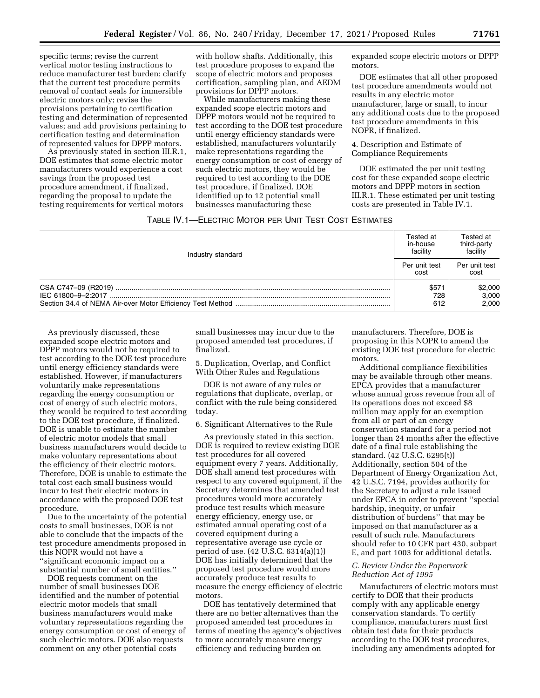specific terms; revise the current vertical motor testing instructions to reduce manufacturer test burden; clarify that the current test procedure permits removal of contact seals for immersible electric motors only; revise the provisions pertaining to certification testing and determination of represented values; and add provisions pertaining to certification testing and determination of represented values for DPPP motors.

As previously stated in section III.R.1, DOE estimates that some electric motor manufacturers would experience a cost savings from the proposed test procedure amendment, if finalized, regarding the proposal to update the testing requirements for vertical motors

with hollow shafts. Additionally, this test procedure proposes to expand the scope of electric motors and proposes certification, sampling plan, and AEDM provisions for DPPP motors.

While manufacturers making these expanded scope electric motors and DPPP motors would not be required to test according to the DOE test procedure until energy efficiency standards were established, manufacturers voluntarily make representations regarding the energy consumption or cost of energy of such electric motors, they would be required to test according to the DOE test procedure, if finalized. DOE identified up to 12 potential small businesses manufacturing these

expanded scope electric motors or DPPP motors.

DOE estimates that all other proposed test procedure amendments would not results in any electric motor manufacturer, large or small, to incur any additional costs due to the proposed test procedure amendments in this NOPR, if finalized.

4. Description and Estimate of Compliance Requirements

DOE estimated the per unit testing cost for these expanded scope electric motors and DPPP motors in section III.R.1. These estimated per unit testing costs are presented in Table IV.1.

# TABLE IV.1—ELECTRIC MOTOR PER UNIT TEST COST ESTIMATES

| Industry standard | Tested at<br>in-house<br>facility | Tested at<br>third-party<br>facility |
|-------------------|-----------------------------------|--------------------------------------|
|                   |                                   | Per unit test<br>cost                |
|                   | \$571<br>728<br>612               | \$2,000<br>3,000<br>2.000            |

As previously discussed, these expanded scope electric motors and DPPP motors would not be required to test according to the DOE test procedure until energy efficiency standards were established. However, if manufacturers voluntarily make representations regarding the energy consumption or cost of energy of such electric motors, they would be required to test according to the DOE test procedure, if finalized. DOE is unable to estimate the number of electric motor models that small business manufacturers would decide to make voluntary representations about the efficiency of their electric motors. Therefore, DOE is unable to estimate the total cost each small business would incur to test their electric motors in accordance with the proposed DOE test procedure.

Due to the uncertainty of the potential costs to small businesses, DOE is not able to conclude that the impacts of the test procedure amendments proposed in this NOPR would not have a ''significant economic impact on a substantial number of small entities.''

DOE requests comment on the number of small businesses DOE identified and the number of potential electric motor models that small business manufacturers would make voluntary representations regarding the energy consumption or cost of energy of such electric motors. DOE also requests comment on any other potential costs

small businesses may incur due to the proposed amended test procedures, if finalized.

5. Duplication, Overlap, and Conflict With Other Rules and Regulations

DOE is not aware of any rules or regulations that duplicate, overlap, or conflict with the rule being considered today.

6. Significant Alternatives to the Rule

As previously stated in this section, DOE is required to review existing DOE test procedures for all covered equipment every 7 years. Additionally, DOE shall amend test procedures with respect to any covered equipment, if the Secretary determines that amended test procedures would more accurately produce test results which measure energy efficiency, energy use, or estimated annual operating cost of a covered equipment during a representative average use cycle or period of use. (42 U.S.C. 6314(a)(1)) DOE has initially determined that the proposed test procedure would more accurately produce test results to measure the energy efficiency of electric motors.

DOE has tentatively determined that there are no better alternatives than the proposed amended test procedures in terms of meeting the agency's objectives to more accurately measure energy efficiency and reducing burden on

manufacturers. Therefore, DOE is proposing in this NOPR to amend the existing DOE test procedure for electric motors.

Additional compliance flexibilities may be available through other means. EPCA provides that a manufacturer whose annual gross revenue from all of its operations does not exceed \$8 million may apply for an exemption from all or part of an energy conservation standard for a period not longer than 24 months after the effective date of a final rule establishing the standard. (42 U.S.C. 6295(t)) Additionally, section 504 of the Department of Energy Organization Act, 42 U.S.C. 7194, provides authority for the Secretary to adjust a rule issued under EPCA in order to prevent ''special hardship, inequity, or unfair distribution of burdens'' that may be imposed on that manufacturer as a result of such rule. Manufacturers should refer to 10 CFR part 430, subpart E, and part 1003 for additional details.

# *C. Review Under the Paperwork Reduction Act of 1995*

Manufacturers of electric motors must certify to DOE that their products comply with any applicable energy conservation standards. To certify compliance, manufacturers must first obtain test data for their products according to the DOE test procedures, including any amendments adopted for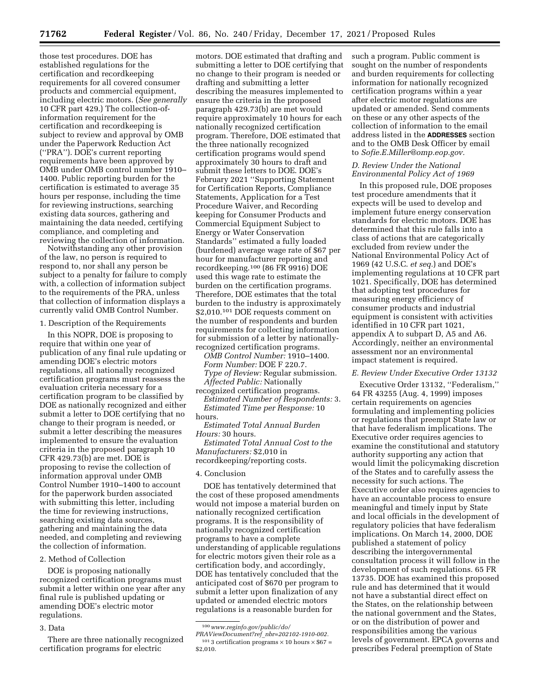those test procedures. DOE has established regulations for the certification and recordkeeping requirements for all covered consumer products and commercial equipment, including electric motors. (*See generally*  10 CFR part 429.) The collection-ofinformation requirement for the certification and recordkeeping is subject to review and approval by OMB under the Paperwork Reduction Act (''PRA''). DOE's current reporting requirements have been approved by OMB under OMB control number 1910– 1400. Public reporting burden for the certification is estimated to average 35 hours per response, including the time for reviewing instructions, searching existing data sources, gathering and maintaining the data needed, certifying compliance, and completing and reviewing the collection of information.

Notwithstanding any other provision of the law, no person is required to respond to, nor shall any person be subject to a penalty for failure to comply with, a collection of information subject to the requirements of the PRA, unless that collection of information displays a currently valid OMB Control Number.

#### 1. Description of the Requirements

In this NOPR, DOE is proposing to require that within one year of publication of any final rule updating or amending DOE's electric motors regulations, all nationally recognized certification programs must reassess the evaluation criteria necessary for a certification program to be classified by DOE as nationally recognized and either submit a letter to DOE certifying that no change to their program is needed, or submit a letter describing the measures implemented to ensure the evaluation criteria in the proposed paragraph 10 CFR 429.73(b) are met. DOE is proposing to revise the collection of information approval under OMB Control Number 1910–1400 to account for the paperwork burden associated with submitting this letter, including the time for reviewing instructions, searching existing data sources, gathering and maintaining the data needed, and completing and reviewing the collection of information.

# 2. Method of Collection

DOE is proposing nationally recognized certification programs must submit a letter within one year after any final rule is published updating or amending DOE's electric motor regulations.

#### 3. Data

There are three nationally recognized certification programs for electric

motors. DOE estimated that drafting and submitting a letter to DOE certifying that no change to their program is needed or drafting and submitting a letter describing the measures implemented to ensure the criteria in the proposed paragraph 429.73(b) are met would require approximately 10 hours for each nationally recognized certification program. Therefore, DOE estimated that the three nationally recognized certification programs would spend approximately 30 hours to draft and submit these letters to DOE. DOE's February 2021 ''Supporting Statement for Certification Reports, Compliance Statements, Application for a Test Procedure Waiver, and Recording keeping for Consumer Products and Commercial Equipment Subject to Energy or Water Conservation Standards'' estimated a fully loaded (burdened) average wage rate of \$67 per hour for manufacturer reporting and recordkeeping.100 (86 FR 9916) DOE used this wage rate to estimate the burden on the certification programs. Therefore, DOE estimates that the total burden to the industry is approximately \$2,010.<sup>101</sup> DOE requests comment on the number of respondents and burden requirements for collecting information for submission of a letter by nationallyrecognized certification programs.

*OMB Control Number:* 1910–1400. *Form Number:* DOE F 220.7. *Type of Review:* Regular submission. *Affected Public:* Nationally

recognized certification programs. *Estimated Number of Respondents:* 3. *Estimated Time per Response:* 10 hours.

*Estimated Total Annual Burden Hours:* 30 hours.

*Estimated Total Annual Cost to the Manufacturers:* \$2,010 in recordkeeping/reporting costs.

#### 4. Conclusion

DOE has tentatively determined that the cost of these proposed amendments would not impose a material burden on nationally recognized certification programs. It is the responsibility of nationally recognized certification programs to have a complete understanding of applicable regulations for electric motors given their role as a certification body, and accordingly, DOE has tentatively concluded that the anticipated cost of \$670 per program to submit a letter upon finalization of any updated or amended electric motors regulations is a reasonable burden for

such a program. Public comment is sought on the number of respondents and burden requirements for collecting information for nationally recognized certification programs within a year after electric motor regulations are updated or amended. Send comments on these or any other aspects of the collection of information to the email address listed in the **ADDRESSES** section and to the OMB Desk Officer by email to *[Sofie.E.Miller@omp.eop.gov.](mailto:Sofie.E.Miller@omp.eop.gov)* 

# *D. Review Under the National Environmental Policy Act of 1969*

In this proposed rule, DOE proposes test procedure amendments that it expects will be used to develop and implement future energy conservation standards for electric motors. DOE has determined that this rule falls into a class of actions that are categorically excluded from review under the National Environmental Policy Act of 1969 (42 U.S.C. *et seq.*) and DOE's implementing regulations at 10 CFR part 1021. Specifically, DOE has determined that adopting test procedures for measuring energy efficiency of consumer products and industrial equipment is consistent with activities identified in 10 CFR part 1021, appendix A to subpart D, A5 and A6. Accordingly, neither an environmental assessment nor an environmental impact statement is required.

#### *E. Review Under Executive Order 13132*

Executive Order 13132, ''Federalism,'' 64 FR 43255 (Aug. 4, 1999) imposes certain requirements on agencies formulating and implementing policies or regulations that preempt State law or that have federalism implications. The Executive order requires agencies to examine the constitutional and statutory authority supporting any action that would limit the policymaking discretion of the States and to carefully assess the necessity for such actions. The Executive order also requires agencies to have an accountable process to ensure meaningful and timely input by State and local officials in the development of regulatory policies that have federalism implications. On March 14, 2000, DOE published a statement of policy describing the intergovernmental consultation process it will follow in the development of such regulations. 65 FR 13735. DOE has examined this proposed rule and has determined that it would not have a substantial direct effect on the States, on the relationship between the national government and the States, or on the distribution of power and responsibilities among the various levels of government. EPCA governs and prescribes Federal preemption of State

<sup>100</sup>*[www.reginfo.gov/public/do/](http://www.reginfo.gov/public/do/PRAViewDocument?ref_nbr=202102-1910-002)* 

*[PRAViewDocument?ref](http://www.reginfo.gov/public/do/PRAViewDocument?ref_nbr=202102-1910-002)*\_*nbr=202102-1910-002.*  <sup>101</sup> 3 certification programs  $\times$  10 hours  $\times$  \$67 = \$2,010.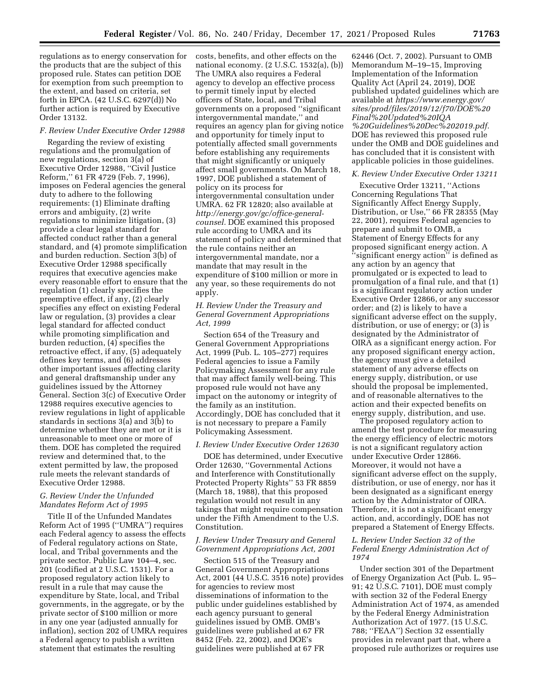regulations as to energy conservation for the products that are the subject of this proposed rule. States can petition DOE for exemption from such preemption to the extent, and based on criteria, set forth in EPCA. (42 U.S.C. 6297(d)) No further action is required by Executive Order 13132.

#### *F. Review Under Executive Order 12988*

Regarding the review of existing regulations and the promulgation of new regulations, section 3(a) of Executive Order 12988, ''Civil Justice Reform,'' 61 FR 4729 (Feb. 7, 1996), imposes on Federal agencies the general duty to adhere to the following requirements: (1) Eliminate drafting errors and ambiguity, (2) write regulations to minimize litigation, (3) provide a clear legal standard for affected conduct rather than a general standard, and (4) promote simplification and burden reduction. Section 3(b) of Executive Order 12988 specifically requires that executive agencies make every reasonable effort to ensure that the regulation (1) clearly specifies the preemptive effect, if any, (2) clearly specifies any effect on existing Federal law or regulation, (3) provides a clear legal standard for affected conduct while promoting simplification and burden reduction, (4) specifies the retroactive effect, if any, (5) adequately defines key terms, and (6) addresses other important issues affecting clarity and general draftsmanship under any guidelines issued by the Attorney General. Section 3(c) of Executive Order 12988 requires executive agencies to review regulations in light of applicable standards in sections  $3(a)$  and  $3(b)$  to determine whether they are met or it is unreasonable to meet one or more of them. DOE has completed the required review and determined that, to the extent permitted by law, the proposed rule meets the relevant standards of Executive Order 12988.

# *G. Review Under the Unfunded Mandates Reform Act of 1995*

Title II of the Unfunded Mandates Reform Act of 1995 (''UMRA'') requires each Federal agency to assess the effects of Federal regulatory actions on State, local, and Tribal governments and the private sector. Public Law 104–4, sec. 201 (codified at 2 U.S.C. 1531). For a proposed regulatory action likely to result in a rule that may cause the expenditure by State, local, and Tribal governments, in the aggregate, or by the private sector of \$100 million or more in any one year (adjusted annually for inflation), section 202 of UMRA requires a Federal agency to publish a written statement that estimates the resulting

costs, benefits, and other effects on the national economy. (2 U.S.C. 1532(a), (b)) The UMRA also requires a Federal agency to develop an effective process to permit timely input by elected officers of State, local, and Tribal governments on a proposed ''significant intergovernmental mandate,'' and requires an agency plan for giving notice and opportunity for timely input to potentially affected small governments before establishing any requirements that might significantly or uniquely affect small governments. On March 18, 1997, DOE published a statement of policy on its process for intergovernmental consultation under UMRA. 62 FR 12820; also available at *[http://energy.gov/gc/office-general](http://energy.gov/gc/office-general-counsel)counsel*. DOE examined this proposed rule according to UMRA and its statement of policy and determined that the rule contains neither an intergovernmental mandate, nor a mandate that may result in the expenditure of \$100 million or more in any year, so these requirements do not apply.

# *H. Review Under the Treasury and General Government Appropriations Act, 1999*

Section 654 of the Treasury and General Government Appropriations Act, 1999 (Pub. L. 105–277) requires Federal agencies to issue a Family Policymaking Assessment for any rule that may affect family well-being. This proposed rule would not have any impact on the autonomy or integrity of the family as an institution. Accordingly, DOE has concluded that it is not necessary to prepare a Family Policymaking Assessment.

### *I. Review Under Executive Order 12630*

DOE has determined, under Executive Order 12630, ''Governmental Actions and Interference with Constitutionally Protected Property Rights'' 53 FR 8859 (March 18, 1988), that this proposed regulation would not result in any takings that might require compensation under the Fifth Amendment to the U.S. Constitution.

### *J. Review Under Treasury and General Government Appropriations Act, 2001*

Section 515 of the Treasury and General Government Appropriations Act, 2001 (44 U.S.C. 3516 note) provides for agencies to review most disseminations of information to the public under guidelines established by each agency pursuant to general guidelines issued by OMB. OMB's guidelines were published at 67 FR 8452 (Feb. 22, 2002), and DOE's guidelines were published at 67 FR

62446 (Oct. 7, 2002). Pursuant to OMB Memorandum M–19–15, Improving Implementation of the Information Quality Act (April 24, 2019), DOE published updated guidelines which are available at *[https://www.energy.gov/](https://www.energy.gov/sites/prod/files/2019/12/f70/DOE%20Final%20Updated%20IQA%20Guidelines%20Dec%202019.pdf) [sites/prod/files/2019/12/f70/DOE%20](https://www.energy.gov/sites/prod/files/2019/12/f70/DOE%20Final%20Updated%20IQA%20Guidelines%20Dec%202019.pdf) [Final%20Updated%20IQA](https://www.energy.gov/sites/prod/files/2019/12/f70/DOE%20Final%20Updated%20IQA%20Guidelines%20Dec%202019.pdf) [%20Guidelines%20Dec%202019.pdf.](https://www.energy.gov/sites/prod/files/2019/12/f70/DOE%20Final%20Updated%20IQA%20Guidelines%20Dec%202019.pdf)*  DOE has reviewed this proposed rule under the OMB and DOE guidelines and has concluded that it is consistent with applicable policies in those guidelines.

## *K. Review Under Executive Order 13211*

Executive Order 13211, ''Actions Concerning Regulations That Significantly Affect Energy Supply, Distribution, or Use,'' 66 FR 28355 (May 22, 2001), requires Federal agencies to prepare and submit to OMB, a Statement of Energy Effects for any proposed significant energy action. A ''significant energy action'' is defined as any action by an agency that promulgated or is expected to lead to promulgation of a final rule, and that (1) is a significant regulatory action under Executive Order 12866, or any successor order; and (2) is likely to have a significant adverse effect on the supply, distribution, or use of energy; or (3) is designated by the Administrator of OIRA as a significant energy action. For any proposed significant energy action, the agency must give a detailed statement of any adverse effects on energy supply, distribution, or use should the proposal be implemented, and of reasonable alternatives to the action and their expected benefits on energy supply, distribution, and use.

The proposed regulatory action to amend the test procedure for measuring the energy efficiency of electric motors is not a significant regulatory action under Executive Order 12866. Moreover, it would not have a significant adverse effect on the supply, distribution, or use of energy, nor has it been designated as a significant energy action by the Administrator of OIRA. Therefore, it is not a significant energy action, and, accordingly, DOE has not prepared a Statement of Energy Effects.

# *L. Review Under Section 32 of the Federal Energy Administration Act of 1974*

Under section 301 of the Department of Energy Organization Act (Pub. L. 95– 91; 42 U.S.C. 7101), DOE must comply with section 32 of the Federal Energy Administration Act of 1974, as amended by the Federal Energy Administration Authorization Act of 1977. (15 U.S.C. 788; ''FEAA'') Section 32 essentially provides in relevant part that, where a proposed rule authorizes or requires use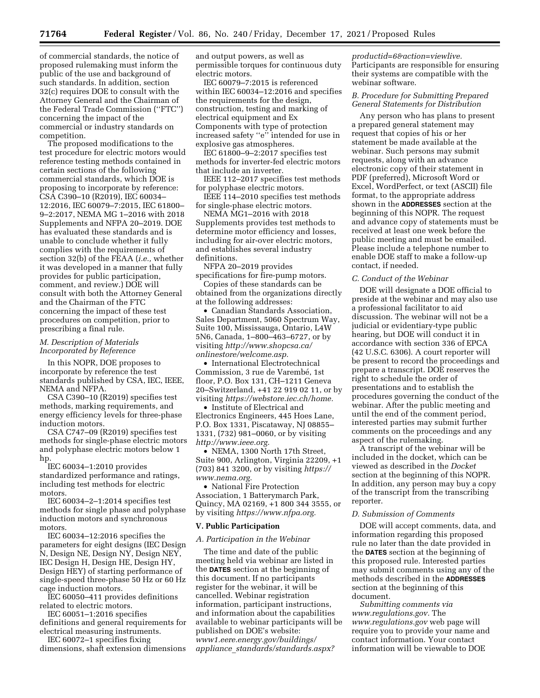of commercial standards, the notice of proposed rulemaking must inform the public of the use and background of such standards. In addition, section 32(c) requires DOE to consult with the Attorney General and the Chairman of the Federal Trade Commission (''FTC'') concerning the impact of the commercial or industry standards on competition.

The proposed modifications to the test procedure for electric motors would reference testing methods contained in certain sections of the following commercial standards, which DOE is proposing to incorporate by reference: CSA C390–10 (R2019), IEC 60034– 12:2016, IEC 60079–7:2015, IEC 61800– 9–2:2017, NEMA MG 1–2016 with 2018 Supplements and NFPA 20–2019. DOE has evaluated these standards and is unable to conclude whether it fully complies with the requirements of section 32(b) of the FEAA (*i.e.,* whether it was developed in a manner that fully provides for public participation, comment, and review.) DOE will consult with both the Attorney General and the Chairman of the FTC concerning the impact of these test procedures on competition, prior to prescribing a final rule.

#### *M. Description of Materials Incorporated by Reference*

In this NOPR, DOE proposes to incorporate by reference the test standards published by CSA, IEC, IEEE, NEMA and NFPA.

CSA C390–10 (R2019) specifies test methods, marking requirements, and energy efficiency levels for three-phase induction motors.

CSA C747–09 (R2019) specifies test methods for single-phase electric motors and polyphase electric motors below 1 hp.

IEC 60034–1:2010 provides standardized performance and ratings, including test methods for electric motors.

IEC 60034–2–1:2014 specifies test methods for single phase and polyphase induction motors and synchronous motors.

IEC 60034–12:2016 specifies the parameters for eight designs (IEC Design N, Design NE, Design NY, Design NEY, IEC Design H, Design HE, Design HY, Design HEY) of starting performance of single-speed three-phase 50 Hz or 60 Hz cage induction motors.

IEC 60050–411 provides definitions related to electric motors.

IEC 60051–1:2016 specifies definitions and general requirements for electrical measuring instruments.

IEC 60072–1 specifies fixing dimensions, shaft extension dimensions and output powers, as well as permissible torques for continuous duty electric motors.

IEC 60079–7:2015 is referenced within IEC 60034–12:2016 and specifies the requirements for the design, construction, testing and marking of electrical equipment and Ex Components with type of protection increased safety ''e'' intended for use in explosive gas atmospheres.

IEC 61800–9–2:2017 specifies test methods for inverter-fed electric motors that include an inverter.

IEEE 112–2017 specifies test methods for polyphase electric motors.

IEEE 114–2010 specifies test methods for single-phase electric motors.

NEMA MG1–2016 with 2018 Supplements provides test methods to determine motor efficiency and losses, including for air-over electric motors, and establishes several industry definitions.

NFPA 20–2019 provides specifications for fire-pump motors.

Copies of these standards can be obtained from the organizations directly at the following addresses:

• Canadian Standards Association, Sales Department, 5060 Spectrum Way, Suite 100, Mississauga, Ontario, L4W 5N6, Canada, 1–800–463–6727, or by visiting *[http://www.shopcsa.ca/](http://www.shopcsa.ca/onlinestore/welcome.asp)  [onlinestore/welcome.asp.](http://www.shopcsa.ca/onlinestore/welcome.asp)* 

• International Electrotechnical Commission, 3 rue de Varembé, 1st floor, P.O. Box 131, CH–1211 Geneva 20–Switzerland, +41 22 919 02 11, or by visiting *[https://webstore.iec.ch/home.](https://webstore.iec.ch/home)* 

• Institute of Electrical and Electronics Engineers, 445 Hoes Lane, P.O. Box 1331, Piscataway, NJ 08855– 1331, (732) 981–0060, or by visiting *[http://www.ieee.org.](http://www.ieee.org)* 

• NEMA, 1300 North 17th Street, Suite 900, Arlington, Virginia 22209, +1 (703) 841 3200, or by visiting *[https://](https://www.nema.org) [www.nema.org.](https://www.nema.org)* 

• National Fire Protection Association, 1 Batterymarch Park, Quincy, MA 02169, +1 800 344 3555, or by visiting *[https://www.nfpa.org.](https://www.nfpa.org)* 

### **V. Public Participation**

#### *A. Participation in the Webinar*

The time and date of the public meeting held via webinar are listed in the **DATES** section at the beginning of this document. If no participants register for the webinar, it will be cancelled. Webinar registration information, participant instructions, and information about the capabilities available to webinar participants will be published on DOE's website: *[www1.eere.energy.gov/buildings/](http://www1.eere.energy.gov/buildings/appliance_standards/standards.aspx?productid=6&action=viewlive)  appliance*\_*[standards/standards.aspx?](http://www1.eere.energy.gov/buildings/appliance_standards/standards.aspx?productid=6&action=viewlive)*

*[productid=6&action=viewlive.](http://www1.eere.energy.gov/buildings/appliance_standards/standards.aspx?productid=6&action=viewlive)*  Participants are responsible for ensuring their systems are compatible with the webinar software.

# *B. Procedure for Submitting Prepared General Statements for Distribution*

Any person who has plans to present a prepared general statement may request that copies of his or her statement be made available at the webinar. Such persons may submit requests, along with an advance electronic copy of their statement in PDF (preferred), Microsoft Word or Excel, WordPerfect, or text (ASCII) file format, to the appropriate address shown in the **ADDRESSES** section at the beginning of this NOPR. The request and advance copy of statements must be received at least one week before the public meeting and must be emailed. Please include a telephone number to enable DOE staff to make a follow-up contact, if needed.

#### *C. Conduct of the Webinar*

DOE will designate a DOE official to preside at the webinar and may also use a professional facilitator to aid discussion. The webinar will not be a judicial or evidentiary-type public hearing, but DOE will conduct it in accordance with section 336 of EPCA (42 U.S.C. 6306). A court reporter will be present to record the proceedings and prepare a transcript. DOE reserves the right to schedule the order of presentations and to establish the procedures governing the conduct of the webinar. After the public meeting and until the end of the comment period, interested parties may submit further comments on the proceedings and any aspect of the rulemaking.

A transcript of the webinar will be included in the docket, which can be viewed as described in the *Docket*  section at the beginning of this NOPR. In addition, any person may buy a copy of the transcript from the transcribing reporter.

### *D. Submission of Comments*

DOE will accept comments, data, and information regarding this proposed rule no later than the date provided in the **DATES** section at the beginning of this proposed rule. Interested parties may submit comments using any of the methods described in the **ADDRESSES** section at the beginning of this document.

*Submitting comments via [www.regulations.gov.](http://www.regulations.gov)* The *[www.regulations.gov](http://www.regulations.gov)* web page will require you to provide your name and contact information. Your contact information will be viewable to DOE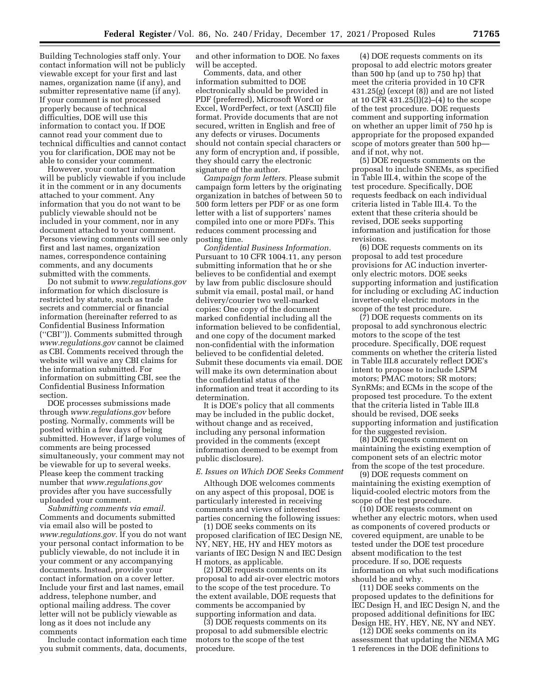Building Technologies staff only. Your contact information will not be publicly viewable except for your first and last names, organization name (if any), and submitter representative name (if any). If your comment is not processed properly because of technical difficulties, DOE will use this information to contact you. If DOE cannot read your comment due to technical difficulties and cannot contact you for clarification, DOE may not be able to consider your comment.

However, your contact information will be publicly viewable if you include it in the comment or in any documents attached to your comment. Any information that you do not want to be publicly viewable should not be included in your comment, nor in any document attached to your comment. Persons viewing comments will see only first and last names, organization names, correspondence containing comments, and any documents submitted with the comments.

Do not submit to *[www.regulations.gov](http://www.regulations.gov)*  information for which disclosure is restricted by statute, such as trade secrets and commercial or financial information (hereinafter referred to as Confidential Business Information (''CBI'')). Comments submitted through *[www.regulations.gov](http://www.regulations.gov)* cannot be claimed as CBI. Comments received through the website will waive any CBI claims for the information submitted. For information on submitting CBI, see the Confidential Business Information section.

DOE processes submissions made through *[www.regulations.gov](http://www.regulations.gov)* before posting. Normally, comments will be posted within a few days of being submitted. However, if large volumes of comments are being processed simultaneously, your comment may not be viewable for up to several weeks. Please keep the comment tracking number that *[www.regulations.gov](http://www.regulations.gov)*  provides after you have successfully uploaded your comment.

*Submitting comments via email.*  Comments and documents submitted via email also will be posted to *[www.regulations.gov.](http://www.regulations.gov)* If you do not want your personal contact information to be publicly viewable, do not include it in your comment or any accompanying documents. Instead, provide your contact information on a cover letter. Include your first and last names, email address, telephone number, and optional mailing address. The cover letter will not be publicly viewable as long as it does not include any comments

Include contact information each time you submit comments, data, documents, and other information to DOE. No faxes will be accepted.

Comments, data, and other information submitted to DOE electronically should be provided in PDF (preferred), Microsoft Word or Excel, WordPerfect, or text (ASCII) file format. Provide documents that are not secured, written in English and free of any defects or viruses. Documents should not contain special characters or any form of encryption and, if possible, they should carry the electronic signature of the author.

*Campaign form letters.* Please submit campaign form letters by the originating organization in batches of between 50 to 500 form letters per PDF or as one form letter with a list of supporters' names compiled into one or more PDFs. This reduces comment processing and posting time.

*Confidential Business Information.*  Pursuant to 10 CFR 1004.11, any person submitting information that he or she believes to be confidential and exempt by law from public disclosure should submit via email, postal mail, or hand delivery/courier two well-marked copies: One copy of the document marked confidential including all the information believed to be confidential, and one copy of the document marked non-confidential with the information believed to be confidential deleted. Submit these documents via email. DOE will make its own determination about the confidential status of the information and treat it according to its determination.

It is DOE's policy that all comments may be included in the public docket, without change and as received, including any personal information provided in the comments (except information deemed to be exempt from public disclosure).

#### *E. Issues on Which DOE Seeks Comment*

Although DOE welcomes comments on any aspect of this proposal, DOE is particularly interested in receiving comments and views of interested parties concerning the following issues:

(1) DOE seeks comments on its proposed clarification of IEC Design NE, NY, NEY, HE, HY and HEY motors as variants of IEC Design N and IEC Design H motors, as applicable.

(2) DOE requests comments on its proposal to add air-over electric motors to the scope of the test procedure. To the extent available, DOE requests that comments be accompanied by supporting information and data.

(3) DOE requests comments on its proposal to add submersible electric motors to the scope of the test procedure.

(4) DOE requests comments on its proposal to add electric motors greater than 500 hp (and up to 750 hp) that meet the criteria provided in 10 CFR 431.25(g) (except (8)) and are not listed at 10 CFR 431.25(l)(2)–(4) to the scope of the test procedure. DOE requests comment and supporting information on whether an upper limit of 750 hp is appropriate for the proposed expanded scope of motors greater than 500 hp and if not, why not.

(5) DOE requests comments on the proposal to include SNEMs, as specified in Table III.4, within the scope of the test procedure. Specifically, DOE requests feedback on each individual criteria listed in Table III.4. To the extent that these criteria should be revised, DOE seeks supporting information and justification for those revisions.

(6) DOE requests comments on its proposal to add test procedure provisions for AC induction inverteronly electric motors. DOE seeks supporting information and justification for including or excluding AC induction inverter-only electric motors in the scope of the test procedure.

(7) DOE requests comments on its proposal to add synchronous electric motors to the scope of the test procedure. Specifically, DOE request comments on whether the criteria listed in Table III.8 accurately reflect DOE's intent to propose to include LSPM motors; PMAC motors; SR motors; SynRMs; and ECMs in the scope of the proposed test procedure. To the extent that the criteria listed in Table III.8 should be revised, DOE seeks supporting information and justification for the suggested revision.

(8) DOE requests comment on maintaining the existing exemption of component sets of an electric motor from the scope of the test procedure.

(9) DOE requests comment on maintaining the existing exemption of liquid-cooled electric motors from the scope of the test procedure.

(10) DOE requests comment on whether any electric motors, when used as components of covered products or covered equipment, are unable to be tested under the DOE test procedure absent modification to the test procedure. If so, DOE requests information on what such modifications should be and why.

(11) DOE seeks comments on the proposed updates to the definitions for IEC Design H, and IEC Design N, and the proposed additional definitions for IEC Design HE, HY, HEY, NE, NY and NEY.

(12) DOE seeks comments on its assessment that updating the NEMA MG 1 references in the DOE definitions to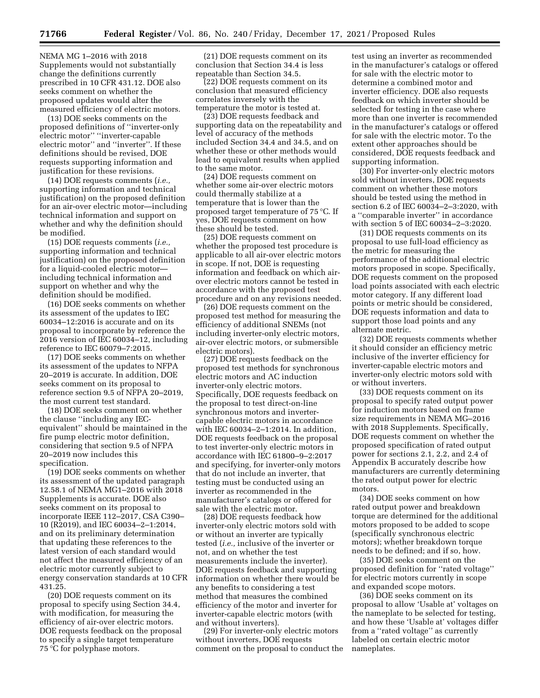NEMA MG 1–2016 with 2018 Supplements would not substantially change the definitions currently prescribed in 10 CFR 431.12. DOE also seeks comment on whether the proposed updates would alter the measured efficiency of electric motors.

(13) DOE seeks comments on the proposed definitions of ''inverter-only electric motor'' ''inverter-capable electric motor'' and ''inverter''. If these definitions should be revised, DOE requests supporting information and justification for these revisions.

(14) DOE requests comments (*i.e.,*  supporting information and technical justification) on the proposed definition for an air-over electric motor—including technical information and support on whether and why the definition should be modified.

(15) DOE requests comments (*i.e.,*  supporting information and technical justification) on the proposed definition for a liquid-cooled electric motor including technical information and support on whether and why the definition should be modified.

(16) DOE seeks comments on whether its assessment of the updates to IEC 60034–12:2016 is accurate and on its proposal to incorporate by reference the 2016 version of IEC 60034–12, including reference to IEC 60079–7:2015.

(17) DOE seeks comments on whether its assessment of the updates to NFPA 20–2019 is accurate. In addition, DOE seeks comment on its proposal to reference section 9.5 of NFPA 20–2019, the most current test standard.

(18) DOE seeks comment on whether the clause ''including any IECequivalent'' should be maintained in the fire pump electric motor definition, considering that section 9.5 of NFPA 20–2019 now includes this specification.

(19) DOE seeks comments on whether its assessment of the updated paragraph 12.58.1 of NEMA MG1–2016 with 2018 Supplements is accurate. DOE also seeks comment on its proposal to incorporate IEEE 112–2017, CSA C390– 10 (R2019), and IEC 60034–2–1:2014, and on its preliminary determination that updating these references to the latest version of each standard would not affect the measured efficiency of an electric motor currently subject to energy conservation standards at 10 CFR 431.25.

(20) DOE requests comment on its proposal to specify using Section 34.4, with modification, for measuring the efficiency of air-over electric motors. DOE requests feedback on the proposal to specify a single target temperature 75 °C for polyphase motors.

(21) DOE requests comment on its conclusion that Section 34.4 is less repeatable than Section 34.5.

(22) DOE requests comment on its conclusion that measured efficiency correlates inversely with the temperature the motor is tested at.

(23) DOE requests feedback and supporting data on the repeatability and level of accuracy of the methods included Section 34.4 and 34.5, and on whether these or other methods would lead to equivalent results when applied to the same motor.

(24) DOE requests comment on whether some air-over electric motors could thermally stabilize at a temperature that is lower than the proposed target temperature of 75 °C. If yes, DOE requests comment on how these should be tested.

(25) DOE requests comment on whether the proposed test procedure is applicable to all air-over electric motors in scope. If not, DOE is requesting information and feedback on which airover electric motors cannot be tested in accordance with the proposed test procedure and on any revisions needed.

(26) DOE requests comment on the proposed test method for measuring the efficiency of additional SNEMs (not including inverter-only electric motors, air-over electric motors, or submersible electric motors).

(27) DOE requests feedback on the proposed test methods for synchronous electric motors and AC induction inverter-only electric motors. Specifically, DOE requests feedback on the proposal to test direct-on-line synchronous motors and invertercapable electric motors in accordance with IEC 60034–2–1:2014. In addition, DOE requests feedback on the proposal to test inverter-only electric motors in accordance with IEC 61800–9–2:2017 and specifying, for inverter-only motors that do not include an inverter, that testing must be conducted using an inverter as recommended in the manufacturer's catalogs or offered for sale with the electric motor.

(28) DOE requests feedback how inverter-only electric motors sold with or without an inverter are typically tested (*i.e.,* inclusive of the inverter or not, and on whether the test measurements include the inverter). DOE requests feedback and supporting information on whether there would be any benefits to considering a test method that measures the combined efficiency of the motor and inverter for inverter-capable electric motors (with and without inverters).

(29) For inverter-only electric motors without inverters, DOE requests comment on the proposal to conduct the

test using an inverter as recommended in the manufacturer's catalogs or offered for sale with the electric motor to determine a combined motor and inverter efficiency. DOE also requests feedback on which inverter should be selected for testing in the case where more than one inverter is recommended in the manufacturer's catalogs or offered for sale with the electric motor. To the extent other approaches should be considered, DOE requests feedback and supporting information.

(30) For inverter-only electric motors sold without inverters, DOE requests comment on whether these motors should be tested using the method in section 6.2 of IEC 60034–2–3:2020, with a ''comparable inverter'' in accordance with section 5 of IEC 60034–2–3:2020.

(31) DOE requests comments on its proposal to use full-load efficiency as the metric for measuring the performance of the additional electric motors proposed in scope. Specifically, DOE requests comment on the proposed load points associated with each electric motor category. If any different load points or metric should be considered, DOE requests information and data to support those load points and any alternate metric.

(32) DOE requests comments whether it should consider an efficiency metric inclusive of the inverter efficiency for inverter-capable electric motors and inverter-only electric motors sold with or without inverters.

(33) DOE requests comment on its proposal to specify rated output power for induction motors based on frame size requirements in NEMA MG–2016 with 2018 Supplements. Specifically, DOE requests comment on whether the proposed specification of rated output power for sections 2.1, 2.2, and 2.4 of Appendix B accurately describe how manufacturers are currently determining the rated output power for electric motors.

(34) DOE seeks comment on how rated output power and breakdown torque are determined for the additional motors proposed to be added to scope (specifically synchronous electric motors); whether breakdown torque needs to be defined; and if so, how.

(35) DOE seeks comment on the proposed definition for ''rated voltage'' for electric motors currently in scope and expanded scope motors.

(36) DOE seeks comment on its proposal to allow 'Usable at' voltages on the nameplate to be selected for testing, and how these 'Usable at' voltages differ from a ''rated voltage'' as currently labeled on certain electric motor nameplates.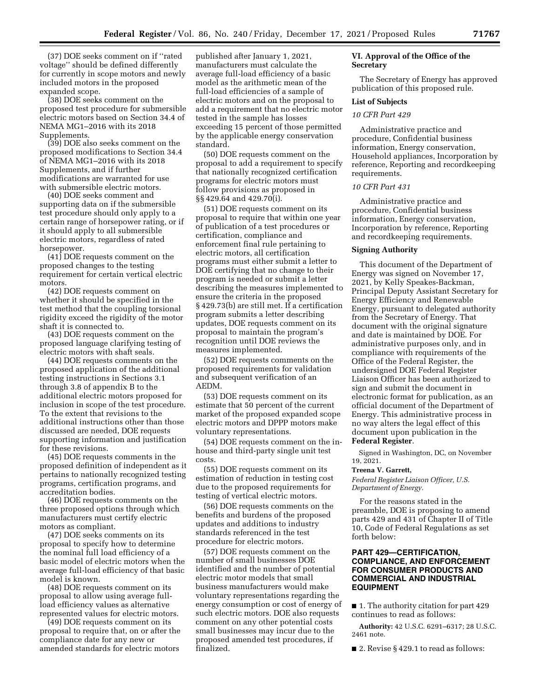(37) DOE seeks comment on if ''rated voltage'' should be defined differently for currently in scope motors and newly included motors in the proposed expanded scope.

(38) DOE seeks comment on the proposed test procedure for submersible electric motors based on Section 34.4 of NEMA MG1–2016 with its 2018 Supplements.

(39) DOE also seeks comment on the proposed modifications to Section 34.4 of NEMA MG1–2016 with its 2018 Supplements, and if further modifications are warranted for use with submersible electric motors.

(40) DOE seeks comment and supporting data on if the submersible test procedure should only apply to a certain range of horsepower rating, or if it should apply to all submersible electric motors, regardless of rated horsepower.

(41) DOE requests comment on the proposed changes to the testing requirement for certain vertical electric motors.

(42) DOE requests comment on whether it should be specified in the test method that the coupling torsional rigidity exceed the rigidity of the motor shaft it is connected to.

(43) DOE requests comment on the proposed language clarifying testing of electric motors with shaft seals.

(44) DOE requests comments on the proposed application of the additional testing instructions in Sections 3.1 through 3.8 of appendix B to the additional electric motors proposed for inclusion in scope of the test procedure. To the extent that revisions to the additional instructions other than those discussed are needed, DOE requests supporting information and justification for these revisions.

(45) DOE requests comments in the proposed definition of independent as it pertains to nationally recognized testing programs, certification programs, and accreditation bodies.

(46) DOE requests comments on the three proposed options through which manufacturers must certify electric motors as compliant.

(47) DOE seeks comments on its proposal to specify how to determine the nominal full load efficiency of a basic model of electric motors when the average full-load efficiency of that basic model is known.

(48) DOE requests comment on its proposal to allow using average fullload efficiency values as alternative represented values for electric motors.

(49) DOE requests comment on its proposal to require that, on or after the compliance date for any new or amended standards for electric motors

published after January 1, 2021, manufacturers must calculate the average full-load efficiency of a basic model as the arithmetic mean of the full-load efficiencies of a sample of electric motors and on the proposal to add a requirement that no electric motor tested in the sample has losses exceeding 15 percent of those permitted by the applicable energy conservation standard.

(50) DOE requests comment on the proposal to add a requirement to specify that nationally recognized certification programs for electric motors must follow provisions as proposed in §§ 429.64 and 429.70(i).

(51) DOE requests comment on its proposal to require that within one year of publication of a test procedures or certification, compliance and enforcement final rule pertaining to electric motors, all certification programs must either submit a letter to DOE certifying that no change to their program is needed or submit a letter describing the measures implemented to ensure the criteria in the proposed § 429.73(b) are still met. If a certification program submits a letter describing updates, DOE requests comment on its proposal to maintain the program's recognition until DOE reviews the measures implemented.

(52) DOE requests comments on the proposed requirements for validation and subsequent verification of an AEDM.

(53) DOE requests comment on its estimate that 50 percent of the current market of the proposed expanded scope electric motors and DPPP motors make voluntary representations.

(54) DOE requests comment on the inhouse and third-party single unit test costs.

(55) DOE requests comment on its estimation of reduction in testing cost due to the proposed requirements for testing of vertical electric motors.

(56) DOE requests comments on the benefits and burdens of the proposed updates and additions to industry standards referenced in the test procedure for electric motors.

(57) DOE requests comment on the number of small businesses DOE identified and the number of potential electric motor models that small business manufacturers would make voluntary representations regarding the energy consumption or cost of energy of such electric motors. DOE also requests comment on any other potential costs small businesses may incur due to the proposed amended test procedures, if finalized.

# **VI. Approval of the Office of the Secretary**

The Secretary of Energy has approved publication of this proposed rule.

# **List of Subjects**

# *10 CFR Part 429*

Administrative practice and procedure, Confidential business information, Energy conservation, Household appliances, Incorporation by reference, Reporting and recordkeeping requirements.

# *10 CFR Part 431*

Administrative practice and procedure, Confidential business information, Energy conservation, Incorporation by reference, Reporting and recordkeeping requirements.

#### **Signing Authority**

This document of the Department of Energy was signed on November 17, 2021, by Kelly Speakes-Backman, Principal Deputy Assistant Secretary for Energy Efficiency and Renewable Energy, pursuant to delegated authority from the Secretary of Energy. That document with the original signature and date is maintained by DOE. For administrative purposes only, and in compliance with requirements of the Office of the Federal Register, the undersigned DOE Federal Register Liaison Officer has been authorized to sign and submit the document in electronic format for publication, as an official document of the Department of Energy. This administrative process in no way alters the legal effect of this document upon publication in the **Federal Register**.

Signed in Washington, DC, on November 19, 2021.

# **Treena V. Garrett,**

*Federal Register Liaison Officer, U.S. Department of Energy.* 

For the reasons stated in the preamble, DOE is proposing to amend parts 429 and 431 of Chapter II of Title 10, Code of Federal Regulations as set forth below:

# **PART 429—CERTIFICATION, COMPLIANCE, AND ENFORCEMENT FOR CONSUMER PRODUCTS AND COMMERCIAL AND INDUSTRIAL EQUIPMENT**

■ 1. The authority citation for part 429 continues to read as follows:

**Authority:** 42 U.S.C. 6291–6317; 28 U.S.C. 2461 note.

■ 2. Revise § 429.1 to read as follows: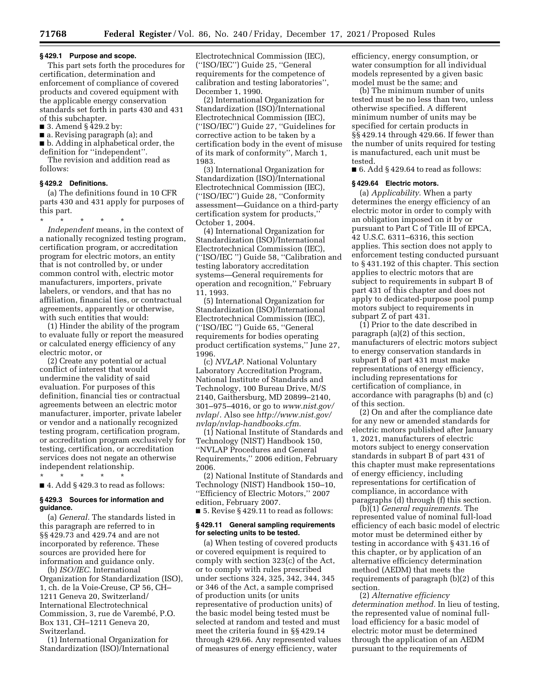### **§ 429.1 Purpose and scope.**

This part sets forth the procedures for certification, determination and enforcement of compliance of covered products and covered equipment with the applicable energy conservation standards set forth in parts 430 and 431 of this subchapter.

■ 3. Amend § 429.2 by:

■ a. Revising paragraph (a); and ■ b. Adding in alphabetical order, the

definition for ''independent''.

The revision and addition read as follows:

### **§ 429.2 Definitions.**

(a) The definitions found in 10 CFR parts 430 and 431 apply for purposes of this part.

\* \* \* \* \* *Independent* means, in the context of a nationally recognized testing program, certification program, or accreditation program for electric motors, an entity that is not controlled by, or under common control with, electric motor manufacturers, importers, private labelers, or vendors, and that has no affiliation, financial ties, or contractual agreements, apparently or otherwise, with such entities that would:

(1) Hinder the ability of the program to evaluate fully or report the measured or calculated energy efficiency of any electric motor, or

(2) Create any potential or actual conflict of interest that would undermine the validity of said evaluation. For purposes of this definition, financial ties or contractual agreements between an electric motor manufacturer, importer, private labeler or vendor and a nationally recognized testing program, certification program, or accreditation program exclusively for testing, certification, or accreditation services does not negate an otherwise independent relationship.

\* \* \* \* \*

 $\blacksquare$  4. Add § 429.3 to read as follows:

# **§ 429.3 Sources for information and guidance.**

(a) *General.* The standards listed in this paragraph are referred to in §§ 429.73 and 429.74 and are not incorporated by reference. These sources are provided here for information and guidance only.

(b) *ISO/IEC.* International Organization for Standardization (ISO), 1, ch. de la Voie-Creuse, CP 56, CH– 1211 Geneva 20, Switzerland/ International Electrotechnical Commission, 3, rue de Varembé, P.O. Box 131, CH–1211 Geneva 20, Switzerland.

(1) International Organization for Standardization (ISO)/International

Electrotechnical Commission (IEC), (''ISO/IEC'') Guide 25, ''General requirements for the competence of calibration and testing laboratories'', December 1, 1990.

(2) International Organization for Standardization (ISO)/International Electrotechnical Commission (IEC), (''ISO/IEC'') Guide 27, ''Guidelines for corrective action to be taken by a certification body in the event of misuse of its mark of conformity'', March 1, 1983.

(3) International Organization for Standardization (ISO)/International Electrotechnical Commission (IEC), (''ISO/IEC'') Guide 28, ''Conformity assessment—Guidance on a third-party certification system for products,'' October 1, 2004.

(4) International Organization for Standardization (ISO)/International Electrotechnical Commission (IEC), (''ISO/IEC '') Guide 58, ''Calibration and testing laboratory accreditation systems—General requirements for operation and recognition,'' February 11, 1993.

(5) International Organization for Standardization (ISO)/International Electrotechnical Commission (IEC), (''ISO/IEC '') Guide 65, ''General requirements for bodies operating product certification systems,'' June 27, 1996.

(c) *NVLAP.* National Voluntary Laboratory Accreditation Program, National Institute of Standards and Technology, 100 Bureau Drive, M/S 2140, Gaithersburg, MD 20899–2140, 301–975–4016, or go to *[www.nist.gov/](http://www.nist.gov/nvlap/)  [nvlap](http://www.nist.gov/nvlap/)*/. Also see *[http://www.nist.gov/](http://www.nist.gov/nvlap/nvlap-handbooks.cfm)  [nvlap/nvlap-handbooks.cfm.](http://www.nist.gov/nvlap/nvlap-handbooks.cfm)* 

(1) National Institute of Standards and Technology (NIST) Handbook 150, ''NVLAP Procedures and General Requirements,'' 2006 edition, February 2006.

(2) National Institute of Standards and Technology (NIST) Handbook 150–10, ''Efficiency of Electric Motors,'' 2007 edition, February 2007.

■ 5. Revise § 429.11 to read as follows:

#### **§ 429.11 General sampling requirements for selecting units to be tested.**

(a) When testing of covered products or covered equipment is required to comply with section 323(c) of the Act, or to comply with rules prescribed under sections 324, 325, 342, 344, 345 or 346 of the Act, a sample comprised of production units (or units representative of production units) of the basic model being tested must be selected at random and tested and must meet the criteria found in §§ 429.14 through 429.66. Any represented values of measures of energy efficiency, water

efficiency, energy consumption, or water consumption for all individual models represented by a given basic model must be the same; and

(b) The minimum number of units tested must be no less than two, unless otherwise specified. A different minimum number of units may be specified for certain products in §§ 429.14 through 429.66. If fewer than the number of units required for testing is manufactured, each unit must be tested.

 $\blacksquare$  6. Add § 429.64 to read as follows:

### **§ 429.64 Electric motors.**

(a) *Applicability.* When a party determines the energy efficiency of an electric motor in order to comply with an obligation imposed on it by or pursuant to Part C of Title III of EPCA, 42 U.S.C. 6311–6316, this section applies. This section does not apply to enforcement testing conducted pursuant to § 431.192 of this chapter. This section applies to electric motors that are subject to requirements in subpart B of part 431 of this chapter and does not apply to dedicated-purpose pool pump motors subject to requirements in subpart Z of part 431.

(1) Prior to the date described in paragraph (a)(2) of this section, manufacturers of electric motors subject to energy conservation standards in subpart B of part 431 must make representations of energy efficiency, including representations for certification of compliance, in accordance with paragraphs (b) and (c) of this section.

(2) On and after the compliance date for any new or amended standards for electric motors published after January 1, 2021, manufacturers of electric motors subject to energy conservation standards in subpart B of part 431 of this chapter must make representations of energy efficiency, including representations for certification of compliance, in accordance with paragraphs (d) through (f) this section.

(b)(1) *General requirements.* The represented value of nominal full-load efficiency of each basic model of electric motor must be determined either by testing in accordance with § 431.16 of this chapter, or by application of an alternative efficiency determination method (AEDM) that meets the requirements of paragraph (b)(2) of this section.

(2) *Alternative efficiency determination method.* In lieu of testing, the represented value of nominal fullload efficiency for a basic model of electric motor must be determined through the application of an AEDM pursuant to the requirements of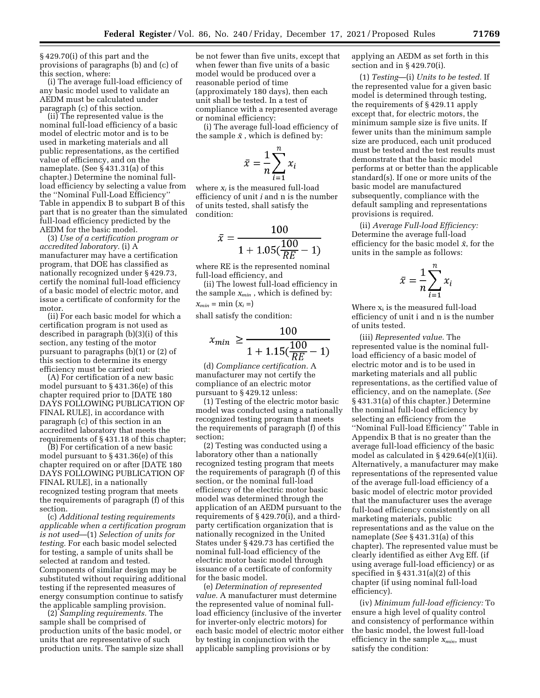§ 429.70(i) of this part and the provisions of paragraphs (b) and (c) of this section, where:

(i) The average full-load efficiency of any basic model used to validate an AEDM must be calculated under paragraph (c) of this section.

(ii) The represented value is the nominal full-load efficiency of a basic model of electric motor and is to be used in marketing materials and all public representations, as the certified value of efficiency, and on the nameplate. (See § 431.31(a) of this chapter.) Determine the nominal fullload efficiency by selecting a value from the ''Nominal Full-Load Efficiency'' Table in appendix B to subpart B of this part that is no greater than the simulated full-load efficiency predicted by the AEDM for the basic model.

(3) *Use of a certification program or accredited laboratory.* (i) A manufacturer may have a certification program, that DOE has classified as nationally recognized under § 429.73, certify the nominal full-load efficiency of a basic model of electric motor, and issue a certificate of conformity for the motor.

(ii) For each basic model for which a certification program is not used as described in paragraph (b)(3)(i) of this section, any testing of the motor pursuant to paragraphs (b)(1) or (2) of this section to determine its energy efficiency must be carried out:

(A) For certification of a new basic model pursuant to § 431.36(e) of this chapter required prior to [DATE 180 DAYS FOLLOWING PUBLICATION OF FINAL RULE], in accordance with paragraph (c) of this section in an accredited laboratory that meets the requirements of § 431.18 of this chapter;

(B) For certification of a new basic model pursuant to § 431.36(e) of this chapter required on or after [DATE 180 DAYS FOLLOWING PUBLICATION OF FINAL RULE], in a nationally recognized testing program that meets the requirements of paragraph (f) of this section.

(c) *Additional testing requirements applicable when a certification program is not used*—(1) *Selection of units for testing.* For each basic model selected for testing, a sample of units shall be selected at random and tested. Components of similar design may be substituted without requiring additional testing if the represented measures of energy consumption continue to satisfy the applicable sampling provision.

(2) *Sampling requirements.* The sample shall be comprised of production units of the basic model, or units that are representative of such production units. The sample size shall

be not fewer than five units, except that when fewer than five units of a basic model would be produced over a reasonable period of time (approximately 180 days), then each unit shall be tested. In a test of compliance with a represented average or nominal efficiency:

(i) The average full-load efficiency of the sample  $\bar{x}$ , which is defined by:

$$
\bar{x} = \frac{1}{n} \sum_{i=1}^{n} x_i
$$

where *xi* is the measured full-load efficiency of unit *i* and n is the number of units tested, shall satisfy the condition:

$$
\bar{x} = \frac{100}{1 + 1.05(\frac{100}{RE} - 1)}
$$

where RE is the represented nominal full-load efficiency, and

(ii) The lowest full-load efficiency in the sample *xmin* , which is defined by:  $x_{min} = \min(x_i =)$ 

shall satisfy the condition:

$$
x_{min} \ge \frac{100}{1 + 1.15(\frac{100}{RE} - 1)}
$$

(d) *Compliance certification.* A manufacturer may not certify the compliance of an electric motor pursuant to § 429.12 unless:

(1) Testing of the electric motor basic model was conducted using a nationally recognized testing program that meets the requirements of paragraph (f) of this section;

(2) Testing was conducted using a laboratory other than a nationally recognized testing program that meets the requirements of paragraph (f) of this section, or the nominal full-load efficiency of the electric motor basic model was determined through the application of an AEDM pursuant to the requirements of § 429.70(i), and a thirdparty certification organization that is nationally recognized in the United States under § 429.73 has certified the nominal full-load efficiency of the electric motor basic model through issuance of a certificate of conformity for the basic model.

(e) *Determination of represented value.* A manufacturer must determine the represented value of nominal fullload efficiency (inclusive of the inverter for inverter-only electric motors) for each basic model of electric motor either by testing in conjunction with the applicable sampling provisions or by

applying an AEDM as set forth in this section and in § 429.70(i).

(1) *Testing*—(i) *Units to be tested.* If the represented value for a given basic model is determined through testing, the requirements of § 429.11 apply except that, for electric motors, the minimum sample size is five units. If fewer units than the minimum sample size are produced, each unit produced must be tested and the test results must demonstrate that the basic model performs at or better than the applicable standard(s). If one or more units of the basic model are manufactured subsequently, compliance with the default sampling and representations provisions is required.

(ii) *Average Full-load Efficiency:*  Determine the average full-load efficiency for the basic model  $\bar{x}$ , for the units in the sample as follows:

$$
\bar{x} = \frac{1}{n} \sum_{i=1}^{n} x_i
$$

Where  $x_i$  is the measured full-load efficiency of unit i and n is the number of units tested.

(iii) *Represented value.* The represented value is the nominal fullload efficiency of a basic model of electric motor and is to be used in marketing materials and all public representations, as the certified value of efficiency, and on the nameplate. (*See*  § 431.31(a) of this chapter.) Determine the nominal full-load efficiency by selecting an efficiency from the ''Nominal Full-load Efficiency'' Table in Appendix B that is no greater than the average full-load efficiency of the basic model as calculated in § 429.64(e)(1)(ii). Alternatively, a manufacturer may make representations of the represented value of the average full-load efficiency of a basic model of electric motor provided that the manufacturer uses the average full-load efficiency consistently on all marketing materials, public representations and as the value on the nameplate (*See* § 431.31(a) of this chapter). The represented value must be clearly identified as either Avg Eff. (if using average full-load efficiency) or as specified in § 431.31(a)(2) of this chapter (if using nominal full-load efficiency).

(iv) *Minimum full-load efficiency:* To ensure a high level of quality control and consistency of performance within the basic model, the lowest full-load efficiency in the sample *xmin*, must satisfy the condition: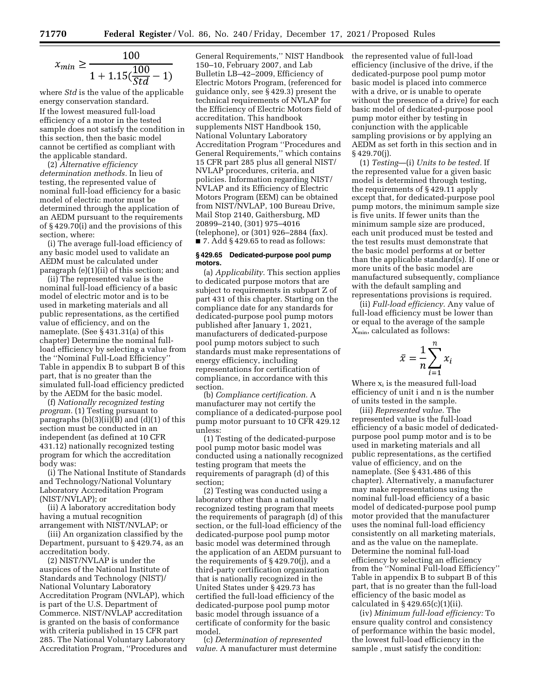$$
x_{min} \ge \frac{100}{1 + 1.15(\frac{100}{Std} - 1)}
$$

where *Std* is the value of the applicable energy conservation standard. If the lowest measured full-load efficiency of a motor in the tested sample does not satisfy the condition in this section, then the basic model cannot be certified as compliant with the applicable standard.

(2) *Alternative efficiency determination methods.* In lieu of testing, the represented value of nominal full-load efficiency for a basic model of electric motor must be determined through the application of an AEDM pursuant to the requirements of § 429.70(i) and the provisions of this section, where:

(i) The average full-load efficiency of any basic model used to validate an AEDM must be calculated under paragraph (e)(1)(ii) of this section; and

(ii) The represented value is the nominal full-load efficiency of a basic model of electric motor and is to be used in marketing materials and all public representations, as the certified value of efficiency, and on the nameplate. (See § 431.31(a) of this chapter) Determine the nominal fullload efficiency by selecting a value from the ''Nominal Full-Load Efficiency'' Table in appendix B to subpart B of this part, that is no greater than the simulated full-load efficiency predicted by the AEDM for the basic model.

(f) *Nationally recognized testing program.* (1) Testing pursuant to paragraphs  $(b)(3)(ii)(B)$  and  $(d)(1)$  of this section must be conducted in an independent (as defined at 10 CFR 431.12) nationally recognized testing program for which the accreditation body was:

(i) The National Institute of Standards and Technology/National Voluntary Laboratory Accreditation Program (NIST/NVLAP); or

(ii) A laboratory accreditation body having a mutual recognition arrangement with NIST/NVLAP; or

(iii) An organization classified by the Department, pursuant to § 429.74, as an accreditation body.

(2) NIST/NVLAP is under the auspices of the National Institute of Standards and Technology (NIST)/ National Voluntary Laboratory Accreditation Program (NVLAP), which is part of the U.S. Department of Commerce. NIST/NVLAP accreditation is granted on the basis of conformance with criteria published in 15 CFR part 285. The National Voluntary Laboratory Accreditation Program, ''Procedures and General Requirements,'' NIST Handbook 150–10, February 2007, and Lab Bulletin LB–42–2009, Efficiency of Electric Motors Program, (referenced for guidance only, see § 429.3) present the technical requirements of NVLAP for the Efficiency of Electric Motors field of accreditation. This handbook supplements NIST Handbook 150, National Voluntary Laboratory Accreditation Program ''Procedures and General Requirements,'' which contains 15 CFR part 285 plus all general NIST/ NVLAP procedures, criteria, and policies. Information regarding NIST/ NVLAP and its Efficiency of Electric Motors Program (EEM) can be obtained from NIST/NVLAP, 100 Bureau Drive, Mail Stop 2140, Gaithersburg, MD 20899–2140, (301) 975–4016 (telephone), or (301) 926–2884 (fax).  $\blacksquare$  7. Add § 429.65 to read as follows:

### **§ 429.65 Dedicated-purpose pool pump motors.**

(a) *Applicability.* This section applies to dedicated purpose motors that are subject to requirements in subpart Z of part 431 of this chapter. Starting on the compliance date for any standards for dedicated-purpose pool pump motors published after January 1, 2021, manufacturers of dedicated-purpose pool pump motors subject to such standards must make representations of energy efficiency, including representations for certification of compliance, in accordance with this section.

(b) *Compliance certification.* A manufacturer may not certify the compliance of a dedicated-purpose pool pump motor pursuant to 10 CFR 429.12 unless:

(1) Testing of the dedicated-purpose pool pump motor basic model was conducted using a nationally recognized testing program that meets the requirements of paragraph (d) of this section;

(2) Testing was conducted using a laboratory other than a nationally recognized testing program that meets the requirements of paragraph (d) of this section, or the full-load efficiency of the dedicated-purpose pool pump motor basic model was determined through the application of an AEDM pursuant to the requirements of § 429.70(j), and a third-party certification organization that is nationally recognized in the United States under § 429.73 has certified the full-load efficiency of the dedicated-purpose pool pump motor basic model through issuance of a certificate of conformity for the basic model.

(c) *Determination of represented value.* A manufacturer must determine the represented value of full-load efficiency (inclusive of the drive, if the dedicated-purpose pool pump motor basic model is placed into commerce with a drive, or is unable to operate without the presence of a drive) for each basic model of dedicated-purpose pool pump motor either by testing in conjunction with the applicable sampling provisions or by applying an AEDM as set forth in this section and in § 429.70(j).

(1) *Testing*—(i) *Units to be tested.* If the represented value for a given basic model is determined through testing, the requirements of § 429.11 apply except that, for dedicated-purpose pool pump motors, the minimum sample size is five units. If fewer units than the minimum sample size are produced, each unit produced must be tested and the test results must demonstrate that the basic model performs at or better than the applicable standard(s). If one or more units of the basic model are manufactured subsequently, compliance with the default sampling and representations provisions is required.

(ii) *Full-load efficiency.* Any value of full-load efficiency must be lower than or equal to the average of the sample *X*min, calculated as follows:

$$
\bar{x} = \frac{1}{n} \sum_{i=1}^{n} x_i
$$

Where  $x_i$  is the measured full-load efficiency of unit i and n is the number of units tested in the sample.

(iii) *Represented value.* The represented value is the full-load efficiency of a basic model of dedicatedpurpose pool pump motor and is to be used in marketing materials and all public representations, as the certified value of efficiency, and on the nameplate. (See § 431.486 of this chapter). Alternatively, a manufacturer may make representations using the nominal full-load efficiency of a basic model of dedicated-purpose pool pump motor provided that the manufacturer uses the nominal full-load efficiency consistently on all marketing materials, and as the value on the nameplate. Determine the nominal full-load efficiency by selecting an efficiency from the ''Nominal Full-load Efficiency'' Table in appendix B to subpart B of this part, that is no greater than the full-load efficiency of the basic model as calculated in  $\S$  429.65(c)(1)(ii).

(iv) *Minimum full-load efficiency:* To ensure quality control and consistency of performance within the basic model, the lowest full-load efficiency in the sample , must satisfy the condition: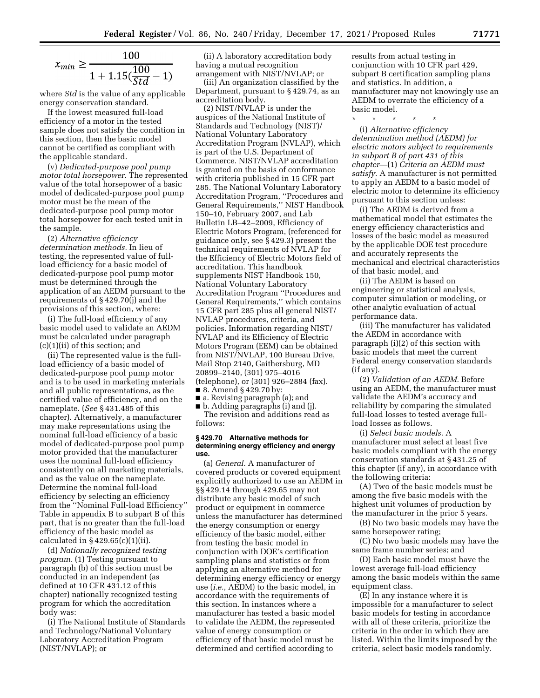$$
x_{min} \ge \frac{100}{1 + 1.15(\frac{100}{Std} - 1)}
$$

where *Std* is the value of any applicable energy conservation standard.

If the lowest measured full-load efficiency of a motor in the tested sample does not satisfy the condition in this section, then the basic model cannot be certified as compliant with the applicable standard.

(v) *Dedicated-purpose pool pump motor total horsepower.* The represented value of the total horsepower of a basic model of dedicated-purpose pool pump motor must be the mean of the dedicated-purpose pool pump motor total horsepower for each tested unit in the sample.

(2) *Alternative efficiency determination methods.* In lieu of testing, the represented value of fullload efficiency for a basic model of dedicated-purpose pool pump motor must be determined through the application of an AEDM pursuant to the requirements of § 429.70(j) and the provisions of this section, where:

(i) The full-load efficiency of any basic model used to validate an AEDM must be calculated under paragraph (c)(1)(ii) of this section; and

(ii) The represented value is the fullload efficiency of a basic model of dedicated-purpose pool pump motor and is to be used in marketing materials and all public representations, as the certified value of efficiency, and on the nameplate. (*See* § 431.485 of this chapter). Alternatively, a manufacturer may make representations using the nominal full-load efficiency of a basic model of dedicated-purpose pool pump motor provided that the manufacturer uses the nominal full-load efficiency consistently on all marketing materials, and as the value on the nameplate. Determine the nominal full-load efficiency by selecting an efficiency from the ''Nominal Full-load Efficiency'' Table in appendix B to subpart B of this part, that is no greater than the full-load efficiency of the basic model as calculated in § 429.65(c)(1)(ii).

(d) *Nationally recognized testing program.* (1) Testing pursuant to paragraph (b) of this section must be conducted in an independent (as defined at 10 CFR 431.12 of this chapter) nationally recognized testing program for which the accreditation body was:

(i) The National Institute of Standards and Technology/National Voluntary Laboratory Accreditation Program (NIST/NVLAP); or

(ii) A laboratory accreditation body having a mutual recognition arrangement with NIST/NVLAP; or

(iii) An organization classified by the Department, pursuant to § 429.74, as an accreditation body.

(2) NIST/NVLAP is under the auspices of the National Institute of Standards and Technology (NIST)/ National Voluntary Laboratory Accreditation Program (NVLAP), which is part of the U.S. Department of Commerce. NIST/NVLAP accreditation is granted on the basis of conformance with criteria published in 15 CFR part 285. The National Voluntary Laboratory Accreditation Program, ''Procedures and General Requirements,'' NIST Handbook 150–10, February 2007, and Lab Bulletin LB–42–2009, Efficiency of Electric Motors Program, (referenced for guidance only, see § 429.3) present the technical requirements of NVLAP for the Efficiency of Electric Motors field of accreditation. This handbook supplements NIST Handbook 150, National Voluntary Laboratory Accreditation Program ''Procedures and General Requirements,'' which contains 15 CFR part 285 plus all general NIST/ NVLAP procedures, criteria, and policies. Information regarding NIST/ NVLAP and its Efficiency of Electric Motors Program (EEM) can be obtained from NIST/NVLAP, 100 Bureau Drive, Mail Stop 2140, Gaithersburg, MD 20899–2140, (301) 975–4016 (telephone), or (301) 926–2884 (fax).

■ 8. Amend § 429.70 by:

■ a. Revising paragraph (a); and

■ b. Adding paragraphs (i) and (j). The revision and additions read as follows:

### **§ 429.70 Alternative methods for determining energy efficiency and energy use.**

(a) *General.* A manufacturer of covered products or covered equipment explicitly authorized to use an AEDM in §§ 429.14 through 429.65 may not distribute any basic model of such product or equipment in commerce unless the manufacturer has determined the energy consumption or energy efficiency of the basic model, either from testing the basic model in conjunction with DOE's certification sampling plans and statistics or from applying an alternative method for determining energy efficiency or energy use (*i.e.,* AEDM) to the basic model, in accordance with the requirements of this section. In instances where a manufacturer has tested a basic model to validate the AEDM, the represented value of energy consumption or efficiency of that basic model must be determined and certified according to

results from actual testing in conjunction with 10 CFR part 429, subpart B certification sampling plans and statistics. In addition, a manufacturer may not knowingly use an AEDM to overrate the efficiency of a basic model.

\* \* \* \* \*

(i) *Alternative efficiency determination method (AEDM) for electric motors subject to requirements in subpart B of part 431 of this chapter*—(1) *Criteria an AEDM must satisfy.* A manufacturer is not permitted to apply an AEDM to a basic model of electric motor to determine its efficiency pursuant to this section unless:

(i) The AEDM is derived from a mathematical model that estimates the energy efficiency characteristics and losses of the basic model as measured by the applicable DOE test procedure and accurately represents the mechanical and electrical characteristics of that basic model, and

(ii) The AEDM is based on engineering or statistical analysis, computer simulation or modeling, or other analytic evaluation of actual performance data.

(iii) The manufacturer has validated the AEDM in accordance with paragraph (i)(2) of this section with basic models that meet the current Federal energy conservation standards (if any).

(2) *Validation of an AEDM.* Before using an AEDM, the manufacturer must validate the AEDM's accuracy and reliability by comparing the simulated full-load losses to tested average fullload losses as follows.

(i) *Select basic models.* A manufacturer must select at least five basic models compliant with the energy conservation standards at § 431.25 of this chapter (if any), in accordance with the following criteria:

(A) Two of the basic models must be among the five basic models with the highest unit volumes of production by the manufacturer in the prior 5 years.

(B) No two basic models may have the same horsepower rating;

(C) No two basic models may have the same frame number series; and

(D) Each basic model must have the lowest average full-load efficiency among the basic models within the same equipment class.

(E) In any instance where it is impossible for a manufacturer to select basic models for testing in accordance with all of these criteria, prioritize the criteria in the order in which they are listed. Within the limits imposed by the criteria, select basic models randomly.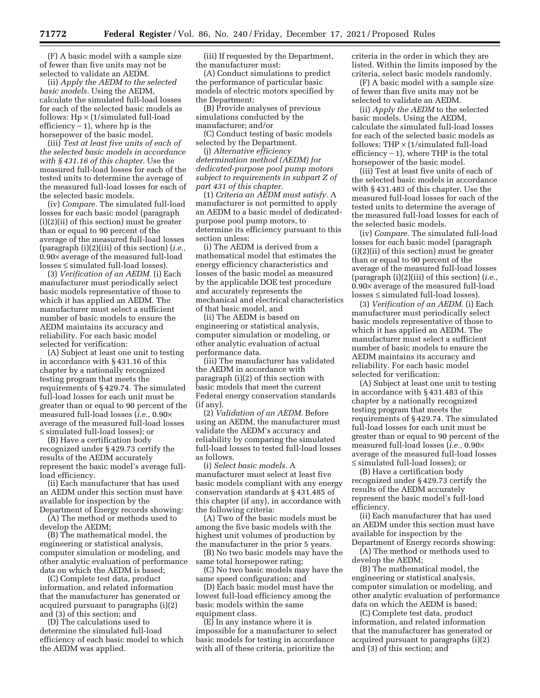(F) A basic model with a sample size of fewer than five units may not be selected to validate an AEDM.

(ii) *Apply the AEDM to the selected basic models.* Using the AEDM, calculate the simulated full-load losses for each of the selected basic models as follows:  $Hp \times (1/simulated full-load)$ efficiency  $-1$ ), where hp is the horsepower of the basic model.

(iii) *Test at least five units of each of the selected basic models in accordance with § 431.16 of this chapter.* Use the measured full-load losses for each of the tested units to determine the average of the measured full-load losses for each of the selected basic models.

(iv) *Compare.* The simulated full-load losses for each basic model (paragraph (i)(2)(ii) of this section) must be greater than or equal to 90 percent of the average of the measured full-load losses (paragraph (i)(2)(iii) of this section) (*i.e.,*  0.90× average of the measured full-load losses ≤ simulated full-load losses).

(3) *Verification of an AEDM.* (i) Each manufacturer must periodically select basic models representative of those to which it has applied an AEDM. The manufacturer must select a sufficient number of basic models to ensure the AEDM maintains its accuracy and reliability. For each basic model selected for verification:

(A) Subject at least one unit to testing in accordance with § 431.16 of this chapter by a nationally recognized testing program that meets the requirements of § 429.74. The simulated full-load losses for each unit must be greater than or equal to 90 percent of the measured full-load losses (*i.e.,* 0.90× average of the measured full-load losses ≤ simulated full-load losses); or

(B) Have a certification body recognized under § 429.73 certify the results of the AEDM accurately represent the basic model's average fullload efficiency.

(ii) Each manufacturer that has used an AEDM under this section must have available for inspection by the Department of Energy records showing:

(A) The method or methods used to develop the AEDM;

(B) The mathematical model, the engineering or statistical analysis, computer simulation or modeling, and other analytic evaluation of performance data on which the AEDM is based;

(C) Complete test data, product information, and related information that the manufacturer has generated or acquired pursuant to paragraphs (i)(2) and (3) of this section; and

(D) The calculations used to determine the simulated full-load efficiency of each basic model to which the AEDM was applied.

(iii) If requested by the Department, the manufacturer must:

(A) Conduct simulations to predict the performance of particular basic models of electric motors specified by the Department;

(B) Provide analyses of previous simulations conducted by the manufacturer; and/or

(C) Conduct testing of basic models selected by the Department.

(j) *Alternative efficiency determination method (AEDM) for dedicated-purpose pool pump motors subject to requirements in subpart Z of part 431 of this chapter.* 

(1) *Criteria an AEDM must satisfy.* A manufacturer is not permitted to apply an AEDM to a basic model of dedicatedpurpose pool pump motors, to determine its efficiency pursuant to this section unless:

(i) The AEDM is derived from a mathematical model that estimates the energy efficiency characteristics and losses of the basic model as measured by the applicable DOE test procedure and accurately represents the mechanical and electrical characteristics of that basic model, and

(ii) The AEDM is based on engineering or statistical analysis, computer simulation or modeling, or other analytic evaluation of actual performance data.

(iii) The manufacturer has validated the AEDM in accordance with paragraph (i)(2) of this section with basic models that meet the current Federal energy conservation standards (if any).

(2) *Validation of an AEDM.* Before using an AEDM, the manufacturer must validate the AEDM's accuracy and reliability by comparing the simulated full-load losses to tested full-load losses as follows.

(i) *Select basic models.* A manufacturer must select at least five basic models compliant with any energy conservation standards at § 431.485 of this chapter (if any), in accordance with the following criteria:

(A) Two of the basic models must be among the five basic models with the highest unit volumes of production by the manufacturer in the prior 5 years.

(B) No two basic models may have the same total horsepower rating;

(C) No two basic models may have the same speed configuration; and

(D) Each basic model must have the lowest full-load efficiency among the basic models within the same equipment class.

(E) In any instance where it is impossible for a manufacturer to select basic models for testing in accordance with all of these criteria, prioritize the

criteria in the order in which they are listed. Within the limits imposed by the criteria, select basic models randomly.

(F) A basic model with a sample size of fewer than five units may not be selected to validate an AEDM.

(ii) *Apply the AEDM* to the selected basic models. Using the AEDM, calculate the simulated full-load losses for each of the selected basic models as follows: THP  $\times$  (1/simulated full-load efficiency  $-1$ ), where THP is the total horsepower of the basic model.

(iii) Test at least five units of each of the selected basic models in accordance with § 431.483 of this chapter. Use the measured full-load losses for each of the tested units to determine the average of the measured full-load losses for each of the selected basic models.

(iv) *Compare.* The simulated full-load losses for each basic model (paragraph (i)(2)(ii) of this section) must be greater than or equal to 90 percent of the average of the measured full-load losses (paragraph (i)(2)(iii) of this section) (*i.e.,*  0.90× average of the measured full-load losses ≤ simulated full-load losses).

(3) *Verification of an AEDM.* (i) Each manufacturer must periodically select basic models representative of those to which it has applied an AEDM. The manufacturer must select a sufficient number of basic models to ensure the AEDM maintains its accuracy and reliability. For each basic model selected for verification:

(A) Subject at least one unit to testing in accordance with § 431.483 of this chapter by a nationally recognized testing program that meets the requirements of § 429.74. The simulated full-load losses for each unit must be greater than or equal to 90 percent of the measured full-load losses (*i.e.,* 0.90× average of the measured full-load losses ≤ simulated full-load losses); or

(B) Have a certification body recognized under § 429.73 certify the results of the AEDM accurately represent the basic model's full-load efficiency.

(ii) Each manufacturer that has used an AEDM under this section must have available for inspection by the Department of Energy records showing:

(A) The method or methods used to develop the AEDM;

(B) The mathematical model, the engineering or statistical analysis, computer simulation or modeling, and other analytic evaluation of performance data on which the AEDM is based;

(C) Complete test data, product information, and related information that the manufacturer has generated or acquired pursuant to paragraphs (i)(2) and (3) of this section; and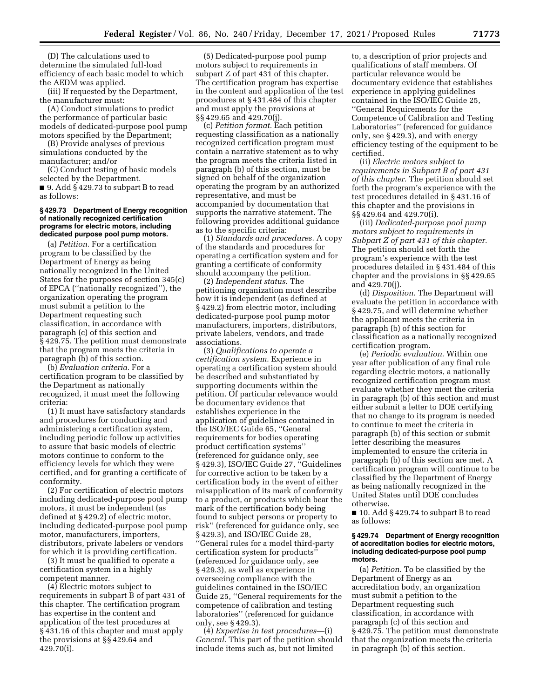(D) The calculations used to determine the simulated full-load efficiency of each basic model to which the AEDM was applied.

(iii) If requested by the Department, the manufacturer must:

(A) Conduct simulations to predict the performance of particular basic models of dedicated-purpose pool pump motors specified by the Department;

(B) Provide analyses of previous simulations conducted by the manufacturer; and/or

(C) Conduct testing of basic models selected by the Department.

■ 9. Add § 429.73 to subpart B to read as follows:

#### **§ 429.73 Department of Energy recognition of nationally recognized certification programs for electric motors, including dedicated purpose pool pump motors.**

(a) *Petition.* For a certification program to be classified by the Department of Energy as being nationally recognized in the United States for the purposes of section 345(c) of EPCA (''nationally recognized''), the organization operating the program must submit a petition to the Department requesting such classification, in accordance with paragraph (c) of this section and § 429.75. The petition must demonstrate that the program meets the criteria in paragraph (b) of this section.

(b) *Evaluation criteria.* For a certification program to be classified by the Department as nationally recognized, it must meet the following criteria:

(1) It must have satisfactory standards and procedures for conducting and administering a certification system, including periodic follow up activities to assure that basic models of electric motors continue to conform to the efficiency levels for which they were certified, and for granting a certificate of conformity.

(2) For certification of electric motors including dedicated-purpose pool pump motors, it must be independent (as defined at § 429.2) of electric motor, including dedicated-purpose pool pump motor, manufacturers, importers, distributors, private labelers or vendors for which it is providing certification.

(3) It must be qualified to operate a certification system in a highly competent manner.

(4) Electric motors subject to requirements in subpart B of part 431 of this chapter. The certification program has expertise in the content and application of the test procedures at § 431.16 of this chapter and must apply the provisions at §§ 429.64 and 429.70(i).

(5) Dedicated-purpose pool pump motors subject to requirements in subpart Z of part 431 of this chapter. The certification program has expertise in the content and application of the test procedures at § 431.484 of this chapter and must apply the provisions at §§ 429.65 and 429.70(j).

(c) *Petition format.* Each petition requesting classification as a nationally recognized certification program must contain a narrative statement as to why the program meets the criteria listed in paragraph (b) of this section, must be signed on behalf of the organization operating the program by an authorized representative, and must be accompanied by documentation that supports the narrative statement. The following provides additional guidance as to the specific criteria:

(1) *Standards and procedures.* A copy of the standards and procedures for operating a certification system and for granting a certificate of conformity should accompany the petition.

(2) *Independent status.* The petitioning organization must describe how it is independent (as defined at § 429.2) from electric motor, including dedicated-purpose pool pump motor manufacturers, importers, distributors, private labelers, vendors, and trade associations.

(3) *Qualifications to operate a certification system.* Experience in operating a certification system should be described and substantiated by supporting documents within the petition. Of particular relevance would be documentary evidence that establishes experience in the application of guidelines contained in the ISO/IEC Guide 65, ''General requirements for bodies operating product certification systems'' (referenced for guidance only, see § 429.3), ISO/IEC Guide 27, ''Guidelines for corrective action to be taken by a certification body in the event of either misapplication of its mark of conformity to a product, or products which bear the mark of the certification body being found to subject persons or property to risk'' (referenced for guidance only, see § 429.3), and ISO/IEC Guide 28, ''General rules for a model third-party certification system for products'' (referenced for guidance only, see § 429.3), as well as experience in overseeing compliance with the guidelines contained in the ISO/IEC Guide 25, ''General requirements for the competence of calibration and testing laboratories'' (referenced for guidance only, see § 429.3).

(4) *Expertise in test procedures—*(i) *General.* This part of the petition should include items such as, but not limited

to, a description of prior projects and qualifications of staff members. Of particular relevance would be documentary evidence that establishes experience in applying guidelines contained in the ISO/IEC Guide 25, ''General Requirements for the Competence of Calibration and Testing Laboratories'' (referenced for guidance only, see § 429.3), and with energy efficiency testing of the equipment to be certified.

(ii) *Electric motors subject to requirements in Subpart B of part 431 of this chapter.* The petition should set forth the program's experience with the test procedures detailed in § 431.16 of this chapter and the provisions in §§ 429.64 and 429.70(i).

(iii) *Dedicated-purpose pool pump motors subject to requirements in Subpart Z of part 431 of this chapter.*  The petition should set forth the program's experience with the test procedures detailed in § 431.484 of this chapter and the provisions in §§ 429.65 and 429.70(j).

(d) *Disposition.* The Department will evaluate the petition in accordance with § 429.75, and will determine whether the applicant meets the criteria in paragraph (b) of this section for classification as a nationally recognized certification program.

(e) *Periodic evaluation.* Within one year after publication of any final rule regarding electric motors, a nationally recognized certification program must evaluate whether they meet the criteria in paragraph (b) of this section and must either submit a letter to DOE certifying that no change to its program is needed to continue to meet the criteria in paragraph (b) of this section or submit letter describing the measures implemented to ensure the criteria in paragraph (b) of this section are met. A certification program will continue to be classified by the Department of Energy as being nationally recognized in the United States until DOE concludes otherwise.

■ 10. Add § 429.74 to subpart B to read as follows:

#### **§ 429.74 Department of Energy recognition of accreditation bodies for electric motors, including dedicated-purpose pool pump motors.**

(a) *Petition.* To be classified by the Department of Energy as an accreditation body, an organization must submit a petition to the Department requesting such classification, in accordance with paragraph (c) of this section and § 429.75. The petition must demonstrate that the organization meets the criteria in paragraph (b) of this section.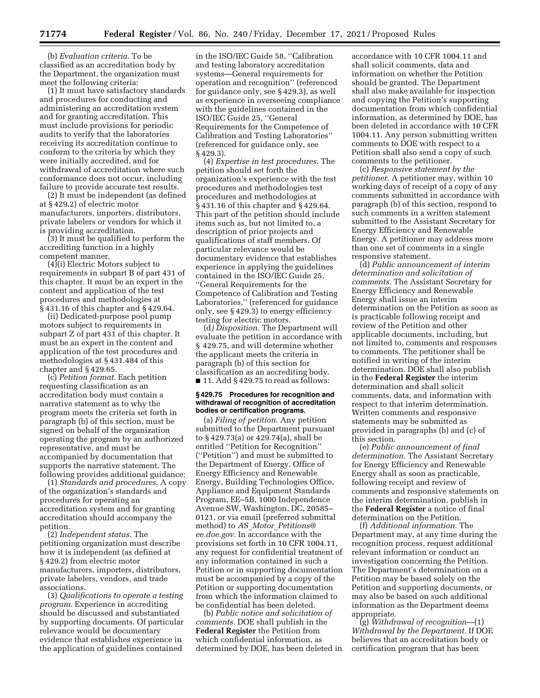(b) *Evaluation criteria.* To be classified as an accreditation body by the Department, the organization must meet the following criteria:

(1) It must have satisfactory standards and procedures for conducting and administering an accreditation system and for granting accreditation. This must include provisions for periodic audits to verify that the laboratories receiving its accreditation continue to conform to the criteria by which they were initially accredited, and for withdrawal of accreditation where such conformance does not occur, including failure to provide accurate test results.

(2) It must be independent (as defined at § 429.2) of electric motor manufacturers, importers, distributors, private labelers or vendors for which it is providing accreditation.

(3) It must be qualified to perform the accrediting function in a highly competent manner.

(4)(i) Electric Motors subject to requirements in subpart B of part 431 of this chapter. It must be an expert in the content and application of the test procedures and methodologies at § 431.16 of this chapter and § 429.64.

(ii) Dedicated-purpose pool pump motors subject to requirements in subpart Z of part 431 of this chapter. It must be an expert in the content and application of the test procedures and methodologies at § 431.484 of this chapter and § 429.65.

(c) *Petition format.* Each petition requesting classification as an accreditation body must contain a narrative statement as to why the program meets the criteria set forth in paragraph (b) of this section, must be signed on behalf of the organization operating the program by an authorized representative, and must be accompanied by documentation that supports the narrative statement. The following provides additional guidance:

(1) *Standards and procedures.* A copy of the organization's standards and procedures for operating an accreditation system and for granting accreditation should accompany the petition.

(2) *Independent status.* The petitioning organization must describe how it is independent (as defined at § 429.2) from electric motor manufacturers, importers, distributors, private labelers, vendors, and trade associations.

(3) *Qualifications to operate a testing program.* Experience in accrediting should be discussed and substantiated by supporting documents. Of particular relevance would be documentary evidence that establishes experience in the application of guidelines contained

in the ISO/IEC Guide 58, ''Calibration and testing laboratory accreditation systems—General requirements for operation and recognition'' (referenced for guidance only, see § 429.3), as well as experience in overseeing compliance with the guidelines contained in the ISO/IEC Guide 25, ''General Requirements for the Competence of Calibration and Testing Laboratories'' (referenced for guidance only, see § 429.3).

(4) *Expertise in test procedures.* The petition should set forth the organization's experience with the test procedures and methodologies test procedures and methodologies at § 431.16 of this chapter and § 429.64. This part of the petition should include items such as, but not limited to, a description of prior projects and qualifications of staff members. Of particular relevance would be documentary evidence that establishes experience in applying the guidelines contained in the ISO/IEC Guide 25, ''General Requirements for the Competence of Calibration and Testing Laboratories,'' (referenced for guidance only, see § 429.3) to energy efficiency testing for electric motors.

(d*) Disposition.* The Department will evaluate the petition in accordance with § 429.75, and will determine whether the applicant meets the criteria in paragraph (b) of this section for classification as an accrediting body.  $\blacksquare$  11. Add § 429.75 to read as follows:

#### **§ 429.75 Procedures for recognition and withdrawal of recognition of accreditation bodies or certification programs.**

(a) *Filing of petition.* Any petition submitted to the Department pursuant to § 429.73(a) or 429.74(a), shall be entitled ''Petition for Recognition'' (''Petition'') and must be submitted to the Department of Energy, Office of Energy Efficiency and Renewable Energy, Building Technologies Office, Appliance and Equipment Standards Program, EE–5B, 1000 Independence Avenue SW, Washington, DC, 20585– 0121, or via email (preferred submittal method) to *AS*\_*Motor*\_*[Petitions@](mailto:AS_Motor_Petitions@ee.doe.gov) [ee.doe.gov.](mailto:AS_Motor_Petitions@ee.doe.gov)* In accordance with the provisions set forth in 10 CFR 1004.11, any request for confidential treatment of any information contained in such a Petition or in supporting documentation must be accompanied by a copy of the Petition or supporting documentation from which the information claimed to be confidential has been deleted.

(b) *Public notice and solicitation of comments.* DOE shall publish in the **Federal Register** the Petition from which confidential information, as determined by DOE, has been deleted in accordance with 10 CFR 1004.11 and shall solicit comments, data and information on whether the Petition should be granted. The Department shall also make available for inspection and copying the Petition's supporting documentation from which confidential information, as determined by DOE, has been deleted in accordance with 10 CFR 1004.11. Any person submitting written comments to DOE with respect to a Petition shall also send a copy of such comments to the petitioner.

(c) *Responsive statement by the petitioner.* A petitioner may, within 10 working days of receipt of a copy of any comments submitted in accordance with paragraph (b) of this section, respond to such comments in a written statement submitted to the Assistant Secretary for Energy Efficiency and Renewable Energy. A petitioner may address more than one set of comments in a single responsive statement.

(d) *Public announcement of interim determination and solicitation of comments.* The Assistant Secretary for Energy Efficiency and Renewable Energy shall issue an interim determination on the Petition as soon as is practicable following receipt and review of the Petition and other applicable documents, including, but not limited to, comments and responses to comments. The petitioner shall be notified in writing of the interim determination. DOE shall also publish in the **Federal Register** the interim determination and shall solicit comments, data, and information with respect to that interim determination. Written comments and responsive statements may be submitted as provided in paragraphs (b) and (c) of this section.

(e) *Public announcement of final determination.* The Assistant Secretary for Energy Efficiency and Renewable Energy shall as soon as practicable, following receipt and review of comments and responsive statements on the interim determination, publish in the **Federal Register** a notice of final determination on the Petition.

(f) *Additional information.* The Department may, at any time during the recognition process, request additional relevant information or conduct an investigation concerning the Petition. The Department's determination on a Petition may be based solely on the Petition and supporting documents, or may also be based on such additional information as the Department deems appropriate.

(g) *Withdrawal of recognition*—(1) *Withdrawal by the Department.* If DOE believes that an accreditation body or certification program that has been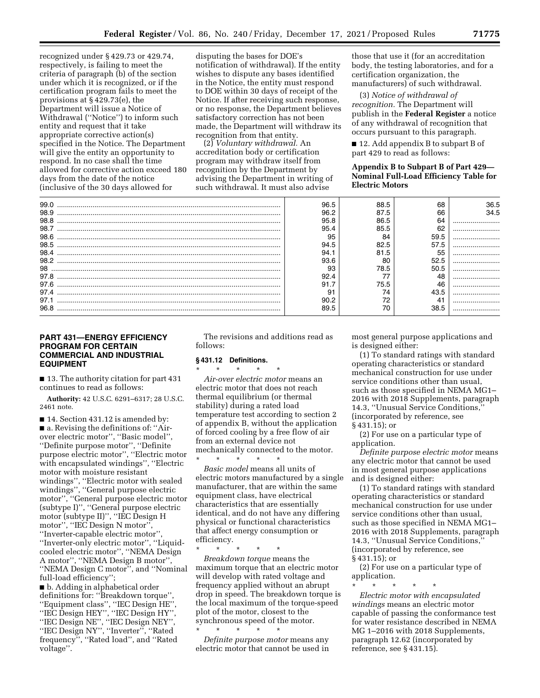recognized under § 429.73 or 429.74, respectively, is failing to meet the criteria of paragraph (b) of the section under which it is recognized, or if the certification program fails to meet the provisions at § 429.73(e), the Department will issue a Notice of Withdrawal (''Notice'') to inform such entity and request that it take appropriate corrective action(s) specified in the Notice. The Department will give the entity an opportunity to respond. In no case shall the time allowed for corrective action exceed 180 days from the date of the notice (inclusive of the 30 days allowed for

disputing the bases for DOE's notification of withdrawal). If the entity wishes to dispute any bases identified in the Notice, the entity must respond to DOE within 30 days of receipt of the Notice. If after receiving such response, or no response, the Department believes satisfactory correction has not been made, the Department will withdraw its recognition from that entity.

(2) *Voluntary withdrawal.* An accreditation body or certification program may withdraw itself from recognition by the Department by advising the Department in writing of such withdrawal. It must also advise

those that use it (for an accreditation body, the testing laboratories, and for a certification organization, the manufacturers) of such withdrawal.

(3) *Notice of withdrawal of recognition.* The Department will publish in the **Federal Register** a notice of any withdrawal of recognition that occurs pursuant to this paragraph.

■ 12. Add appendix B to subpart B of part 429 to read as follows:

**Appendix B to Subpart B of Part 429— Nominal Full-Load Efficiency Table for Electric Motors** 

| 99.0 | 96.5 | 88.5 | 68   | 36.5 |
|------|------|------|------|------|
| 98.9 | 96.2 | 87.5 | 66   | 34.5 |
| 98.8 | 95.8 | 86.5 | 64   |      |
| 98.7 | 95.4 | 85.5 |      |      |
| 98.6 | 95   | 84   |      |      |
| 98.5 | 94.5 | 82.5 |      |      |
| 98.4 |      | 81.5 | 55   |      |
| 98.2 | 93.6 | 80   | 52.5 |      |
| 98   | 93   | 78.5 | 50.5 |      |
|      | 92.4 |      |      |      |
| 97.6 |      | 75.5 |      |      |
|      | 91   |      |      |      |
| 97.1 |      | 70   |      |      |
| 96.8 | 89.5 |      | 38.5 |      |

# **PART 431—ENERGY EFFICIENCY PROGRAM FOR CERTAIN COMMERCIAL AND INDUSTRIAL EQUIPMENT**

■ 13. The authority citation for part 431 continues to read as follows:

**Authority:** 42 U.S.C. 6291–6317; 28 U.S.C. 2461 note.

■ 14. Section 431.12 is amended by: ■ a. Revising the definitions of: "Airover electric motor'', ''Basic model'', ''Definite purpose motor'', ''Definite purpose electric motor'', ''Electric motor with encapsulated windings'', ''Electric motor with moisture resistant windings'', ''Electric motor with sealed windings'', ''General purpose electric motor'', ''General purpose electric motor (subtype I)'', ''General purpose electric motor (subtype II)'', ''IEC Design H motor'', ''IEC Design N motor'', ''Inverter-capable electric motor'', ''Inverter-only electric motor'', ''Liquidcooled electric motor'', ''NEMA Design A motor'', ''NEMA Design B motor'', ''NEMA Design C motor'', and ''Nominal full-load efficiency'';

■ b. Adding in alphabetical order definitions for: ''Breakdown torque'', ''Equipment class'', ''IEC Design HE'', ''IEC Design HEY'', ''IEC Design HY'', ''IEC Design NE'', ''IEC Design NEY'', ''IEC Design NY'', ''Inverter'', ''Rated frequency'', ''Rated load'', and ''Rated voltage''.

The revisions and additions read as follows:

### **§ 431.12 Definitions.**

\* \* \* \* \* *Air-over electric motor* means an electric motor that does not reach thermal equilibrium (or thermal stability) during a rated load temperature test according to section 2 of appendix B, without the application of forced cooling by a free flow of air from an external device not mechanically connected to the motor.

\* \* \* \* \* *Basic model* means all units of electric motors manufactured by a single manufacturer, that are within the same equipment class, have electrical characteristics that are essentially identical, and do not have any differing physical or functional characteristics that affect energy consumption or efficiency.

\* \* \* \* \*

*Breakdown torque* means the maximum torque that an electric motor will develop with rated voltage and frequency applied without an abrupt drop in speed. The breakdown torque is the local maximum of the torque-speed plot of the motor, closest to the synchronous speed of the motor.

\* \* \* \* \* *Definite purpose motor* means any electric motor that cannot be used in most general purpose applications and is designed either:

(1) To standard ratings with standard operating characteristics or standard mechanical construction for use under service conditions other than usual, such as those specified in NEMA MG1– 2016 with 2018 Supplements, paragraph 14.3, ''Unusual Service Conditions,'' (incorporated by reference, see § 431.15); or

(2) For use on a particular type of application.

*Definite purpose electric motor* means any electric motor that cannot be used in most general purpose applications and is designed either:

(1) To standard ratings with standard operating characteristics or standard mechanical construction for use under service conditions other than usual, such as those specified in NEMA MG1– 2016 with 2018 Supplements, paragraph 14.3, ''Unusual Service Conditions,'' (incorporated by reference, see § 431.15); or

(2) For use on a particular type of application.

\* \* \* \* \*

*Electric motor with encapsulated windings* means an electric motor capable of passing the conformance test for water resistance described in NEMA MG 1–2016 with 2018 Supplements, paragraph 12.62 (incorporated by reference, see § 431.15).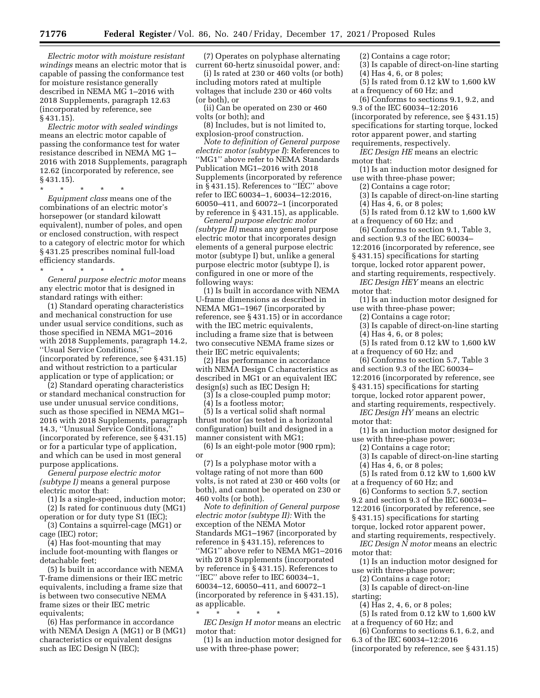*Electric motor with moisture resistant windings* means an electric motor that is capable of passing the conformance test for moisture resistance generally described in NEMA MG 1–2016 with 2018 Supplements, paragraph 12.63 (incorporated by reference, see § 431.15).

*Electric motor with sealed windings*  means an electric motor capable of passing the conformance test for water resistance described in NEMA MG 1– 2016 with 2018 Supplements, paragraph 12.62 (incorporated by reference, see § 431.15).

\* \* \* \* \* *Equipment class* means one of the combinations of an electric motor's horsepower (or standard kilowatt equivalent), number of poles, and open or enclosed construction, with respect to a category of electric motor for which § 431.25 prescribes nominal full-load efficiency standards.

\* \* \* \* \*

*General purpose electric motor* means any electric motor that is designed in standard ratings with either:

(1) Standard operating characteristics and mechanical construction for use under usual service conditions, such as those specified in NEMA MG1–2016 with 2018 Supplements, paragraph 14.2, ''Usual Service Conditions,'' (incorporated by reference, see § 431.15) and without restriction to a particular application or type of application; or

(2) Standard operating characteristics or standard mechanical construction for use under unusual service conditions, such as those specified in NEMA MG1– 2016 with 2018 Supplements, paragraph 14.3, ''Unusual Service Conditions,'' (incorporated by reference, see § 431.15) or for a particular type of application, and which can be used in most general purpose applications.

*General purpose electric motor (subtype I)* means a general purpose electric motor that:

(1) Is a single-speed, induction motor; (2) Is rated for continuous duty (MG1)

operation or for duty type S1 (IEC); (3) Contains a squirrel-cage (MG1) or cage (IEC) rotor;

(4) Has foot-mounting that may include foot-mounting with flanges or detachable feet;

(5) Is built in accordance with NEMA T-frame dimensions or their IEC metric equivalents, including a frame size that is between two consecutive NEMA frame sizes or their IEC metric equivalents;

(6) Has performance in accordance with NEMA Design A (MG1) or B (MG1) characteristics or equivalent designs such as IEC Design N (IEC);

(7) Operates on polyphase alternating current 60-hertz sinusoidal power, and:

(i) Is rated at 230 or 460 volts (or both) including motors rated at multiple voltages that include 230 or 460 volts (or both), or

(ii) Can be operated on 230 or 460 volts (or both); and

(8) Includes, but is not limited to, explosion-proof construction.

*Note to definition of General purpose electric motor (subtype I*): References to ''MG1'' above refer to NEMA Standards Publication MG1–2016 with 2018 Supplements (incorporated by reference in § 431.15). References to ''IEC'' above refer to IEC 60034–1, 60034–12:2016, 60050–411, and 60072–1 (incorporated by reference in § 431.15), as applicable.

*General purpose electric motor (subtype II)* means any general purpose electric motor that incorporates design elements of a general purpose electric motor (subtype I) but, unlike a general purpose electric motor (subtype I), is configured in one or more of the following ways:

(1) Is built in accordance with NEMA U-frame dimensions as described in NEMA MG1–1967 (incorporated by reference, see § 431.15) or in accordance with the IEC metric equivalents, including a frame size that is between two consecutive NEMA frame sizes or their IEC metric equivalents;

(2) Has performance in accordance with NEMA Design C characteristics as described in MG1 or an equivalent IEC design(s) such as IEC Design H;

(3) Is a close-coupled pump motor;

(4) Is a footless motor;

(5) Is a vertical solid shaft normal thrust motor (as tested in a horizontal configuration) built and designed in a manner consistent with MG1;

(6) Is an eight-pole motor (900 rpm); or

(7) Is a polyphase motor with a voltage rating of not more than 600 volts, is not rated at 230 or 460 volts (or both), and cannot be operated on 230 or 460 volts (or both).

*Note to definition of General purpose electric motor (subtype II):* With the exception of the NEMA Motor Standards MG1–1967 (incorporated by reference in § 431.15), references to ''MG1'' above refer to NEMA MG1–2016 with 2018 Supplements (incorporated by reference in § 431.15). References to ''IEC'' above refer to IEC 60034–1, 60034–12, 60050–411, and 60072–1 (incorporated by reference in § 431.15), as applicable.

\* \* \* \* \* *IEC Design H motor* means an electric motor that:

(1) Is an induction motor designed for use with three-phase power;

(2) Contains a cage rotor;

- (3) Is capable of direct-on-line starting (4) Has 4, 6, or 8 poles;
- (5) Is rated from  $0.12$  kW to 1,600 kW

at a frequency of 60 Hz; and (6) Conforms to sections 9.1, 9.2, and

9.3 of the IEC 60034–12:2016 (incorporated by reference, see § 431.15) specifications for starting torque, locked rotor apparent power, and starting requirements, respectively.

*IEC Design HE* means an electric motor that:

(1) Is an induction motor designed for use with three-phase power;

(2) Contains a cage rotor;

(3) Is capable of direct-on-line starting

(4) Has 4, 6, or 8 poles;

(5) Is rated from 0.12 kW to 1,600 kW at a frequency of 60 Hz; and

(6) Conforms to section 9.1, Table 3, and section 9.3 of the IEC 60034– 12:2016 (incorporated by reference, see

§ 431.15) specifications for starting

torque, locked rotor apparent power, and starting requirements, respectively.

*IEC Design HEY* means an electric motor that:

(1) Is an induction motor designed for use with three-phase power;

(2) Contains a cage rotor;

(3) Is capable of direct-on-line starting

(4) Has 4, 6, or 8 poles;

(5) Is rated from 0.12 kW to 1,600 kW at a frequency of 60 Hz; and

(6) Conforms to section 5.7, Table 3 and section 9.3 of the IEC 60034– 12:2016 (incorporated by reference, see § 431.15) specifications for starting torque, locked rotor apparent power,

and starting requirements, respectively. *IEC Design HY* means an electric motor that:

(1) Is an induction motor designed for use with three-phase power;

(2) Contains a cage rotor;

(3) Is capable of direct-on-line starting

(4) Has 4, 6, or 8 poles;

(5) Is rated from 0.12 kW to 1,600 kW at a frequency of 60 Hz; and

(6) Conforms to section 5.7, section 9.2 and section 9.3 of the IEC 60034– 12:2016 (incorporated by reference, see § 431.15) specifications for starting

torque, locked rotor apparent power,

and starting requirements, respectively.

*IEC Design N motor* means an electric motor that:

(1) Is an induction motor designed for use with three-phase power;

(2) Contains a cage rotor;

(3) Is capable of direct-on-line starting;

(4) Has 2, 4, 6, or 8 poles;

(5) Is rated from 0.12 kW to 1,600 kW at a frequency of 60 Hz; and

(6) Conforms to sections 6.1, 6.2, and 6.3 of the IEC 60034–12:2016

(incorporated by reference, see § 431.15)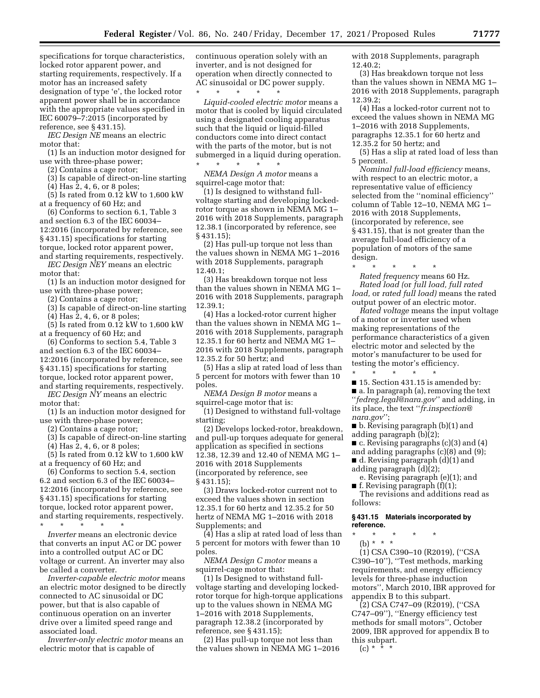specifications for torque characteristics, locked rotor apparent power, and starting requirements, respectively. If a motor has an increased safety designation of type 'e', the locked rotor apparent power shall be in accordance with the appropriate values specified in IEC 60079–7:2015 (incorporated by reference, see § 431.15).

*IEC Design NE* means an electric motor that:

(1) Is an induction motor designed for use with three-phase power;

(2) Contains a cage rotor;

(3) Is capable of direct-on-line starting

(4) Has 2, 4, 6, or 8 poles; (5) Is rated from 0.12 kW to 1,600 kW at a frequency of 60 Hz; and

(6) Conforms to section 6.1, Table 3 and section 6.3 of the IEC 60034– 12:2016 (incorporated by reference, see § 431.15) specifications for starting torque, locked rotor apparent power, and starting requirements, respectively.

*IEC Design NEY* means an electric motor that:

(1) Is an induction motor designed for use with three-phase power;

(2) Contains a cage rotor;

(3) Is capable of direct-on-line starting

(4) Has 2, 4, 6, or 8 poles; (5) Is rated from 0.12 kW to 1,600 kW

at a frequency of 60 Hz; and (6) Conforms to section 5.4, Table 3 and section 6.3 of the IEC 60034– 12:2016 (incorporated by reference, see § 431.15) specifications for starting torque, locked rotor apparent power,

and starting requirements, respectively. *IEC Design NY* means an electric motor that:

(1) Is an induction motor designed for use with three-phase power;

(2) Contains a cage rotor;

(3) Is capable of direct-on-line starting

(4) Has 2, 4, 6, or 8 poles;

(5) Is rated from 0.12 kW to 1,600 kW at a frequency of 60 Hz; and

(6) Conforms to section 5.4, section 6.2 and section 6.3 of the IEC 60034– 12:2016 (incorporated by reference, see § 431.15) specifications for starting torque, locked rotor apparent power, and starting requirements, respectively. \* \* \* \* \*

*Inverter* means an electronic device that converts an input AC or DC power into a controlled output AC or DC voltage or current. An inverter may also be called a converter.

*Inverter-capable electric motor* means an electric motor designed to be directly connected to AC sinusoidal or DC power, but that is also capable of continuous operation on an inverter drive over a limited speed range and associated load.

*Inverter-only electric motor* means an electric motor that is capable of

continuous operation solely with an inverter, and is not designed for operation when directly connected to AC sinusoidal or DC power supply.

\* \* \* \* \* *Liquid-cooled electric motor* means a motor that is cooled by liquid circulated using a designated cooling apparatus such that the liquid or liquid-filled conductors come into direct contact with the parts of the motor, but is not submerged in a liquid during operation.

\* \* \* \* \* *NEMA Design A motor* means a squirrel-cage motor that:

(1) Is designed to withstand fullvoltage starting and developing lockedrotor torque as shown in NEMA MG 1– 2016 with 2018 Supplements, paragraph 12.38.1 (incorporated by reference, see § 431.15);

(2) Has pull-up torque not less than the values shown in NEMA MG 1–2016 with 2018 Supplements, paragraph 12.40.1;

(3) Has breakdown torque not less than the values shown in NEMA MG 1– 2016 with 2018 Supplements, paragraph 12.39.1;

(4) Has a locked-rotor current higher than the values shown in NEMA MG 1– 2016 with 2018 Supplements, paragraph 12.35.1 for 60 hertz and NEMA MG 1– 2016 with 2018 Supplements, paragraph 12.35.2 for 50 hertz; and

(5) Has a slip at rated load of less than 5 percent for motors with fewer than 10 poles.

*NEMA Design B motor* means a squirrel-cage motor that is:

(1) Designed to withstand full-voltage starting;

(2) Develops locked-rotor, breakdown, and pull-up torques adequate for general application as specified in sections 12.38, 12.39 and 12.40 of NEMA MG 1– 2016 with 2018 Supplements (incorporated by reference, see § 431.15);

(3) Draws locked-rotor current not to exceed the values shown in section 12.35.1 for 60 hertz and 12.35.2 for 50 hertz of NEMA MG 1–2016 with 2018 Supplements; and

(4) Has a slip at rated load of less than 5 percent for motors with fewer than 10 poles.

*NEMA Design C motor* means a squirrel-cage motor that:

(1) Is Designed to withstand fullvoltage starting and developing lockedrotor torque for high-torque applications up to the values shown in NEMA MG 1–2016 with 2018 Supplements, paragraph 12.38.2 (incorporated by reference, see § 431.15);

(2) Has pull-up torque not less than the values shown in NEMA MG 1–2016 with 2018 Supplements, paragraph 12.40.2;

(3) Has breakdown torque not less than the values shown in NEMA MG 1– 2016 with 2018 Supplements, paragraph 12.39.2;

(4) Has a locked-rotor current not to exceed the values shown in NEMA MG 1–2016 with 2018 Supplements, paragraphs 12.35.1 for 60 hertz and 12.35.2 for 50 hertz; and

(5) Has a slip at rated load of less than 5 percent.

*Nominal full-load efficiency* means, with respect to an electric motor, a representative value of efficiency selected from the ''nominal efficiency'' column of Table 12–10, NEMA MG 1– 2016 with 2018 Supplements, (incorporated by reference, see § 431.15), that is not greater than the average full-load efficiency of a population of motors of the same design.

\* \* \* \* \* *Rated frequency* means 60 Hz. *Rated load (*or *full load, full rated load,* or *rated full load)* means the rated output power of an electric motor.

*Rated voltage* means the input voltage of a motor or inverter used when making representations of the performance characteristics of a given electric motor and selected by the motor's manufacturer to be used for testing the motor's efficiency.

\* \* \* \* \* ■ 15. Section 431.15 is amended by: ■ a. In paragraph (a), removing the text ''*[fedreg.legal@nara.gov](mailto:fedreg.legal@nara.gov)*'' and adding, in its place, the text ''*[fr.inspection@](mailto:fr.inspection@nara.gov) [nara.gov](mailto:fr.inspection@nara.gov)*'';

■ b. Revising paragraph (b)(1) and adding paragraph (b)(2);

■ c. Revising paragraphs (c)(3) and (4)

and adding paragraphs (c)(8) and (9);

■ d. Revising paragraph (d)(1) and

adding paragraph (d)(2); e. Revising paragraph (e)(1); and

 $\blacksquare$  f. Revising paragraph (f)(1);

The revisions and additions read as follows:

# **§ 431.15 Materials incorporated by reference.**

\* \* \* \* \*

(b) \* \* \* (1) CSA C390–10 (R2019), (''CSA C390–10''), ''Test methods, marking requirements, and energy efficiency levels for three-phase induction motors'', March 2010, IBR approved for appendix B to this subpart.

(2) CSA C747–09 (R2019), (''CSA C747–09''), ''Energy efficiency test methods for small motors'', October 2009, IBR approved for appendix B to this subpart.

 $(c) *$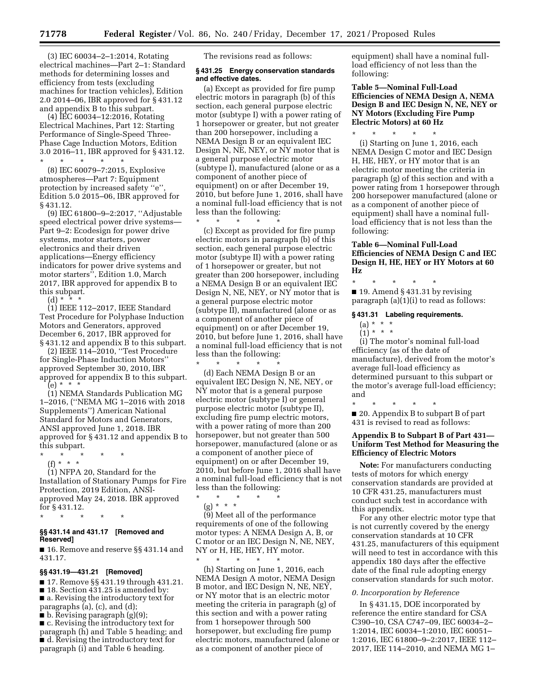(3) IEC 60034–2–1:2014, Rotating electrical machines—Part 2–1: Standard methods for determining losses and efficiency from tests (excluding machines for traction vehicles), Edition 2.0 2014–06, IBR approved for § 431.12 and appendix B to this subpart.

(4) IEC 60034–12:2016, Rotating Electrical Machines, Part 12: Starting Performance of Single-Speed Three-Phase Cage Induction Motors, Edition 3.0 2016–11, IBR approved for § 431.12. \* \* \* \* \*

(8) IEC 60079–7:2015, Explosive atmospheres—Part 7: Equipment protection by increased safety ''e'', Edition 5.0 2015–06, IBR approved for § 431.12.

(9) IEC 61800–9–2:2017, ''Adjustable speed electrical power drive systems— Part 9–2: Ecodesign for power drive systems, motor starters, power electronics and their driven applications—Energy efficiency indicators for power drive systems and motor starters'', Edition 1.0, March 2017, IBR approved for appendix B to this subpart.

(d) \* \* \*

(1) IEEE 112–2017, IEEE Standard Test Procedure for Polyphase Induction Motors and Generators, approved December 6, 2017, IBR approved for § 431.12 and appendix B to this subpart.

(2) IEEE 114–2010, ''Test Procedure for Single-Phase Induction Motors'' approved September 30, 2010, IBR approved for appendix B to this subpart.  $(e) * * * *$ 

(1) NEMA Standards Publication MG 1–2016, (''NEMA MG 1–2016 with 2018 Supplements'') American National Standard for Motors and Generators, ANSI approved June 1, 2018. IBR approved for § 431.12 and appendix B to this subpart.

- \* \* \* \* \*
- (f) \* \* \* (1) NFPA 20, Standard for the Installation of Stationary Pumps for Fire Protection, 2019 Edition, ANSIapproved May 24, 2018. IBR approved for § 431.12.
- \* \* \* \* \*

# **§§ 431.14 and 431.17 [Removed and Reserved]**

■ 16. Remove and reserve §§ 431.14 and 431.17.

# **§§ 431.19—431.21 [Removed]**

■ 17. Remove §§ 431.19 through 431.21. ■ 18. Section 431.25 is amended by: ■ a. Revising the introductory text for paragraphs  $(a)$ ,  $(c)$ , and  $(d)$ ;

- b. Revising paragraph (g)(9);
- c. Revising the introductory text for

paragraph (h) and Table 5 heading; and ■ d. Revising the introductory text for paragraph (i) and Table 6 heading.

The revisions read as follows:

### **§ 431.25 Energy conservation standards and effective dates.**

(a) Except as provided for fire pump electric motors in paragraph (b) of this section, each general purpose electric motor (subtype I) with a power rating of 1 horsepower or greater, but not greater than 200 horsepower, including a NEMA Design B or an equivalent IEC Design N, NE, NEY, or NY motor that is a general purpose electric motor (subtype I), manufactured (alone or as a component of another piece of equipment) on or after December 19, 2010, but before June 1, 2016, shall have a nominal full-load efficiency that is not less than the following:

\* \* \* \* \*

(c) Except as provided for fire pump electric motors in paragraph (b) of this section, each general purpose electric motor (subtype II) with a power rating of 1 horsepower or greater, but not greater than 200 horsepower, including a NEMA Design B or an equivalent IEC Design N, NE, NEY, or NY motor that is a general purpose electric motor (subtype II), manufactured (alone or as a component of another piece of equipment) on or after December 19, 2010, but before June 1, 2016, shall have a nominal full-load efficiency that is not less than the following:

\* \* \* \* \* (d) Each NEMA Design B or an equivalent IEC Design N, NE, NEY, or NY motor that is a general purpose electric motor (subtype I) or general purpose electric motor (subtype II), excluding fire pump electric motors, with a power rating of more than 200 horsepower, but not greater than 500 horsepower, manufactured (alone or as a component of another piece of equipment) on or after December 19, 2010, but before June 1, 2016 shall have a nominal full-load efficiency that is not less than the following:

\* \* \* \* \* (g) \* \* \* (9) Meet all of the performance

requirements of one of the following motor types: A NEMA Design A, B, or C motor or an IEC Design N, NE, NEY, NY or H, HE, HEY, HY motor.

\* \* \* \* \* (h) Starting on June 1, 2016, each NEMA Design A motor, NEMA Design B motor, and IEC Design N, NE, NEY, or NY motor that is an electric motor meeting the criteria in paragraph (g) of this section and with a power rating from 1 horsepower through 500 horsepower, but excluding fire pump electric motors, manufactured (alone or as a component of another piece of

equipment) shall have a nominal fullload efficiency of not less than the following:

**Table 5—Nominal Full-Load Efficiencies of NEMA Design A, NEMA Design B and IEC Design N, NE, NEY or NY Motors (Excluding Fire Pump Electric Motors) at 60 Hz** 

\* \* \* \* \* (i) Starting on June 1, 2016, each NEMA Design C motor and IEC Design H, HE, HEY, or HY motor that is an electric motor meeting the criteria in paragraph (g) of this section and with a power rating from 1 horsepower through 200 horsepower manufactured (alone or as a component of another piece of equipment) shall have a nominal fullload efficiency that is not less than the following:

# **Table 6—Nominal Full-Load Efficiencies of NEMA Design C and IEC Design H, HE, HEY or HY Motors at 60 Hz**

\* \* \* \* \* ■ 19. Amend § 431.31 by revising paragraph (a)(1)(i) to read as follows:

**§ 431.31 Labeling requirements.** 

- (a) \* \* \*
- $(1) * * * *$

(i) The motor's nominal full-load efficiency (as of the date of manufacture), derived from the motor's average full-load efficiency as determined pursuant to this subpart or the motor's average full-load efficiency; and

\* \* \* \* \* ■ 20. Appendix B to subpart B of part 431 is revised to read as follows:

# **Appendix B to Subpart B of Part 431— Uniform Test Method for Measuring the Efficiency of Electric Motors**

**Note:** For manufacturers conducting tests of motors for which energy conservation standards are provided at 10 CFR 431.25, manufacturers must conduct such test in accordance with this appendix.

For any other electric motor type that is not currently covered by the energy conservation standards at 10 CFR 431.25, manufacturers of this equipment will need to test in accordance with this appendix 180 days after the effective date of the final rule adopting energy conservation standards for such motor.

### *0. Incorporation by Reference*

In § 431.15, DOE incorporated by reference the entire standard for CSA C390–10, CSA C747–09, IEC 60034–2– 1:2014, IEC 60034–1:2010, IEC 60051– 1:2016, IEC 61800–9–2:2017, IEEE 112– 2017, IEE 114–2010, and NEMA MG 1–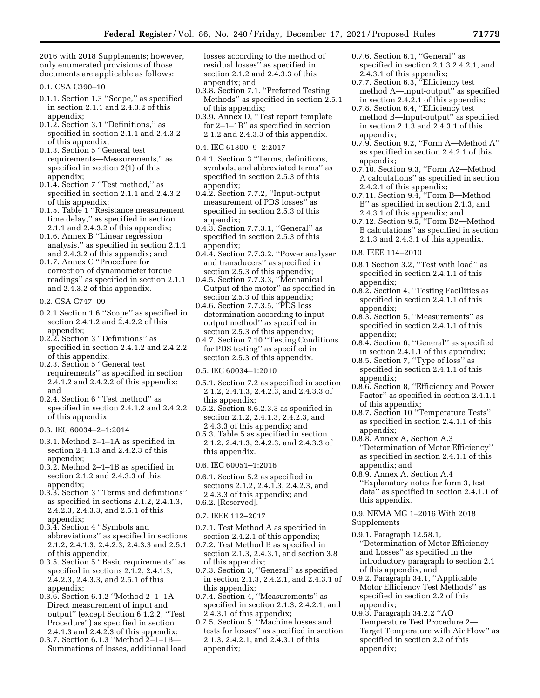2016 with 2018 Supplements; however, only enumerated provisions of those documents are applicable as follows:

- 0.1. CSA C390–10
- 0.1.1. Section 1.3 ''Scope,'' as specified in section 2.1.1 and 2.4.3.2 of this appendix;
- 0.1.2. Section 3.1 ''Definitions,'' as specified in section 2.1.1 and 2.4.3.2 of this appendix;
- 0.1.3. Section 5 ''General test requirements—Measurements,'' as specified in section 2(1) of this appendix;
- 0.1.4. Section 7 ''Test method,'' as specified in section 2.1.1 and 2.4.3.2 of this appendix;
- 0.1.5. Table 1 ''Resistance measurement time delay,'' as specified in section 2.1.1 and 2.4.3.2 of this appendix;
- 0.1.6. Annex B ''Linear regression analysis,'' as specified in section 2.1.1 and 2.4.3.2 of this appendix; and
- 0.1.7. Annex C ''Procedure for correction of dynamometer torque readings'' as specified in section 2.1.1 and 2.4.3.2 of this appendix.
- 0.2. CSA C747–09
- 0.2.1 Section 1.6 ''Scope'' as specified in section 2.4.1.2 and 2.4.2.2 of this appendix;
- 0.2.2. Section 3 ''Definitions'' as specified in section 2.4.1.2 and 2.4.2.2 of this appendix;
- 0.2.3. Section 5 ''General test requirements'' as specified in section 2.4.1.2 and 2.4.2.2 of this appendix; and
- 0.2.4. Section 6 ''Test method'' as specified in section 2.4.1.2 and 2.4.2.2 of this appendix.
- 0.3. IEC 60034–2–1:2014
- 0.3.1. Method 2–1–1A as specified in section 2.4.1.3 and 2.4.2.3 of this appendix;
- 0.3.2. Method 2–1–1B as specified in section 2.1.2 and 2.4.3.3 of this appendix;
- 0.3.3. Section 3 ''Terms and definitions'' as specified in sections 2.1.2, 2.4.1.3, 2.4.2.3, 2.4.3.3, and 2.5.1 of this appendix;
- 0.3.4. Section 4 ''Symbols and abbreviations'' as specified in sections 2.1.2, 2.4.1.3, 2.4.2.3, 2.4.3.3 and 2.5.1 of this appendix;
- 0.3.5. Section 5 ''Basic requirements'' as specified in sections 2.1.2, 2.4.1.3, 2.4.2.3, 2.4.3.3, and 2.5.1 of this appendix;
- 0.3.6. Section 6.1.2 ''Method 2–1–1A— Direct measurement of input and output'' (except Section 6.1.2.2, ''Test Procedure'') as specified in section 2.4.1.3 and 2.4.2.3 of this appendix;
- 0.3.7. Section 6.1.3 ''Method 2–1–1B— Summations of losses, additional load

losses according to the method of residual losses'' as specified in section 2.1.2 and 2.4.3.3 of this appendix; and

- 0.3.8. Section 7.1. ''Preferred Testing Methods'' as specified in section 2.5.1 of this appendix;
- 0.3.9. Annex D, ''Test report template for 2–1–1B'' as specified in section 2.1.2 and 2.4.3.3 of this appendix.
- 0.4. IEC 61800–9–2:2017
- 0.4.1. Section 3 ''Terms, definitions, symbols, and abbreviated terms'' as specified in section 2.5.3 of this appendix;
- 0.4.2. Section 7.7.2, ''Input-output measurement of PDS losses'' as specified in section 2.5.3 of this appendix;
- 0.4.3. Section 7.7.3.1, ''General'' as specified in section 2.5.3 of this appendix;
- 0.4.4. Section 7.7.3.2. ''Power analyser and transducers'' as specified in section 2.5.3 of this appendix;
- 0.4.5. Section 7.7.3.3, ''Mechanical Output of the motor'' as specified in section 2.5.3 of this appendix;
- 0.4.6. Section 7.7.3.5, ''PDS loss determination according to inputoutput method'' as specified in section 2.5.3 of this appendix;
- 0.4.7. Section 7.10 ''Testing Conditions for PDS testing'' as specified in section 2.5.3 of this appendix.
- 0.5. IEC 60034–1:2010
- 0.5.1. Section 7.2 as specified in section 2.1.2, 2.4.1.3, 2.4.2.3, and 2.4.3.3 of this appendix;
- 0.5.2. Section 8.6.2.3.3 as specified in section 2.1.2, 2.4.1.3, 2.4.2.3, and 2.4.3.3 of this appendix; and
- 0.5.3. Table 5 as specified in section 2.1.2, 2.4.1.3, 2.4.2.3, and 2.4.3.3 of this appendix.

### 0.6. IEC 60051–1:2016

0.6.1. Section 5.2 as specified in sections 2.1.2, 2.4.1.3, 2.4.2.3, and 2.4.3.3 of this appendix; and 0.6.2. [Reserved].

- 0.7. IEEE 112–2017
- 0.7.1. Test Method A as specified in section 2.4.2.1 of this appendix;
- 0.7.2. Test Method B as specified in section 2.1.3, 2.4.3.1, and section 3.8 of this appendix;
- 0.7.3. Section 3, ''General'' as specified in section 2.1.3, 2.4.2.1, and 2.4.3.1 of this appendix;
- 0.7.4. Section 4, ''Measurements'' as specified in section 2.1.3, 2.4.2.1, and 2.4.3.1 of this appendix;
- 0.7.5. Section 5, ''Machine losses and tests for losses'' as specified in section 2.1.3, 2.4.2.1, and 2.4.3.1 of this appendix;
- 0.7.6. Section 6.1, ''General'' as specified in section 2.1.3 2.4.2.1, and 2.4.3.1 of this appendix;
- 0.7.7. Section 6.3, ''Efficiency test method A—Input-output'' as specified in section 2.4.2.1 of this appendix;
- 0.7.8. Section 6.4, ''Efficiency test method B—Input-output'' as specified in section 2.1.3 and 2.4.3.1 of this appendix;
- 0.7.9. Section 9.2, ''Form A—Method A'' as specified in section 2.4.2.1 of this appendix;
- 0.7.10. Section 9.3, ''Form A2—Method A calculations'' as specified in section 2.4.2.1 of this appendix;
- 0.7.11. Section 9.4, ''Form B—Method B'' as specified in section 2.1.3, and 2.4.3.1 of this appendix; and
- 0.7.12. Section 9.5, ''Form B2—Method B calculations'' as specified in section 2.1.3 and 2.4.3.1 of this appendix.
- 0.8. IEEE 114–2010
- 0.8.1 Section 3.2, ''Test with load'' as specified in section 2.4.1.1 of this appendix;
- 0.8.2. Section 4, ''Testing Facilities as specified in section 2.4.1.1 of this appendix;
- 0.8.3. Section 5, ''Measurements'' as specified in section 2.4.1.1 of this appendix;
- 0.8.4. Section 6, ''General'' as specified in section 2.4.1.1 of this appendix;
- 0.8.5. Section 7, ''Type of loss'' as specified in section 2.4.1.1 of this appendix;
- 0.8.6. Section 8, ''Efficiency and Power Factor'' as specified in section 2.4.1.1 of this appendix;
- 0.8.7. Section 10 ''Temperature Tests'' as specified in section 2.4.1.1 of this appendix;
- 0.8.8. Annex A, Section A.3 ''Determination of Motor Efficiency'' as specified in section 2.4.1.1 of this appendix; and
- 0.8.9. Annex A, Section A.4 ''Explanatory notes for form 3, test data'' as specified in section 2.4.1.1 of this appendix.
- 0.9. NEMA MG 1–2016 With 2018 Supplements
- 0.9.1. Paragraph 12.58.1, ''Determination of Motor Efficiency and Losses'' as specified in the introductory paragraph to section 2.1 of this appendix, and
- 0.9.2. Paragraph 34.1, ''Applicable Motor Efficiency Test Methods'' as specified in section 2.2 of this appendix;
- 0.9.3. Paragraph 34.2.2 ''AO Temperature Test Procedure 2— Target Temperature with Air Flow'' as specified in section 2.2 of this appendix;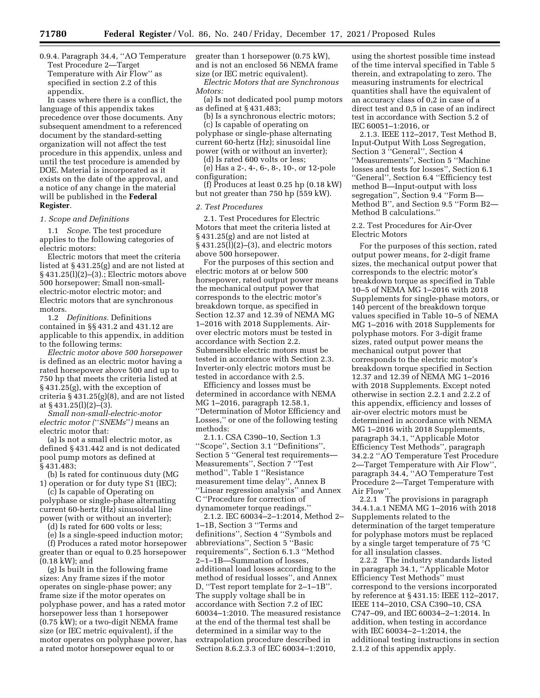0.9.4. Paragraph 34.4, ''AO Temperature Test Procedure 2—Target Temperature with Air Flow'' as specified in section 2.2 of this appendix.

In cases where there is a conflict, the language of this appendix takes precedence over those documents. Any subsequent amendment to a referenced document by the standard-setting organization will not affect the test procedure in this appendix, unless and until the test procedure is amended by DOE. Material is incorporated as it exists on the date of the approval, and a notice of any change in the material will be published in the **Federal Register**.

#### *1. Scope and Definitions*

1.1 *Scope.* The test procedure applies to the following categories of electric motors:

Electric motors that meet the criteria listed at § 431.25(g) and are not listed at § 431.25(l)(2)–(3).; Electric motors above 500 horsepower; Small non-smallelectric-motor electric motor; and Electric motors that are synchronous motors.

1.2 *Definitions.* Definitions contained in §§ 431.2 and 431.12 are applicable to this appendix, in addition to the following terms:

*Electric motor above 500 horsepower*  is defined as an electric motor having a rated horsepower above 500 and up to 750 hp that meets the criteria listed at § 431.25(g), with the exception of criteria § 431.25(g)(8), and are not listed at § 431.25(l)(2)–(3).

*Small non-small-electric-motor electric motor (*''*SNEMs*''*)* means an electric motor that:

(a) Is not a small electric motor, as defined § 431.442 and is not dedicated pool pump motors as defined at § 431.483;

(b) Is rated for continuous duty (MG 1) operation or for duty type S1 (IEC);

(c) Is capable of Operating on polyphase or single-phase alternating current 60-hertz (Hz) sinusoidal line power (with or without an inverter);

(d) Is rated for 600 volts or less;

(e) Is a single-speed induction motor;

(f) Produces a rated motor horsepower greater than or equal to 0.25 horsepower (0.18 kW); and

(g) Is built in the following frame sizes: Any frame sizes if the motor operates on single-phase power; any frame size if the motor operates on polyphase power, and has a rated motor horsepower less than 1 horsepower (0.75 kW); or a two-digit NEMA frame size (or IEC metric equivalent), if the motor operates on polyphase power, has a rated motor horsepower equal to or

greater than 1 horsepower (0.75 kW), and is not an enclosed 56 NEMA frame size (or IEC metric equivalent).

*Electric Motors that are Synchronous Motors:* 

(a) Is not dedicated pool pump motors as defined at § 431.483;

(b) Is a synchronous electric motors;

(c) Is capable of operating on polyphase or single-phase alternating current 60-hertz (Hz); sinusoidal line power (with or without an inverter);

(d) Is rated 600 volts or less;

(e) Has a 2-, 4-, 6-, 8-, 10-, or 12-pole configuration;

(f) Produces at least 0.25 hp (0.18 kW) but not greater than 750 hp (559 kW).

#### *2. Test Procedures*

2.1. Test Procedures for Electric Motors that meet the criteria listed at § 431.25(g) and are not listed at § 431.25(l)(2)–(3), and electric motors above 500 horsepower.

For the purposes of this section and electric motors at or below 500 horsepower, rated output power means the mechanical output power that corresponds to the electric motor's breakdown torque, as specified in Section 12.37 and 12.39 of NEMA MG 1–2016 with 2018 Supplements. Airover electric motors must be tested in accordance with Section 2.2. Submersible electric motors must be tested in accordance with Section 2.3. Inverter-only electric motors must be tested in accordance with 2.5.

Efficiency and losses must be determined in accordance with NEMA MG 1–2016, paragraph 12.58.1, ''Determination of Motor Efficiency and Losses,'' or one of the following testing methods:

2.1.1. CSA C390–10, Section 1.3 ''Scope'', Section 3.1 ''Definitions'', Section 5 ''General test requirements— Measurements'', Section 7 ''Test method'', Table 1 ''Resistance measurement time delay'', Annex B ''Linear regression analysis'' and Annex C ''Procedure for correction of dynamometer torque readings.''

2.1.2. IEC 60034–2–1:2014, Method 2– 1–1B, Section 3 ''Terms and definitions'', Section 4 ''Symbols and abbreviations'', Section 5 ''Basic requirements'', Section 6.1.3 ''Method 2–1–1B—Summation of losses, additional load losses according to the method of residual losses'', and Annex D, ''Test report template for 2–1–1B''. The supply voltage shall be in accordance with Section 7.2 of IEC 60034–1:2010. The measured resistance at the end of the thermal test shall be determined in a similar way to the extrapolation procedure described in Section 8.6.2.3.3 of IEC 60034–1:2010,

using the shortest possible time instead of the time interval specified in Table 5 therein, and extrapolating to zero. The measuring instruments for electrical quantities shall have the equivalent of an accuracy class of 0,2 in case of a direct test and 0,5 in case of an indirect test in accordance with Section 5.2 of IEC 60051–1:2016, or

2.1.3. IEEE 112–2017, Test Method B, Input-Output With Loss Segregation, Section 3 ''General'', Section 4 ''Measurements'', Section 5 ''Machine losses and tests for losses'', Section 6.1 ''General'', Section 6.4 ''Efficiency test method B—Input-output with loss segregation'', Section 9.4 ''Form B— Method B'', and Section 9.5 ''Form B2— Method B calculations.''

### 2.2. Test Procedures for Air-Over Electric Motors

For the purposes of this section, rated output power means, for 2-digit frame sizes, the mechanical output power that corresponds to the electric motor's breakdown torque as specified in Table 10–5 of NEMA MG 1–2016 with 2018 Supplements for single-phase motors, or 140 percent of the breakdown torque values specified in Table 10–5 of NEMA MG 1–2016 with 2018 Supplements for polyphase motors. For 3-digit frame sizes, rated output power means the mechanical output power that corresponds to the electric motor's breakdown torque specified in Section 12.37 and 12.39 of NEMA MG 1–2016 with 2018 Supplements. Except noted otherwise in section 2.2.1 and 2.2.2 of this appendix, efficiency and losses of air-over electric motors must be determined in accordance with NEMA MG 1–2016 with 2018 Supplements, paragraph 34.1, ''Applicable Motor Efficiency Test Methods'', paragraph 34.2.2 ''AO Temperature Test Procedure 2—Target Temperature with Air Flow'', paragraph 34.4, ''AO Temperature Test Procedure 2—Target Temperature with Air Flow''.

2.2.1 The provisions in paragraph 34.4.1.a.1 NEMA MG 1–2016 with 2018 Supplements related to the determination of the target temperature for polyphase motors must be replaced by a single target temperature of 75 °C for all insulation classes.

2.2.2 The industry standards listed in paragraph 34.1, ''Applicable Motor Efficiency Test Methods'' must correspond to the versions incorporated by reference at § 431.15: IEEE 112–2017, IEEE 114–2010, CSA C390–10, CSA C747–09, and IEC 60034–2–1:2014. In addition, when testing in accordance with IEC 60034–2–1:2014, the additional testing instructions in section 2.1.2 of this appendix apply.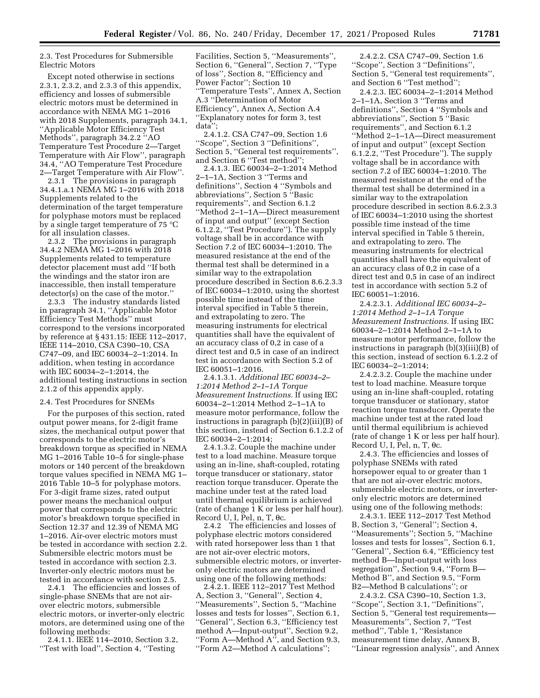2.3. Test Procedures for Submersible Electric Motors

Except noted otherwise in sections 2.3.1, 2.3.2, and 2.3.3 of this appendix, efficiency and losses of submersible electric motors must be determined in accordance with NEMA MG 1–2016 with 2018 Supplements, paragraph 34.1, ''Applicable Motor Efficiency Test Methods'', paragraph 34.2.2 ''AO Temperature Test Procedure 2—Target Temperature with Air Flow'', paragraph 34.4, ''AO Temperature Test Procedure 2—Target Temperature with Air Flow''.

2.3.1 The provisions in paragraph 34.4.1.a.1 NEMA MG 1–2016 with 2018 Supplements related to the determination of the target temperature for polyphase motors must be replaced by a single target temperature of 75 °C for all insulation classes.

2.3.2 The provisions in paragraph 34.4.2 NEMA MG 1–2016 with 2018 Supplements related to temperature detector placement must add ''If both the windings and the stator iron are inaccessible, then install temperature detector(s) on the case of the motor.''

2.3.3 The industry standards listed in paragraph 34.1, ''Applicable Motor Efficiency Test Methods'' must correspond to the versions incorporated by reference at § 431.15: IEEE 112–2017, IEEE 114–2010, CSA C390–10, CSA C747–09, and IEC 60034–2–1:2014. In addition, when testing in accordance with IEC 60034–2–1:2014, the additional testing instructions in section 2.1.2 of this appendix apply.

### 2.4. Test Procedures for SNEMs

For the purposes of this section, rated output power means, for 2-digit frame sizes, the mechanical output power that corresponds to the electric motor's breakdown torque as specified in NEMA MG 1–2016 Table 10–5 for single-phase motors or 140 percent of the breakdown torque values specified in NEMA MG 1– 2016 Table 10–5 for polyphase motors. For 3-digit frame sizes, rated output power means the mechanical output power that corresponds to the electric motor's breakdown torque specified in Section 12.37 and 12.39 of NEMA MG 1–2016. Air-over electric motors must be tested in accordance with section 2.2. Submersible electric motors must be tested in accordance with section 2.3. Inverter-only electric motors must be tested in accordance with section 2.5.

2.4.1 The efficiencies and losses of single-phase SNEMs that are not airover electric motors, submersible electric motors, or inverter-only electric motors, are determined using one of the following methods:

2.4.1.1. IEEE 114–2010, Section 3.2, ''Test with load'', Section 4, ''Testing

Facilities, Section 5, ''Measurements'', Section 6, ''General'', Section 7, ''Type of loss'', Section 8, ''Efficiency and Power Factor''; Section 10 ''Temperature Tests'', Annex A, Section A.3 ''Determination of Motor Efficiency'', Annex A, Section A.4 ''Explanatory notes for form 3, test data'';

2.4.1.2. CSA C747–09, Section 1.6 ''Scope'', Section 3 ''Definitions'', Section 5, ''General test requirements'', and Section 6 ''Test method'';

2.4.1.3. IEC 60034–2–1:2014 Method 2–1–1A, Section 3 ''Terms and definitions'', Section 4 ''Symbols and abbreviations'', Section 5 ''Basic requirements'', and Section 6.1.2 ''Method 2–1–1A—Direct measurement of input and output'' (except Section 6.1.2.2, ''Test Procedure''). The supply voltage shall be in accordance with Section 7.2 of IEC 60034–1:2010. The measured resistance at the end of the thermal test shall be determined in a similar way to the extrapolation procedure described in Section 8.6.2.3.3 of IEC 60034–1:2010, using the shortest possible time instead of the time interval specified in Table 5 therein, and extrapolating to zero. The measuring instruments for electrical quantities shall have the equivalent of an accuracy class of 0,2 in case of a direct test and 0,5 in case of an indirect test in accordance with Section 5.2 of IEC 60051–1:2016.

2.4.1.3.1. *Additional IEC 60034–2– 1:2014 Method 2–1–1A Torque Measurement Instructions.* If using IEC 60034–2–1:2014 Method 2–1–1A to measure motor performance, follow the instructions in paragraph (b)(2)(iii)(B) of this section, instead of Section 6.1.2.2 of IEC 60034–2–1:2014;

2.4.1.3.2. Couple the machine under test to a load machine. Measure torque using an in-line, shaft-coupled, rotating torque transducer or stationary, stator reaction torque transducer. Operate the machine under test at the rated load until thermal equilibrium is achieved (rate of change 1 K or less per half hour). Record U, I, Pel,  $n, T, \theta c$ .

2.4.2 The efficiencies and losses of polyphase electric motors considered with rated horsepower less than 1 that are not air-over electric motors, submersible electric motors, or inverteronly electric motors are determined using one of the following methods:

2.4.2.1. IEEE 112–2017 Test Method A, Section 3, ''General'', Section 4, ''Measurements'', Section 5, ''Machine losses and tests for losses'', Section 6.1, ''General'', Section 6.3, ''Efficiency test method A—Input-output'', Section 9.2, ''Form A—Method A'', and Section 9.3, ''Form A2—Method A calculations'';

2.4.2.2. CSA C747–09, Section 1.6 ''Scope'', Section 3 ''Definitions'', Section 5, ''General test requirements'', and Section 6 ''Test method'';

2.4.2.3. IEC 60034–2–1:2014 Method 2–1–1A, Section 3 ''Terms and definitions'', Section 4 ''Symbols and abbreviations'', Section 5 ''Basic requirements'', and Section 6.1.2 ''Method 2–1–1A—Direct measurement of input and output'' (except Section 6.1.2.2, ''Test Procedure''). The supply voltage shall be in accordance with section 7.2 of IEC 60034–1:2010. The measured resistance at the end of the thermal test shall be determined in a similar way to the extrapolation procedure described in section 8.6.2.3.3 of IEC 60034–1:2010 using the shortest possible time instead of the time interval specified in Table 5 therein, and extrapolating to zero. The measuring instruments for electrical quantities shall have the equivalent of an accuracy class of 0,2 in case of a direct test and 0,5 in case of an indirect test in accordance with section 5.2 of IEC 60051–1:2016.

2.4.2.3.1. *Additional IEC 60034–2– 1:2014 Method 2–1–1A Torque Measurement Instructions.* If using IEC 60034–2–1:2014 Method 2–1–1A to measure motor performance, follow the instructions in paragraph (b)(3)(iii)(B) of this section, instead of section 6.1.2.2 of IEC 60034–2–1:2014;

2.4.2.3.2. Couple the machine under test to load machine. Measure torque using an in-line shaft-coupled, rotating torque transducer or stationary, stator reaction torque transducer. Operate the machine under test at the rated load until thermal equilibrium is achieved (rate of change 1 K or less per half hour). Record U, I,  $\tilde{P}el$ , n, T,  $\theta c$ .

2.4.3. The efficiencies and losses of polyphase SNEMs with rated horsepower equal to or greater than 1 that are not air-over electric motors, submersible electric motors, or inverteronly electric motors are determined using one of the following methods:

2.4.3.1. IEEE 112–2017 Test Method B, Section 3, ''General''; Section 4, ''Measurements''; Section 5, ''Machine losses and tests for losses'', Section 6.1, ''General'', Section 6.4, ''Efficiency test method B—Input-output with loss segregation'', Section 9.4, ''Form B— Method B'', and Section 9.5, ''Form B2—Method B calculations''; or

2.4.3.2. CSA C390–10, Section 1.3, ''Scope'', Section 3.1, ''Definitions'', Section 5, ''General test requirements— Measurements'', Section 7, ''Test method'', Table 1, ''Resistance measurement time delay, Annex B, ''Linear regression analysis'', and Annex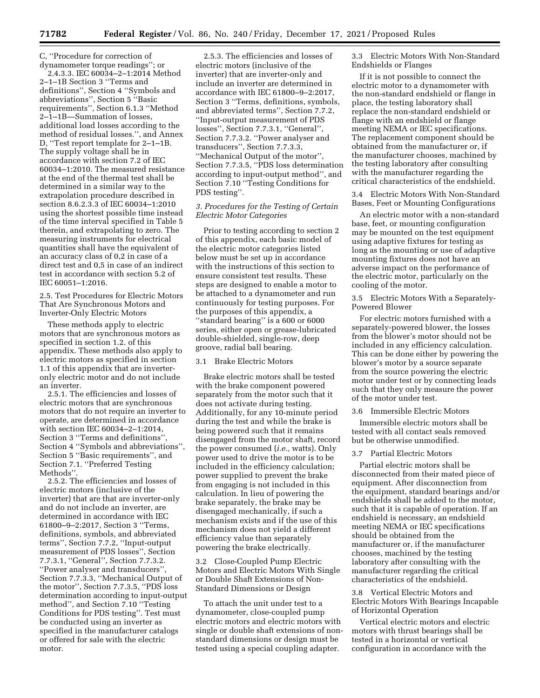C, ''Procedure for correction of dynamometer torque readings''; or

2.4.3.3. IEC 60034–2–1:2014 Method 2–1–1B Section 3 ''Terms and definitions'', Section 4 ''Symbols and abbreviations'', Section 5 ''Basic requirements'', Section 6.1.3 ''Method 2–1–1B—Summation of losses, additional load losses according to the method of residual losses.'', and Annex D, ''Test report template for 2–1–1B. The supply voltage shall be in accordance with section 7.2 of IEC 60034–1:2010. The measured resistance at the end of the thermal test shall be determined in a similar way to the extrapolation procedure described in section 8.6.2.3.3 of IEC 60034–1:2010 using the shortest possible time instead of the time interval specified in Table 5 therein, and extrapolating to zero. The measuring instruments for electrical quantities shall have the equivalent of an accuracy class of 0,2 in case of a direct test and 0,5 in case of an indirect test in accordance with section 5.2 of IEC 60051–1:2016.

2.5. Test Procedures for Electric Motors That Are Synchronous Motors and Inverter-Only Electric Motors

These methods apply to electric motors that are synchronous motors as specified in section 1.2. of this appendix. These methods also apply to electric motors as specified in section 1.1 of this appendix that are inverteronly electric motor and do not include an inverter.

2.5.1. The efficiencies and losses of electric motors that are synchronous motors that do not require an inverter to operate, are determined in accordance with section IEC 60034–2–1:2014, Section 3 ''Terms and definitions'', Section 4 ''Symbols and abbreviations'', Section 5 ''Basic requirements'', and Section 7.1. ''Preferred Testing Methods''.

2.5.2. The efficiencies and losses of electric motors (inclusive of the inverter) that are that are inverter-only and do not include an inverter, are determined in accordance with IEC 61800–9–2:2017, Section 3 ''Terms, definitions, symbols, and abbreviated terms'', Section 7.7.2, ''Input-output measurement of PDS losses'', Section 7.7.3.1, ''General'', Section 7.7.3.2. ''Power analyser and transducers'', Section 7.7.3.3, ''Mechanical Output of the motor'', Section 7.7.3.5, ''PDS loss determination according to input-output method'', and Section 7.10 ''Testing Conditions for PDS testing''. Test must be conducted using an inverter as specified in the manufacturer catalogs or offered for sale with the electric motor.

2.5.3. The efficiencies and losses of electric motors (inclusive of the inverter) that are inverter-only and include an inverter are determined in accordance with IEC 61800–9–2:2017, Section 3 ''Terms, definitions, symbols, and abbreviated terms'', Section 7.7.2, ''Input-output measurement of PDS losses'', Section 7.7.3.1, ''General'', Section 7.7.3.2. ''Power analyser and transducers'', Section 7.7.3.3, ''Mechanical Output of the motor'', Section 7.7.3.5, ''PDS loss determination according to input-output method'', and Section 7.10 ''Testing Conditions for PDS testing''.

## *3. Procedures for the Testing of Certain Electric Motor Categories*

Prior to testing according to section 2 of this appendix, each basic model of the electric motor categories listed below must be set up in accordance with the instructions of this section to ensure consistent test results. These steps are designed to enable a motor to be attached to a dynamometer and run continuously for testing purposes. For the purposes of this appendix, a ''standard bearing'' is a 600 or 6000 series, either open or grease-lubricated double-shielded, single-row, deep groove, radial ball bearing.

## 3.1 Brake Electric Motors

Brake electric motors shall be tested with the brake component powered separately from the motor such that it does not activate during testing. Additionally, for any 10-minute period during the test and while the brake is being powered such that it remains disengaged from the motor shaft, record the power consumed (*i.e.,* watts). Only power used to drive the motor is to be included in the efficiency calculation; power supplied to prevent the brake from engaging is not included in this calculation. In lieu of powering the brake separately, the brake may be disengaged mechanically, if such a mechanism exists and if the use of this mechanism does not yield a different efficiency value than separately powering the brake electrically.

3.2 Close-Coupled Pump Electric Motors and Electric Motors With Single or Double Shaft Extensions of Non-Standard Dimensions or Design

To attach the unit under test to a dynamometer, close-coupled pump electric motors and electric motors with single or double shaft extensions of nonstandard dimensions or design must be tested using a special coupling adapter.

3.3 Electric Motors With Non-Standard Endshields or Flanges

If it is not possible to connect the electric motor to a dynamometer with the non-standard endshield or flange in place, the testing laboratory shall replace the non-standard endshield or flange with an endshield or flange meeting NEMA or IEC specifications. The replacement component should be obtained from the manufacturer or, if the manufacturer chooses, machined by the testing laboratory after consulting with the manufacturer regarding the critical characteristics of the endshield.

3.4 Electric Motors With Non-Standard Bases, Feet or Mounting Configurations

An electric motor with a non-standard base, feet, or mounting configuration may be mounted on the test equipment using adaptive fixtures for testing as long as the mounting or use of adaptive mounting fixtures does not have an adverse impact on the performance of the electric motor, particularly on the cooling of the motor.

3.5 Electric Motors With a Separately-Powered Blower

For electric motors furnished with a separately-powered blower, the losses from the blower's motor should not be included in any efficiency calculation. This can be done either by powering the blower's motor by a source separate from the source powering the electric motor under test or by connecting leads such that they only measure the power of the motor under test.

3.6 Immersible Electric Motors

Immersible electric motors shall be tested with all contact seals removed but be otherwise unmodified.

## 3.7 Partial Electric Motors

Partial electric motors shall be disconnected from their mated piece of equipment. After disconnection from the equipment, standard bearings and/or endshields shall be added to the motor, such that it is capable of operation. If an endshield is necessary, an endshield meeting NEMA or IEC specifications should be obtained from the manufacturer or, if the manufacturer chooses, machined by the testing laboratory after consulting with the manufacturer regarding the critical characteristics of the endshield.

3.8 Vertical Electric Motors and Electric Motors With Bearings Incapable of Horizontal Operation

Vertical electric motors and electric motors with thrust bearings shall be tested in a horizontal or vertical configuration in accordance with the